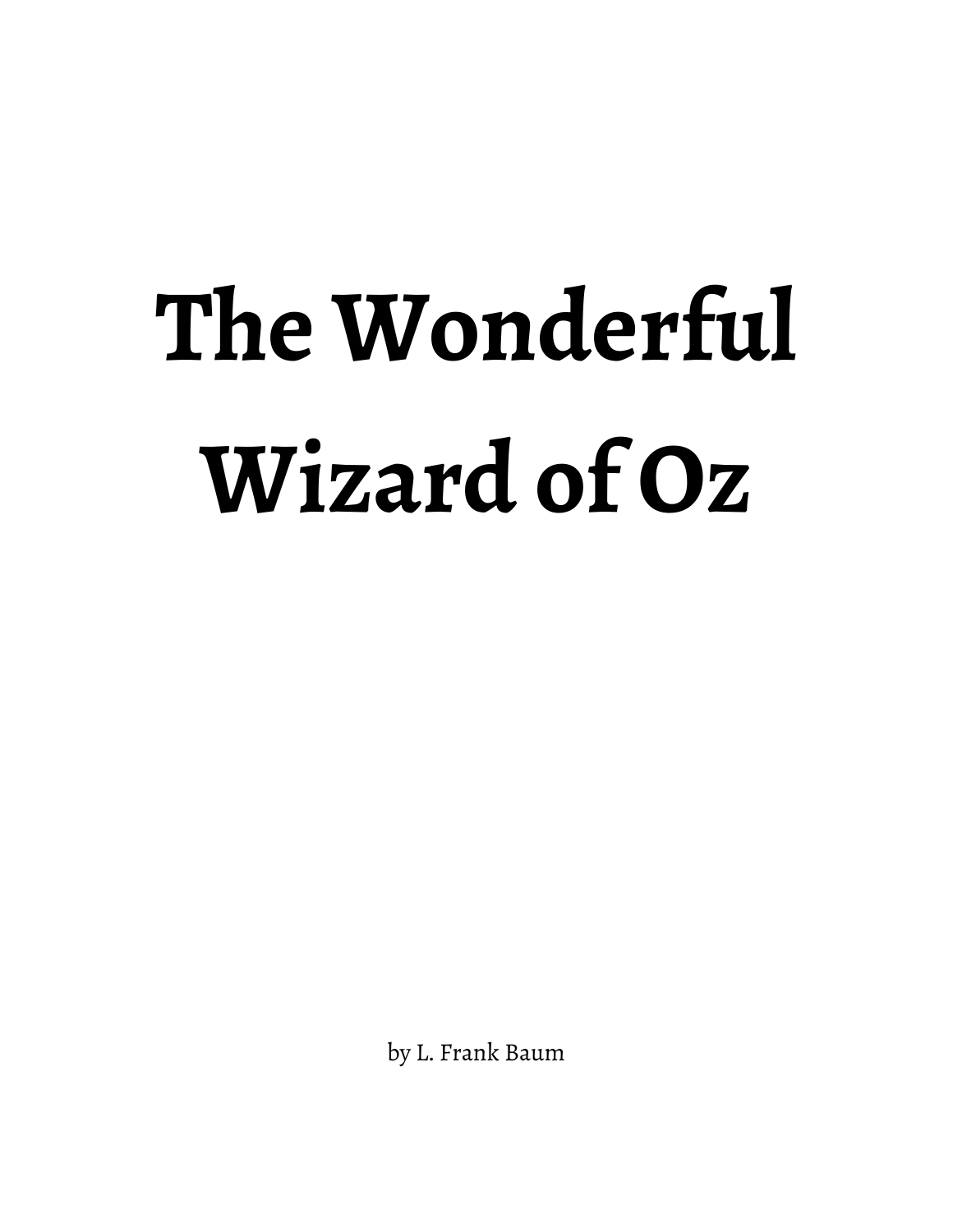# **The Wonderful Wizard of Oz**

by L. Frank Baum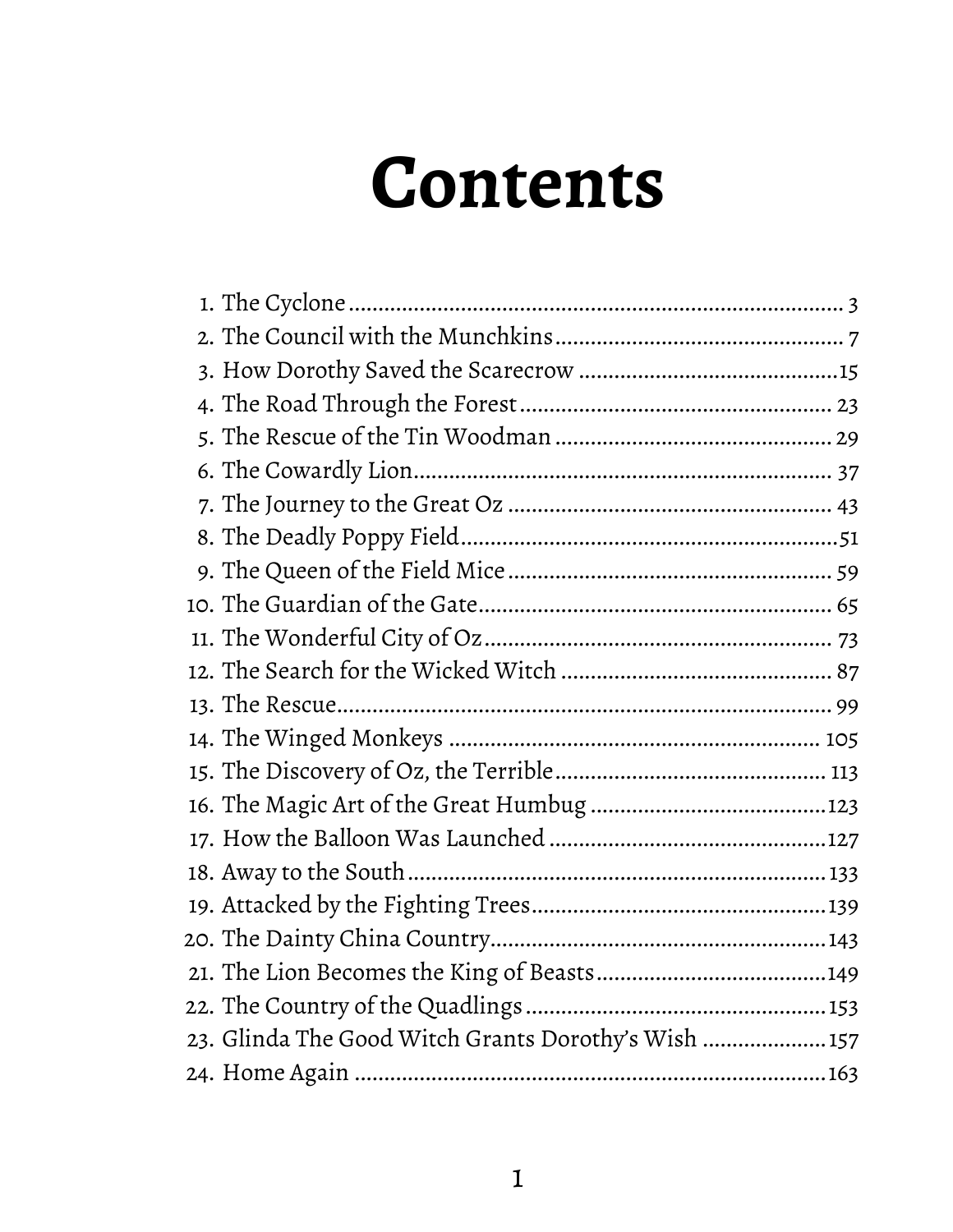### **Contents**

| 23. Glinda The Good Witch Grants Dorothy's Wish  157 |  |
|------------------------------------------------------|--|
|                                                      |  |
|                                                      |  |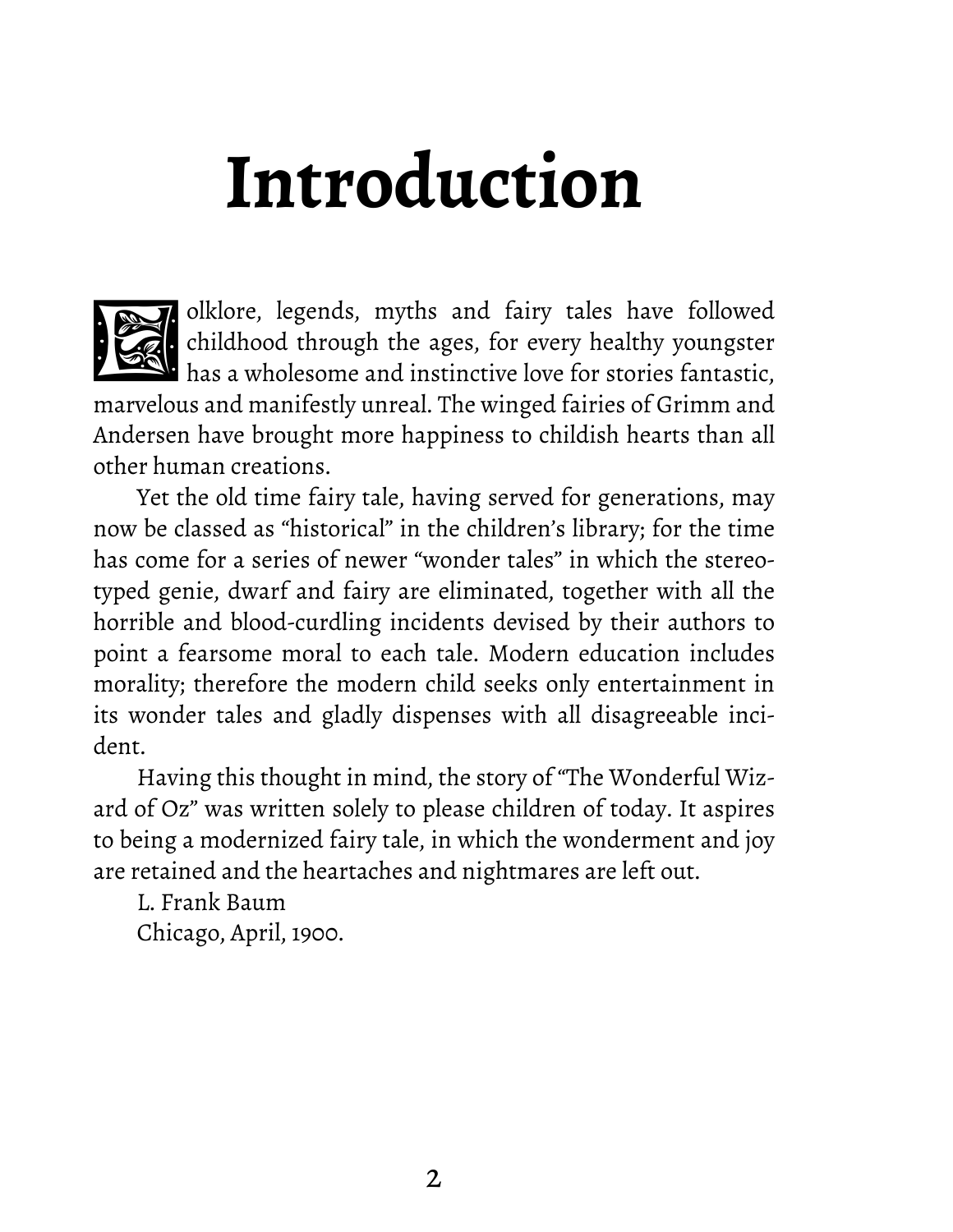## **Introduction**

de de de de de de la partie de la partie de la partie de la partie de la partie de la partie de la partie de la partie de la partie de la partie de la partie de la partie de la partie de la partie de la partie de la partie olklore, legends, myths and fairy tales have followed childhood through the ages, for every healthy youngster has a wholesome and instinctive love for stories fantastic, marvelous and manifestly unreal. The winged fairies of Grimm and Andersen have brought more happiness to childish hearts than all other human creations.

Yet the old time fairy tale, having served for generations, may now be classed as "historical" in the children's library; for the time has come for a series of newer "wonder tales" in which the stereotyped genie, dwarf and fairy are eliminated, together with all the horrible and blood‐curdling incidents devised by their authors to point a fearsome moral to each tale. Modern education includes morality; therefore the modern child seeks only entertainment in its wonder tales and gladly dispenses with all disagreeable incident.

Having this thought in mind, the story of "The Wonderful Wizard of Oz" was written solely to please children of today. It aspires to being a modernized fairy tale, in which the wonderment and joy are retained and the heartaches and nightmares are left out.

L. Frank Baum Chicago, April, 1900.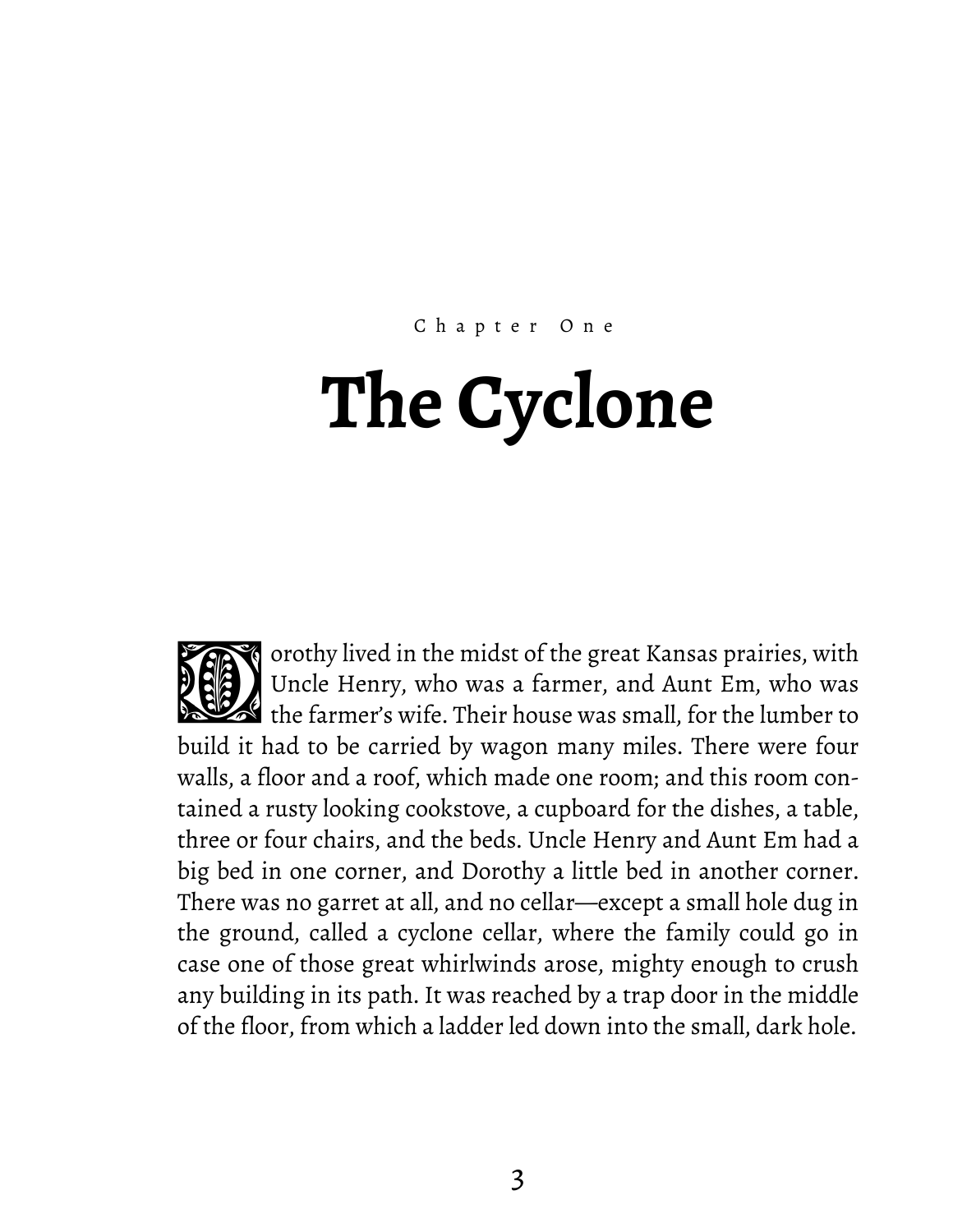#### Chapter One

# <span id="page-3-0"></span>**The Cyclone**

Orothy lived in the midst of the great Kansas prairies, with<br>Uncle Henry, who was a farmer, and Aunt Em, who was<br>the farmer's wife. Their house was small, for the lumber to orothy lived in the midst of the great Kansas prairies, with Uncle Henry, who was a farmer, and Aunt Em, who was build it had to be carried by wagon many miles. There were four walls, a floor and a roof, which made one room; and this room contained a rusty looking cookstove, a cupboard for the dishes, a table, three or four chairs, and the beds. Uncle Henry and Aunt Em had a big bed in one corner, and Dorothy a little bed in another corner. There was no garret at all, and no cellar—except a small hole dug in the ground, called a cyclone cellar, where the family could go in case one of those great whirlwinds arose, mighty enough to crush any building in its path. It was reached by a trap door in the middle of the floor, from which a ladder led down into the small, dark hole.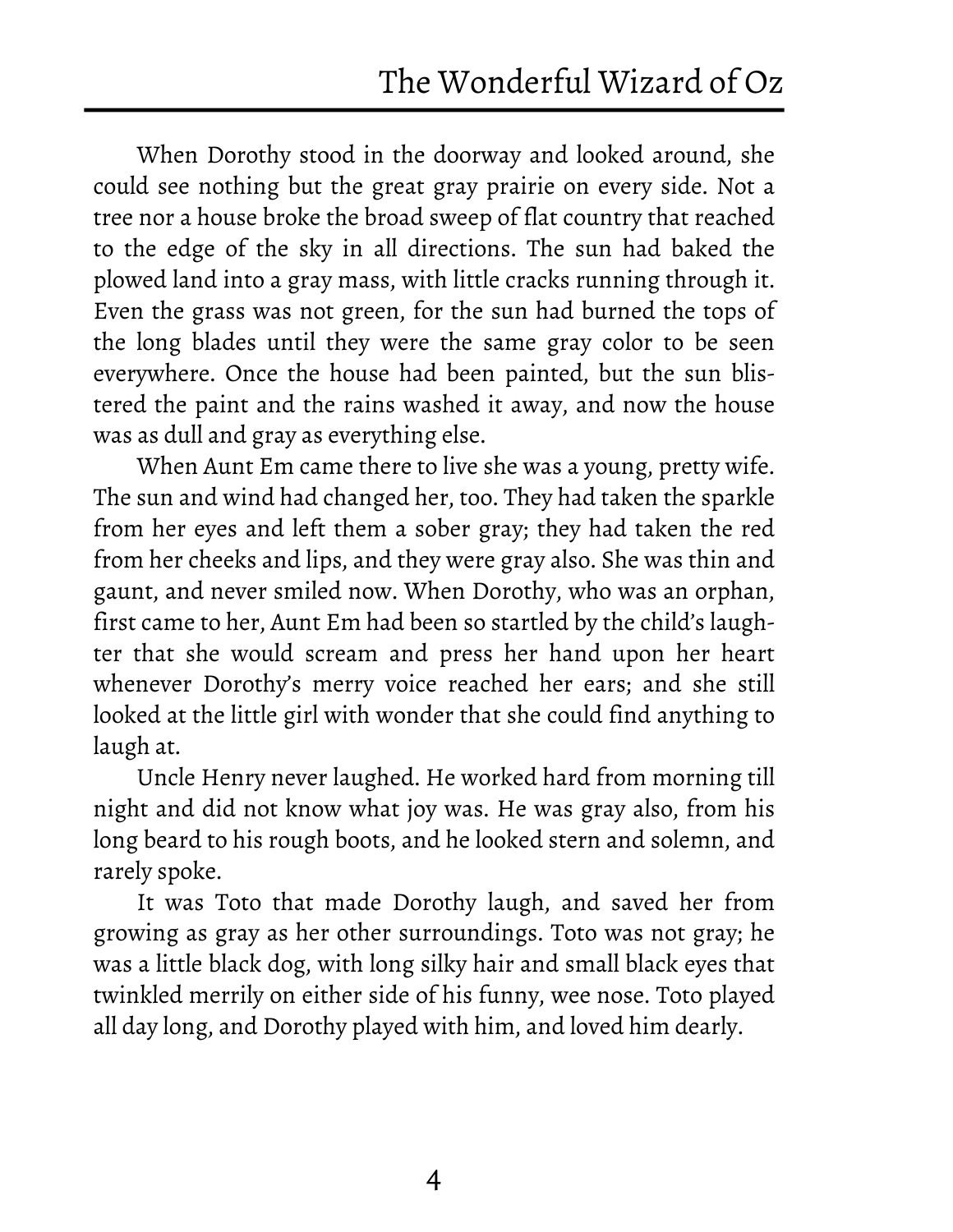When Dorothy stood in the doorway and looked around, she could see nothing but the great gray prairie on every side. Not a tree nor a house broke the broad sweep of flat country that reached to the edge of the sky in all directions. The sun had baked the plowed land into a gray mass, with little cracks running through it. Even the grass was not green, for the sun had burned the tops of the long blades until they were the same gray color to be seen everywhere. Once the house had been painted, but the sun blistered the paint and the rains washed it away, and now the house was as dull and gray as everything else.

When Aunt Em came there to live she was a young, pretty wife. The sun and wind had changed her, too. They had taken the sparkle from her eyes and left them a sober gray; they had taken the red from her cheeks and lips, and they were gray also. She was thin and gaunt, and never smiled now. When Dorothy, who was an orphan, first came to her, Aunt Em had been so startled by the child's laughter that she would scream and press her hand upon her heart whenever Dorothy's merry voice reached her ears; and she still looked at the little girl with wonder that she could find anything to laugh at.

Uncle Henry never laughed. He worked hard from morning till night and did not know what joy was. He was gray also, from his long beard to his rough boots, and he looked stern and solemn, and rarely spoke.

It was Toto that made Dorothy laugh, and saved her from growing as gray as her other surroundings. Toto was not gray; he was a little black dog, with long silky hair and small black eyes that twinkled merrily on either side of his funny, wee nose. Toto played all day long, and Dorothy played with him, and loved him dearly.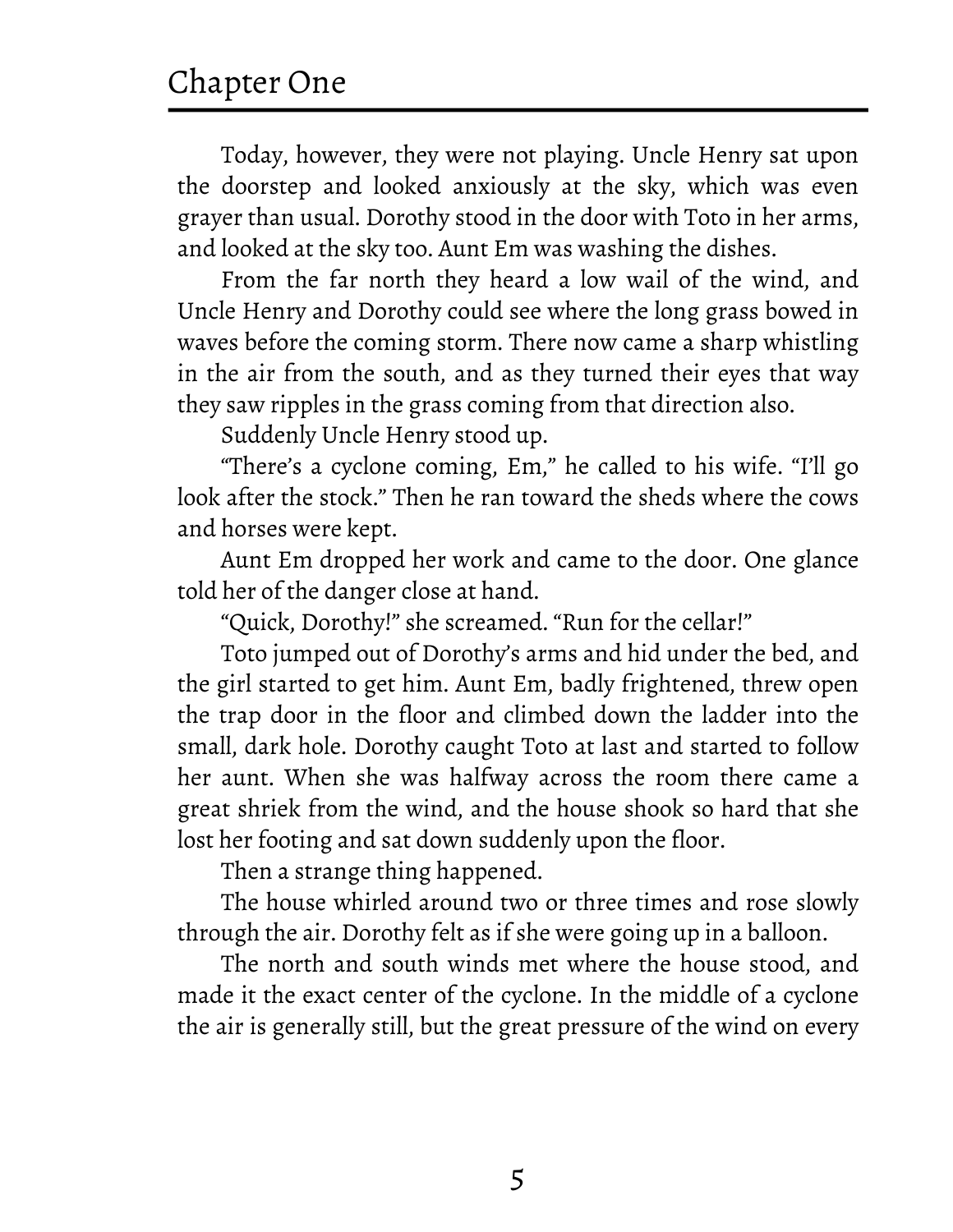Today, however, they were not playing. Uncle Henry sat upon the doorstep and looked anxiously at the sky, which was even grayer than usual. Dorothy stood in the door with Toto in her arms, and looked at the sky too. Aunt Em was washing the dishes.

From the far north they heard a low wail of the wind, and Uncle Henry and Dorothy could see where the long grass bowed in waves before the coming storm. There now came a sharp whistling in the air from the south, and as they turned their eyes that way they saw ripples in the grass coming from that direction also.

Suddenly Uncle Henry stood up.

"There's a cyclone coming, Em," he called to his wife. "I'll go look after the stock." Then he ran toward the sheds where the cows and horses were kept.

Aunt Em dropped her work and came to the door. One glance told her of the danger close at hand.

"Quick, Dorothy!" she screamed. "Run for the cellar!"

Toto jumped out of Dorothy's arms and hid under the bed, and the girl started to get him. Aunt Em, badly frightened, threw open the trap door in the floor and climbed down the ladder into the small, dark hole. Dorothy caught Toto at last and started to follow her aunt. When she was halfway across the room there came a great shriek from the wind, and the house shook so hard that she lost her footing and sat down suddenly upon the floor.

Then a strange thing happened.

The house whirled around two or three times and rose slowly through the air. Dorothy felt as if she were going up in a balloon.

The north and south winds met where the house stood, and made it the exact center of the cyclone. In the middle of a cyclone the air is generally still, but the great pressure of the wind on every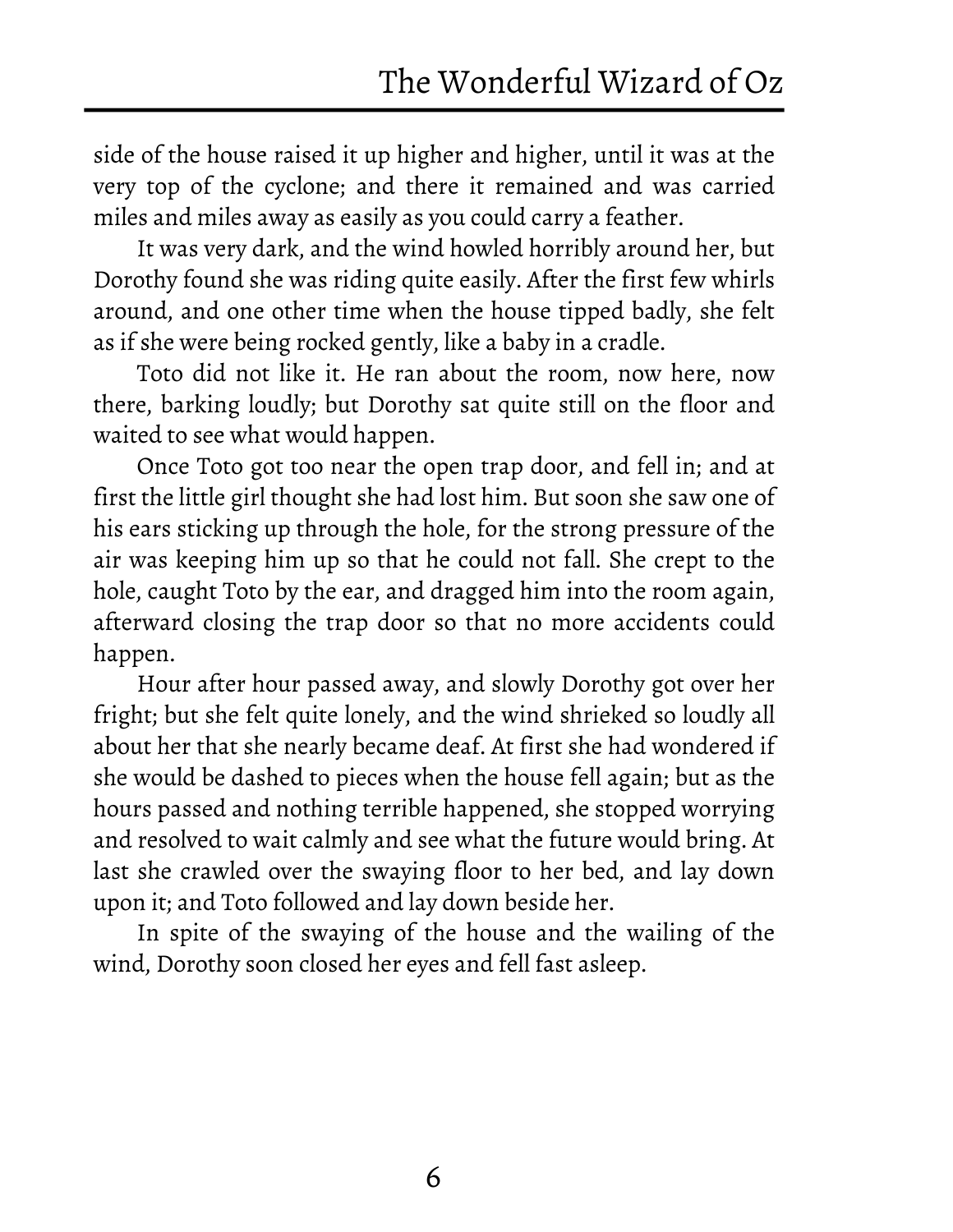side of the house raised it up higher and higher, until it was at the very top of the cyclone; and there it remained and was carried miles and miles away as easily as you could carry a feather.

It was very dark, and the wind howled horribly around her, but Dorothy found she was riding quite easily. After the first few whirls around, and one other time when the house tipped badly, she felt as if she were being rocked gently, like a baby in a cradle.

Toto did not like it. He ran about the room, now here, now there, barking loudly; but Dorothy sat quite still on the floor and waited to see what would happen.

Once Toto got too near the open trap door, and fell in; and at first the little girl thought she had lost him. But soon she saw one of his ears sticking up through the hole, for the strong pressure of the air was keeping him up so that he could not fall. She crept to the hole, caught Toto by the ear, and dragged him into the room again, afterward closing the trap door so that no more accidents could happen.

Hour after hour passed away, and slowly Dorothy got over her fright; but she felt quite lonely, and the wind shrieked so loudly all about her that she nearly became deaf. At first she had wondered if she would be dashed to pieces when the house fell again; but as the hours passed and nothing terrible happened, she stopped worrying and resolved to wait calmly and see what the future would bring. At last she crawled over the swaying floor to her bed, and lay down upon it; and Toto followed and lay down beside her.

In spite of the swaying of the house and the wailing of the wind, Dorothy soon closed her eyes and fell fast asleep.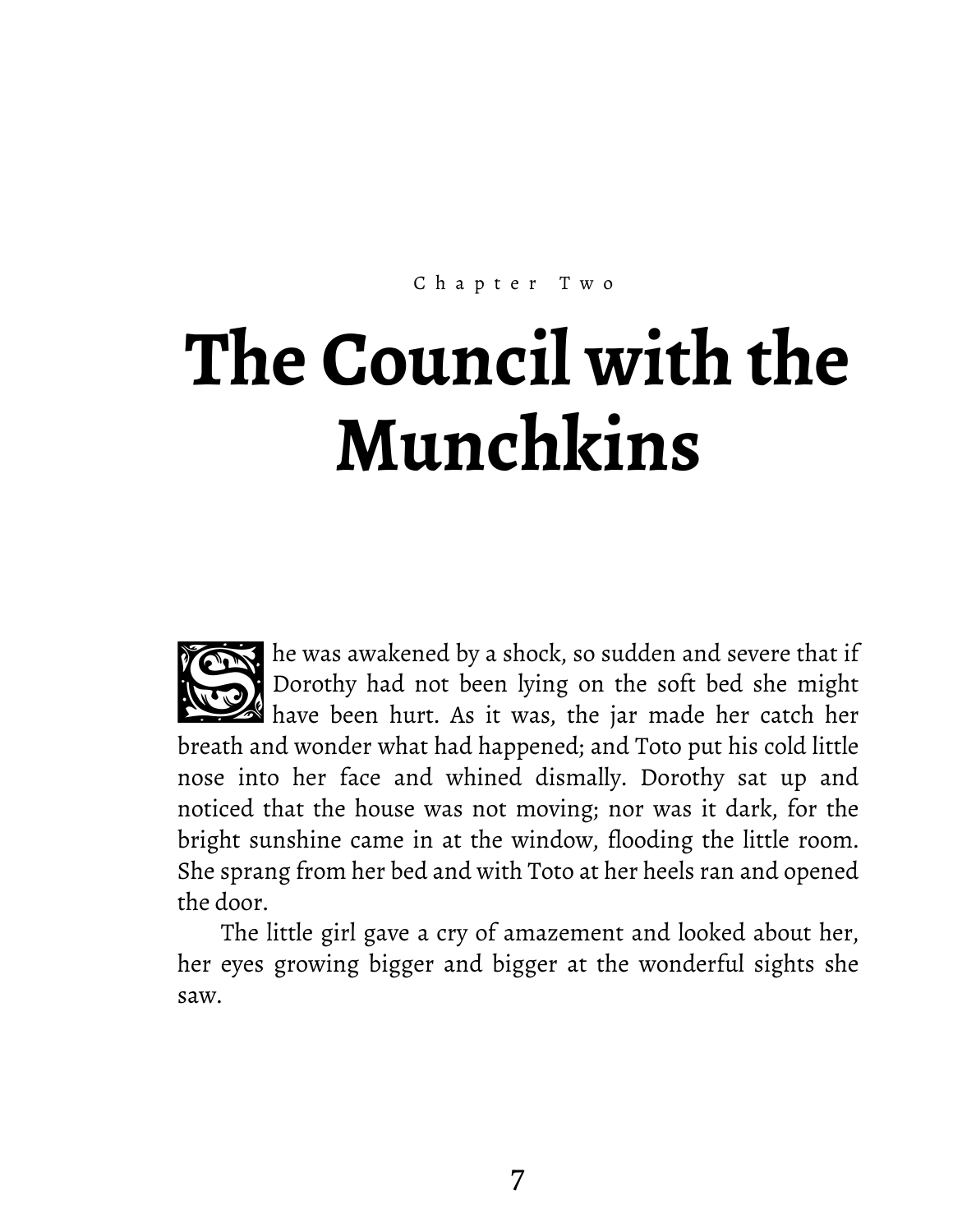#### Chapter Two

## <span id="page-7-0"></span>**The Council with the Munchkins**

he was awakened by a shock, so sudden and severe that if<br>Dorothy had not been lying on the soft bed she might<br>have been hurt. As it was, the jar made her catch her the was awakened by a shock, so sudden and severe that if Dorothy had not been lying on the soft bed she might breath and wonder what had happened; and Toto put his cold little nose into her face and whined dismally. Dorothy sat up and noticed that the house was not moving; nor was it dark, for the bright sunshine came in at the window, flooding the little room. She sprang from her bed and with Toto at her heels ran and opened the door.

The little girl gave a cry of amazement and looked about her, her eyes growing bigger and bigger at the wonderful sights she saw.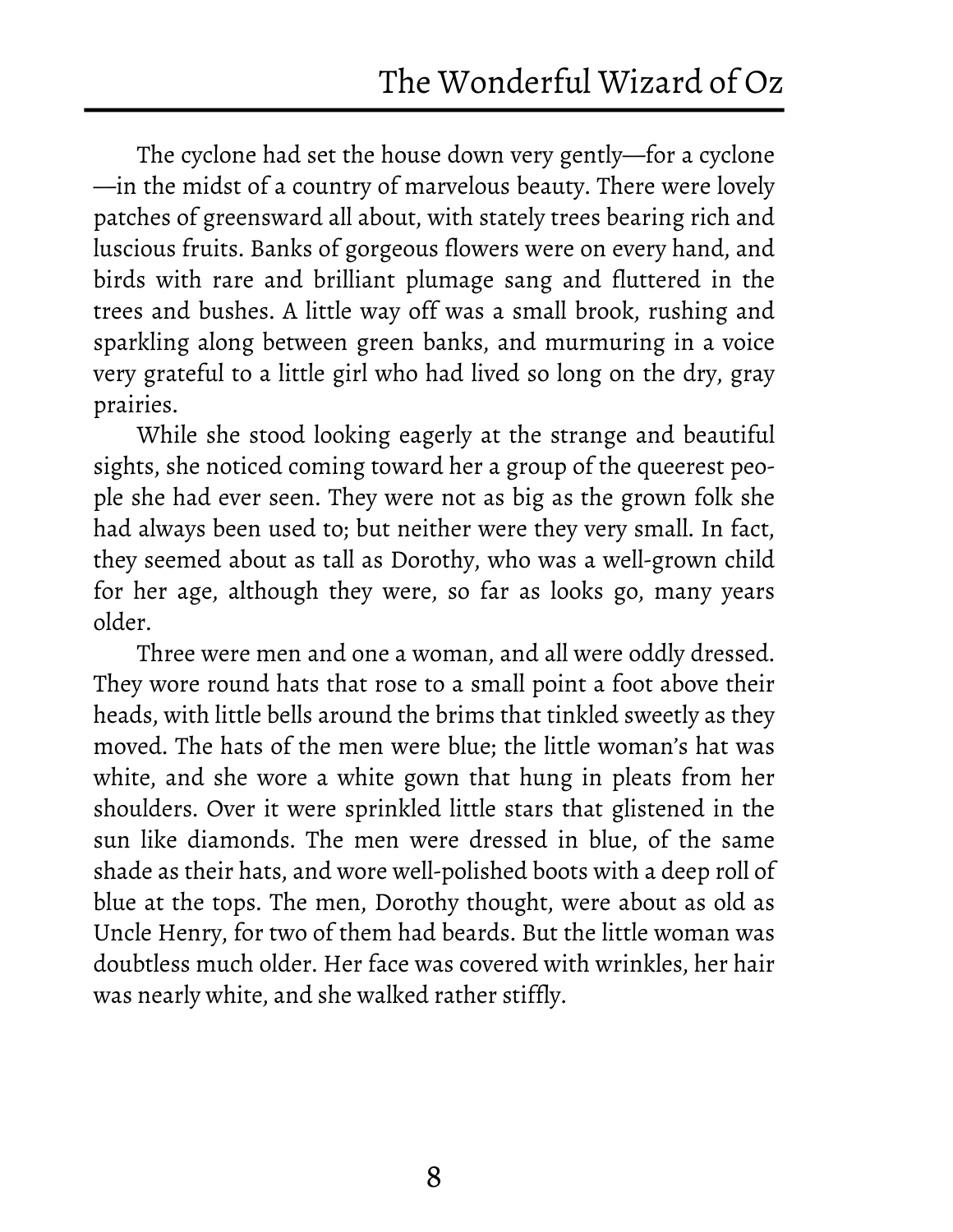The cyclone had set the house down very gently—for a cyclone —in the midst of a country of marvelous beauty. There were lovely patches of greensward all about, with stately trees bearing rich and luscious fruits. Banks of gorgeous flowers were on every hand, and birds with rare and brilliant plumage sang and fluttered in the trees and bushes. A little way off was a small brook, rushing and sparkling along between green banks, and murmuring in a voice very grateful to a little girl who had lived so long on the dry, gray prairies.

While she stood looking eagerly at the strange and beautiful sights, she noticed coming toward her a group of the queerest people she had ever seen. They were not as big as the grown folk she had always been used to; but neither were they very small. In fact, they seemed about as tall as Dorothy, who was a well‐grown child for her age, although they were, so far as looks go, many years older.

Three were men and one a woman, and all were oddly dressed. They wore round hats that rose to a small point a foot above their heads, with little bells around the brims that tinkled sweetly as they moved. The hats of the men were blue; the little woman's hat was white, and she wore a white gown that hung in pleats from her shoulders. Over it were sprinkled little stars that glistened in the sun like diamonds. The men were dressed in blue, of the same shade as their hats, and wore well‐polished boots with a deep roll of blue at the tops. The men, Dorothy thought, were about as old as Uncle Henry, for two of them had beards. But the little woman was doubtless much older. Her face was covered with wrinkles, her hair was nearly white, and she walked rather stiffly.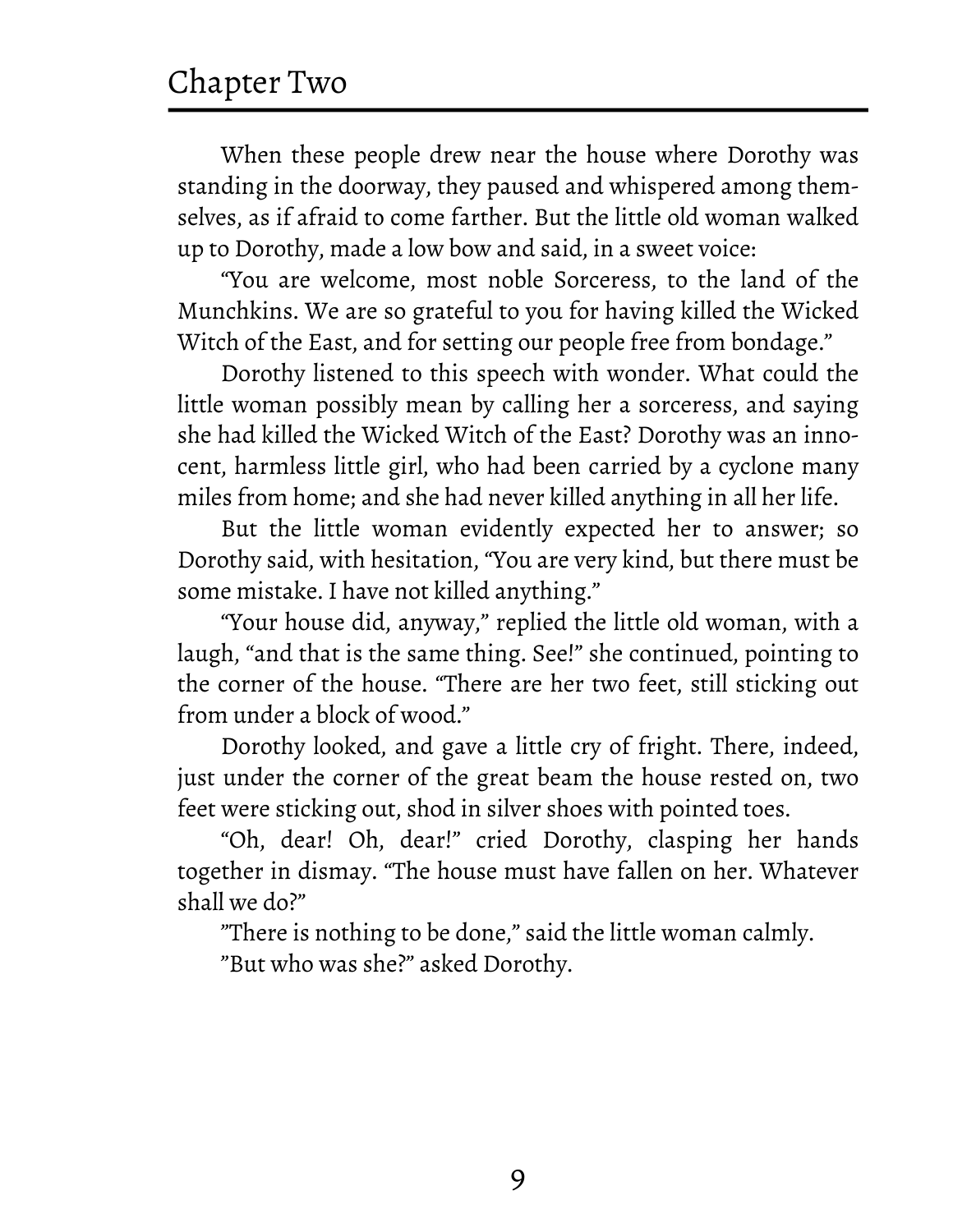When these people drew near the house where Dorothy was standing in the doorway, they paused and whispered among themselves, as if afraid to come farther. But the little old woman walked up to Dorothy, made a low bow and said, in a sweet voice:

"You are welcome, most noble Sorceress, to the land of the Munchkins. We are so grateful to you for having killed the Wicked Witch of the East, and for setting our people free from bondage."

Dorothy listened to this speech with wonder. What could the little woman possibly mean by calling her a sorceress, and saying she had killed the Wicked Witch of the East? Dorothy was an innocent, harmless little girl, who had been carried by a cyclone many miles from home; and she had never killed anything in all her life.

But the little woman evidently expected her to answer; so Dorothy said, with hesitation, "You are very kind, but there must be some mistake. I have not killed anything."

"Your house did, anyway," replied the little old woman, with a laugh, "and that is the same thing. See!" she continued, pointing to the corner of the house. "There are her two feet, still sticking out from under a block of wood."

Dorothy looked, and gave a little cry of fright. There, indeed, just under the corner of the great beam the house rested on, two feet were sticking out, shod in silver shoes with pointed toes.

"Oh, dear! Oh, dear!" cried Dorothy, clasping her hands together in dismay. "The house must have fallen on her. Whatever shall we do?"

"There is nothing to be done," said the little woman calmly.

"But who was she?" asked Dorothy.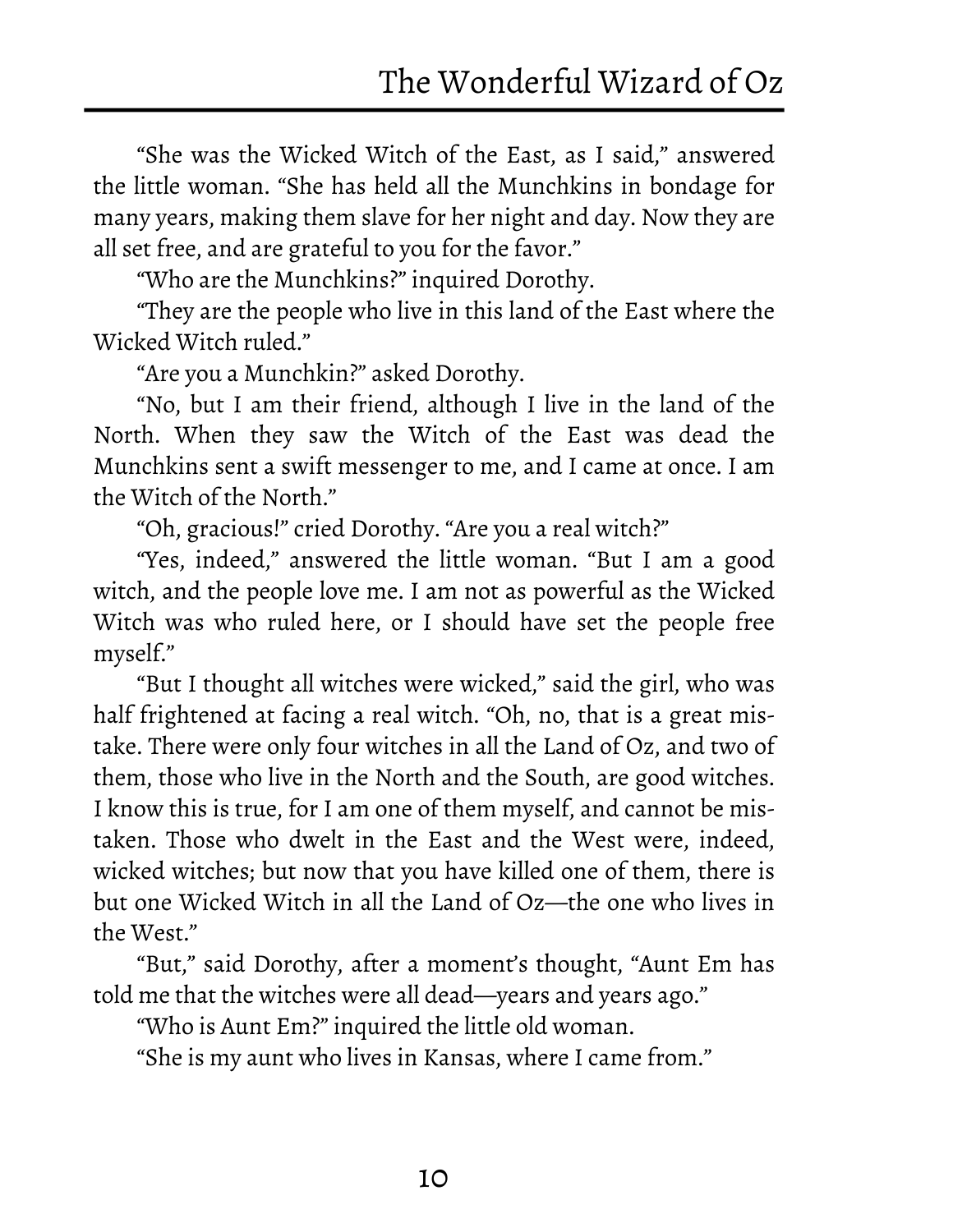"She was the Wicked Witch of the East, as I said," answered the little woman. "She has held all the Munchkins in bondage for many years, making them slave for her night and day. Now they are all set free, and are grateful to you for the favor."

"Who are the Munchkins?" inquired Dorothy.

"They are the people who live in this land of the East where the Wicked Witch ruled."

"Are you a Munchkin?" asked Dorothy.

"No, but I am their friend, although I live in the land of the North. When they saw the Witch of the East was dead the Munchkins sent a swift messenger to me, and I came at once. I am the Witch of the North."

"Oh, gracious!" cried Dorothy. "Are you a real witch?"

"Yes, indeed," answered the little woman. "But I am a good witch, and the people love me. I am not as powerful as the Wicked Witch was who ruled here, or I should have set the people free myself."

"But I thought all witches were wicked," said the girl, who was half frightened at facing a real witch. "Oh, no, that is a great mistake. There were only four witches in all the Land of Oz, and two of them, those who live in the North and the South, are good witches. I know this is true, for I am one of them myself, and cannot be mistaken. Those who dwelt in the East and the West were, indeed, wicked witches; but now that you have killed one of them, there is but one Wicked Witch in all the Land of Oz—the one who lives in the West."

"But," said Dorothy, after a moment's thought, "Aunt Em has told me that the witches were all dead—years and years ago."

"Who is Aunt Em?" inquired the little old woman.

"She is my aunt who lives in Kansas, where I came from."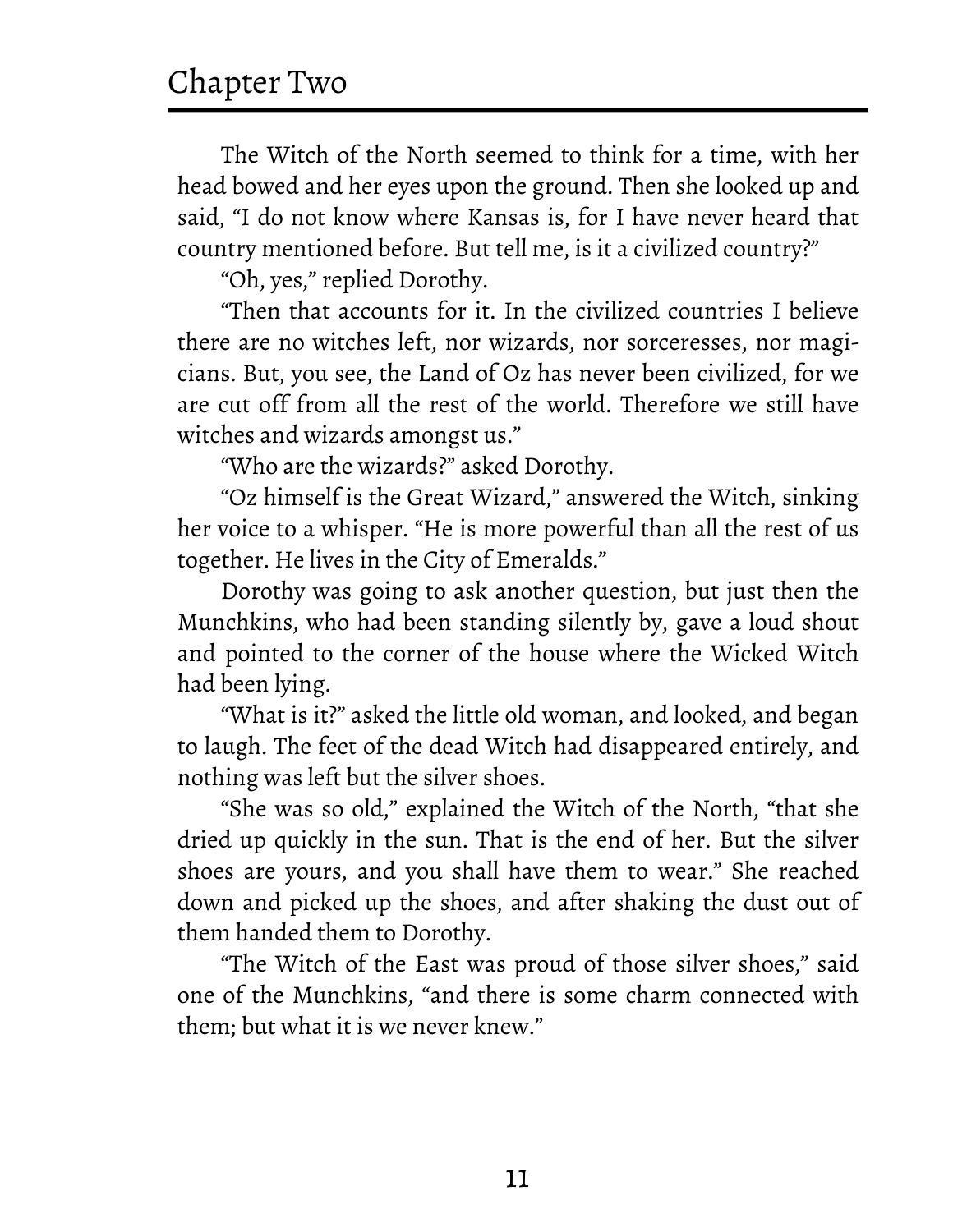The Witch of the North seemed to think for a time, with her head bowed and her eyes upon the ground. Then she looked up and said, "I do not know where Kansas is, for I have never heard that country mentioned before. But tell me, is it a civilized country?"

"Oh, yes," replied Dorothy.

"Then that accounts for it. In the civilized countries I believe there are no witches left, nor wizards, nor sorceresses, nor magicians. But, you see, the Land of Oz has never been civilized, for we are cut off from all the rest of the world. Therefore we still have witches and wizards amongst us."

"Who are the wizards?" asked Dorothy.

"Oz himself is the Great Wizard," answered the Witch, sinking her voice to a whisper. "He is more powerful than all the rest of us together. He lives in the City of Emeralds."

Dorothy was going to ask another question, but just then the Munchkins, who had been standing silently by, gave a loud shout and pointed to the corner of the house where the Wicked Witch had been lying.

"What is it?" asked the little old woman, and looked, and began to laugh. The feet of the dead Witch had disappeared entirely, and nothing was left but the silver shoes.

"She was so old," explained the Witch of the North, "that she dried up quickly in the sun. That is the end of her. But the silver shoes are yours, and you shall have them to wear." She reached down and picked up the shoes, and after shaking the dust out of them handed them to Dorothy.

"The Witch of the East was proud of those silver shoes," said one of the Munchkins, "and there is some charm connected with them; but what it is we never knew."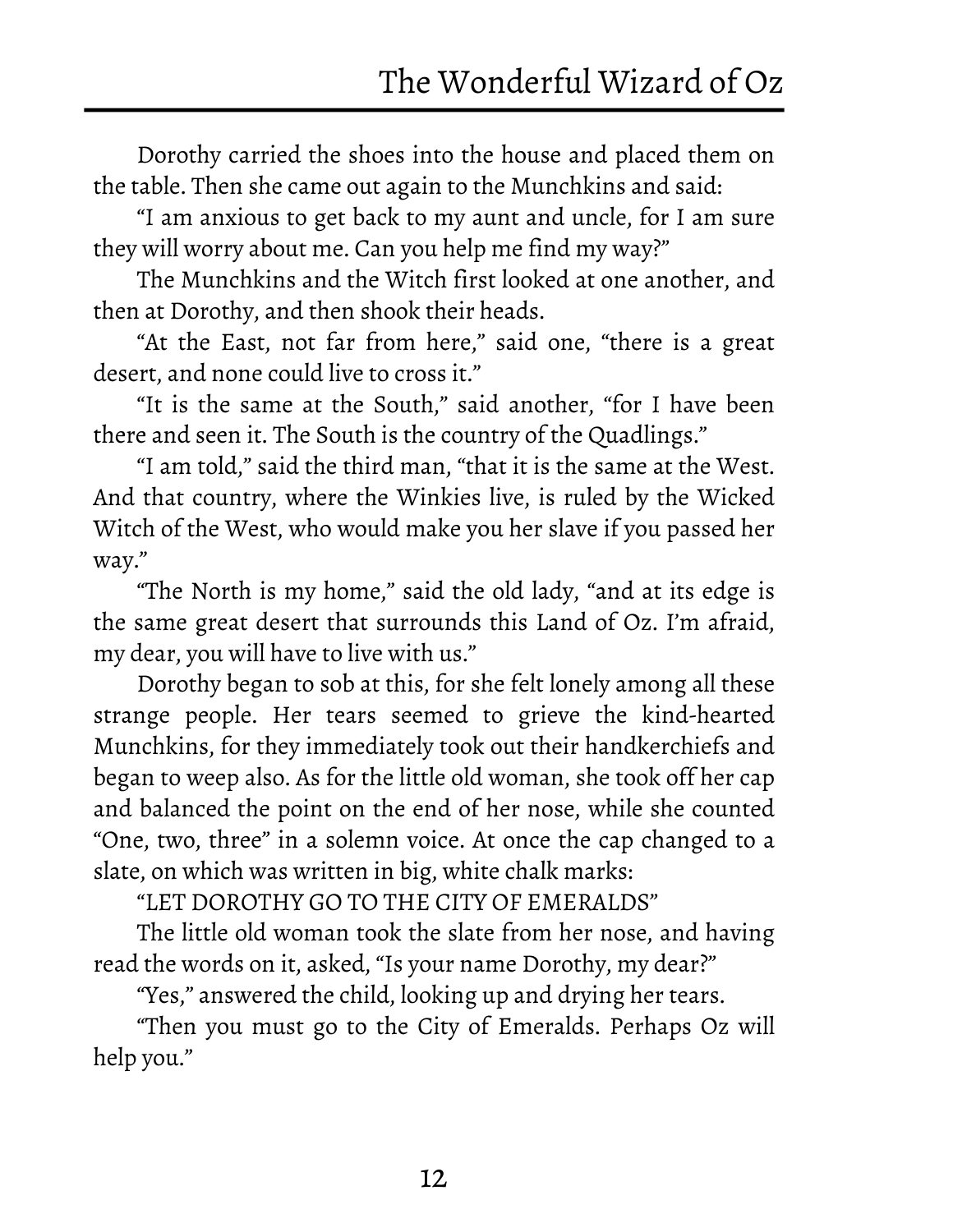Dorothy carried the shoes into the house and placed them on the table. Then she came out again to the Munchkins and said:

"I am anxious to get back to my aunt and uncle, for I am sure they will worry about me. Can you help me find my way?"

The Munchkins and the Witch first looked at one another, and then at Dorothy, and then shook their heads.

"At the East, not far from here," said one, "there is a great desert, and none could live to cross it."

"It is the same at the South," said another, "for I have been there and seen it. The South is the country of the Quadlings."

"I am told," said the third man, "that it is the same at the West. And that country, where the Winkies live, is ruled by the Wicked Witch of the West, who would make you her slave if you passed her way."

"The North is my home," said the old lady, "and at its edge is the same great desert that surrounds this Land of Oz. I'm afraid, my dear, you will have to live with us."

Dorothy began to sob at this, for she felt lonely among all these strange people. Her tears seemed to grieve the kind‐hearted Munchkins, for they immediately took out their handkerchiefs and began to weep also. As for the little old woman, she took off her cap and balanced the point on the end of her nose, while she counted "One, two, three" in a solemn voice. At once the cap changed to a slate, on which was written in big, white chalk marks:

"LET DOROTHY GO TO THE CITY OF EMERALDS"

The little old woman took the slate from her nose, and having read the words on it, asked, "Is your name Dorothy, my dear?"

"Yes," answered the child, looking up and drying her tears.

"Then you must go to the City of Emeralds. Perhaps Oz will help you."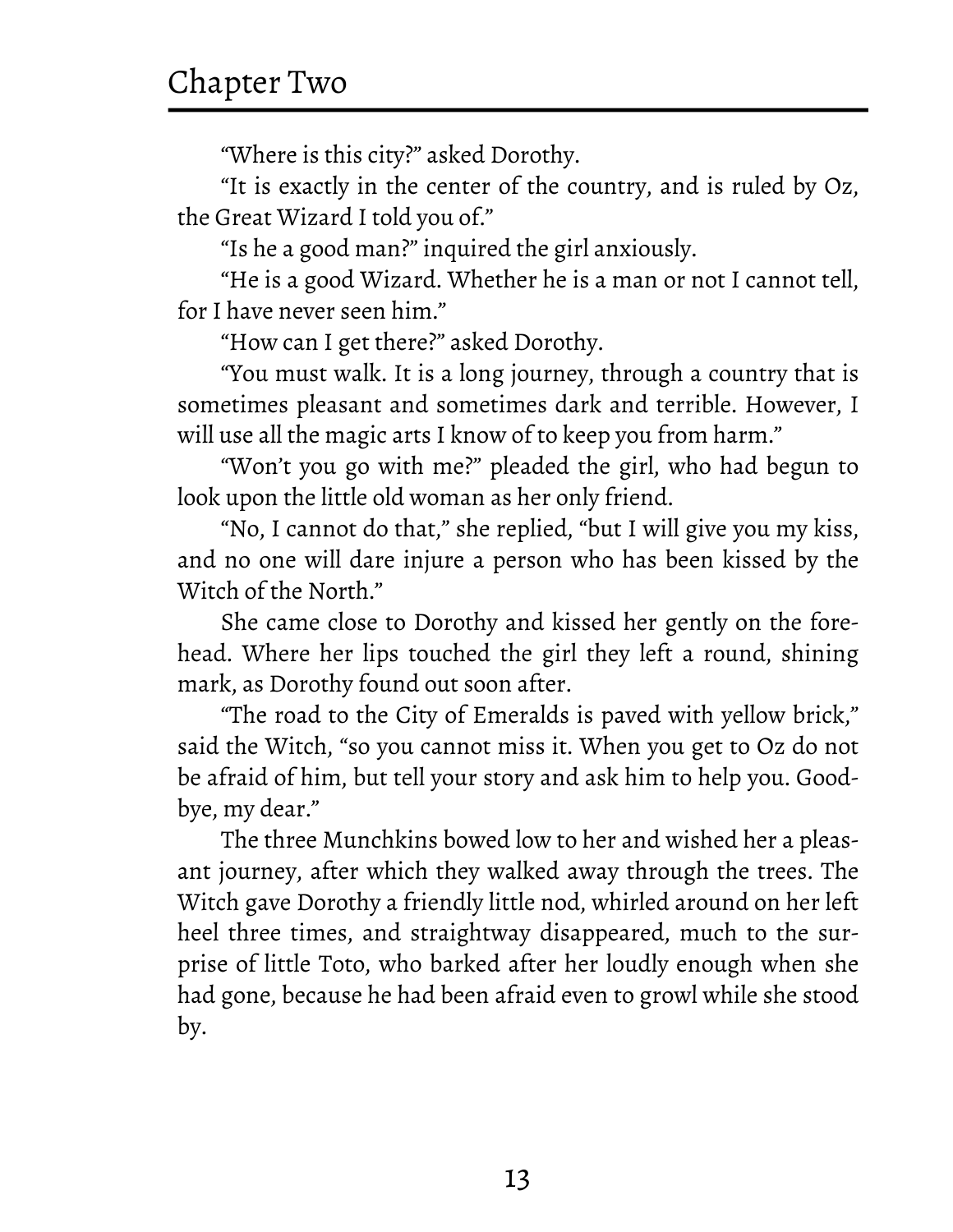"Where is this city?" asked Dorothy.

"It is exactly in the center of the country, and is ruled by Oz, the Great Wizard I told you of."

"Is he a good man?" inquired the girl anxiously.

"He is a good Wizard. Whether he is a man or not I cannot tell, for I have never seen him."

"How can I get there?" asked Dorothy.

"You must walk. It is a long journey, through a country that is sometimes pleasant and sometimes dark and terrible. However, I will use all the magic arts I know of to keep you from harm."

"Won't you go with me?" pleaded the girl, who had begun to look upon the little old woman as her only friend.

"No, I cannot do that," she replied, "but I will give you my kiss, and no one will dare injure a person who has been kissed by the Witch of the North."

She came close to Dorothy and kissed her gently on the forehead. Where her lips touched the girl they left a round, shining mark, as Dorothy found out soon after.

"The road to the City of Emeralds is paved with yellow brick," said the Witch, "so you cannot miss it. When you get to Oz do not be afraid of him, but tell your story and ask him to help you. Good‐ bye, my dear."

The three Munchkins bowed low to her and wished her a pleasant journey, after which they walked away through the trees. The Witch gave Dorothy a friendly little nod, whirled around on her left heel three times, and straightway disappeared, much to the surprise of little Toto, who barked after her loudly enough when she had gone, because he had been afraid even to growl while she stood by.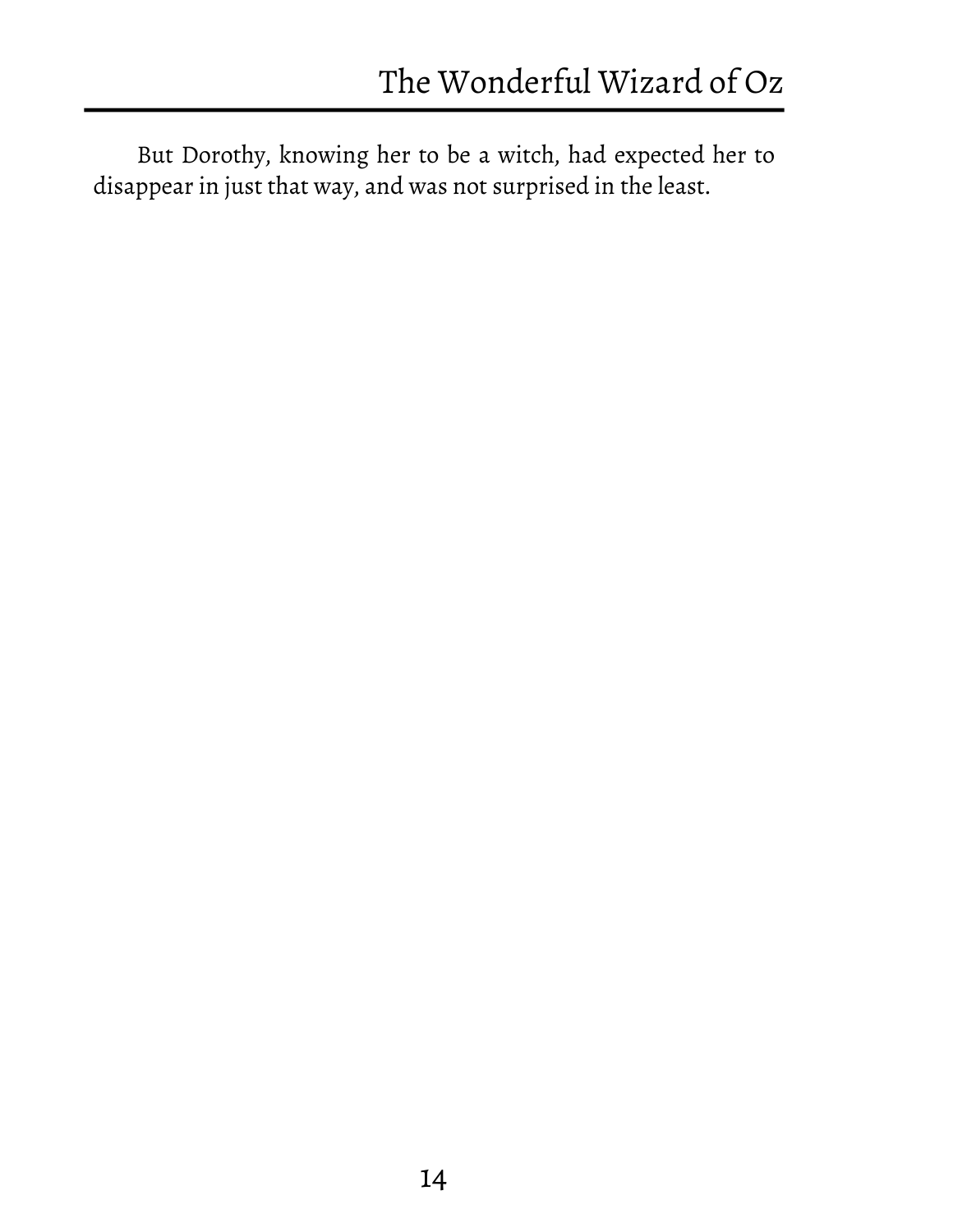But Dorothy, knowing her to be a witch, had expected her to disappear in just that way, and was not surprised in the least.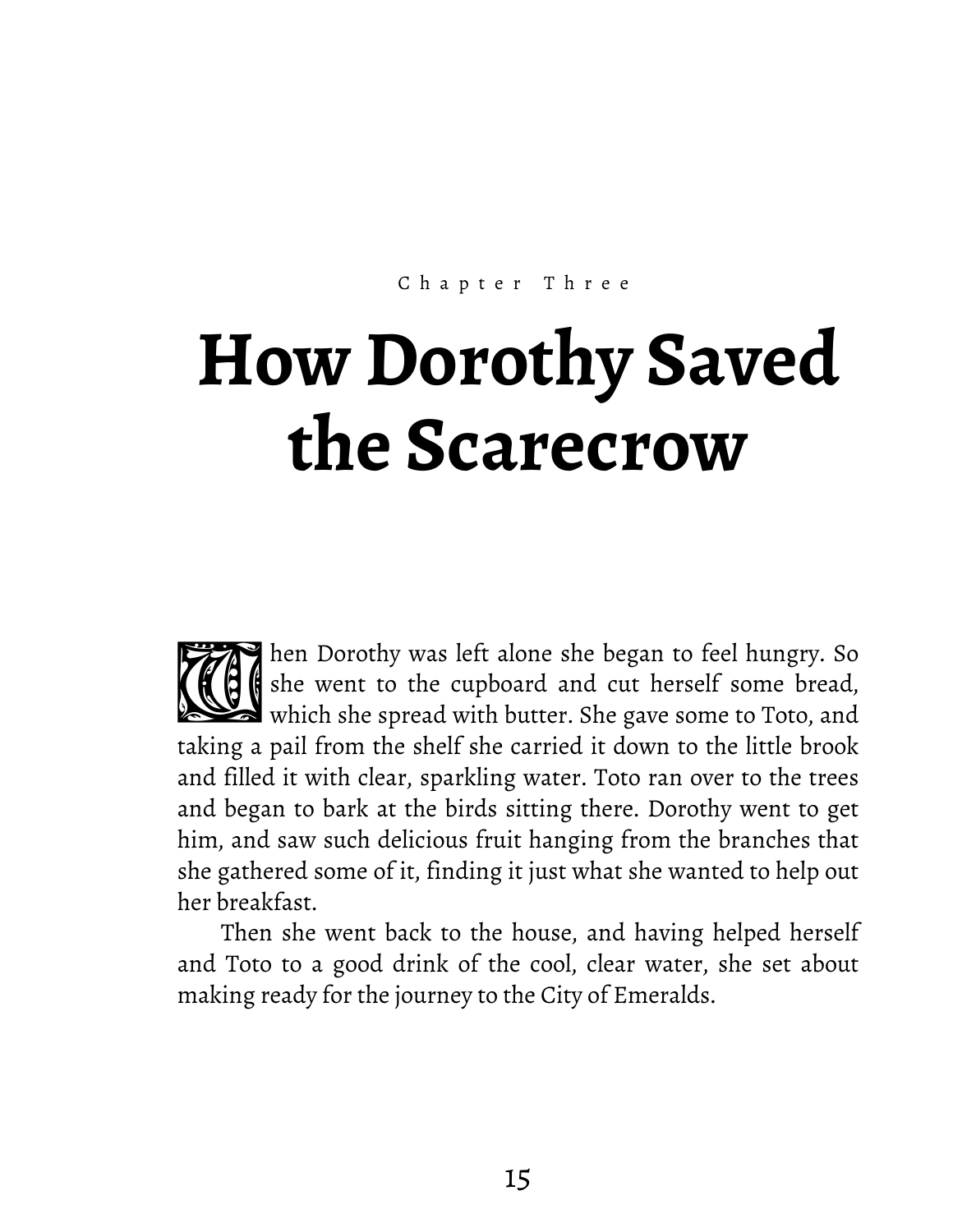#### Chapter Three

### <span id="page-15-0"></span>**How Dorothy Saved the Scarecrow**

Then Dorothy was left alone she began to feel hungry. So<br>which she spread with butter. She gave some to Toto, and hen Dorothy was left alone she began to feel hungry. So she went to the cupboard and cut herself some bread, taking a pail from the shelf she carried it down to the little brook and filled it with clear, sparkling water. Toto ran over to the trees and began to bark at the birds sitting there. Dorothy went to get him, and saw such delicious fruit hanging from the branches that she gathered some of it, finding it just what she wanted to help out her breakfast.

Then she went back to the house, and having helped herself and Toto to a good drink of the cool, clear water, she set about making ready for the journey to the City of Emeralds.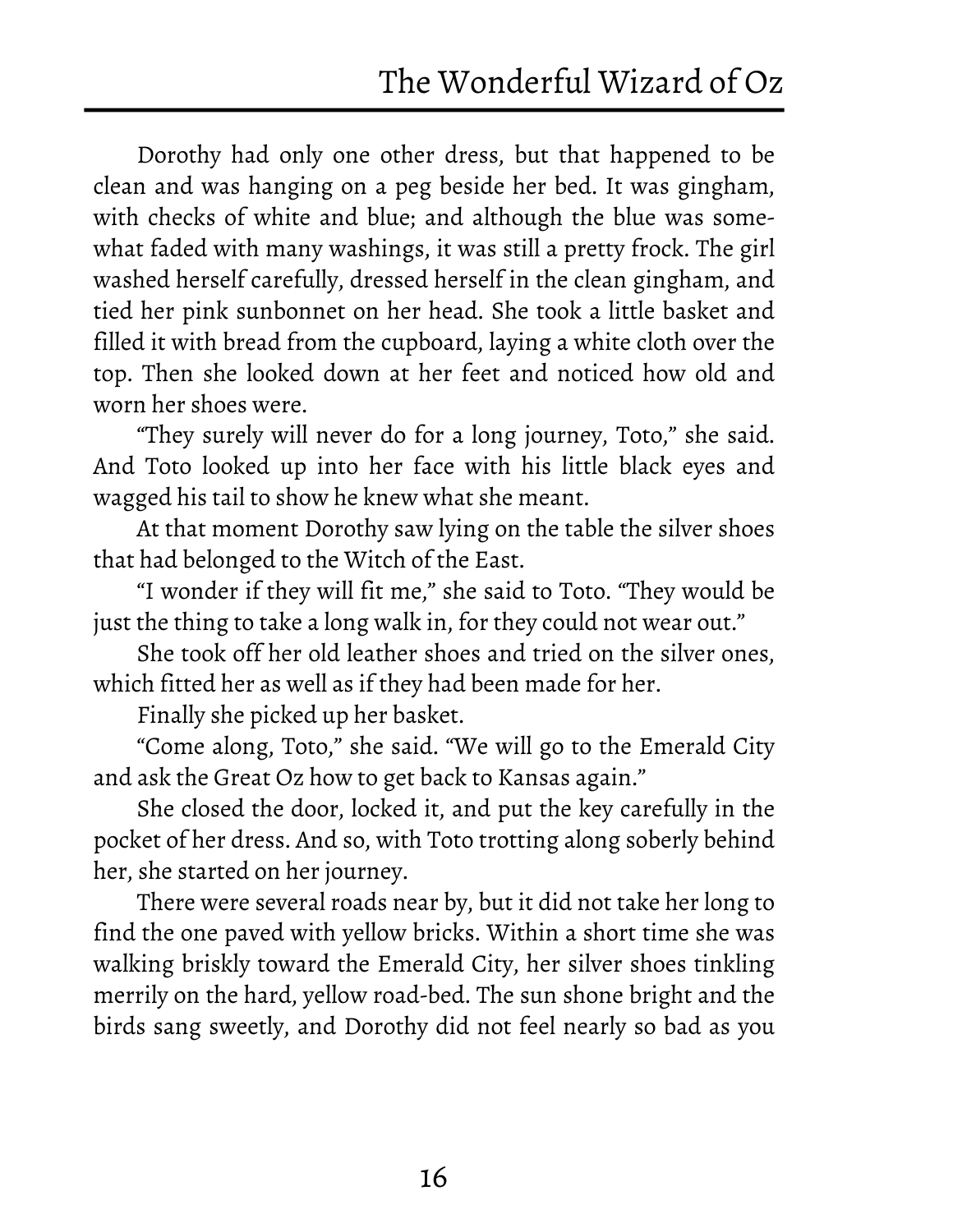Dorothy had only one other dress, but that happened to be clean and was hanging on a peg beside her bed. It was gingham, with checks of white and blue; and although the blue was somewhat faded with many washings, it was still a pretty frock. The girl washed herself carefully, dressed herself in the clean gingham, and tied her pink sunbonnet on her head. She took a little basket and filled it with bread from the cupboard, laying a white cloth over the top. Then she looked down at her feet and noticed how old and worn her shoes were.

"They surely will never do for a long journey, Toto," she said. And Toto looked up into her face with his little black eyes and wagged his tail to show he knew what she meant.

At that moment Dorothy saw lying on the table the silver shoes that had belonged to the Witch of the East.

"I wonder if they will fit me," she said to Toto. "They would be just the thing to take a long walk in, for they could not wear out."

She took off her old leather shoes and tried on the silver ones, which fitted her as well as if they had been made for her.

Finally she picked up her basket.

"Come along, Toto," she said. "We will go to the Emerald City and ask the Great Oz how to get back to Kansas again."

She closed the door, locked it, and put the key carefully in the pocket of her dress. And so, with Toto trotting along soberly behind her, she started on her journey.

There were several roads near by, but it did not take her long to find the one paved with yellow bricks. Within a short time she was walking briskly toward the Emerald City, her silver shoes tinkling merrily on the hard, yellow road‐bed. The sun shone bright and the birds sang sweetly, and Dorothy did not feel nearly so bad as you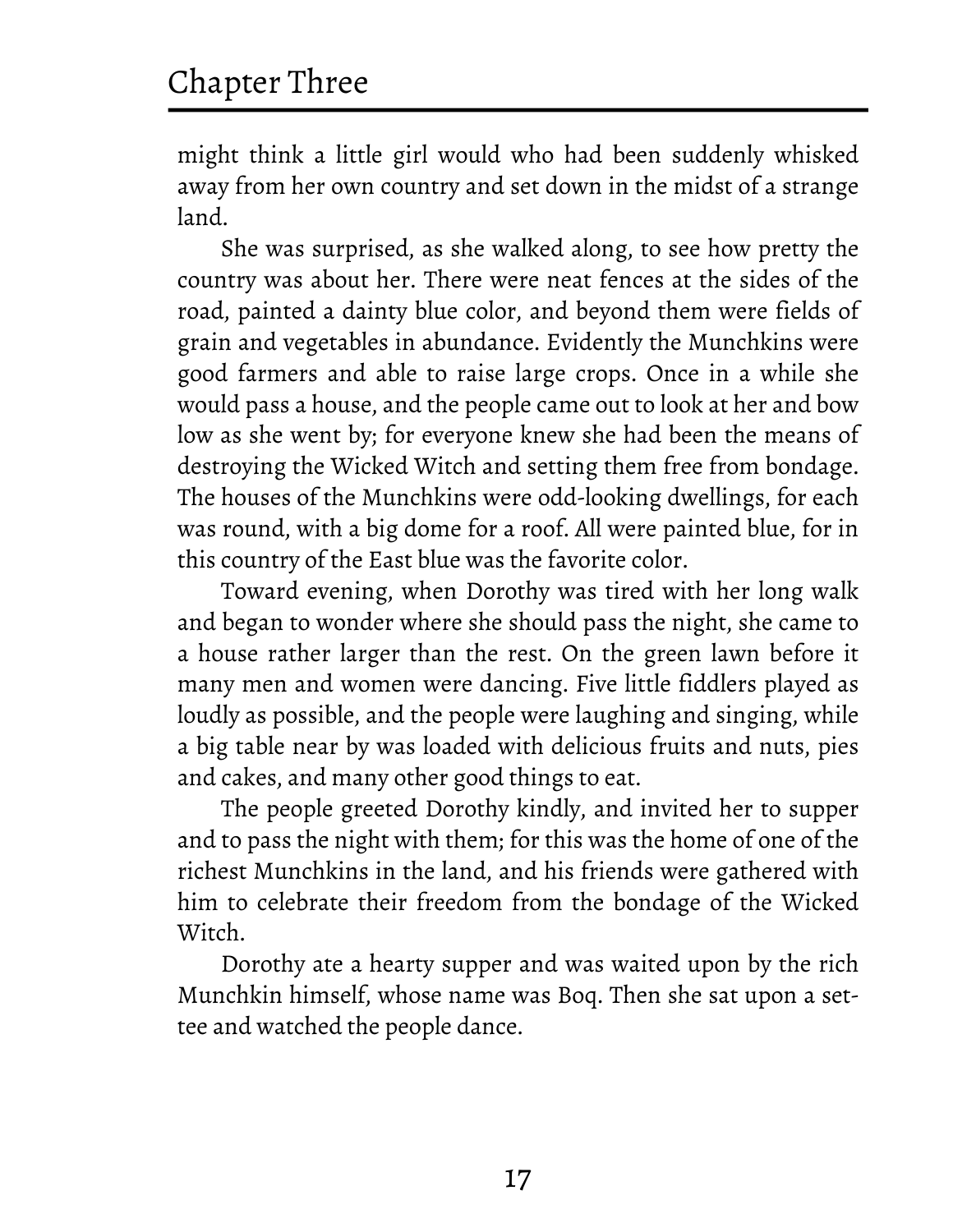might think a little girl would who had been suddenly whisked away from her own country and set down in the midst of a strange land.

She was surprised, as she walked along, to see how pretty the country was about her. There were neat fences at the sides of the road, painted a dainty blue color, and beyond them were fields of grain and vegetables in abundance. Evidently the Munchkins were good farmers and able to raise large crops. Once in a while she would pass a house, and the people came out to look at her and bow low as she went by; for everyone knew she had been the means of destroying the Wicked Witch and setting them free from bondage. The houses of the Munchkins were odd‐looking dwellings, for each was round, with a big dome for a roof. All were painted blue, for in this country of the East blue was the favorite color.

Toward evening, when Dorothy was tired with her long walk and began to wonder where she should pass the night, she came to a house rather larger than the rest. On the green lawn before it many men and women were dancing. Five little fiddlers played as loudly as possible, and the people were laughing and singing, while a big table near by was loaded with delicious fruits and nuts, pies and cakes, and many other good things to eat.

The people greeted Dorothy kindly, and invited her to supper and to pass the night with them; for this was the home of one of the richest Munchkins in the land, and his friends were gathered with him to celebrate their freedom from the bondage of the Wicked Witch.

Dorothy ate a hearty supper and was waited upon by the rich Munchkin himself, whose name was Boq. Then she sat upon a settee and watched the people dance.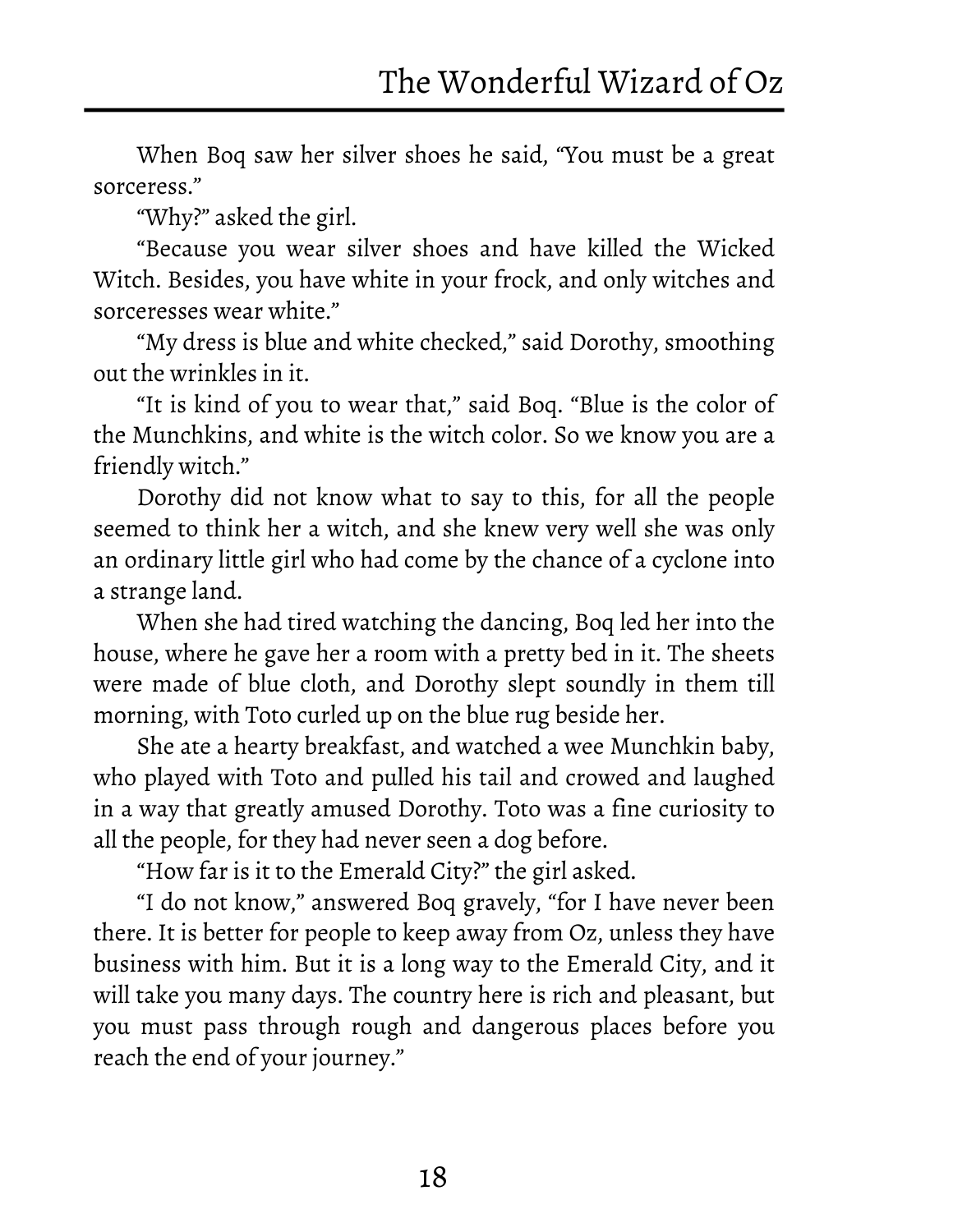When Boq saw her silver shoes he said, "You must be a great sorceress."

"Why?" asked the girl.

"Because you wear silver shoes and have killed the Wicked Witch. Besides, you have white in your frock, and only witches and sorceresses wear white."

"My dress is blue and white checked," said Dorothy, smoothing out the wrinkles in it.

"It is kind of you to wear that," said Boq. "Blue is the color of the Munchkins, and white is the witch color. So we know you are a friendly witch."

Dorothy did not know what to say to this, for all the people seemed to think her a witch, and she knew very well she was only an ordinary little girl who had come by the chance of a cyclone into a strange land.

When she had tired watching the dancing, Boq led her into the house, where he gave her a room with a pretty bed in it. The sheets were made of blue cloth, and Dorothy slept soundly in them till morning, with Toto curled up on the blue rug beside her.

She ate a hearty breakfast, and watched a wee Munchkin baby, who played with Toto and pulled his tail and crowed and laughed in a way that greatly amused Dorothy. Toto was a fine curiosity to all the people, for they had never seen a dog before.

"How far is it to the Emerald City?" the girl asked.

"I do not know," answered Boq gravely, "for I have never been there. It is better for people to keep away from Oz, unless they have business with him. But it is a long way to the Emerald City, and it will take you many days. The country here is rich and pleasant, but you must pass through rough and dangerous places before you reach the end of your journey."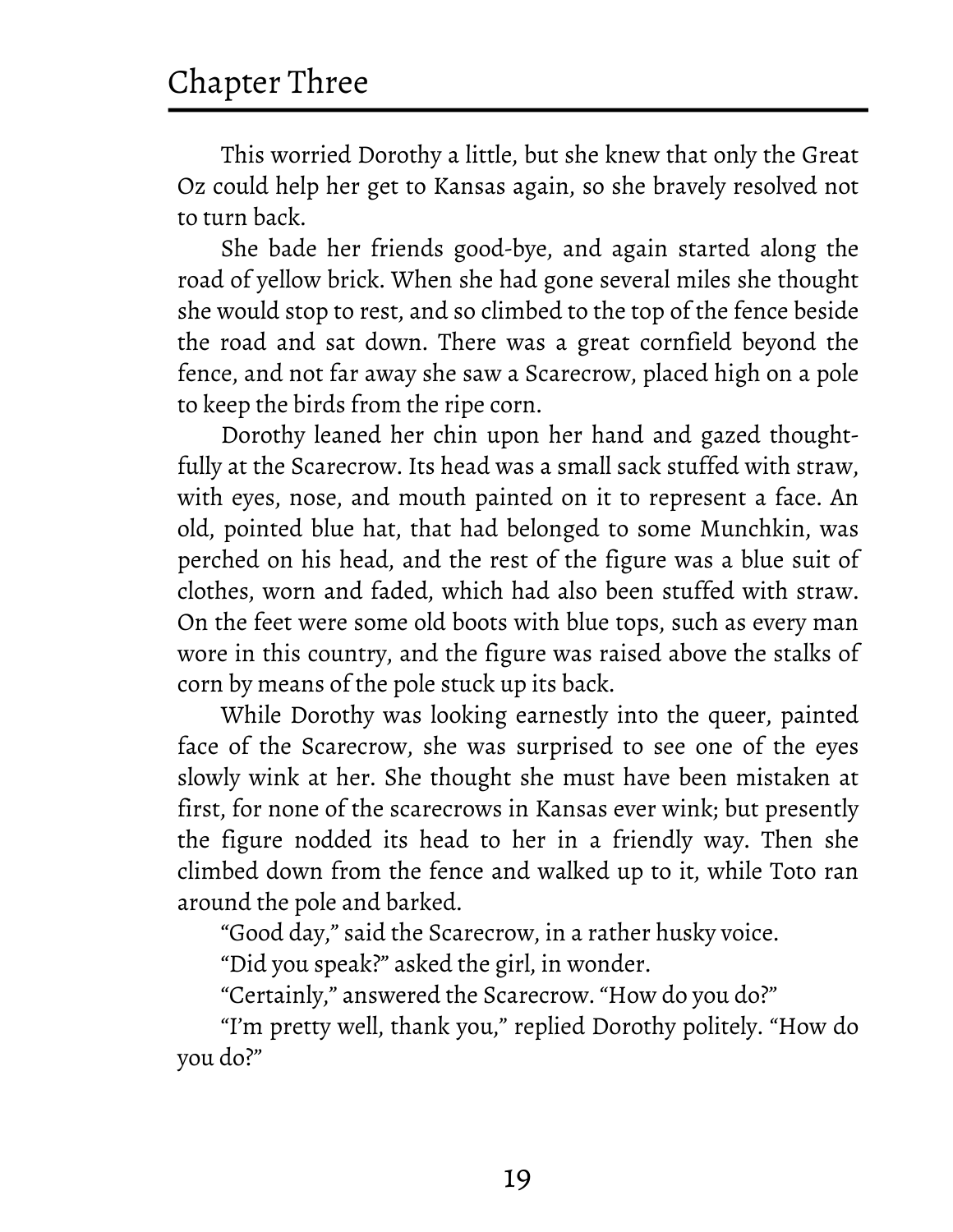This worried Dorothy a little, but she knew that only the Great Oz could help her get to Kansas again, so she bravely resolved not to turn back.

She bade her friends good‐bye, and again started along the road of yellow brick. When she had gone several miles she thought she would stop to rest, and so climbed to the top of the fence beside the road and sat down. There was a great cornfield beyond the fence, and not far away she saw a Scarecrow, placed high on a pole to keep the birds from the ripe corn.

Dorothy leaned her chin upon her hand and gazed thoughtfully at the Scarecrow. Its head was a small sack stuffed with straw, with eyes, nose, and mouth painted on it to represent a face. An old, pointed blue hat, that had belonged to some Munchkin, was perched on his head, and the rest of the figure was a blue suit of clothes, worn and faded, which had also been stuffed with straw. On the feet were some old boots with blue tops, such as every man wore in this country, and the figure was raised above the stalks of corn by means of the pole stuck up its back.

While Dorothy was looking earnestly into the queer, painted face of the Scarecrow, she was surprised to see one of the eyes slowly wink at her. She thought she must have been mistaken at first, for none of the scarecrows in Kansas ever wink; but presently the figure nodded its head to her in a friendly way. Then she climbed down from the fence and walked up to it, while Toto ran around the pole and barked.

"Good day," said the Scarecrow, in a rather husky voice.

"Did you speak?" asked the girl, in wonder.

"Certainly," answered the Scarecrow. "How do you do?"

"I'm pretty well, thank you," replied Dorothy politely. "How do you do?"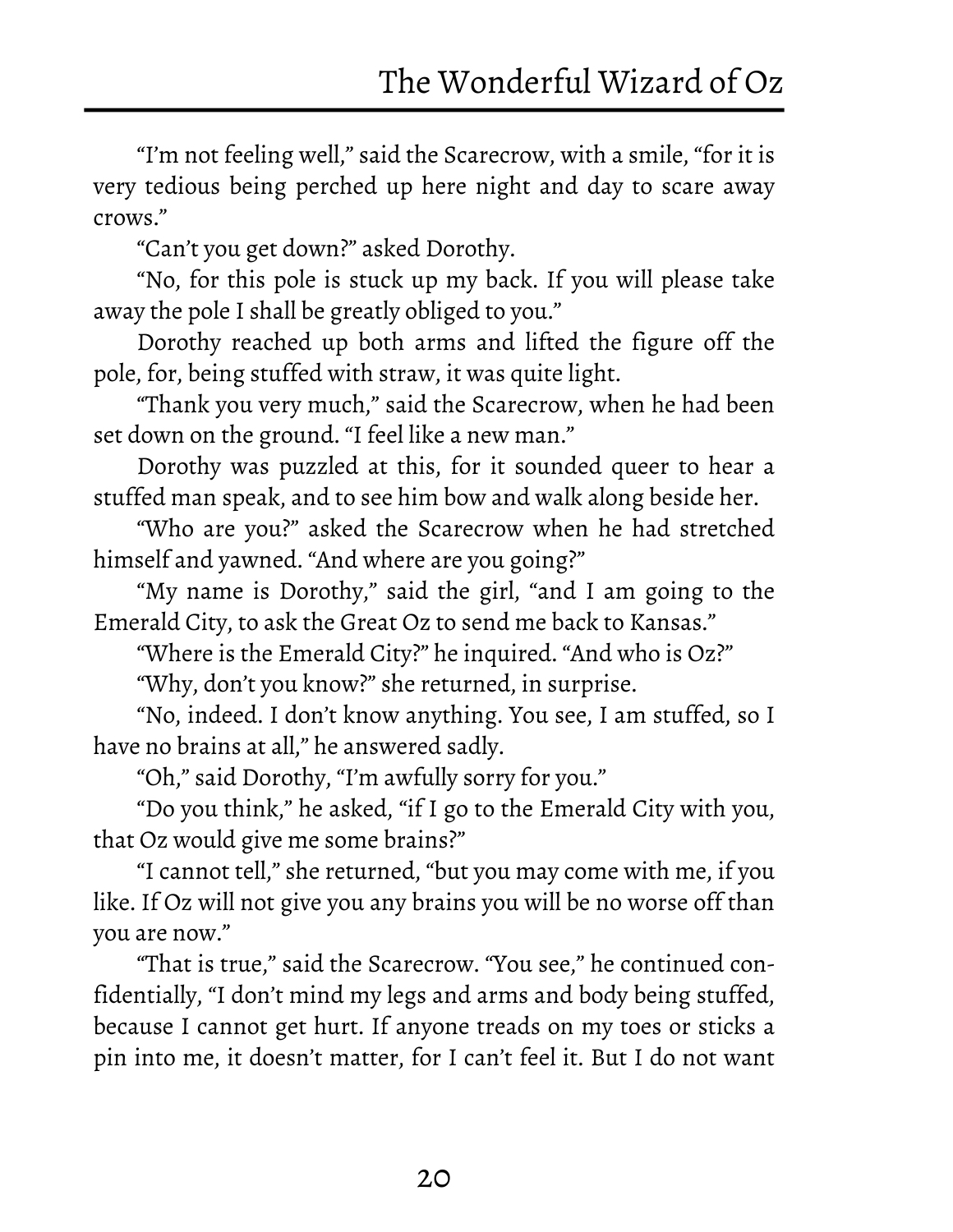"I'm not feeling well," said the Scarecrow, with a smile, "for it is very tedious being perched up here night and day to scare away crows."

"Can't you get down?" asked Dorothy.

"No, for this pole is stuck up my back. If you will please take away the pole I shall be greatly obliged to you."

Dorothy reached up both arms and lifted the figure off the pole, for, being stuffed with straw, it was quite light.

"Thank you very much," said the Scarecrow, when he had been set down on the ground. "I feel like a new man."

Dorothy was puzzled at this, for it sounded queer to hear a stuffed man speak, and to see him bow and walk along beside her.

"Who are you?" asked the Scarecrow when he had stretched himself and yawned. "And where are you going?"

"My name is Dorothy," said the girl, "and I am going to the Emerald City, to ask the Great Oz to send me back to Kansas."

"Where is the Emerald City?" he inquired. "And who is Oz?" "Why, don't you know?" she returned, in surprise.

"No, indeed. I don't know anything. You see, I am stuffed, so I have no brains at all," he answered sadly.

"Oh," said Dorothy, "I'm awfully sorry for you."

"Do you think," he asked, "if I go to the Emerald City with you, that Oz would give me some brains?"

"I cannot tell," she returned, "but you may come with me, if you like. If Oz will not give you any brains you will be no worse off than you are now."

"That is true," said the Scarecrow. "You see," he continued confidentially, "I don't mind my legs and arms and body being stuffed, because I cannot get hurt. If anyone treads on my toes or sticks a pin into me, it doesn't matter, for I can't feel it. But I do not want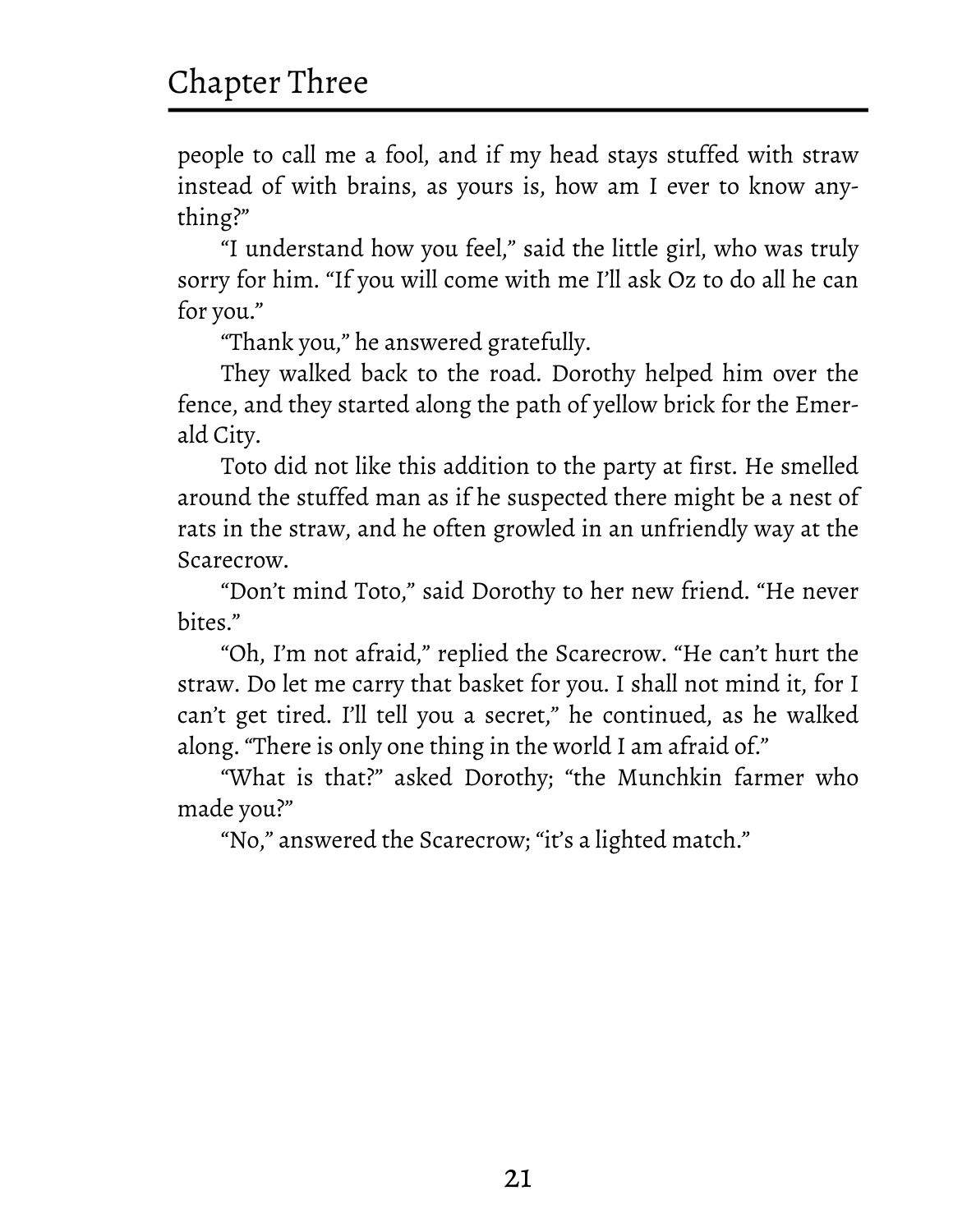people to call me a fool, and if my head stays stuffed with straw instead of with brains, as yours is, how am I ever to know anything?"

"I understand how you feel," said the little girl, who was truly sorry for him. "If you will come with me I'll ask Oz to do all he can for you."

"Thank you," he answered gratefully.

They walked back to the road. Dorothy helped him over the fence, and they started along the path of yellow brick for the Emerald City.

Toto did not like this addition to the party at first. He smelled around the stuffed man as if he suspected there might be a nest of rats in the straw, and he often growled in an unfriendly way at the Scarecrow.

"Don't mind Toto," said Dorothy to her new friend. "He never bites."

"Oh, I'm not afraid," replied the Scarecrow. "He can't hurt the straw. Do let me carry that basket for you. I shall not mind it, for I can't get tired. I'll tell you a secret," he continued, as he walked along. "There is only one thing in the world I am afraid of."

"What is that?" asked Dorothy; "the Munchkin farmer who made you?"

"No," answered the Scarecrow; "it's a lighted match."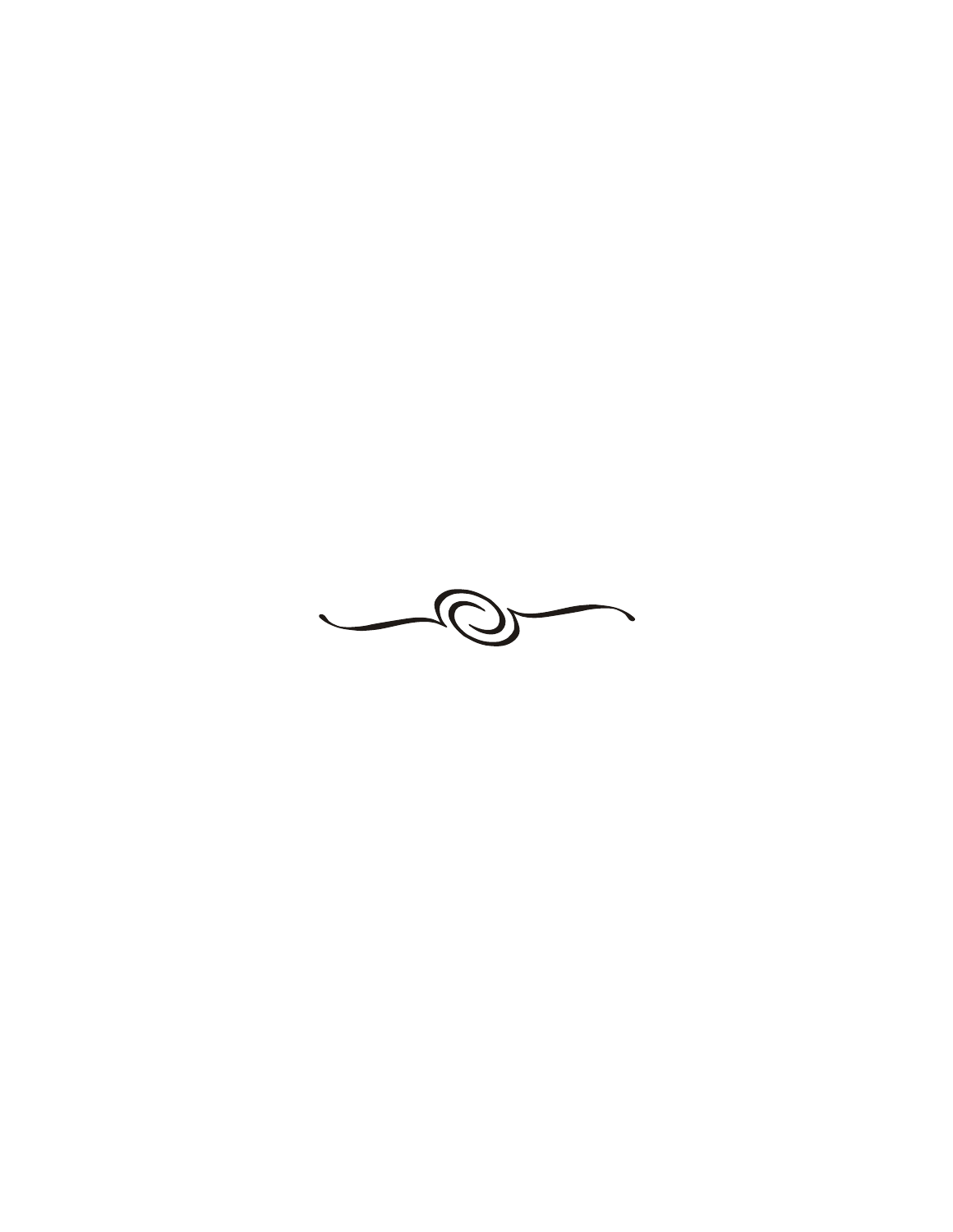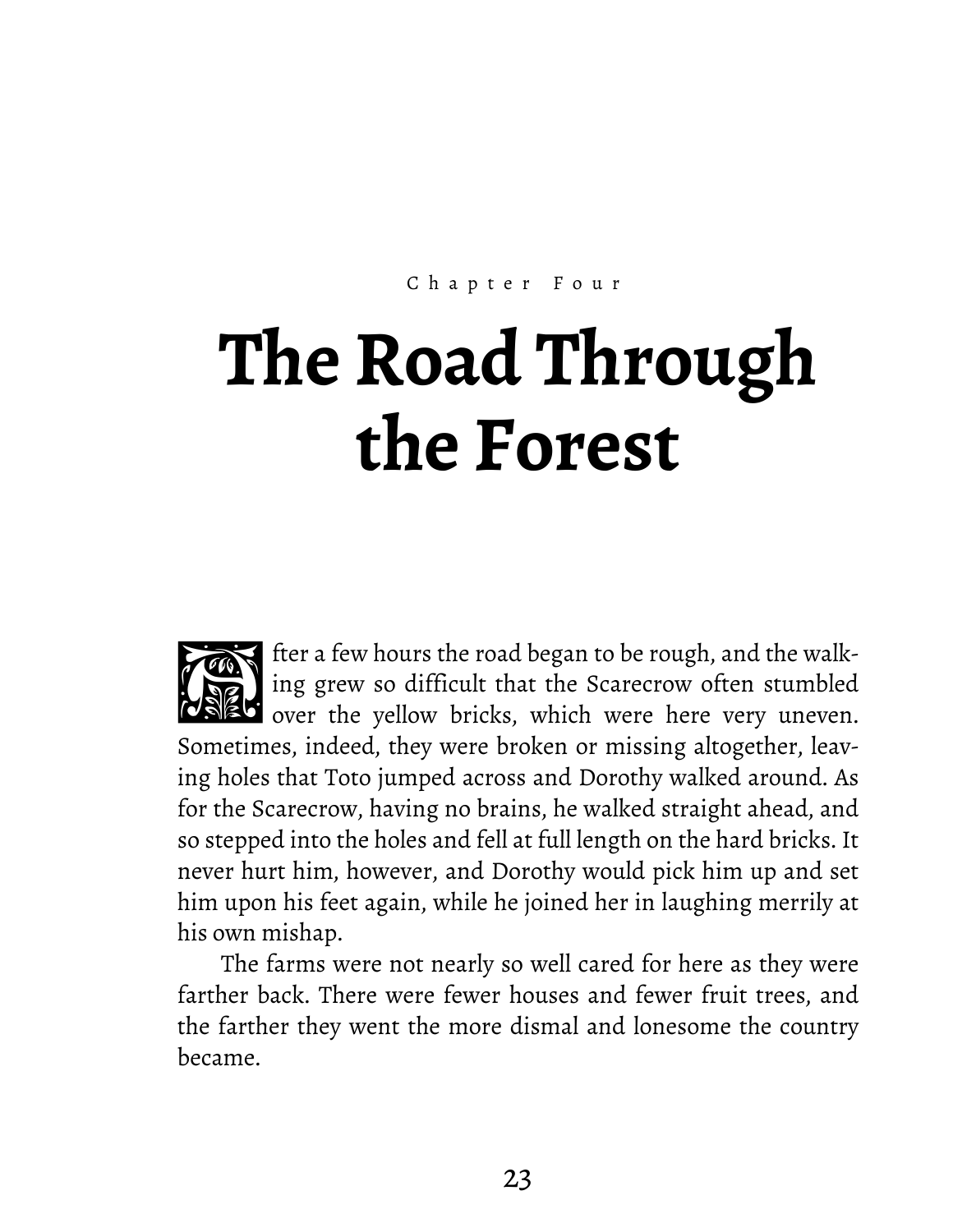#### Chapter Four

## <span id="page-23-0"></span>**The Road Through the Forest**

fter a few hours the road began to be rough, and the walk-<br>ing grew so difficult that the Scarecrow often stumbled<br>over the yellow bricks, which were here very uneven. ing grew so difficult that the Scarecrow often stumbled **IEG** over the yellow bricks, which were here very uneven. Sometimes, indeed, they were broken or missing altogether, leaving holes that Toto jumped across and Dorothy walked around. As for the Scarecrow, having no brains, he walked straight ahead, and so stepped into the holes and fell at full length on the hard bricks. It never hurt him, however, and Dorothy would pick him up and set him upon his feet again, while he joined her in laughing merrily at his own mishap.

The farms were not nearly so well cared for here as they were farther back. There were fewer houses and fewer fruit trees, and the farther they went the more dismal and lonesome the country became.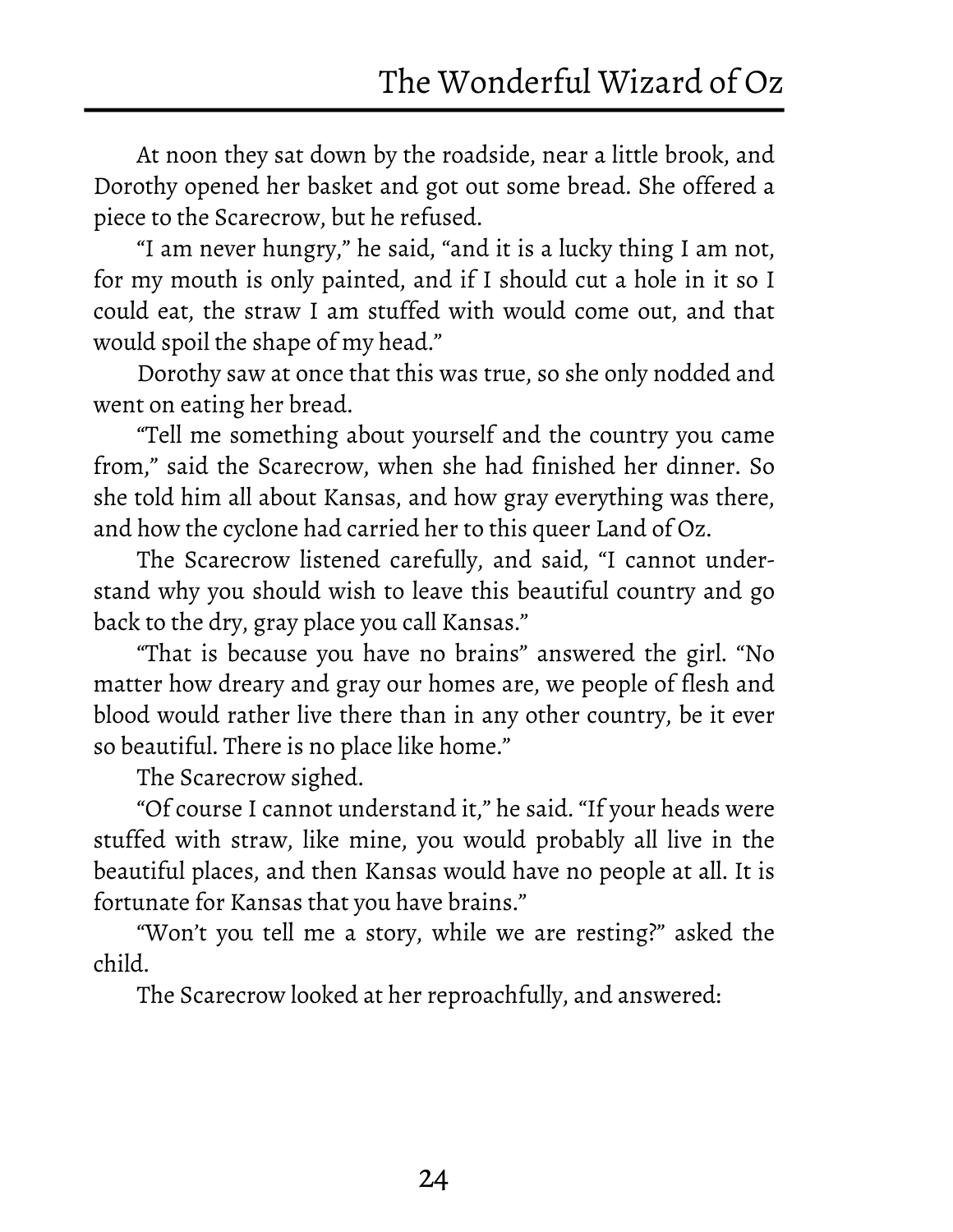At noon they sat down by the roadside, near a little brook, and Dorothy opened her basket and got out some bread. She offered a piece to the Scarecrow, but he refused.

"I am never hungry," he said, "and it is a lucky thing I am not, for my mouth is only painted, and if I should cut a hole in it so I could eat, the straw I am stuffed with would come out, and that would spoil the shape of my head."

Dorothy saw at once that this was true, so she only nodded and went on eating her bread.

"Tell me something about yourself and the country you came from," said the Scarecrow, when she had finished her dinner. So she told him all about Kansas, and how gray everything was there, and how the cyclone had carried her to this queer Land of Oz.

The Scarecrow listened carefully, and said, "I cannot understand why you should wish to leave this beautiful country and go back to the dry, gray place you call Kansas."

"That is because you have no brains" answered the girl. "No matter how dreary and gray our homes are, we people of flesh and blood would rather live there than in any other country, be it ever so beautiful. There is no place like home."

The Scarecrow sighed.

"Of course I cannot understand it," he said. "If your heads were stuffed with straw, like mine, you would probably all live in the beautiful places, and then Kansas would have no people at all. It is fortunate for Kansas that you have brains."

"Won't you tell me a story, while we are resting?" asked the child.

The Scarecrow looked at her reproachfully, and answered: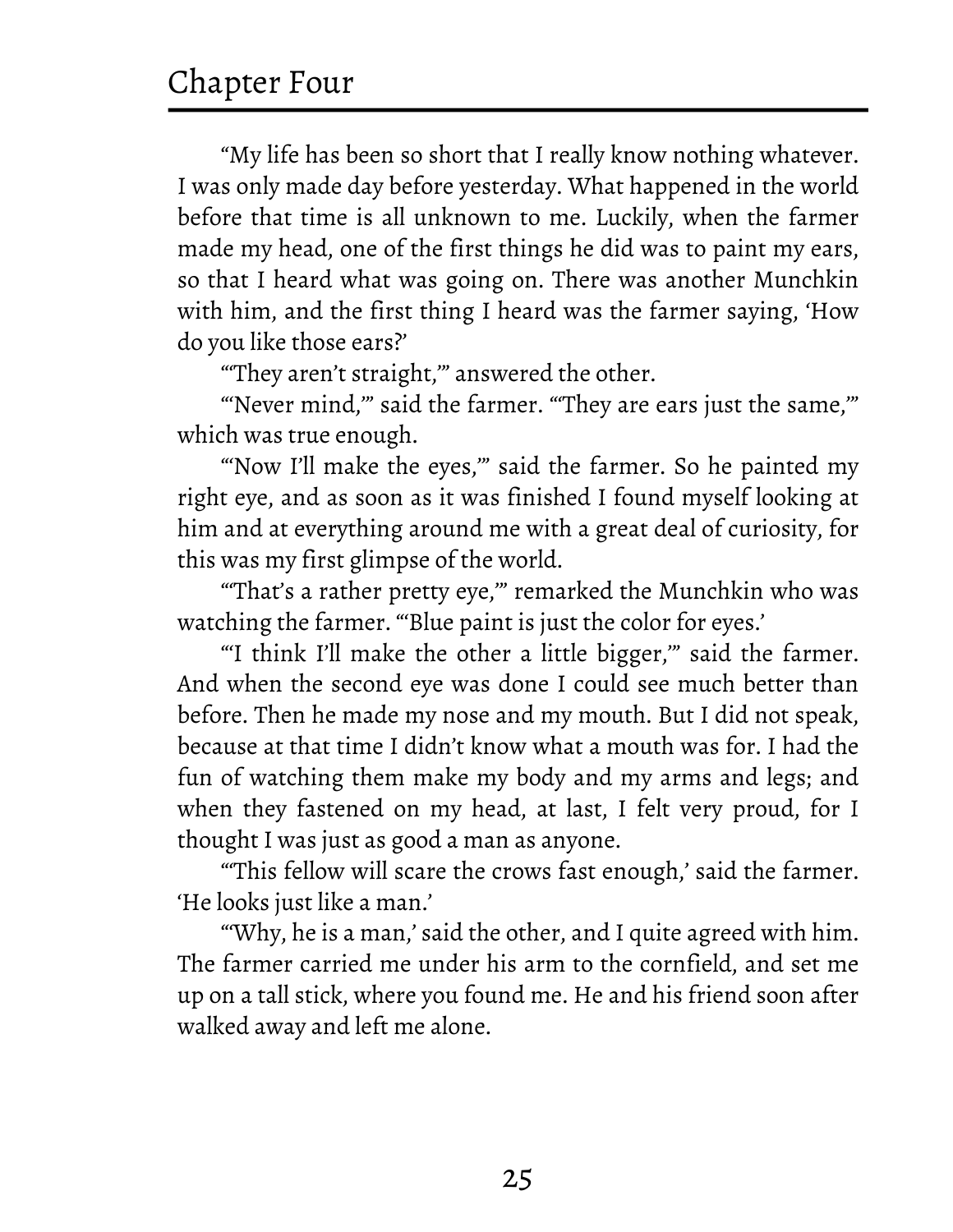#### Chapter Four

"My life has been so short that I really know nothing whatever. I was only made day before yesterday. What happened in the world before that time is all unknown to me. Luckily, when the farmer made my head, one of the first things he did was to paint my ears, so that I heard what was going on. There was another Munchkin with him, and the first thing I heard was the farmer saying, 'How do you like those ears?'

"'They aren't straight,'" answered the other.

"'Never mind,'" said the farmer. "'They are ears just the same,'" which was true enough.

"'Now I'll make the eyes,'" said the farmer. So he painted my right eye, and as soon as it was finished I found myself looking at him and at everything around me with a great deal of curiosity, for this was my first glimpse of the world.

"'That's a rather pretty eye,'" remarked the Munchkin who was watching the farmer. "'Blue paint is just the color for eyes.'

"'I think I'll make the other a little bigger,'" said the farmer. And when the second eye was done I could see much better than before. Then he made my nose and my mouth. But I did not speak, because at that time I didn't know what a mouth was for. I had the fun of watching them make my body and my arms and legs; and when they fastened on my head, at last, I felt very proud, for I thought I was just as good a man as anyone.

"'This fellow will scare the crows fast enough,' said the farmer. 'He looks just like a man.'

"'Why, he is a man,' said the other, and I quite agreed with him. The farmer carried me under his arm to the cornfield, and set me up on a tall stick, where you found me. He and his friend soon after walked away and left me alone.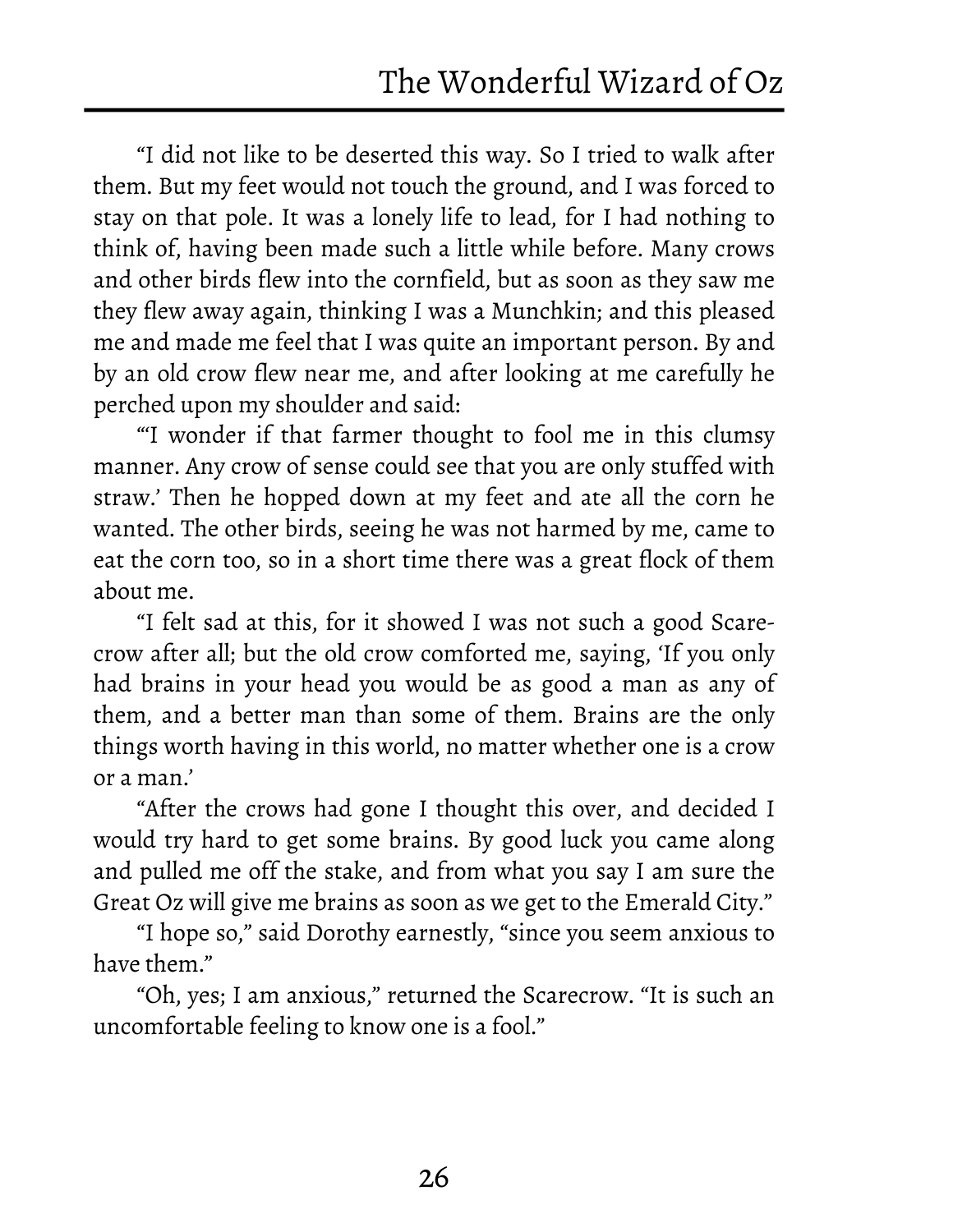"I did not like to be deserted this way. So I tried to walk after them. But my feet would not touch the ground, and I was forced to stay on that pole. It was a lonely life to lead, for I had nothing to think of, having been made such a little while before. Many crows and other birds flew into the cornfield, but as soon as they saw me they flew away again, thinking I was a Munchkin; and this pleased me and made me feel that I was quite an important person. By and by an old crow flew near me, and after looking at me carefully he perched upon my shoulder and said:

"'I wonder if that farmer thought to fool me in this clumsy manner. Any crow of sense could see that you are only stuffed with straw.' Then he hopped down at my feet and ate all the corn he wanted. The other birds, seeing he was not harmed by me, came to eat the corn too, so in a short time there was a great flock of them about me.

"I felt sad at this, for it showed I was not such a good Scarecrow after all; but the old crow comforted me, saying, 'If you only had brains in your head you would be as good a man as any of them, and a better man than some of them. Brains are the only things worth having in this world, no matter whether one is a crow or a man.'

"After the crows had gone I thought this over, and decided I would try hard to get some brains. By good luck you came along and pulled me off the stake, and from what you say I am sure the Great Oz will give me brains as soon as we get to the Emerald City."

"I hope so," said Dorothy earnestly, "since you seem anxious to have them."

"Oh, yes; I am anxious," returned the Scarecrow. "It is such an uncomfortable feeling to know one is a fool."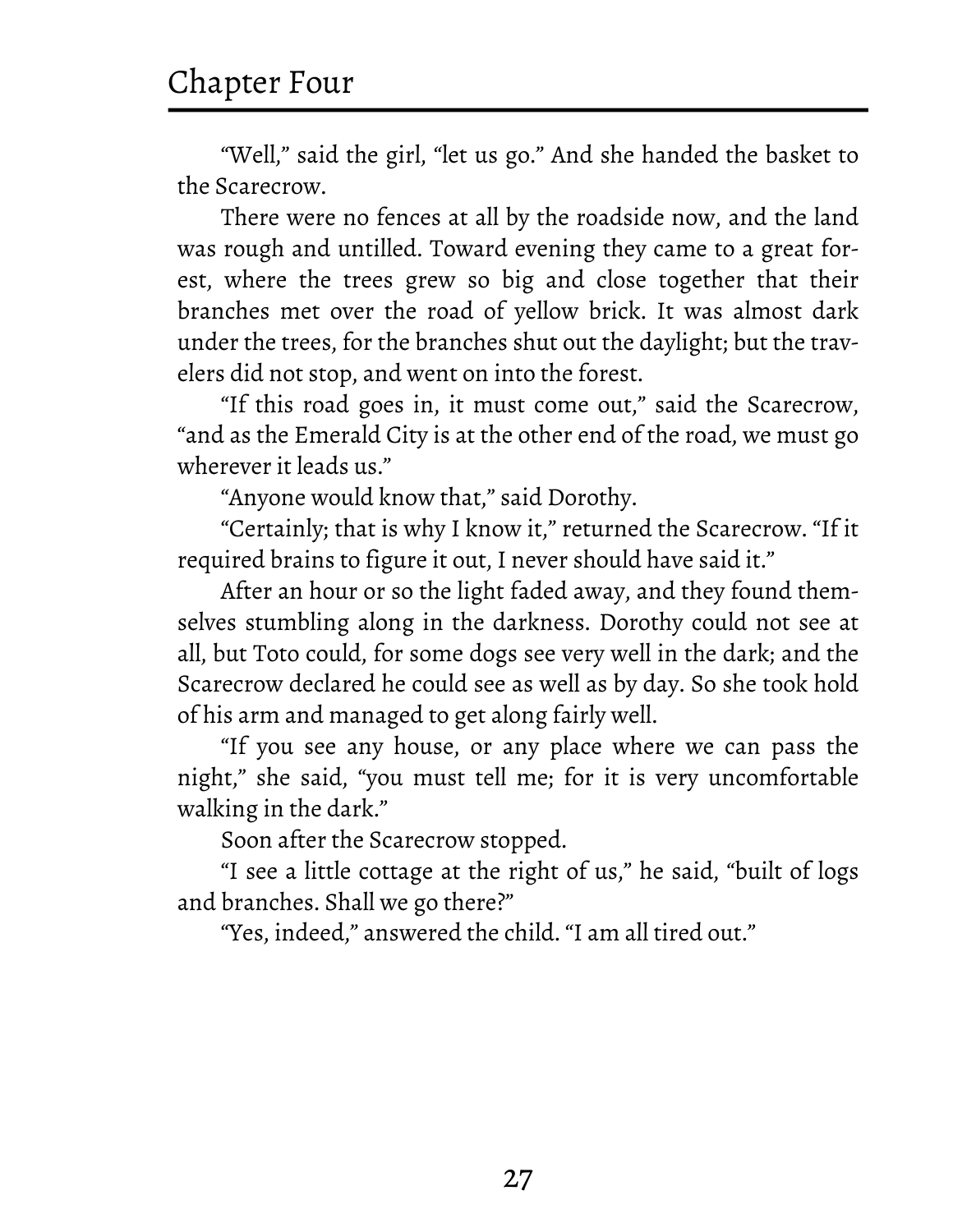"Well," said the girl, "let us go." And she handed the basket to the Scarecrow.

There were no fences at all by the roadside now, and the land was rough and untilled. Toward evening they came to a great forest, where the trees grew so big and close together that their branches met over the road of yellow brick. It was almost dark under the trees, for the branches shut out the daylight; but the travelers did not stop, and went on into the forest.

"If this road goes in, it must come out," said the Scarecrow, "and as the Emerald City is at the other end of the road, we must go wherever it leads us."

"Anyone would know that," said Dorothy.

"Certainly; that is why I know it," returned the Scarecrow. "If it required brains to figure it out, I never should have said it."

After an hour or so the light faded away, and they found themselves stumbling along in the darkness. Dorothy could not see at all, but Toto could, for some dogs see very well in the dark; and the Scarecrow declared he could see as well as by day. So she took hold of his arm and managed to get along fairly well.

"If you see any house, or any place where we can pass the night," she said, "you must tell me; for it is very uncomfortable walking in the dark."

Soon after the Scarecrow stopped.

"I see a little cottage at the right of us," he said, "built of logs and branches. Shall we go there?"

"Yes, indeed," answered the child. "I am all tired out."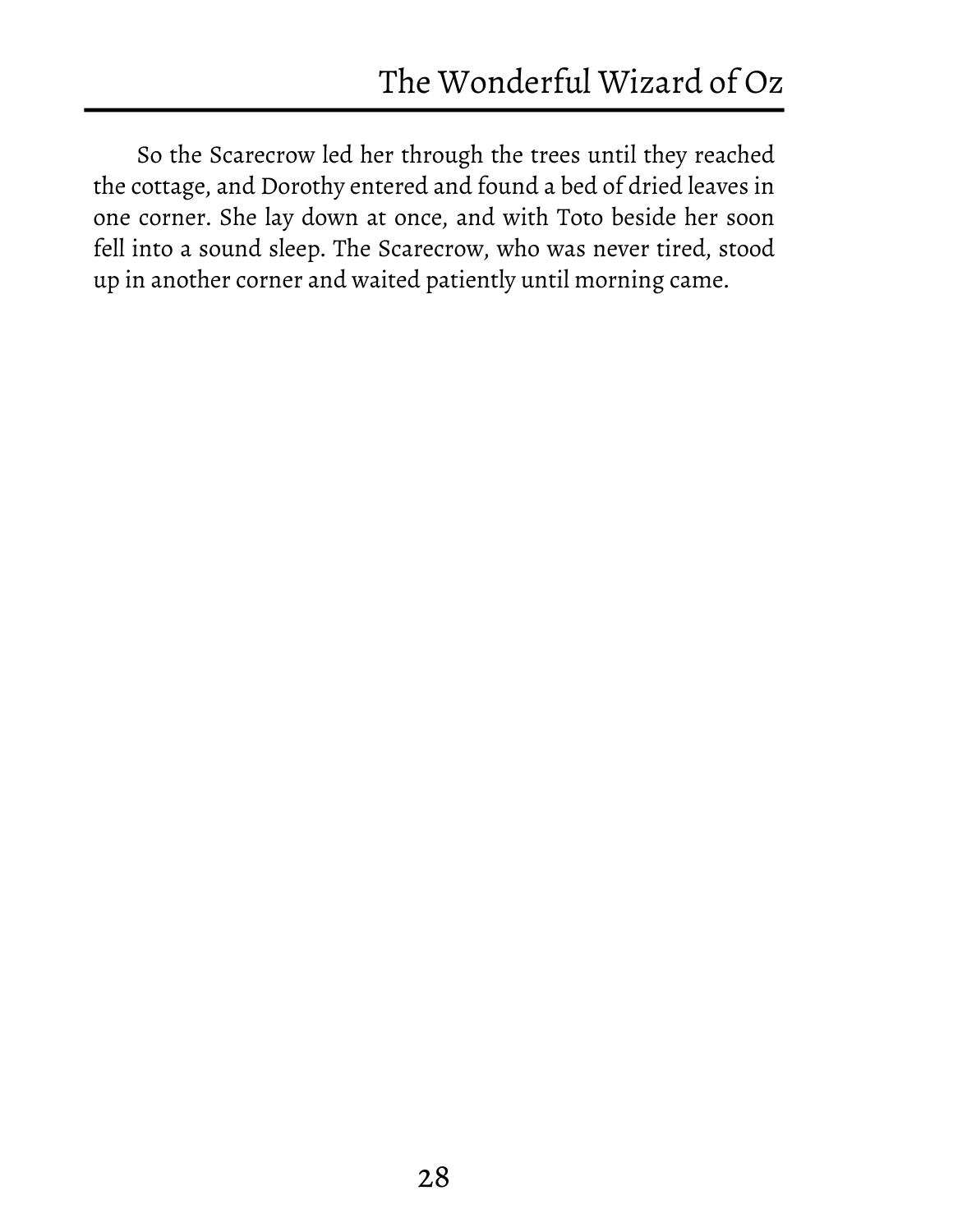So the Scarecrow led her through the trees until they reached the cottage, and Dorothy entered and found a bed of dried leaves in one corner. She lay down at once, and with Toto beside her soon fell into a sound sleep. The Scarecrow, who was never tired, stood up in another corner and waited patiently until morning came.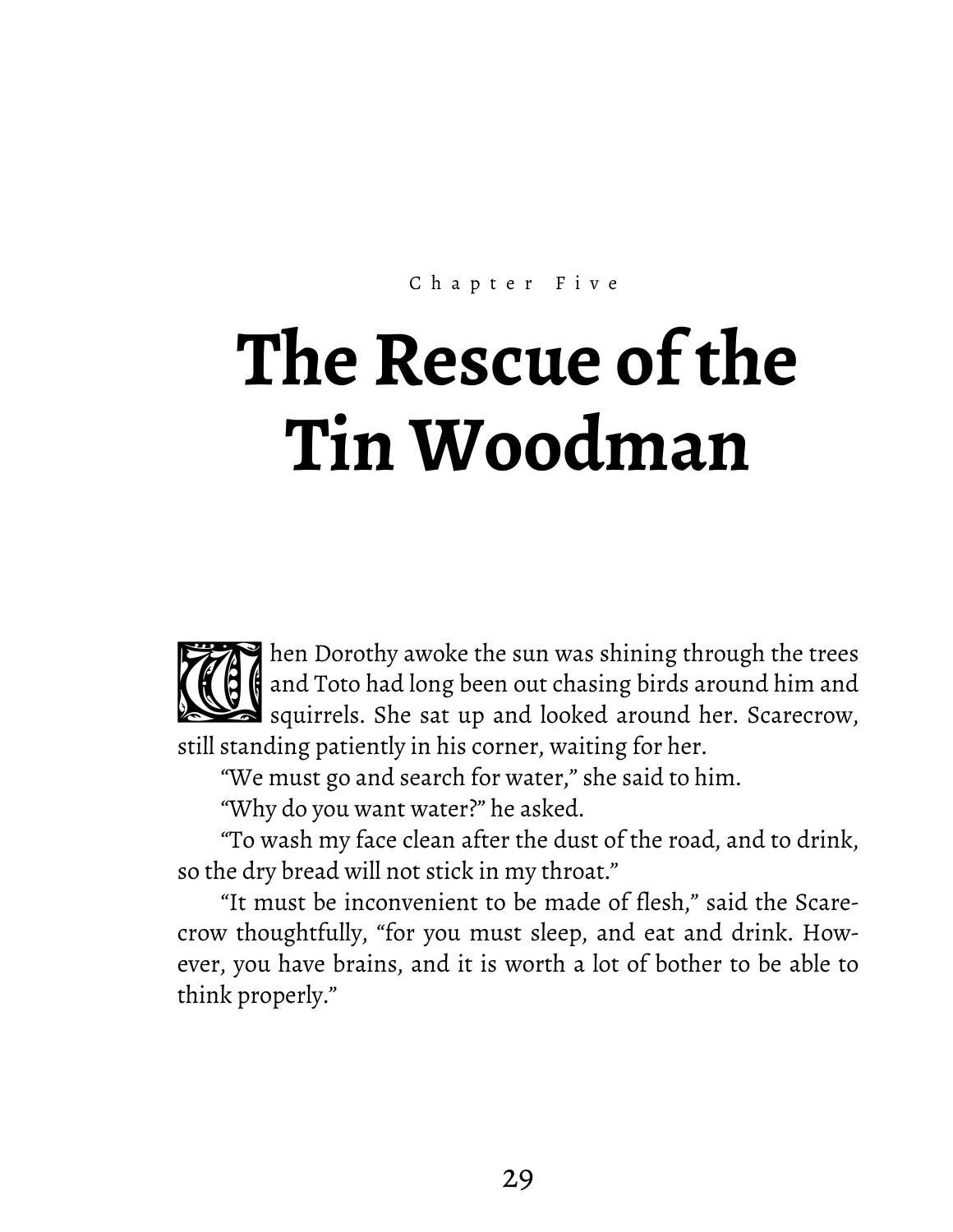#### Chapter Five

### <span id="page-29-0"></span>**The Rescue of the Tin Woodman**

Then Dorothy awoke the sun was shining through the trees<br>and Toto had long been out chasing birds around him and<br>squirrels. She sat up and looked around her. Scarecrow, hen Dorothy awoke the sun was shining through the trees and Toto had long been out chasing birds around him and still standing patiently in his corner, waiting for her.

"We must go and search for water," she said to him.

"Why do you want water?" he asked.

"To wash my face clean after the dust of the road, and to drink, so the dry bread will not stick in my throat."

"It must be inconvenient to be made of flesh," said the Scarecrow thoughtfully, "for you must sleep, and eat and drink. However, you have brains, and it is worth a lot of bother to be able to think properly."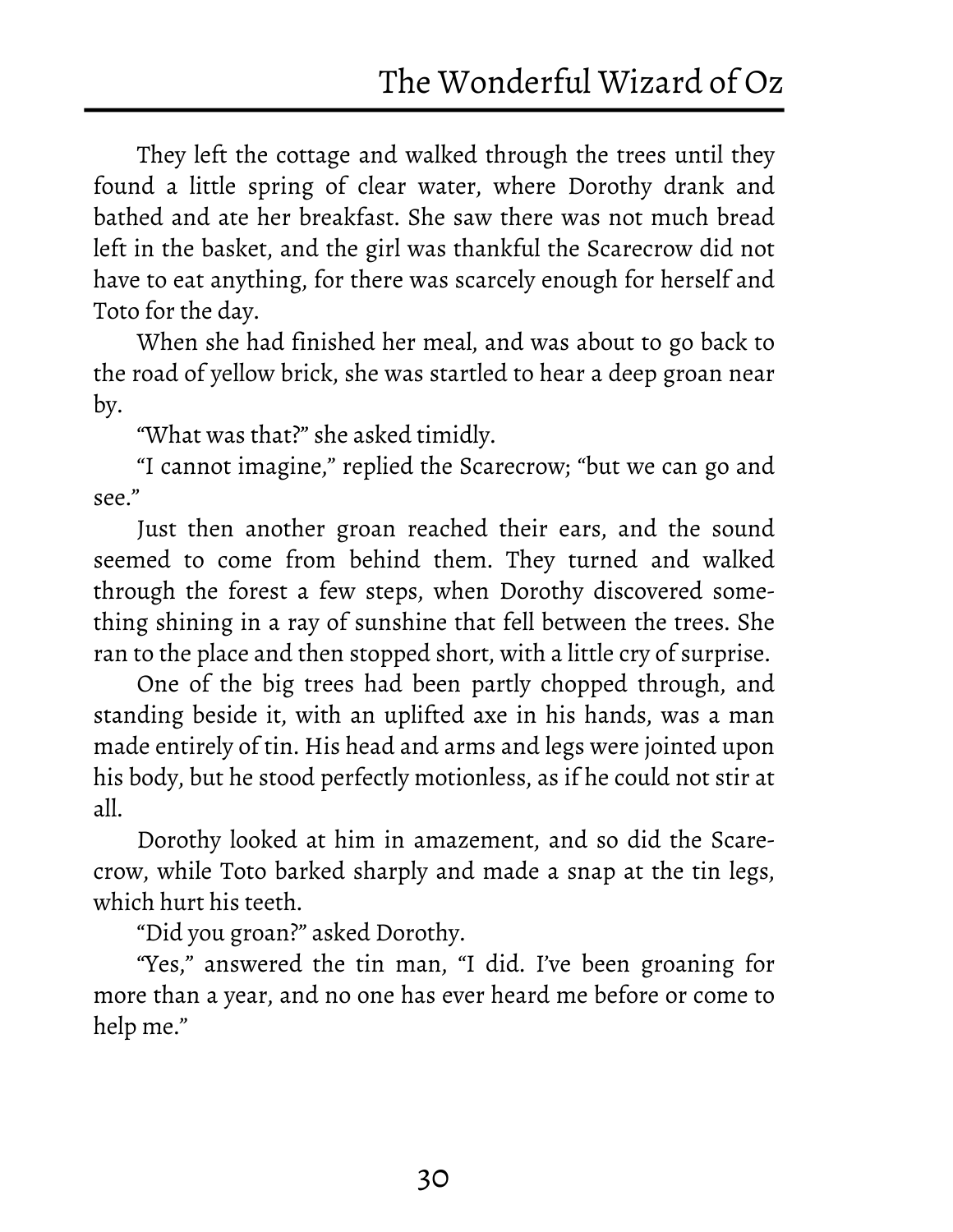They left the cottage and walked through the trees until they found a little spring of clear water, where Dorothy drank and bathed and ate her breakfast. She saw there was not much bread left in the basket, and the girl was thankful the Scarecrow did not have to eat anything, for there was scarcely enough for herself and Toto for the day.

When she had finished her meal, and was about to go back to the road of yellow brick, she was startled to hear a deep groan near by.

"What was that?" she asked timidly.

"I cannot imagine," replied the Scarecrow; "but we can go and see."

Just then another groan reached their ears, and the sound seemed to come from behind them. They turned and walked through the forest a few steps, when Dorothy discovered something shining in a ray of sunshine that fell between the trees. She ran to the place and then stopped short, with a little cry of surprise.

One of the big trees had been partly chopped through, and standing beside it, with an uplifted axe in his hands, was a man made entirely of tin. His head and arms and legs were jointed upon his body, but he stood perfectly motionless, as if he could not stir at all.

Dorothy looked at him in amazement, and so did the Scarecrow, while Toto barked sharply and made a snap at the tin legs, which hurt his teeth.

"Did you groan?" asked Dorothy.

"Yes," answered the tin man, "I did. I've been groaning for more than a year, and no one has ever heard me before or come to help me."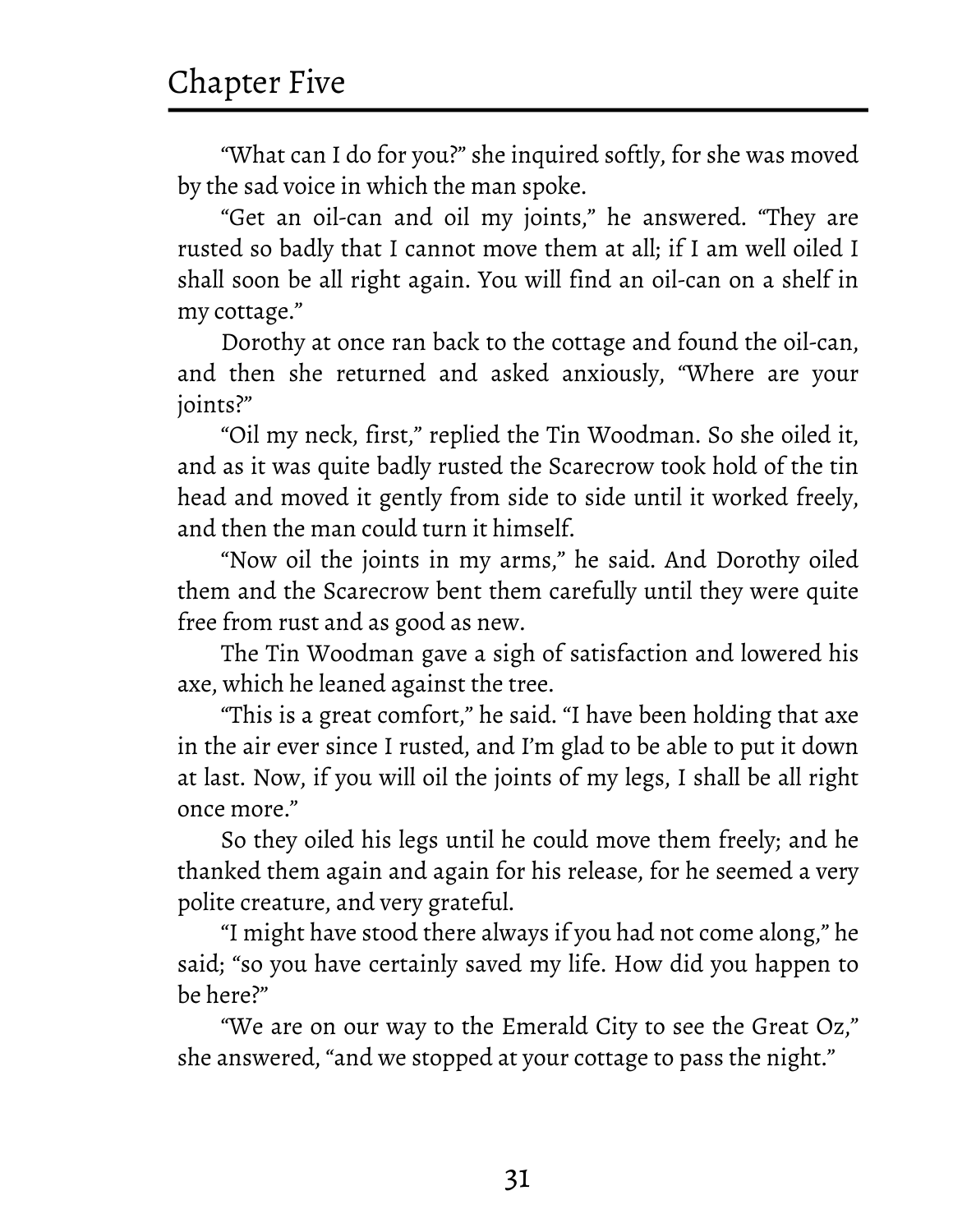"What can I do for you?" she inquired softly, for she was moved by the sad voice in which the man spoke.

"Get an oil‐can and oil my joints," he answered. "They are rusted so badly that I cannot move them at all; if I am well oiled I shall soon be all right again. You will find an oil‐can on a shelf in my cottage."

Dorothy at once ran back to the cottage and found the oil‐can, and then she returned and asked anxiously, "Where are your joints?"

"Oil my neck, first," replied the Tin Woodman. So she oiled it, and as it was quite badly rusted the Scarecrow took hold of the tin head and moved it gently from side to side until it worked freely, and then the man could turn it himself.

"Now oil the joints in my arms," he said. And Dorothy oiled them and the Scarecrow bent them carefully until they were quite free from rust and as good as new.

The Tin Woodman gave a sigh of satisfaction and lowered his axe, which he leaned against the tree.

"This is a great comfort," he said. "I have been holding that axe in the air ever since I rusted, and I'm glad to be able to put it down at last. Now, if you will oil the joints of my legs, I shall be all right once more."

So they oiled his legs until he could move them freely; and he thanked them again and again for his release, for he seemed a very polite creature, and very grateful.

"I might have stood there always if you had not come along," he said; "so you have certainly saved my life. How did you happen to be here?"

"We are on our way to the Emerald City to see the Great Oz," she answered, "and we stopped at your cottage to pass the night."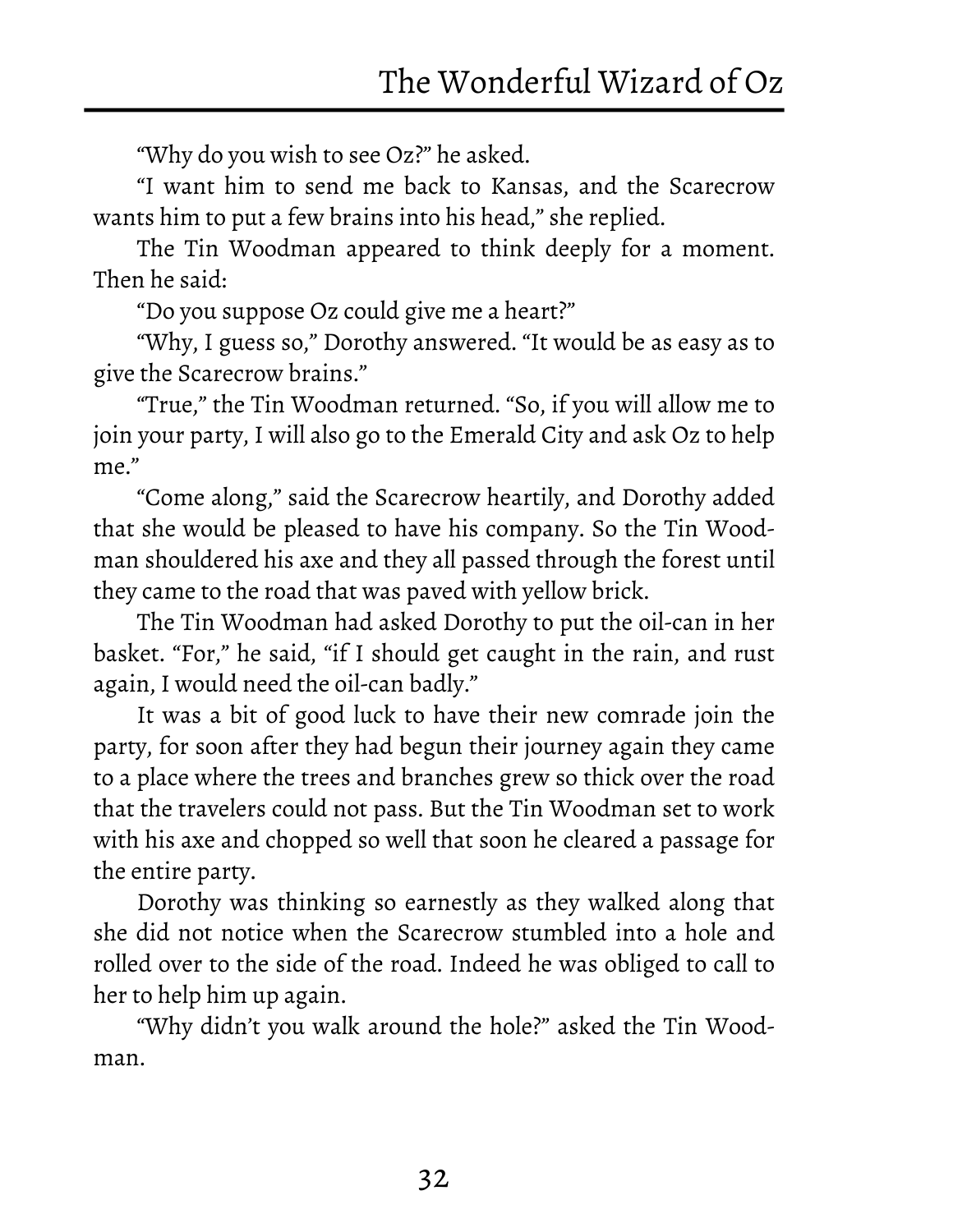"Why do you wish to see Oz?" he asked.

"I want him to send me back to Kansas, and the Scarecrow wants him to put a few brains into his head," she replied.

The Tin Woodman appeared to think deeply for a moment. Then he said:

"Do you suppose Oz could give me a heart?"

"Why, I guess so," Dorothy answered. "It would be as easy as to give the Scarecrow brains."

"True," the Tin Woodman returned. "So, if you will allow me to join your party, I will also go to the Emerald City and ask Oz to help me."

"Come along," said the Scarecrow heartily, and Dorothy added that she would be pleased to have his company. So the Tin Woodman shouldered his axe and they all passed through the forest until they came to the road that was paved with yellow brick.

The Tin Woodman had asked Dorothy to put the oil‐can in her basket. "For," he said, "if I should get caught in the rain, and rust again, I would need the oil‐can badly."

It was a bit of good luck to have their new comrade join the party, for soon after they had begun their journey again they came to a place where the trees and branches grew so thick over the road that the travelers could not pass. But the Tin Woodman set to work with his axe and chopped so well that soon he cleared a passage for the entire party.

Dorothy was thinking so earnestly as they walked along that she did not notice when the Scarecrow stumbled into a hole and rolled over to the side of the road. Indeed he was obliged to call to her to help him up again.

"Why didn't you walk around the hole?" asked the Tin Woodman.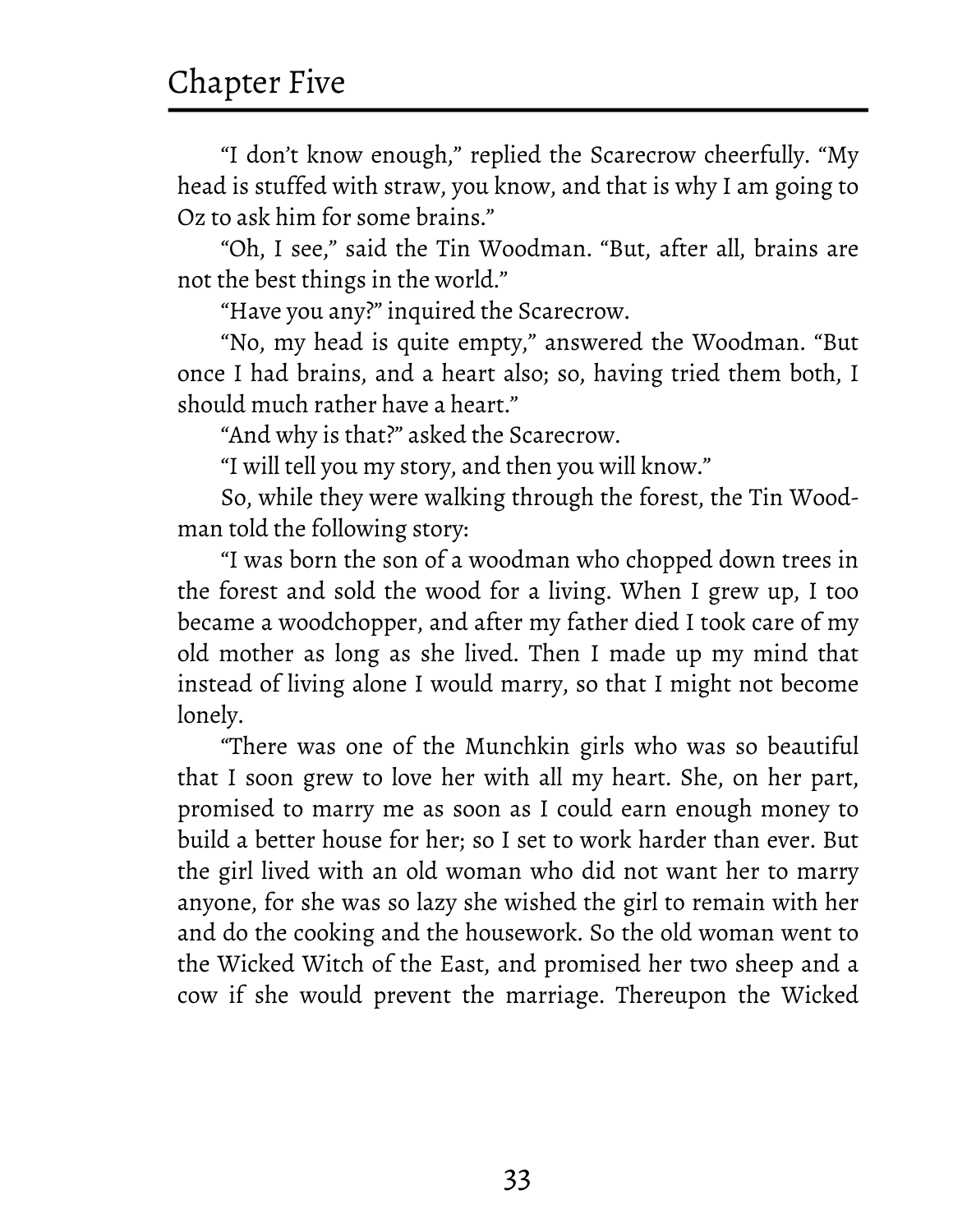"I don't know enough," replied the Scarecrow cheerfully. "My head is stuffed with straw, you know, and that is why I am going to Oz to ask him for some brains."

"Oh, I see," said the Tin Woodman. "But, after all, brains are not the best things in the world."

"Have you any?" inquired the Scarecrow.

"No, my head is quite empty," answered the Woodman. "But once I had brains, and a heart also; so, having tried them both, I should much rather have a heart."

"And why is that?" asked the Scarecrow.

"I will tell you my story, and then you will know."

So, while they were walking through the forest, the Tin Woodman told the following story:

"I was born the son of a woodman who chopped down trees in the forest and sold the wood for a living. When I grew up, I too became a woodchopper, and after my father died I took care of my old mother as long as she lived. Then I made up my mind that instead of living alone I would marry, so that I might not become lonely.

"There was one of the Munchkin girls who was so beautiful that I soon grew to love her with all my heart. She, on her part, promised to marry me as soon as I could earn enough money to build a better house for her; so I set to work harder than ever. But the girl lived with an old woman who did not want her to marry anyone, for she was so lazy she wished the girl to remain with her and do the cooking and the housework. So the old woman went to the Wicked Witch of the East, and promised her two sheep and a cow if she would prevent the marriage. Thereupon the Wicked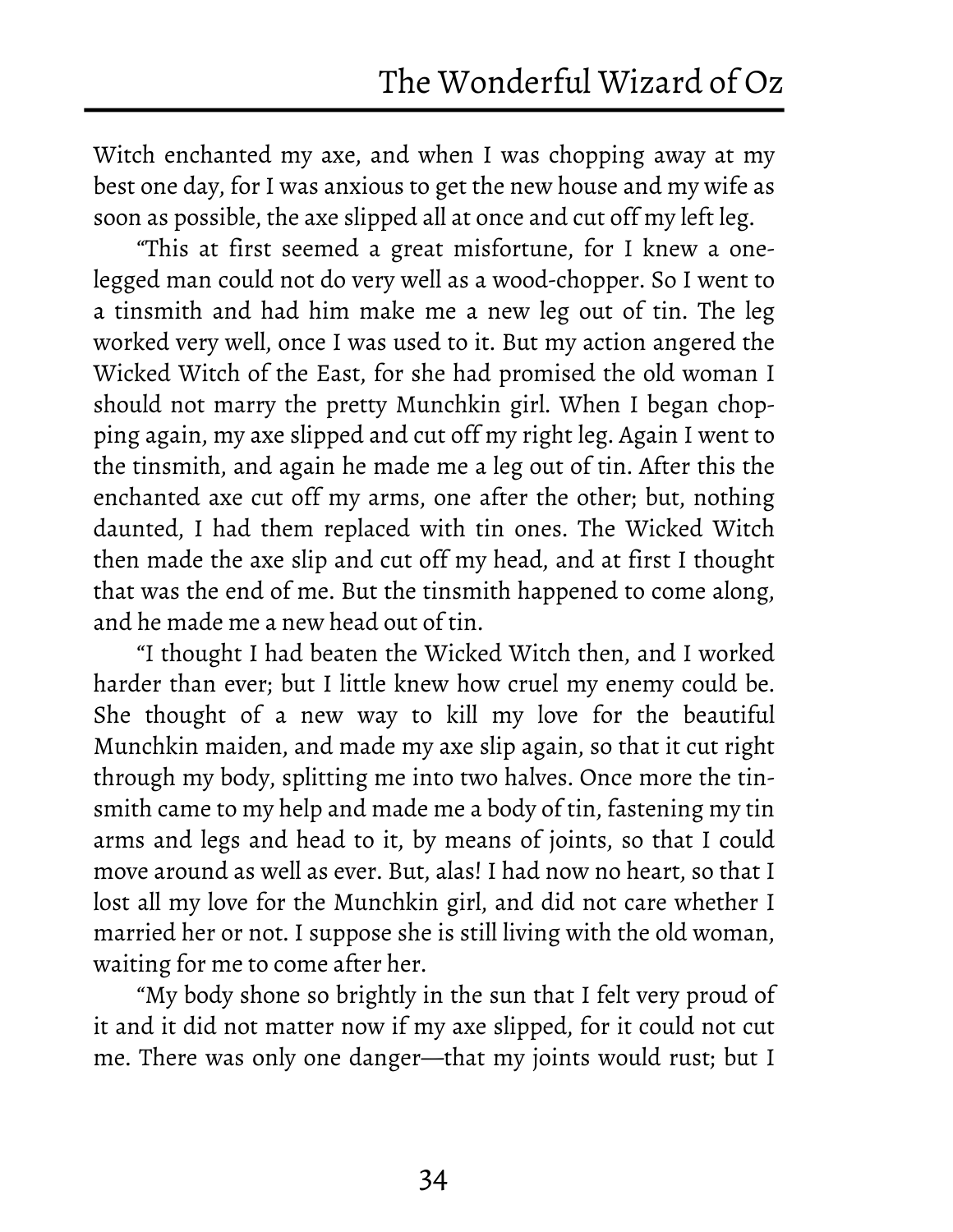Witch enchanted my axe, and when I was chopping away at my best one day, for I was anxious to get the new house and my wife as soon as possible, the axe slipped all at once and cut off my left leg.

"This at first seemed a great misfortune, for I knew a one‐ legged man could not do very well as a wood‐chopper. So I went to a tinsmith and had him make me a new leg out of tin. The leg worked very well, once I was used to it. But my action angered the Wicked Witch of the East, for she had promised the old woman I should not marry the pretty Munchkin girl. When I began chopping again, my axe slipped and cut off my right leg. Again I went to the tinsmith, and again he made me a leg out of tin. After this the enchanted axe cut off my arms, one after the other; but, nothing daunted, I had them replaced with tin ones. The Wicked Witch then made the axe slip and cut off my head, and at first I thought that was the end of me. But the tinsmith happened to come along, and he made me a new head out of tin.

"I thought I had beaten the Wicked Witch then, and I worked harder than ever; but I little knew how cruel my enemy could be. She thought of a new way to kill my love for the beautiful Munchkin maiden, and made my axe slip again, so that it cut right through my body, splitting me into two halves. Once more the tinsmith came to my help and made me a body of tin, fastening my tin arms and legs and head to it, by means of joints, so that I could move around as well as ever. But, alas! I had now no heart, so that I lost all my love for the Munchkin girl, and did not care whether I married her or not. I suppose she is still living with the old woman, waiting for me to come after her.

"My body shone so brightly in the sun that I felt very proud of it and it did not matter now if my axe slipped, for it could not cut me. There was only one danger—that my joints would rust; but I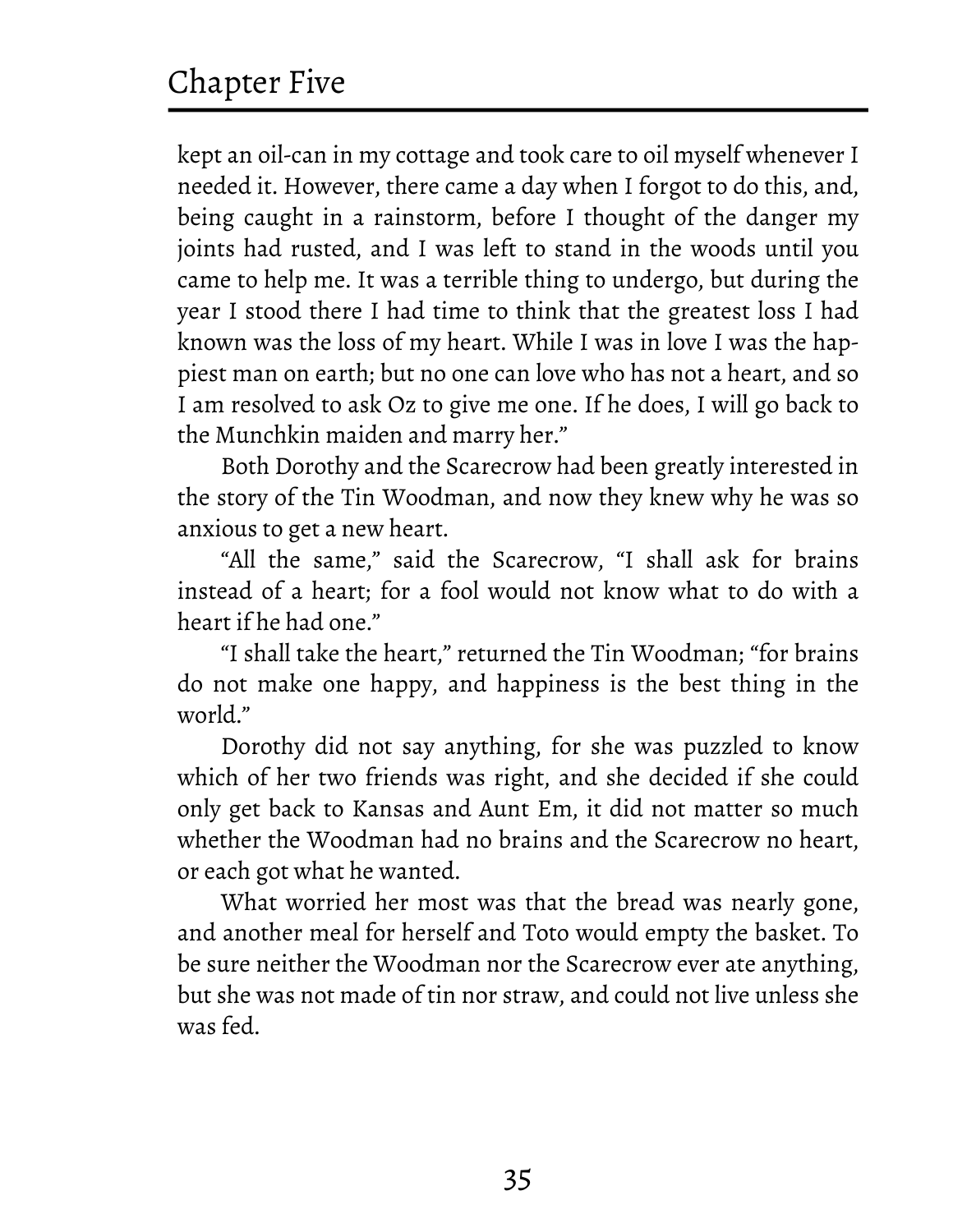#### Chapter Five

kept an oil‐can in my cottage and took care to oil myself whenever I needed it. However, there came a day when I forgot to do this, and, being caught in a rainstorm, before I thought of the danger my joints had rusted, and I was left to stand in the woods until you came to help me. It was a terrible thing to undergo, but during the year I stood there I had time to think that the greatest loss I had known was the loss of my heart. While I was in love I was the happiest man on earth; but no one can love who has not a heart, and so I am resolved to ask Oz to give me one. If he does, I will go back to the Munchkin maiden and marry her."

Both Dorothy and the Scarecrow had been greatly interested in the story of the Tin Woodman, and now they knew why he was so anxious to get a new heart.

"All the same," said the Scarecrow, "I shall ask for brains instead of a heart; for a fool would not know what to do with a heart if he had one."

"I shall take the heart," returned the Tin Woodman; "for brains do not make one happy, and happiness is the best thing in the world."

Dorothy did not say anything, for she was puzzled to know which of her two friends was right, and she decided if she could only get back to Kansas and Aunt Em, it did not matter so much whether the Woodman had no brains and the Scarecrow no heart, or each got what he wanted.

What worried her most was that the bread was nearly gone, and another meal for herself and Toto would empty the basket. To be sure neither the Woodman nor the Scarecrow ever ate anything, but she was not made of tin nor straw, and could not live unless she was fed.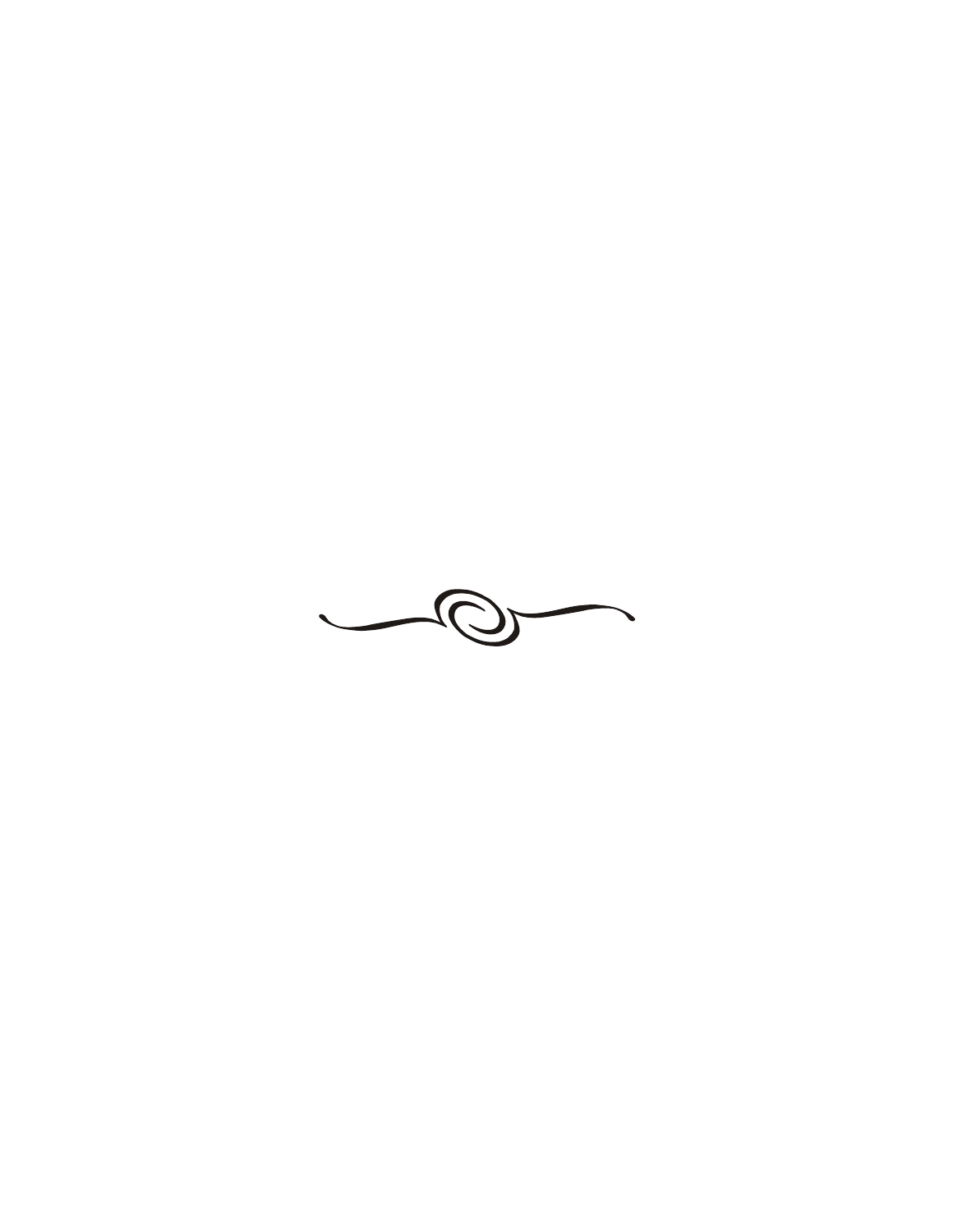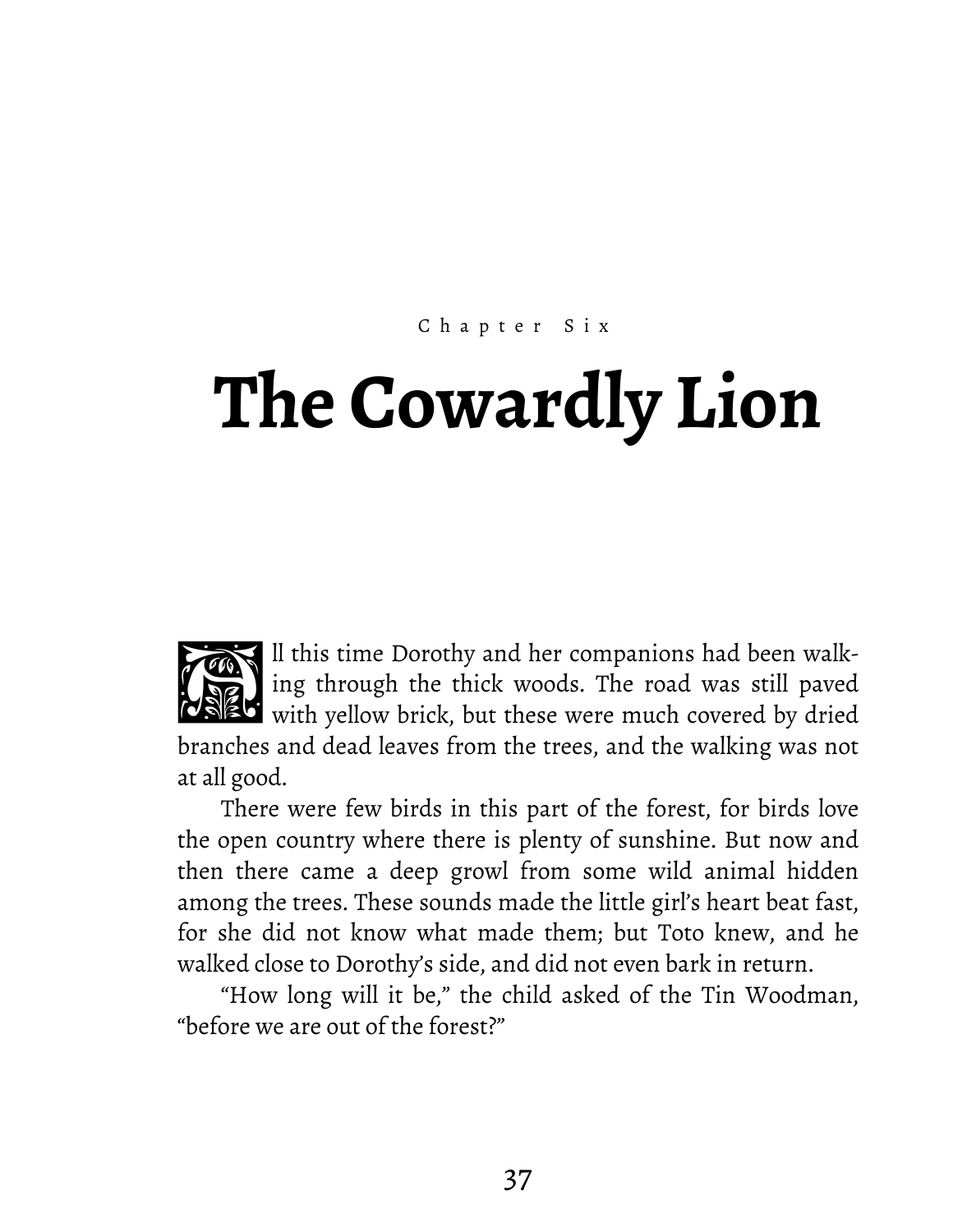### Chapter Six

# **The Cowardly Lion**

Il this time Dorothy and her companions had been walking through the thick woods. The road was still paved with yellow brick, but these were much covered by dried ll this time Dorothy and her companions had been walking through the thick woods. The road was still paved branches and dead leaves from the trees, and the walking was not at all good.

There were few birds in this part of the forest, for birds love the open country where there is plenty of sunshine. But now and then there came a deep growl from some wild animal hidden among the trees. These sounds made the little girl's heart beat fast, for she did not know what made them; but Toto knew, and he walked close to Dorothy's side, and did not even bark in return.

"How long will it be," the child asked of the Tin Woodman, "before we are out of the forest?"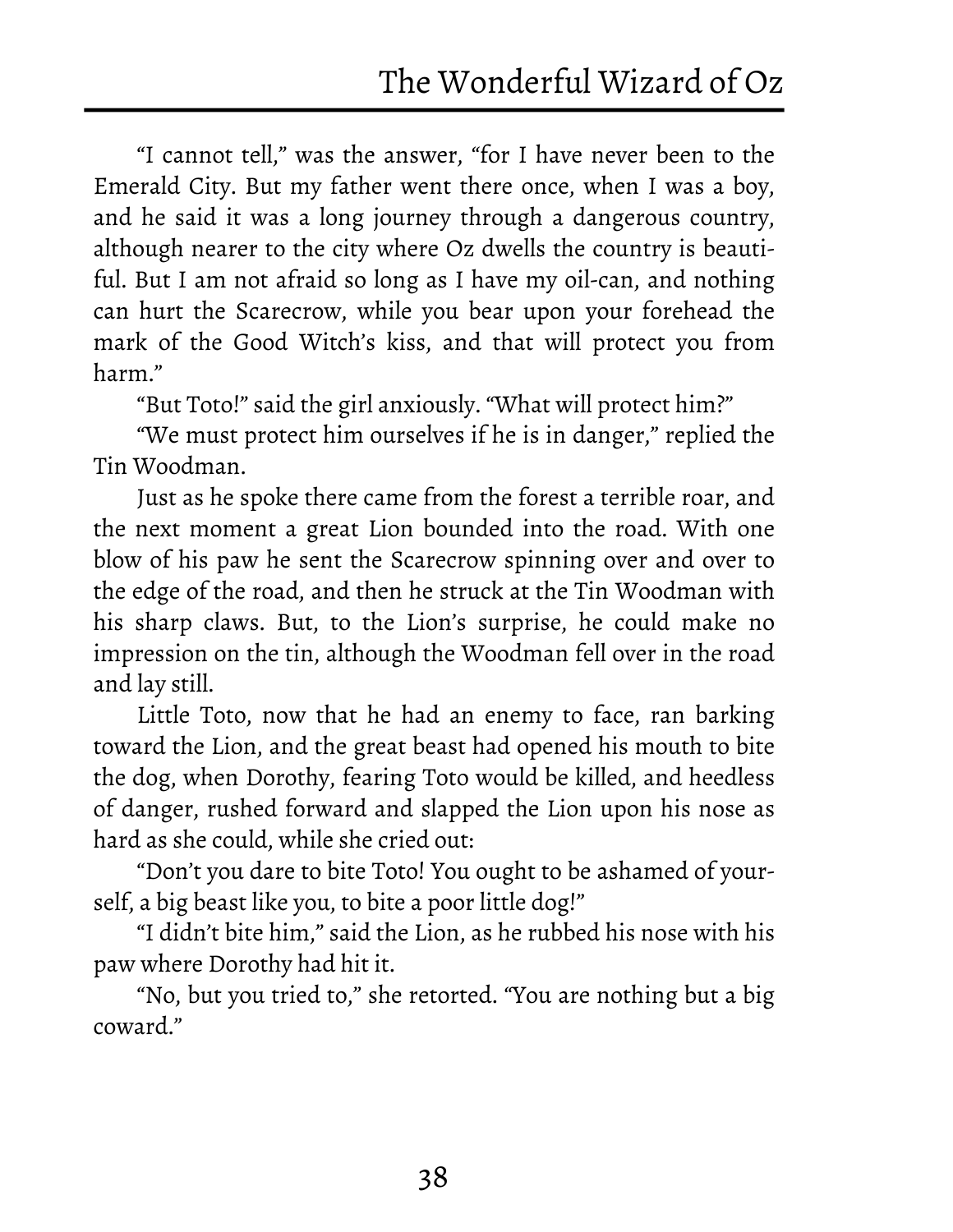"I cannot tell," was the answer, "for I have never been to the Emerald City. But my father went there once, when I was a boy, and he said it was a long journey through a dangerous country, although nearer to the city where Oz dwells the country is beautiful. But I am not afraid so long as I have my oil‐can, and nothing can hurt the Scarecrow, while you bear upon your forehead the mark of the Good Witch's kiss, and that will protect you from harm."

"But Toto!" said the girl anxiously. "What will protect him?"

"We must protect him ourselves if he is in danger," replied the Tin Woodman.

Just as he spoke there came from the forest a terrible roar, and the next moment a great Lion bounded into the road. With one blow of his paw he sent the Scarecrow spinning over and over to the edge of the road, and then he struck at the Tin Woodman with his sharp claws. But, to the Lion's surprise, he could make no impression on the tin, although the Woodman fell over in the road and lay still.

Little Toto, now that he had an enemy to face, ran barking toward the Lion, and the great beast had opened his mouth to bite the dog, when Dorothy, fearing Toto would be killed, and heedless of danger, rushed forward and slapped the Lion upon his nose as hard as she could, while she cried out:

"Don't you dare to bite Toto! You ought to be ashamed of yourself, a big beast like you, to bite a poor little dog!"

"I didn't bite him," said the Lion, as he rubbed his nose with his paw where Dorothy had hit it.

"No, but you tried to," she retorted. "You are nothing but a big coward."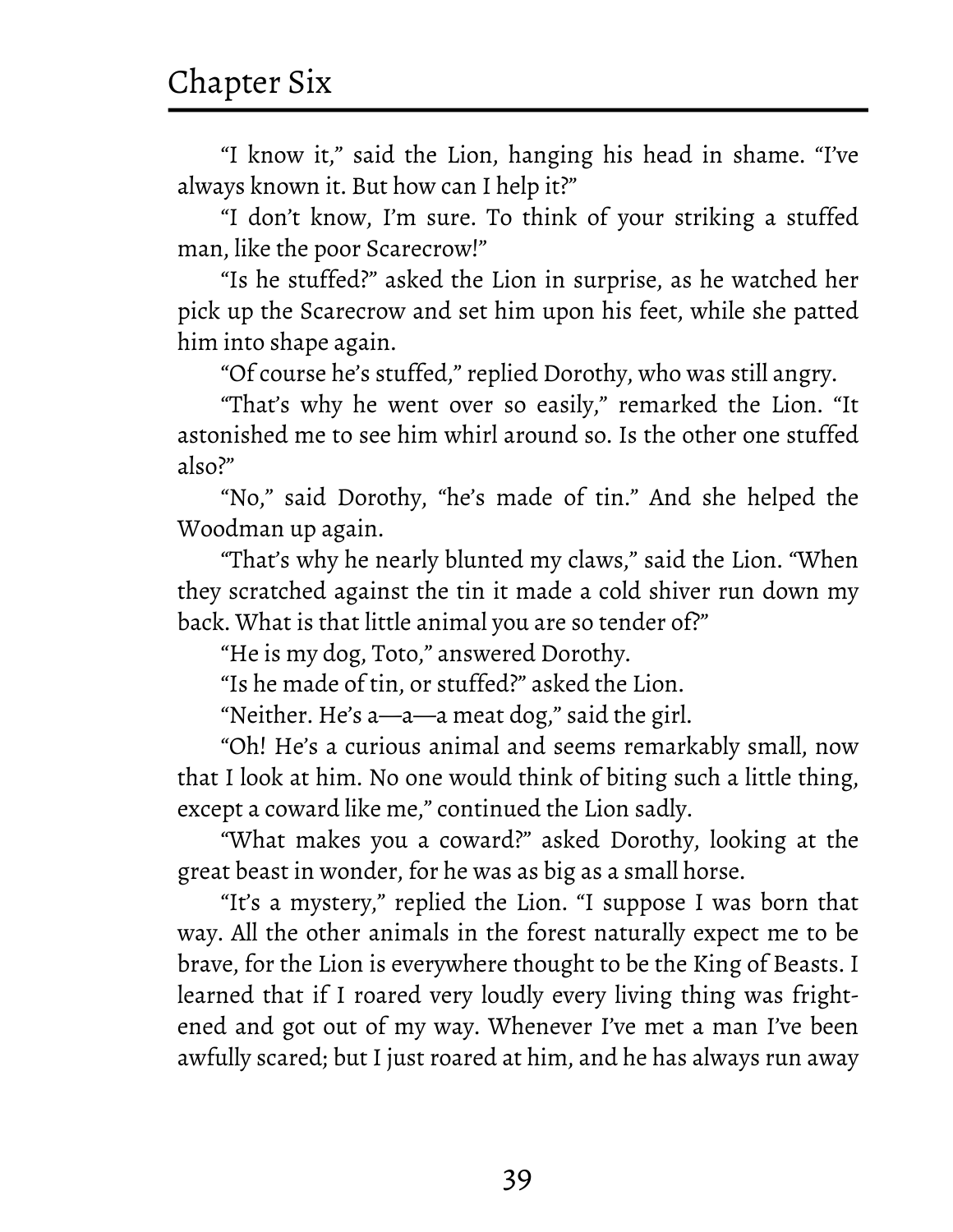"I know it," said the Lion, hanging his head in shame. "I've always known it. But how can I help it?"

"I don't know, I'm sure. To think of your striking a stuffed man, like the poor Scarecrow!"

"Is he stuffed?" asked the Lion in surprise, as he watched her pick up the Scarecrow and set him upon his feet, while she patted him into shape again.

"Of course he's stuffed," replied Dorothy, who was still angry.

"That's why he went over so easily," remarked the Lion. "It astonished me to see him whirl around so. Is the other one stuffed also?"

"No," said Dorothy, "he's made of tin." And she helped the Woodman up again.

"That's why he nearly blunted my claws," said the Lion. "When they scratched against the tin it made a cold shiver run down my back. What is that little animal you are so tender of?"

"He is my dog, Toto," answered Dorothy.

"Is he made of tin, or stuffed?" asked the Lion.

"Neither. He's a—a—a meat dog," said the girl.

"Oh! He's a curious animal and seems remarkably small, now that I look at him. No one would think of biting such a little thing, except a coward like me," continued the Lion sadly.

"What makes you a coward?" asked Dorothy, looking at the great beast in wonder, for he was as big as a small horse.

"It's a mystery," replied the Lion. "I suppose I was born that way. All the other animals in the forest naturally expect me to be brave, for the Lion is everywhere thought to be the King of Beasts. I learned that if I roared very loudly every living thing was frightened and got out of my way. Whenever I've met a man I've been awfully scared; but I just roared at him, and he has always run away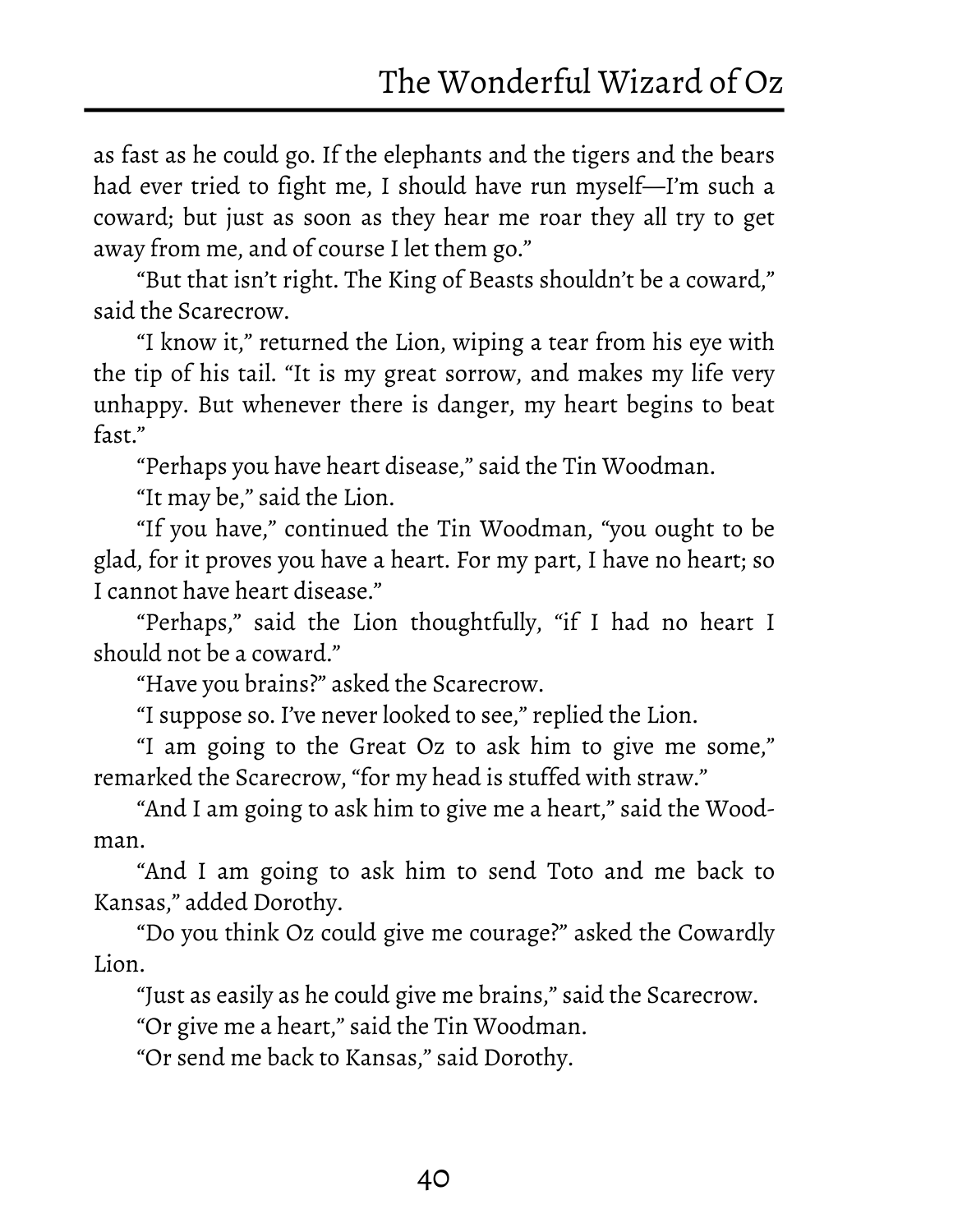as fast as he could go. If the elephants and the tigers and the bears had ever tried to fight me, I should have run myself—I'm such a coward; but just as soon as they hear me roar they all try to get away from me, and of course I let them go."

"But that isn't right. The King of Beasts shouldn't be a coward," said the Scarecrow.

"I know it," returned the Lion, wiping a tear from his eye with the tip of his tail. "It is my great sorrow, and makes my life very unhappy. But whenever there is danger, my heart begins to beat fast."

"Perhaps you have heart disease," said the Tin Woodman.

"It may be," said the Lion.

"If you have," continued the Tin Woodman, "you ought to be glad, for it proves you have a heart. For my part, I have no heart; so I cannot have heart disease."

"Perhaps," said the Lion thoughtfully, "if I had no heart I should not be a coward."

"Have you brains?" asked the Scarecrow.

"I suppose so. I've never looked to see," replied the Lion.

"I am going to the Great Oz to ask him to give me some," remarked the Scarecrow, "for my head is stuffed with straw."

"And I am going to ask him to give me a heart," said the Woodman.

"And I am going to ask him to send Toto and me back to Kansas," added Dorothy.

"Do you think Oz could give me courage?" asked the Cowardly Lion.

"Just as easily as he could give me brains," said the Scarecrow.

"Or give me a heart," said the Tin Woodman.

"Or send me back to Kansas," said Dorothy.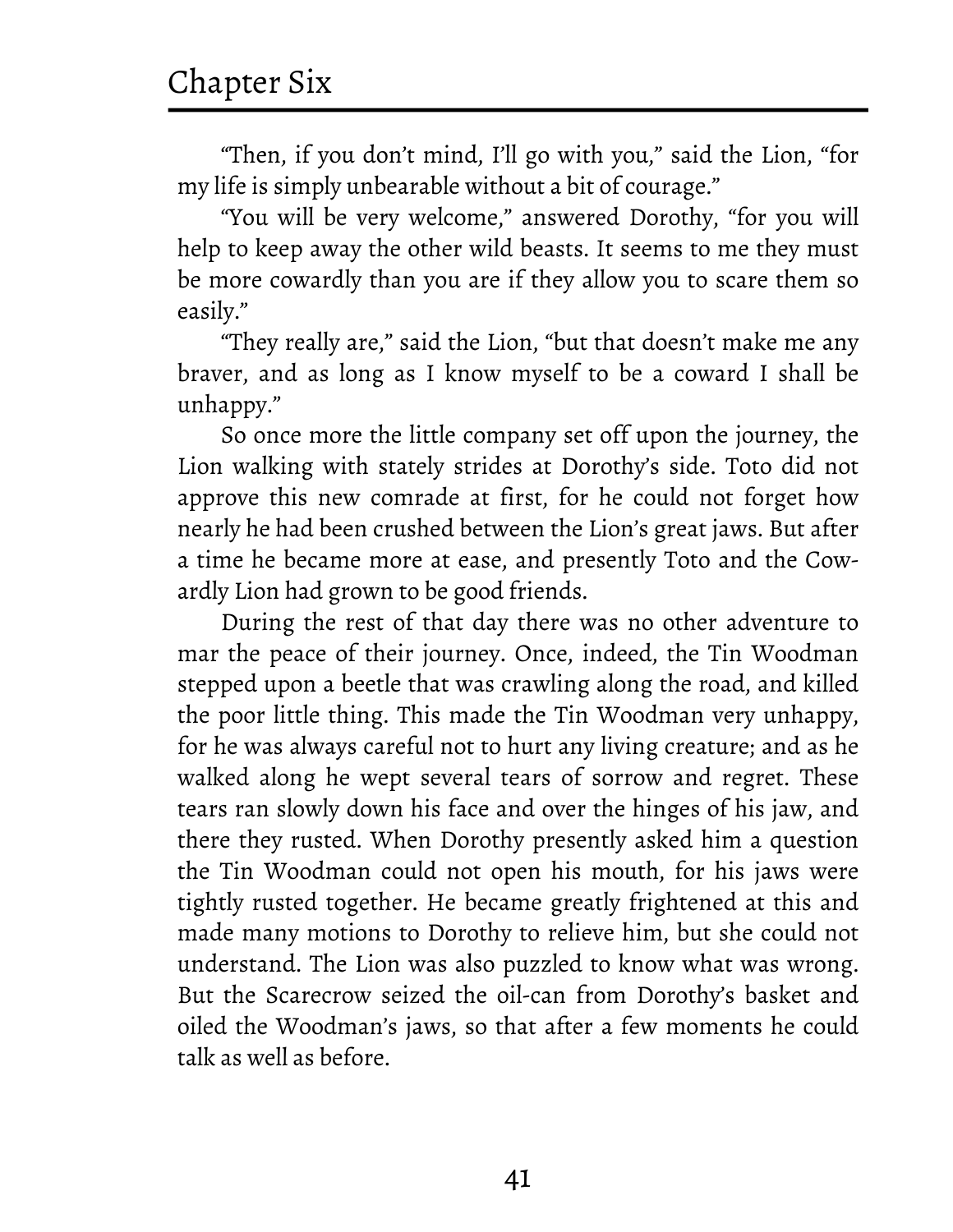"Then, if you don't mind, I'll go with you," said the Lion, "for my life is simply unbearable without a bit of courage."

"You will be very welcome," answered Dorothy, "for you will help to keep away the other wild beasts. It seems to me they must be more cowardly than you are if they allow you to scare them so easily."

"They really are," said the Lion, "but that doesn't make me any braver, and as long as I know myself to be a coward I shall be unhappy."

So once more the little company set off upon the journey, the Lion walking with stately strides at Dorothy's side. Toto did not approve this new comrade at first, for he could not forget how nearly he had been crushed between the Lion's great jaws. But after a time he became more at ease, and presently Toto and the Cowardly Lion had grown to be good friends.

During the rest of that day there was no other adventure to mar the peace of their journey. Once, indeed, the Tin Woodman stepped upon a beetle that was crawling along the road, and killed the poor little thing. This made the Tin Woodman very unhappy, for he was always careful not to hurt any living creature; and as he walked along he wept several tears of sorrow and regret. These tears ran slowly down his face and over the hinges of his jaw, and there they rusted. When Dorothy presently asked him a question the Tin Woodman could not open his mouth, for his jaws were tightly rusted together. He became greatly frightened at this and made many motions to Dorothy to relieve him, but she could not understand. The Lion was also puzzled to know what was wrong. But the Scarecrow seized the oil‐can from Dorothy's basket and oiled the Woodman's jaws, so that after a few moments he could talk as well as before.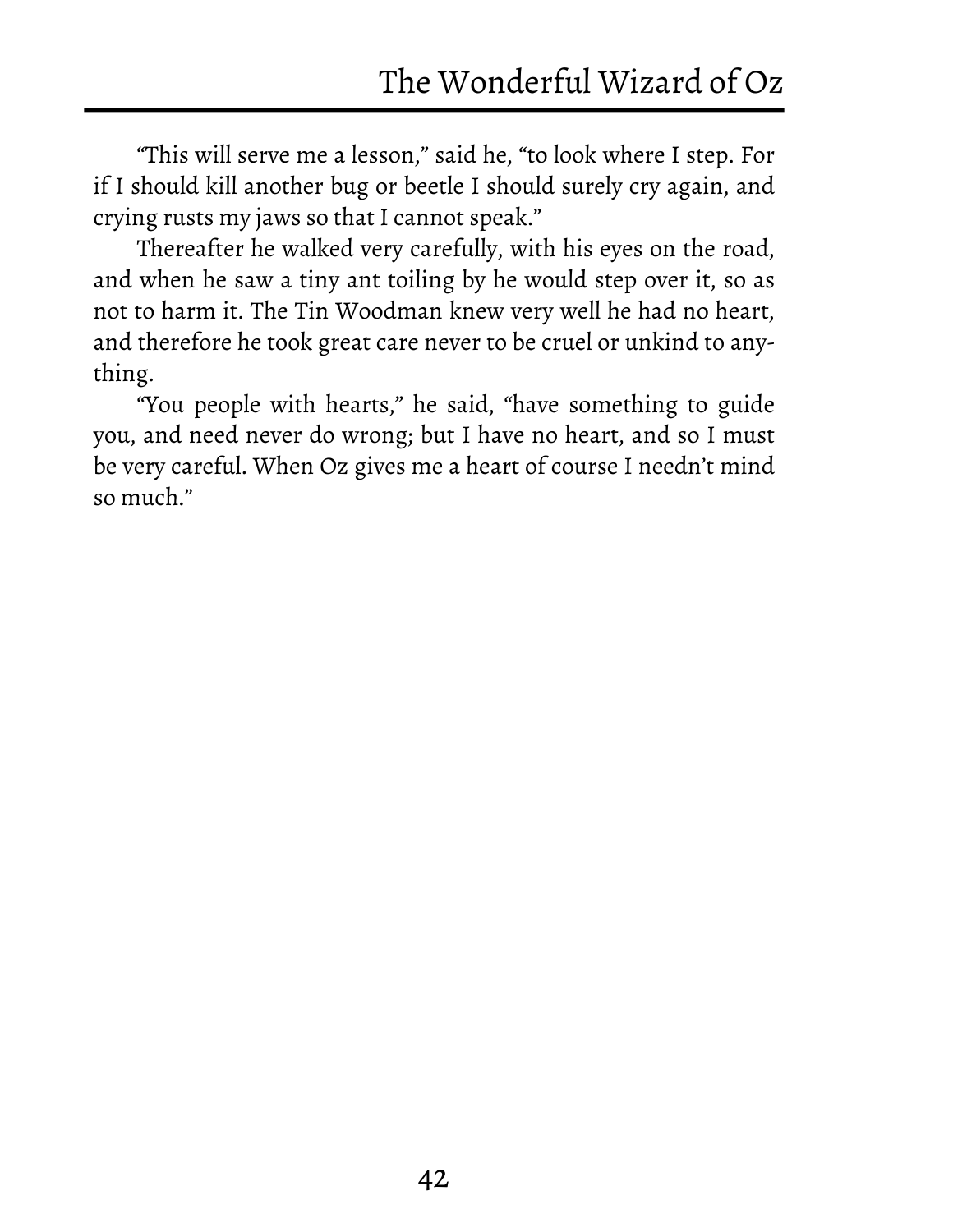"This will serve me a lesson," said he, "to look where I step. For if I should kill another bug or beetle I should surely cry again, and crying rusts my jaws so that I cannot speak."

Thereafter he walked very carefully, with his eyes on the road, and when he saw a tiny ant toiling by he would step over it, so as not to harm it. The Tin Woodman knew very well he had no heart, and therefore he took great care never to be cruel or unkind to anything.

"You people with hearts," he said, "have something to guide you, and need never do wrong; but I have no heart, and so I must be very careful. When Oz gives me a heart of course I needn't mind so much."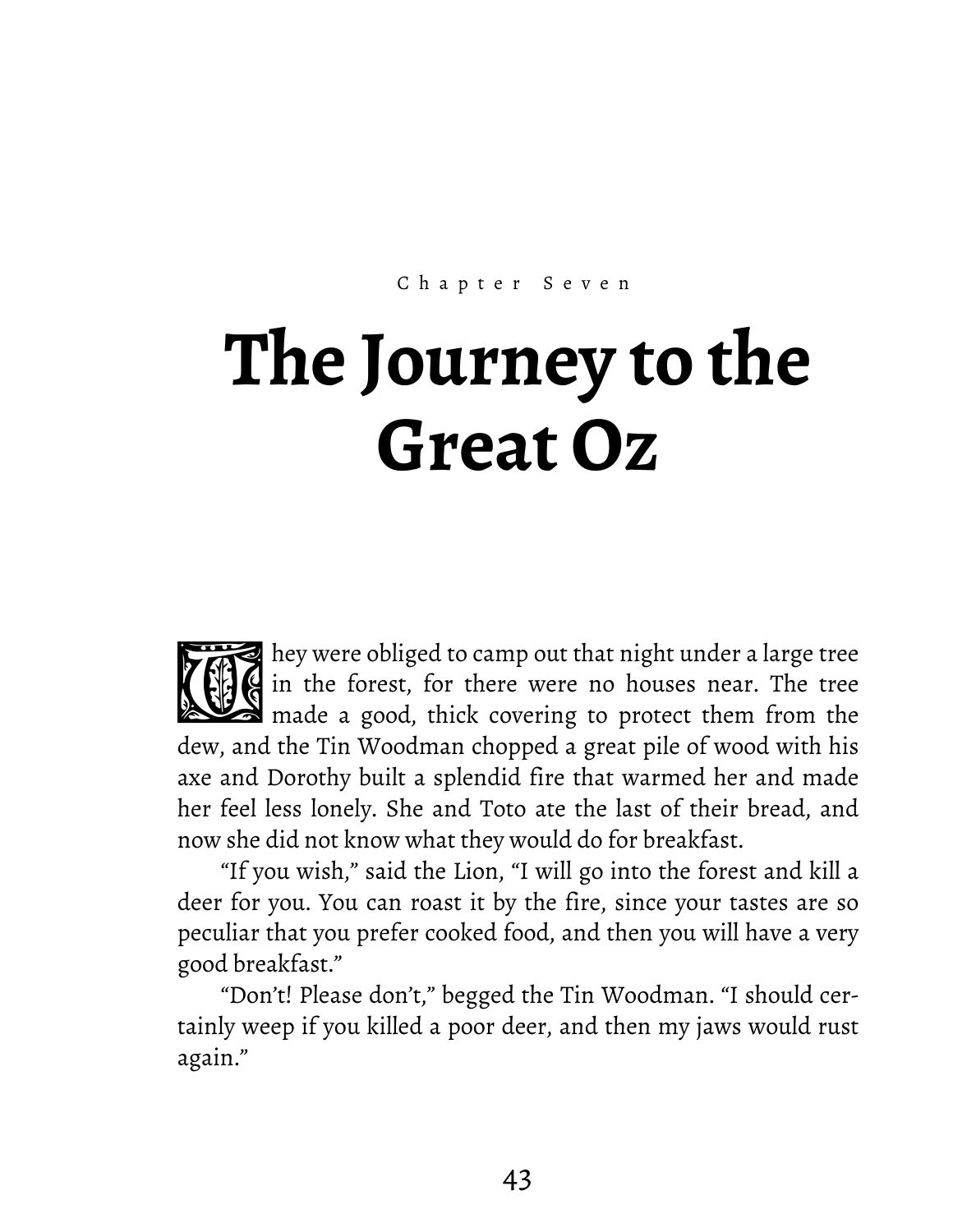### Chapter Seven

## **The Journey to the Great Oz**

the strategy here hey were obliged to camp out that night under a large tree in the forest, for there were no houses near. The tree  $\blacktriangleright$  made a good, thick covering to protect them from the dew, and the Tin Woodman chopped a great pile of wood with his axe and Dorothy built a splendid fire that warmed her and made her feel less lonely. She and Toto ate the last of their bread, and now she did not know what they would do for breakfast.

"If you wish," said the Lion, "I will go into the forest and kill a deer for you. You can roast it by the fire, since your tastes are so peculiar that you prefer cooked food, and then you will have a very good breakfast."

"Don't! Please don't," begged the Tin Woodman. "I should certainly weep if you killed a poor deer, and then my jaws would rust again."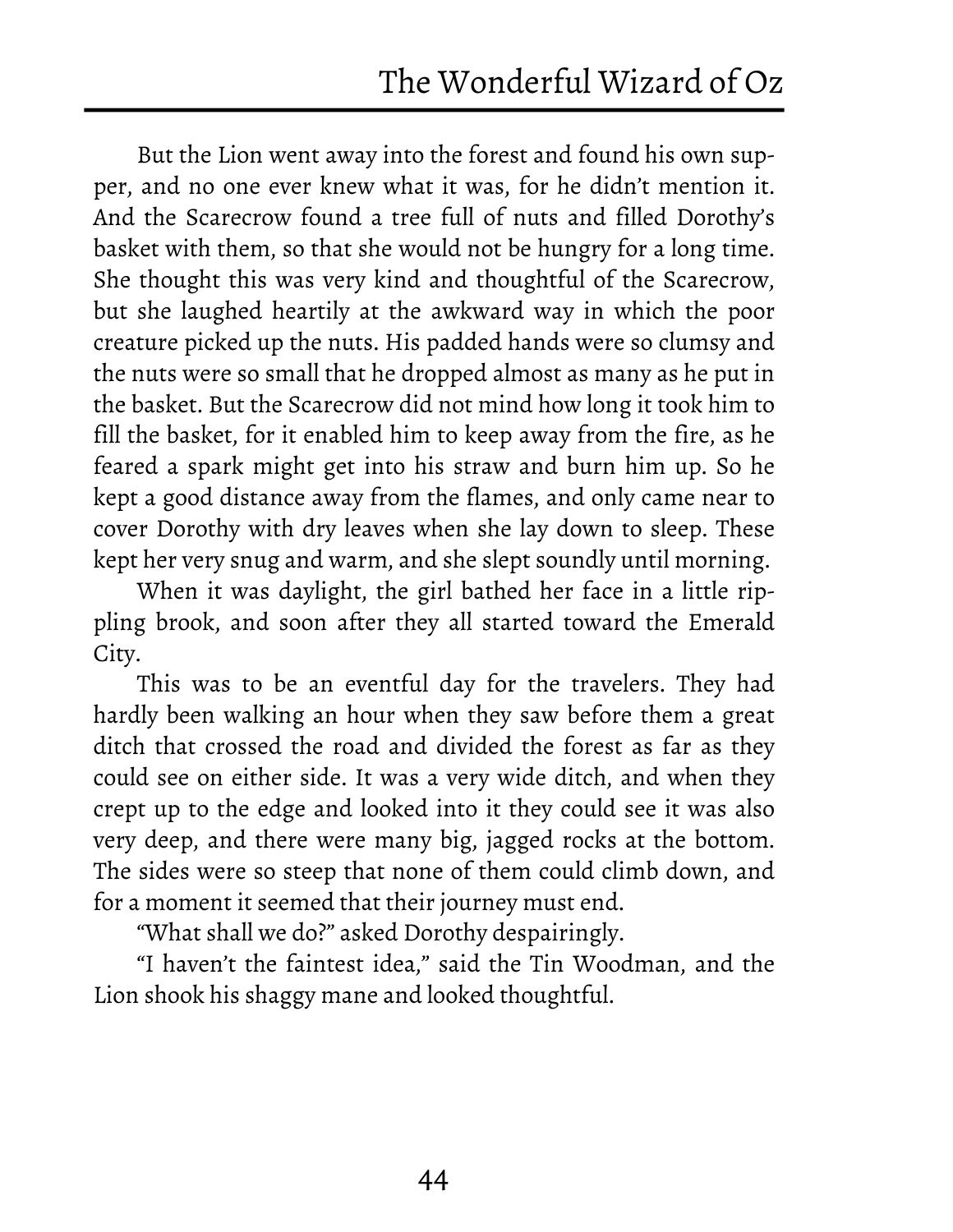But the Lion went away into the forest and found his own supper, and no one ever knew what it was, for he didn't mention it. And the Scarecrow found a tree full of nuts and filled Dorothy's basket with them, so that she would not be hungry for a long time. She thought this was very kind and thoughtful of the Scarecrow, but she laughed heartily at the awkward way in which the poor creature picked up the nuts. His padded hands were so clumsy and the nuts were so small that he dropped almost as many as he put in the basket. But the Scarecrow did not mind how long it took him to fill the basket, for it enabled him to keep away from the fire, as he feared a spark might get into his straw and burn him up. So he kept a good distance away from the flames, and only came near to cover Dorothy with dry leaves when she lay down to sleep. These kept her very snug and warm, and she slept soundly until morning.

When it was daylight, the girl bathed her face in a little rippling brook, and soon after they all started toward the Emerald City.

This was to be an eventful day for the travelers. They had hardly been walking an hour when they saw before them a great ditch that crossed the road and divided the forest as far as they could see on either side. It was a very wide ditch, and when they crept up to the edge and looked into it they could see it was also very deep, and there were many big, jagged rocks at the bottom. The sides were so steep that none of them could climb down, and for a moment it seemed that their journey must end.

"What shall we do?" asked Dorothy despairingly.

"I haven't the faintest idea," said the Tin Woodman, and the Lion shook his shaggy mane and looked thoughtful.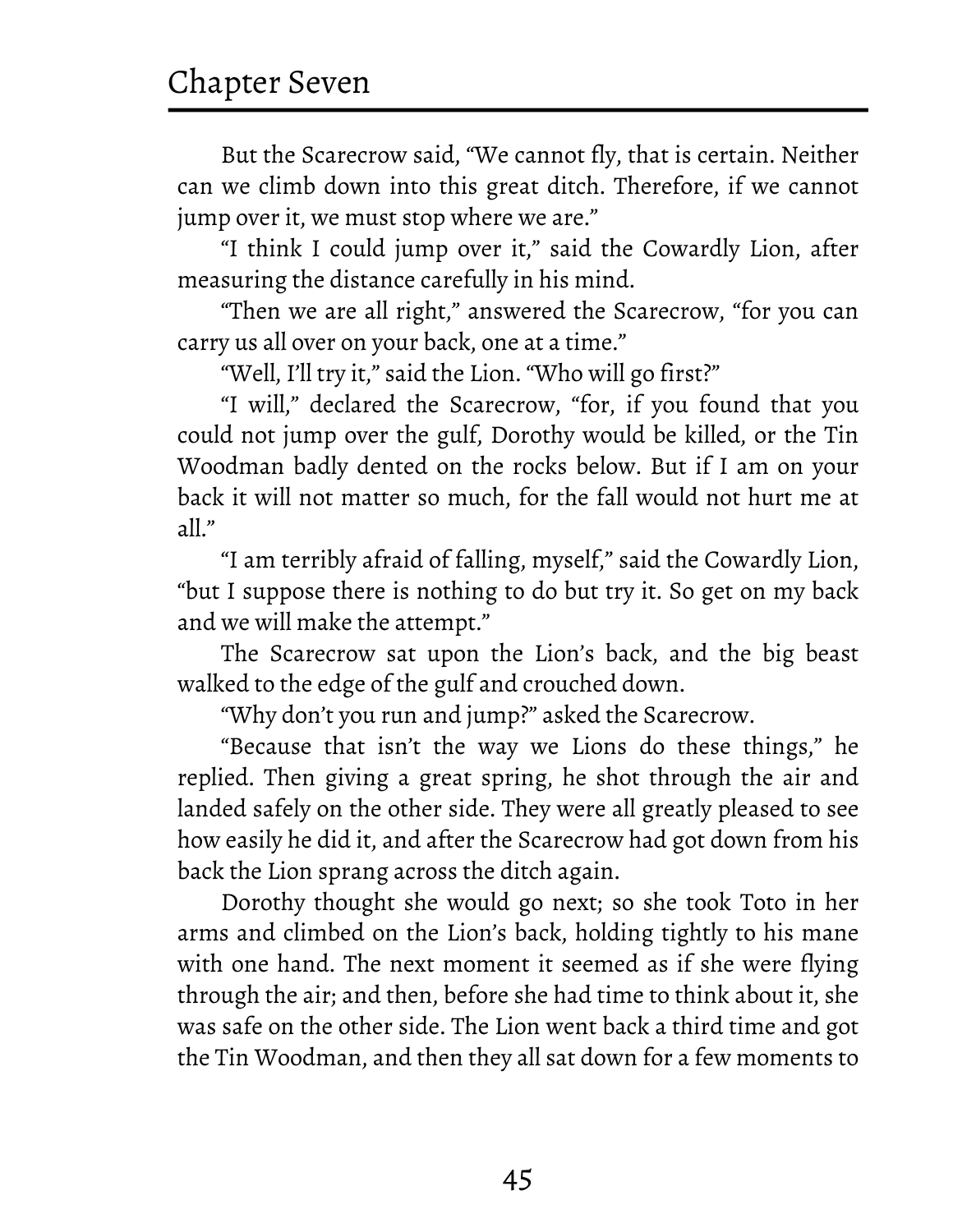But the Scarecrow said, "We cannot fly, that is certain. Neither can we climb down into this great ditch. Therefore, if we cannot jump over it, we must stop where we are."

"I think I could jump over it," said the Cowardly Lion, after measuring the distance carefully in his mind.

"Then we are all right," answered the Scarecrow, "for you can carry us all over on your back, one at a time."

"Well, I'll try it," said the Lion. "Who will go first?"

"I will," declared the Scarecrow, "for, if you found that you could not jump over the gulf, Dorothy would be killed, or the Tin Woodman badly dented on the rocks below. But if I am on your back it will not matter so much, for the fall would not hurt me at all."

"I am terribly afraid of falling, myself," said the Cowardly Lion, "but I suppose there is nothing to do but try it. So get on my back and we will make the attempt."

The Scarecrow sat upon the Lion's back, and the big beast walked to the edge of the gulf and crouched down.

"Why don't you run and jump?" asked the Scarecrow.

"Because that isn't the way we Lions do these things," he replied. Then giving a great spring, he shot through the air and landed safely on the other side. They were all greatly pleased to see how easily he did it, and after the Scarecrow had got down from his back the Lion sprang across the ditch again.

Dorothy thought she would go next; so she took Toto in her arms and climbed on the Lion's back, holding tightly to his mane with one hand. The next moment it seemed as if she were flying through the air; and then, before she had time to think about it, she was safe on the other side. The Lion went back a third time and got the Tin Woodman, and then they all sat down for a few moments to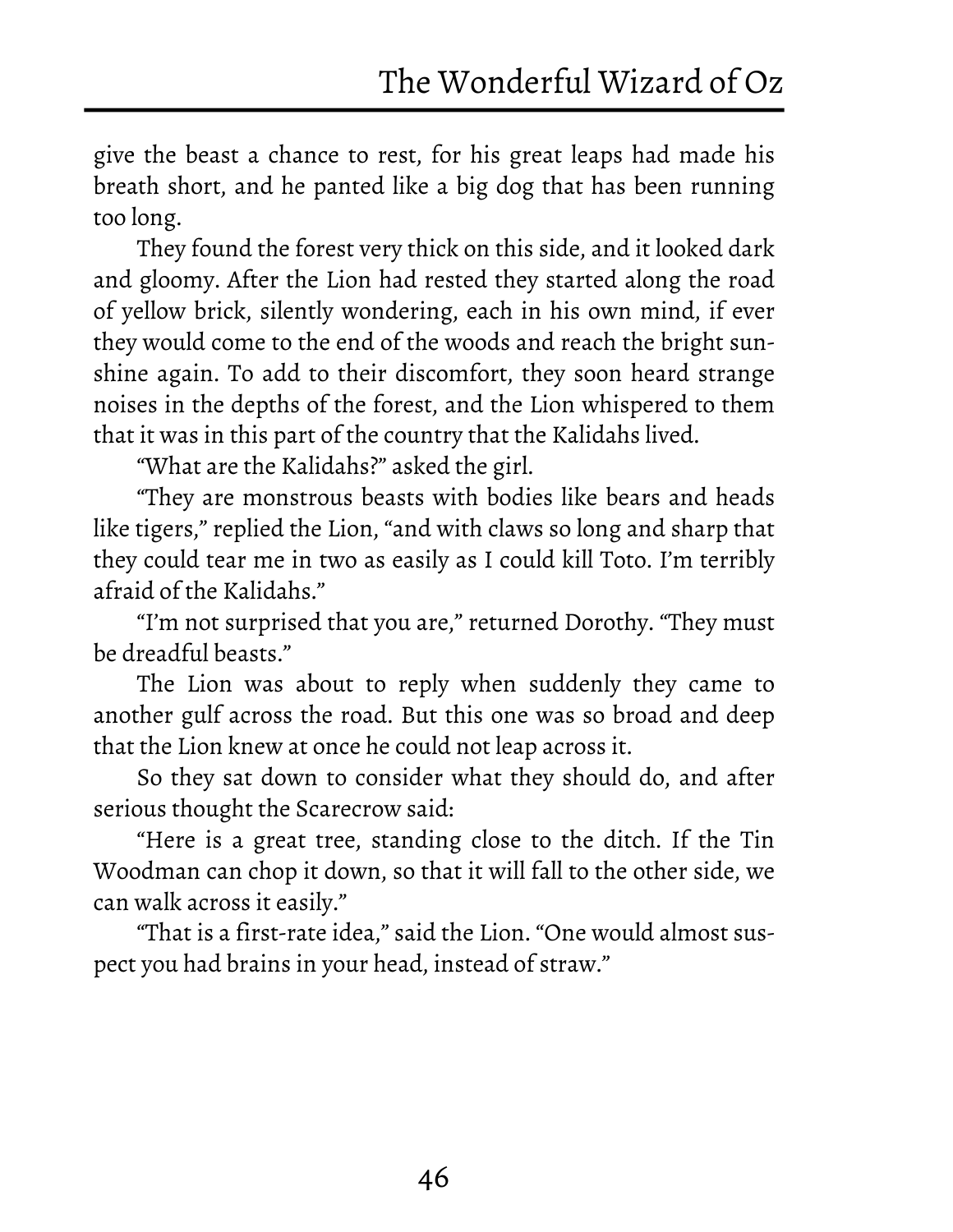give the beast a chance to rest, for his great leaps had made his breath short, and he panted like a big dog that has been running too long.

They found the forest very thick on this side, and it looked dark and gloomy. After the Lion had rested they started along the road of yellow brick, silently wondering, each in his own mind, if ever they would come to the end of the woods and reach the bright sunshine again. To add to their discomfort, they soon heard strange noises in the depths of the forest, and the Lion whispered to them that it was in this part of the country that the Kalidahs lived.

"What are the Kalidahs?" asked the girl.

"They are monstrous beasts with bodies like bears and heads like tigers," replied the Lion, "and with claws so long and sharp that they could tear me in two as easily as I could kill Toto. I'm terribly afraid of the Kalidahs."

"I'm not surprised that you are," returned Dorothy. "They must be dreadful beasts."

The Lion was about to reply when suddenly they came to another gulf across the road. But this one was so broad and deep that the Lion knew at once he could not leap across it.

So they sat down to consider what they should do, and after serious thought the Scarecrow said:

"Here is a great tree, standing close to the ditch. If the Tin Woodman can chop it down, so that it will fall to the other side, we can walk across it easily."

"That is a first‐rate idea," said the Lion. "One would almost suspect you had brains in your head, instead of straw."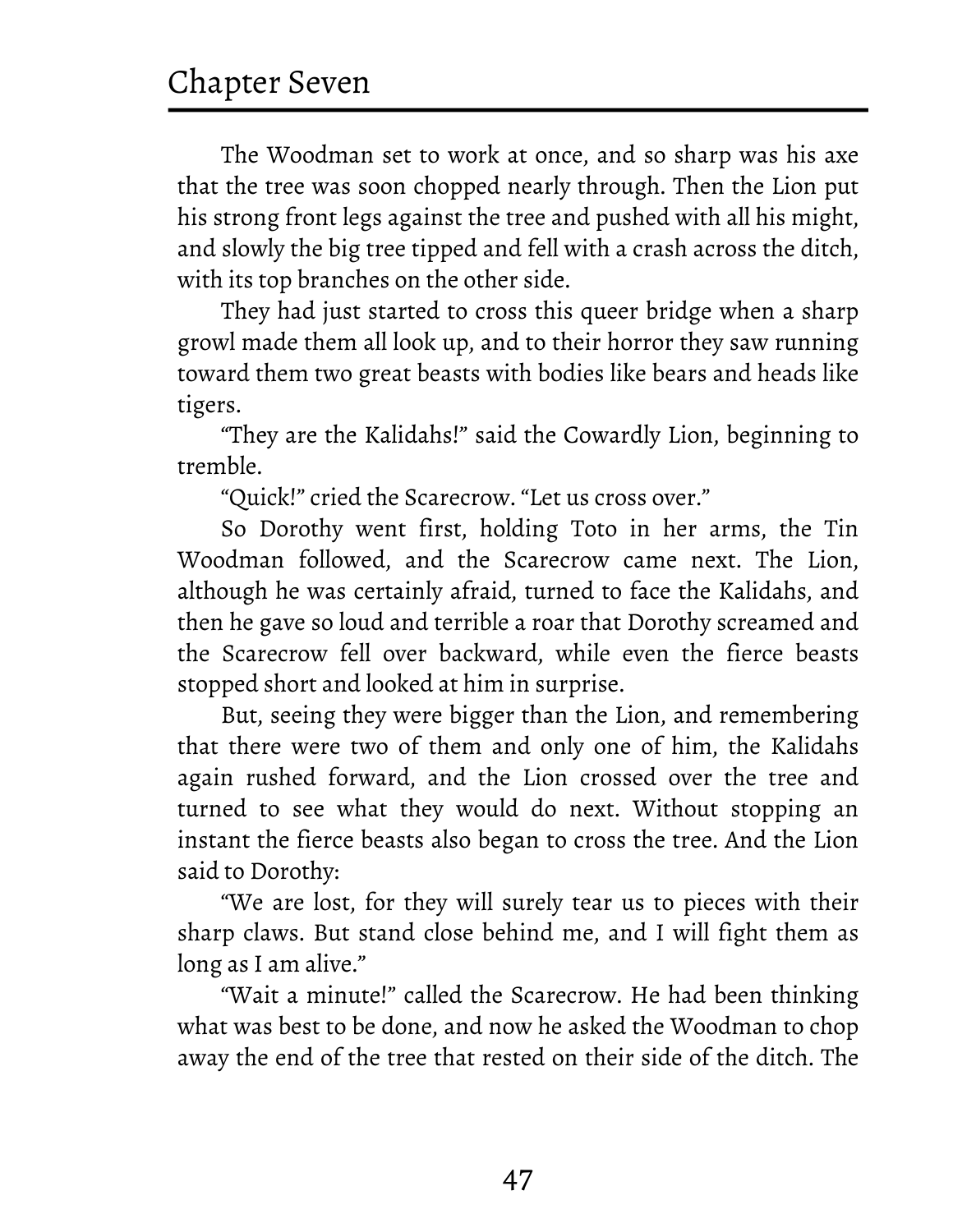The Woodman set to work at once, and so sharp was his axe that the tree was soon chopped nearly through. Then the Lion put his strong front legs against the tree and pushed with all his might, and slowly the big tree tipped and fell with a crash across the ditch, with its top branches on the other side.

They had just started to cross this queer bridge when a sharp growl made them all look up, and to their horror they saw running toward them two great beasts with bodies like bears and heads like tigers.

"They are the Kalidahs!" said the Cowardly Lion, beginning to tremble.

"Quick!" cried the Scarecrow. "Let us cross over."

So Dorothy went first, holding Toto in her arms, the Tin Woodman followed, and the Scarecrow came next. The Lion, although he was certainly afraid, turned to face the Kalidahs, and then he gave so loud and terrible a roar that Dorothy screamed and the Scarecrow fell over backward, while even the fierce beasts stopped short and looked at him in surprise.

But, seeing they were bigger than the Lion, and remembering that there were two of them and only one of him, the Kalidahs again rushed forward, and the Lion crossed over the tree and turned to see what they would do next. Without stopping an instant the fierce beasts also began to cross the tree. And the Lion said to Dorothy:

"We are lost, for they will surely tear us to pieces with their sharp claws. But stand close behind me, and I will fight them as long as I am alive."

"Wait a minute!" called the Scarecrow. He had been thinking what was best to be done, and now he asked the Woodman to chop away the end of the tree that rested on their side of the ditch. The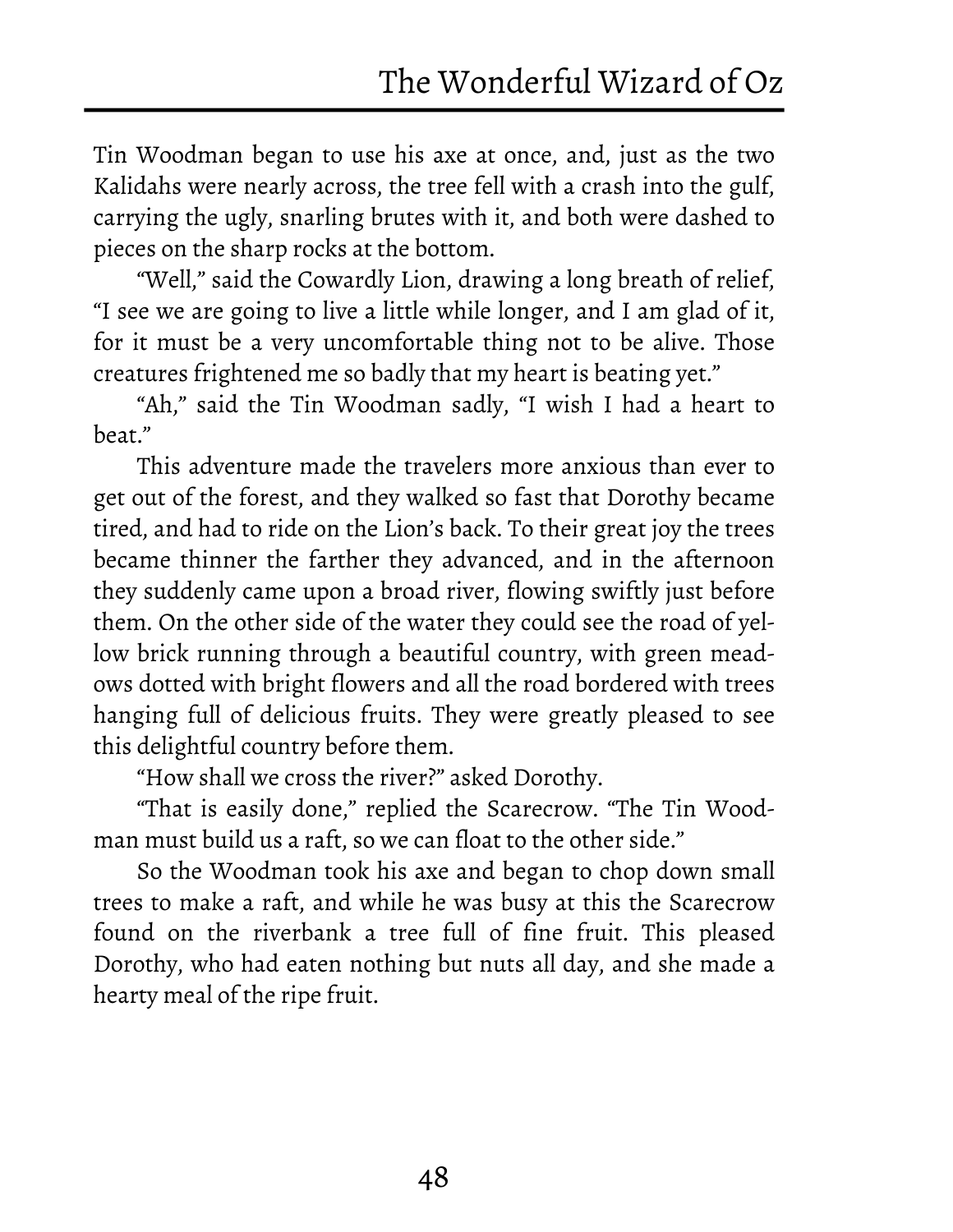Tin Woodman began to use his axe at once, and, just as the two Kalidahs were nearly across, the tree fell with a crash into the gulf, carrying the ugly, snarling brutes with it, and both were dashed to pieces on the sharp rocks at the bottom.

"Well," said the Cowardly Lion, drawing a long breath of relief, "I see we are going to live a little while longer, and I am glad of it, for it must be a very uncomfortable thing not to be alive. Those creatures frightened me so badly that my heart is beating yet."

"Ah," said the Tin Woodman sadly, "I wish I had a heart to beat."

This adventure made the travelers more anxious than ever to get out of the forest, and they walked so fast that Dorothy became tired, and had to ride on the Lion's back. To their great joy the trees became thinner the farther they advanced, and in the afternoon they suddenly came upon a broad river, flowing swiftly just before them. On the other side of the water they could see the road of yellow brick running through a beautiful country, with green meadows dotted with bright flowers and all the road bordered with trees hanging full of delicious fruits. They were greatly pleased to see this delightful country before them.

"How shall we cross the river?" asked Dorothy.

"That is easily done," replied the Scarecrow. "The Tin Woodman must build us a raft, so we can float to the other side."

So the Woodman took his axe and began to chop down small trees to make a raft, and while he was busy at this the Scarecrow found on the riverbank a tree full of fine fruit. This pleased Dorothy, who had eaten nothing but nuts all day, and she made a hearty meal of the ripe fruit.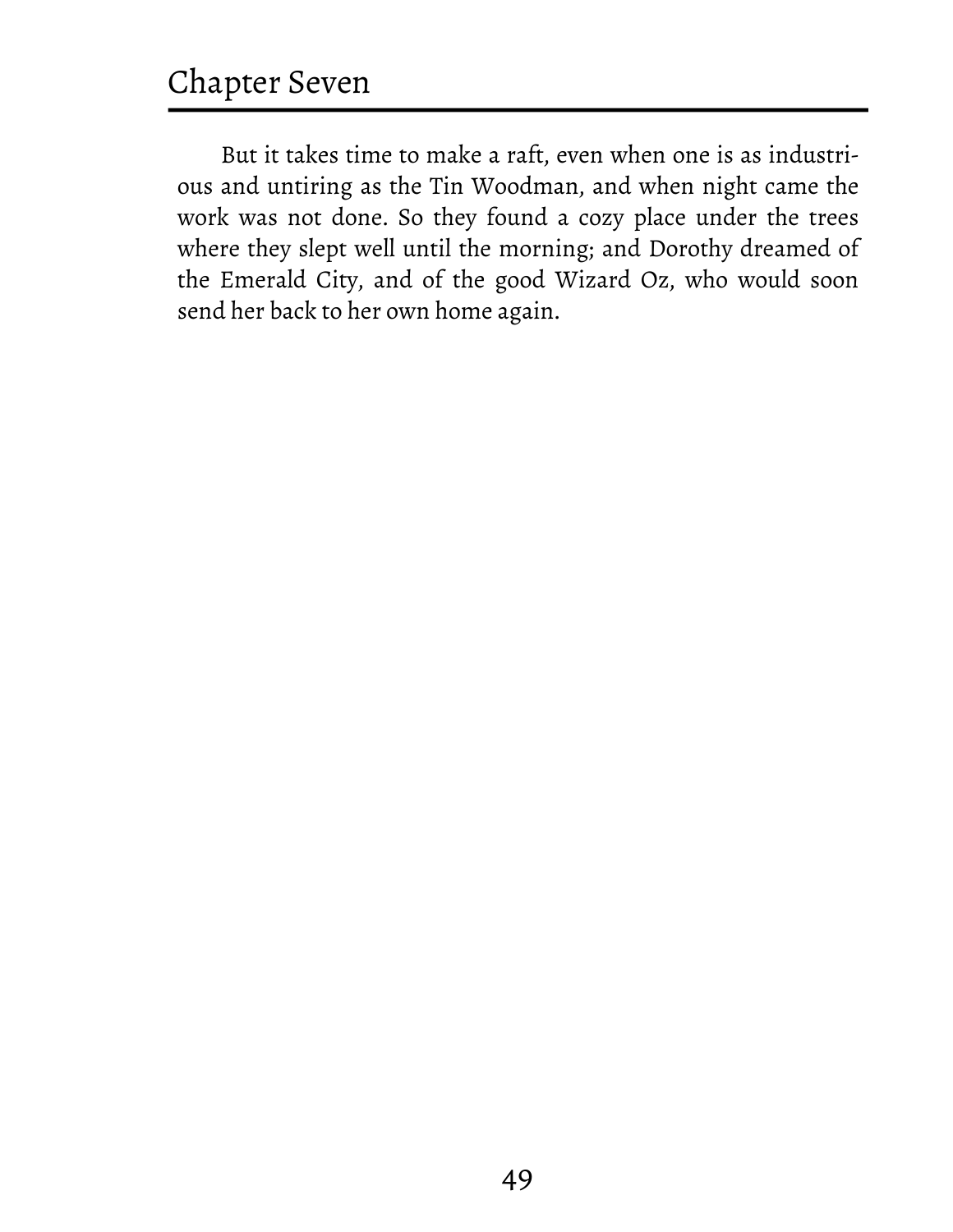But it takes time to make a raft, even when one is as industrious and untiring as the Tin Woodman, and when night came the work was not done. So they found a cozy place under the trees where they slept well until the morning; and Dorothy dreamed of the Emerald City, and of the good Wizard Oz, who would soon send her back to her own home again.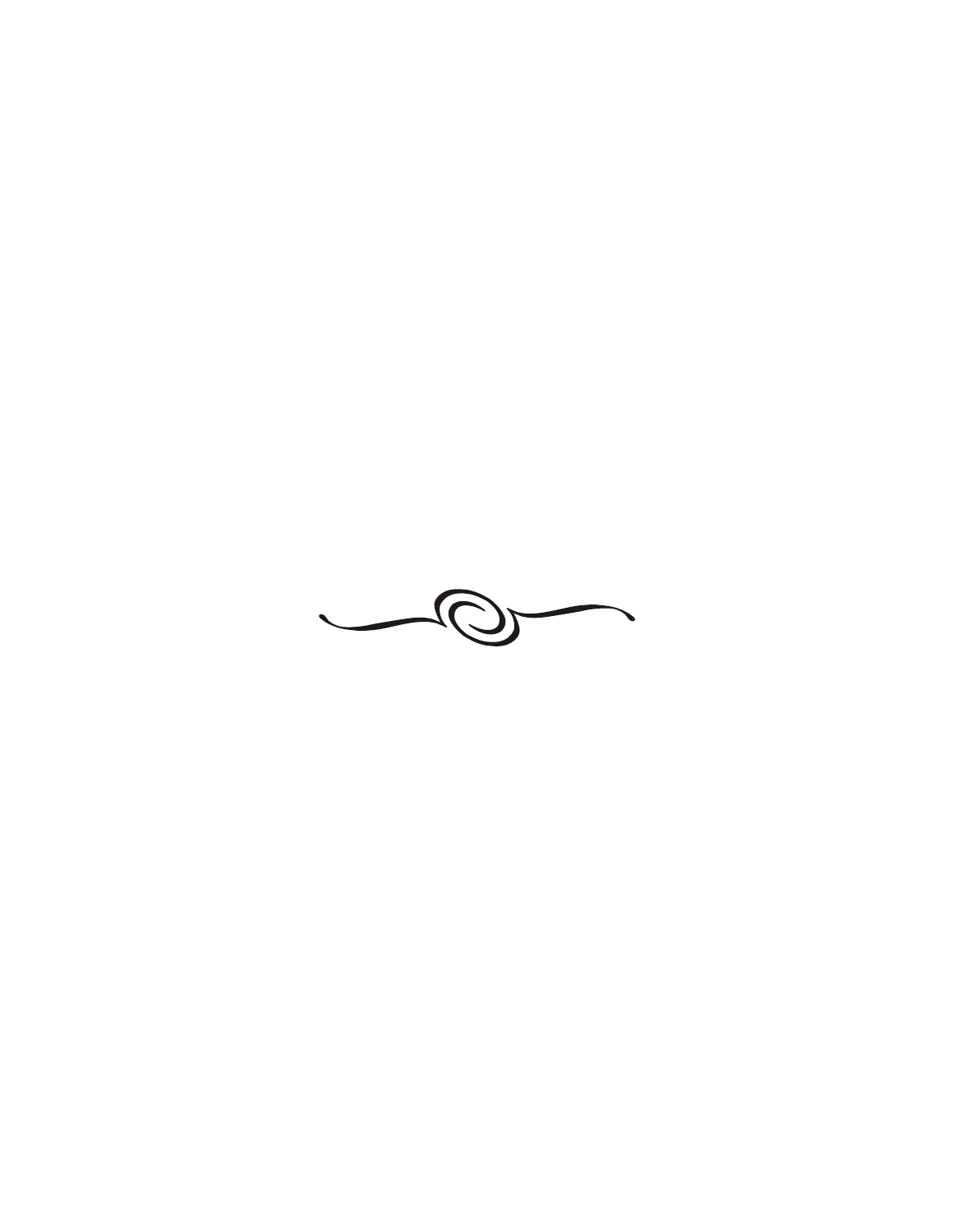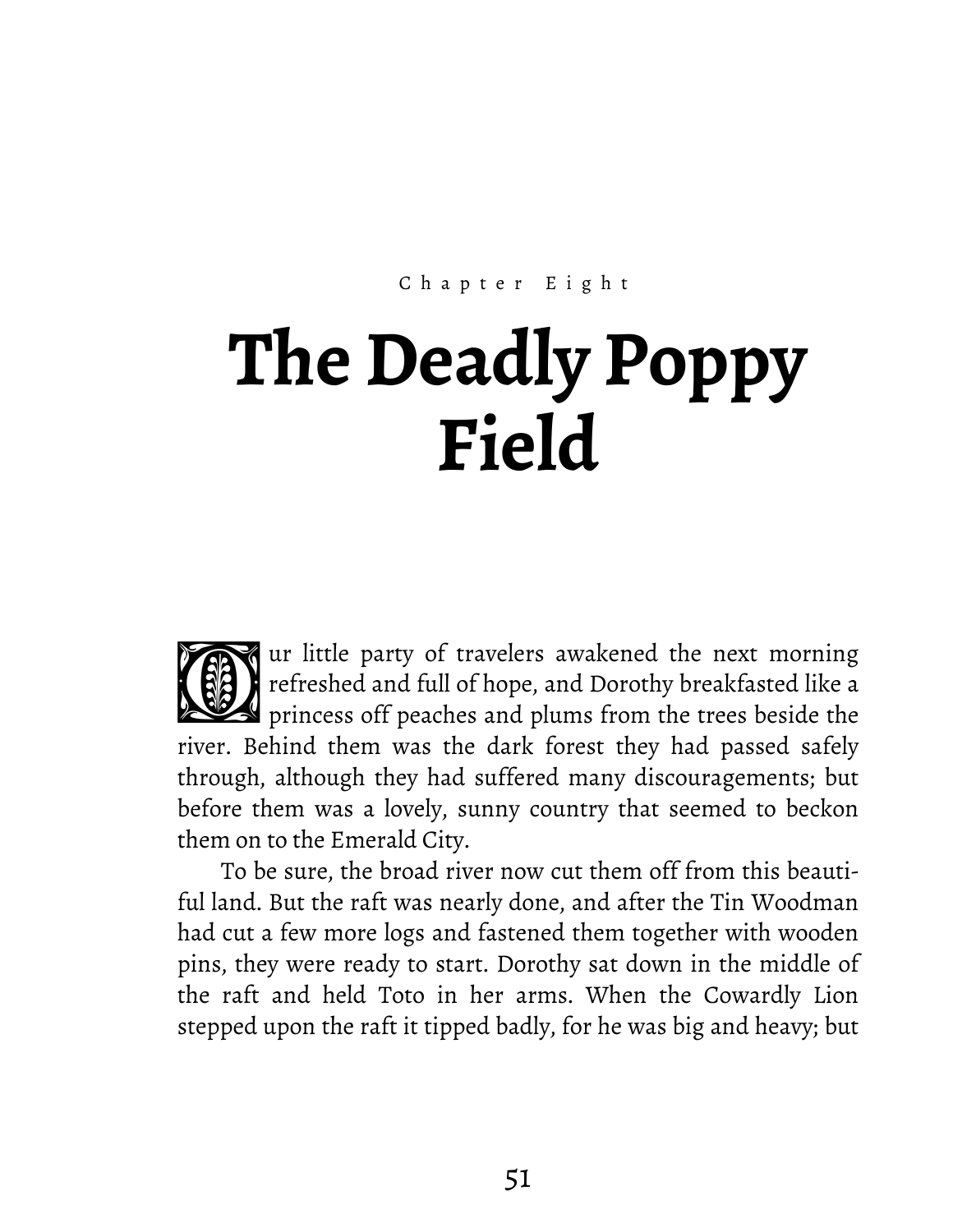### Chapter Eight

## **The Deadly Poppy Field**

I ur little party of travelers awakened the next morning<br>refreshed and full of hope, and Dorothy breakfasted like a<br>princess off peaches and plums from the trees beside the ur little party of travelers awakened the next morning refreshed and full of hope, and Dorothy breakfasted like a river. Behind them was the dark forest they had passed safely through, although they had suffered many discouragements; but before them was a lovely, sunny country that seemed to beckon them on to the Emerald City.

To be sure, the broad river now cut them off from this beautiful land. But the raft was nearly done, and after the Tin Woodman had cut a few more logs and fastened them together with wooden pins, they were ready to start. Dorothy sat down in the middle of the raft and held Toto in her arms. When the Cowardly Lion stepped upon the raft it tipped badly, for he was big and heavy; but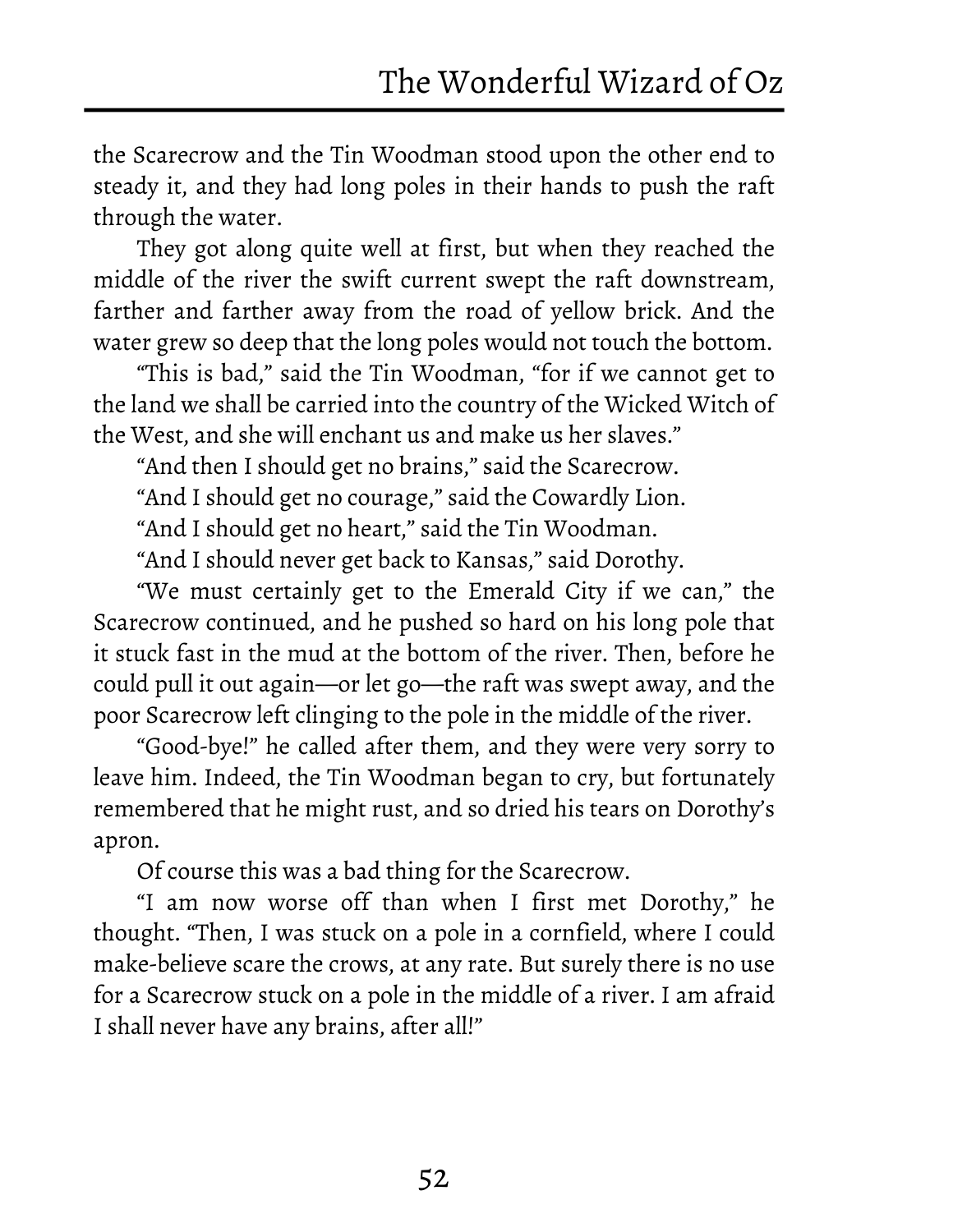the Scarecrow and the Tin Woodman stood upon the other end to steady it, and they had long poles in their hands to push the raft through the water.

They got along quite well at first, but when they reached the middle of the river the swift current swept the raft downstream, farther and farther away from the road of yellow brick. And the water grew so deep that the long poles would not touch the bottom.

"This is bad," said the Tin Woodman, "for if we cannot get to the land we shall be carried into the country of the Wicked Witch of the West, and she will enchant us and make us her slaves."

"And then I should get no brains," said the Scarecrow.

"And I should get no courage," said the Cowardly Lion.

"And I should get no heart," said the Tin Woodman.

"And I should never get back to Kansas," said Dorothy.

"We must certainly get to the Emerald City if we can," the Scarecrow continued, and he pushed so hard on his long pole that it stuck fast in the mud at the bottom of the river. Then, before he could pull it out again—or let go—the raft was swept away, and the poor Scarecrow left clinging to the pole in the middle of the river.

"Good‐bye!" he called after them, and they were very sorry to leave him. Indeed, the Tin Woodman began to cry, but fortunately remembered that he might rust, and so dried his tears on Dorothy's apron.

Of course this was a bad thing for the Scarecrow.

"I am now worse off than when I first met Dorothy," he thought. "Then, I was stuck on a pole in a cornfield, where I could make‐believe scare the crows, at any rate. But surely there is no use for a Scarecrow stuck on a pole in the middle of a river. I am afraid I shall never have any brains, after all!"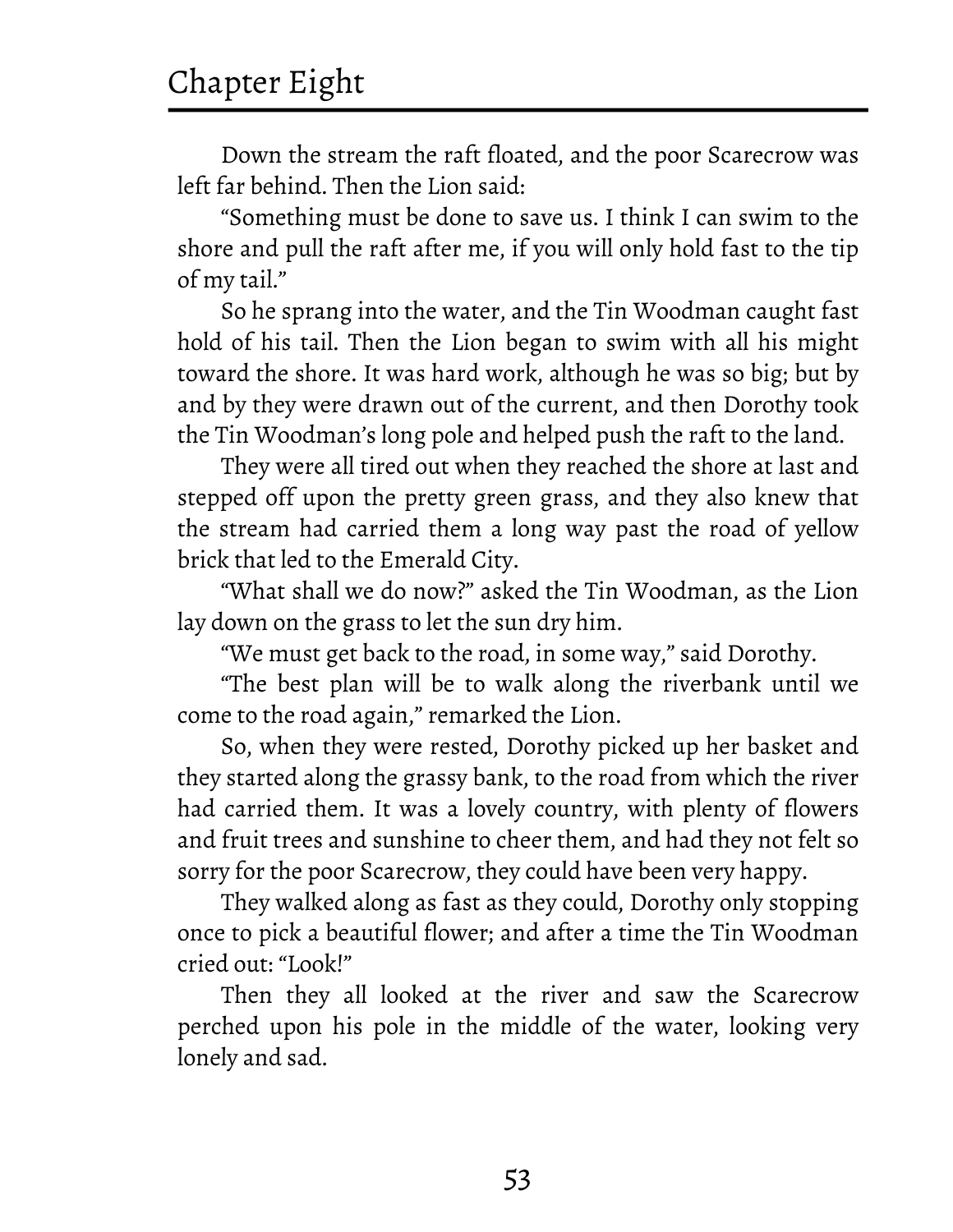Down the stream the raft floated, and the poor Scarecrow was left far behind. Then the Lion said:

"Something must be done to save us. I think I can swim to the shore and pull the raft after me, if you will only hold fast to the tip of my tail."

So he sprang into the water, and the Tin Woodman caught fast hold of his tail. Then the Lion began to swim with all his might toward the shore. It was hard work, although he was so big; but by and by they were drawn out of the current, and then Dorothy took the Tin Woodman's long pole and helped push the raft to the land.

They were all tired out when they reached the shore at last and stepped off upon the pretty green grass, and they also knew that the stream had carried them a long way past the road of yellow brick that led to the Emerald City.

"What shall we do now?" asked the Tin Woodman, as the Lion lay down on the grass to let the sun dry him.

"We must get back to the road, in some way," said Dorothy.

"The best plan will be to walk along the riverbank until we come to the road again," remarked the Lion.

So, when they were rested, Dorothy picked up her basket and they started along the grassy bank, to the road from which the river had carried them. It was a lovely country, with plenty of flowers and fruit trees and sunshine to cheer them, and had they not felt so sorry for the poor Scarecrow, they could have been very happy.

They walked along as fast as they could, Dorothy only stopping once to pick a beautiful flower; and after a time the Tin Woodman cried out: "Look!"

Then they all looked at the river and saw the Scarecrow perched upon his pole in the middle of the water, looking very lonely and sad.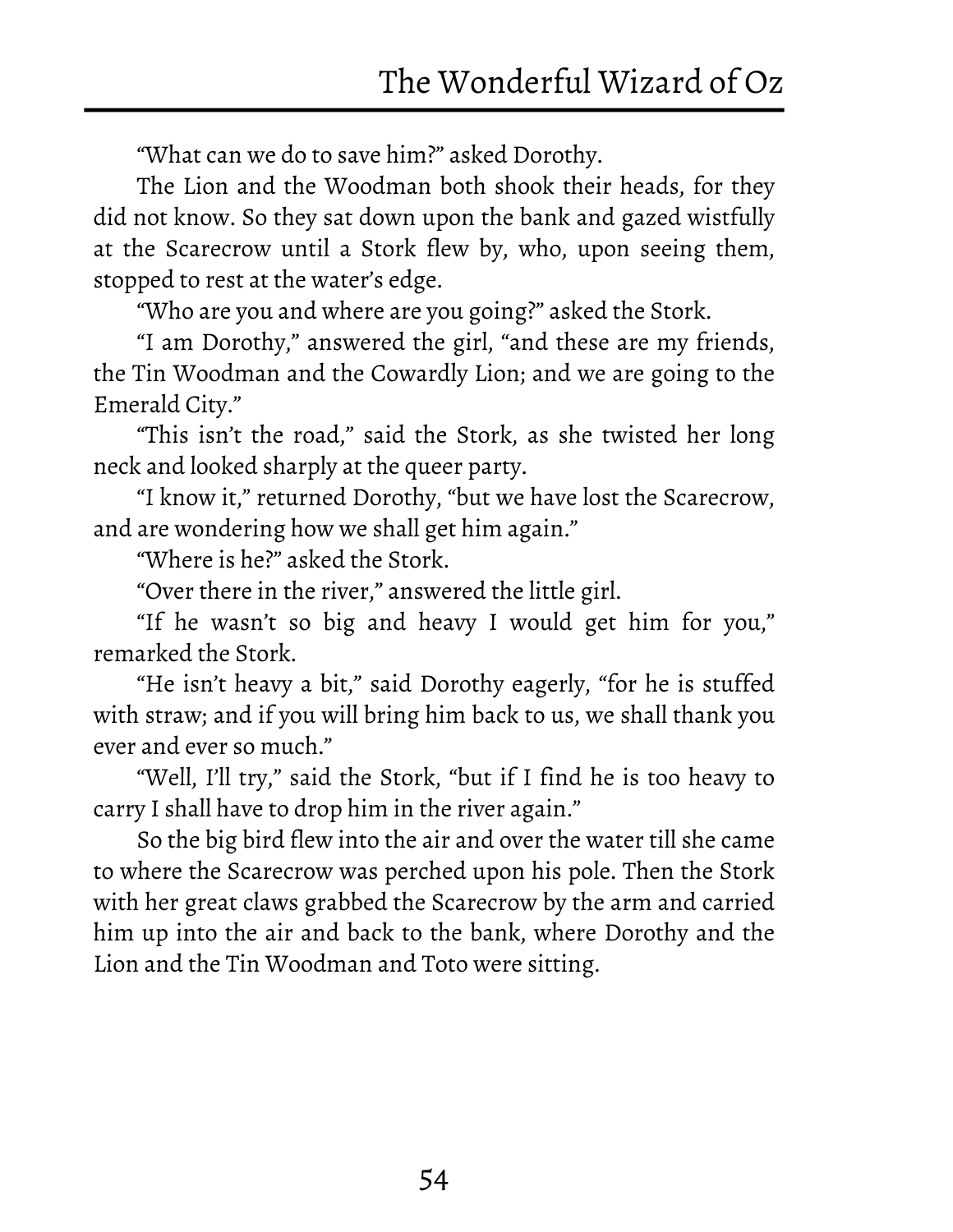"What can we do to save him?" asked Dorothy.

The Lion and the Woodman both shook their heads, for they did not know. So they sat down upon the bank and gazed wistfully at the Scarecrow until a Stork flew by, who, upon seeing them, stopped to rest at the water's edge.

"Who are you and where are you going?" asked the Stork.

"I am Dorothy," answered the girl, "and these are my friends, the Tin Woodman and the Cowardly Lion; and we are going to the Emerald City."

"This isn't the road," said the Stork, as she twisted her long neck and looked sharply at the queer party.

"I know it," returned Dorothy, "but we have lost the Scarecrow, and are wondering how we shall get him again."

"Where is he?" asked the Stork.

"Over there in the river," answered the little girl.

"If he wasn't so big and heavy I would get him for you," remarked the Stork.

"He isn't heavy a bit," said Dorothy eagerly, "for he is stuffed with straw; and if you will bring him back to us, we shall thank you ever and ever so much."

"Well, I'll try," said the Stork, "but if I find he is too heavy to carry I shall have to drop him in the river again."

So the big bird flew into the air and over the water till she came to where the Scarecrow was perched upon his pole. Then the Stork with her great claws grabbed the Scarecrow by the arm and carried him up into the air and back to the bank, where Dorothy and the Lion and the Tin Woodman and Toto were sitting.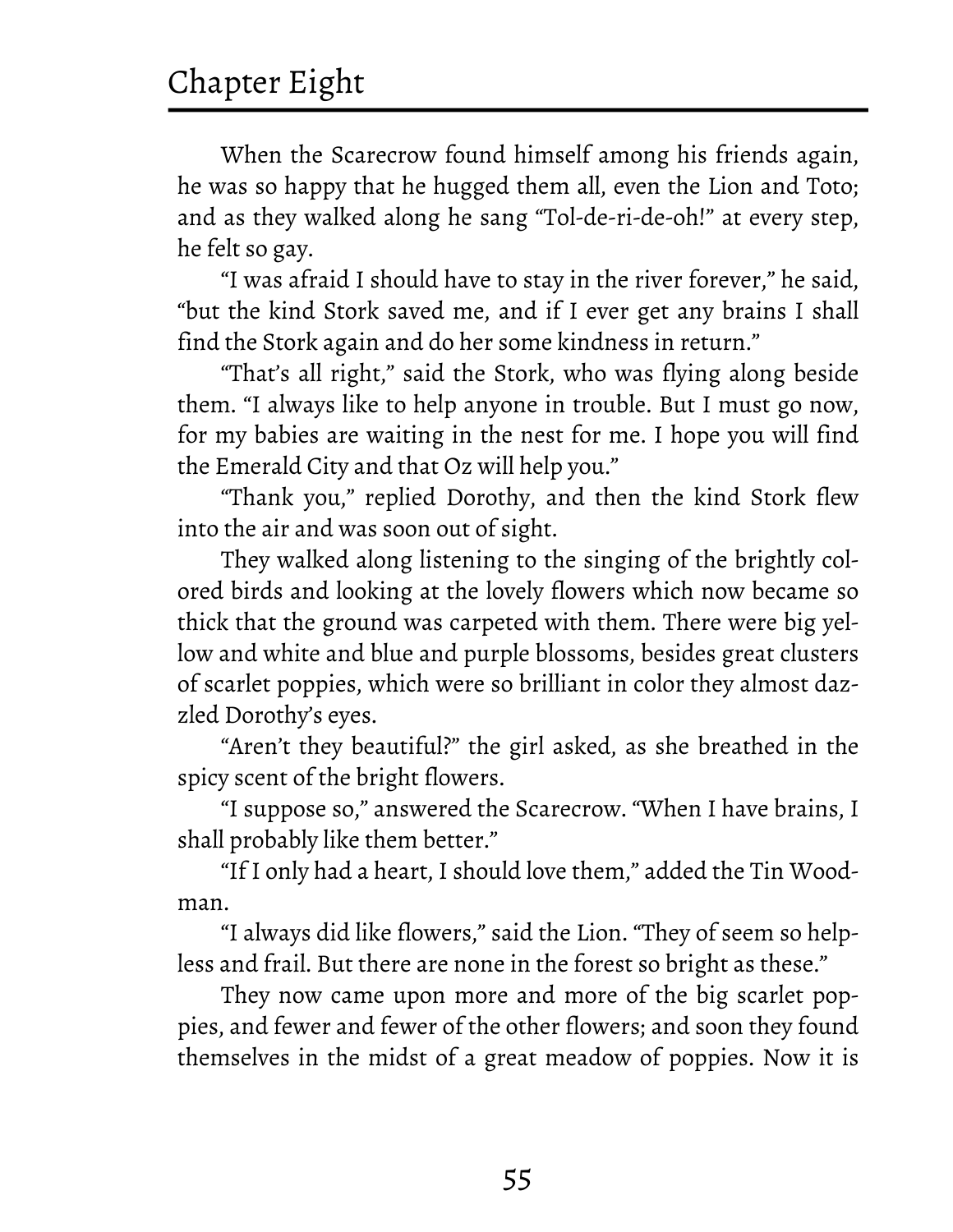When the Scarecrow found himself among his friends again, he was so happy that he hugged them all, even the Lion and Toto; and as they walked along he sang "Tol‐de‐ri‐de‐oh!" at every step, he felt so gay.

"I was afraid I should have to stay in the river forever," he said, "but the kind Stork saved me, and if I ever get any brains I shall find the Stork again and do her some kindness in return."

"That's all right," said the Stork, who was flying along beside them. "I always like to help anyone in trouble. But I must go now, for my babies are waiting in the nest for me. I hope you will find the Emerald City and that Oz will help you."

"Thank you," replied Dorothy, and then the kind Stork flew into the air and was soon out of sight.

They walked along listening to the singing of the brightly colored birds and looking at the lovely flowers which now became so thick that the ground was carpeted with them. There were big yellow and white and blue and purple blossoms, besides great clusters of scarlet poppies, which were so brilliant in color they almost dazzled Dorothy's eyes.

"Aren't they beautiful?" the girl asked, as she breathed in the spicy scent of the bright flowers.

"I suppose so," answered the Scarecrow. "When I have brains, I shall probably like them better."

"If I only had a heart, I should love them," added the Tin Woodman.

"I always did like flowers," said the Lion. "They of seem so helpless and frail. But there are none in the forest so bright as these."

They now came upon more and more of the big scarlet poppies, and fewer and fewer of the other flowers; and soon they found themselves in the midst of a great meadow of poppies. Now it is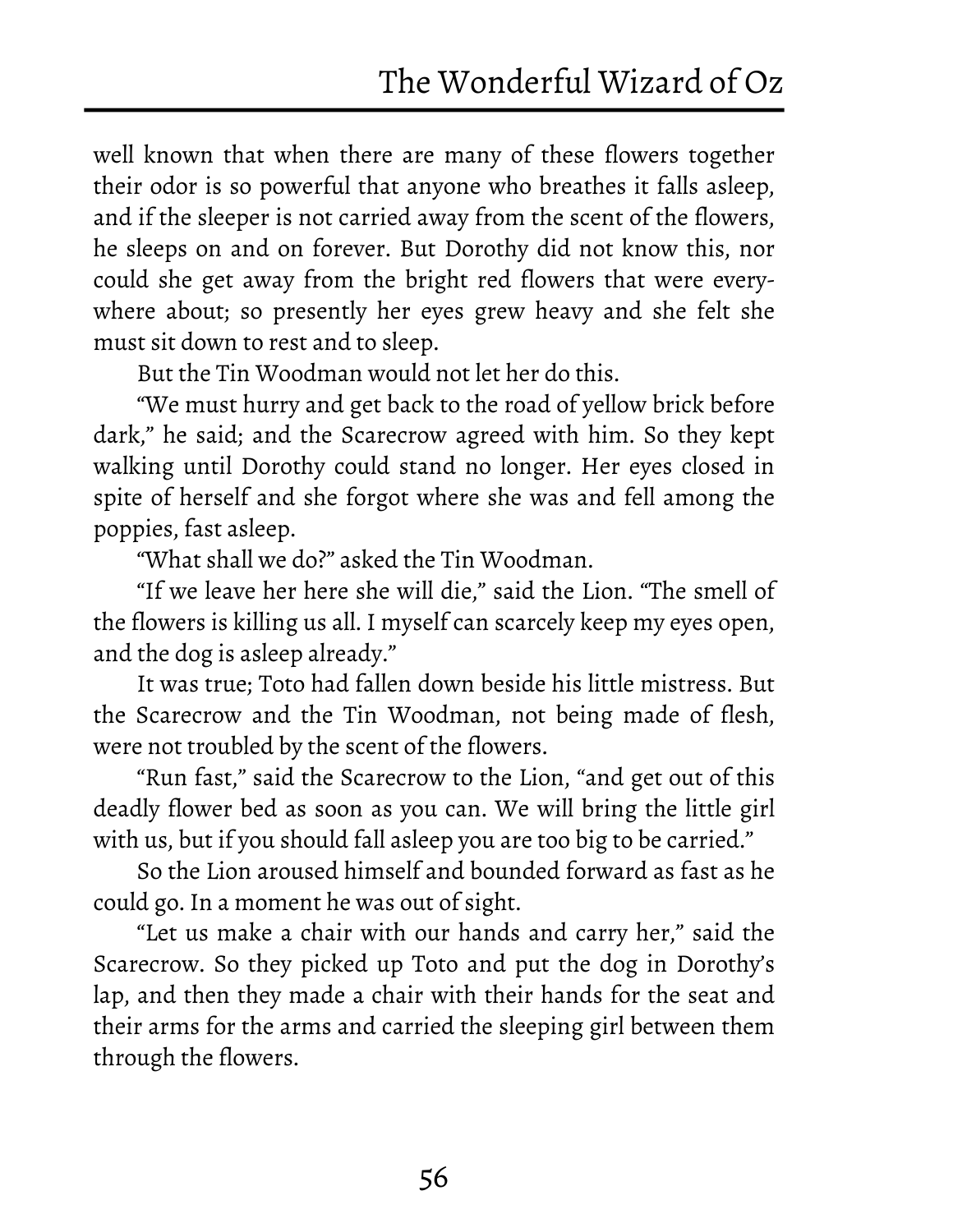well known that when there are many of these flowers together their odor is so powerful that anyone who breathes it falls asleep, and if the sleeper is not carried away from the scent of the flowers, he sleeps on and on forever. But Dorothy did not know this, nor could she get away from the bright red flowers that were everywhere about; so presently her eyes grew heavy and she felt she must sit down to rest and to sleep.

But the Tin Woodman would not let her do this.

"We must hurry and get back to the road of yellow brick before dark," he said; and the Scarecrow agreed with him. So they kept walking until Dorothy could stand no longer. Her eyes closed in spite of herself and she forgot where she was and fell among the poppies, fast asleep.

"What shall we do?" asked the Tin Woodman.

"If we leave her here she will die," said the Lion. "The smell of the flowers is killing us all. I myself can scarcely keep my eyes open, and the dog is asleep already."

It was true; Toto had fallen down beside his little mistress. But the Scarecrow and the Tin Woodman, not being made of flesh, were not troubled by the scent of the flowers.

"Run fast," said the Scarecrow to the Lion, "and get out of this deadly flower bed as soon as you can. We will bring the little girl with us, but if you should fall asleep you are too big to be carried."

So the Lion aroused himself and bounded forward as fast as he could go. In a moment he was out of sight.

"Let us make a chair with our hands and carry her," said the Scarecrow. So they picked up Toto and put the dog in Dorothy's lap, and then they made a chair with their hands for the seat and their arms for the arms and carried the sleeping girl between them through the flowers.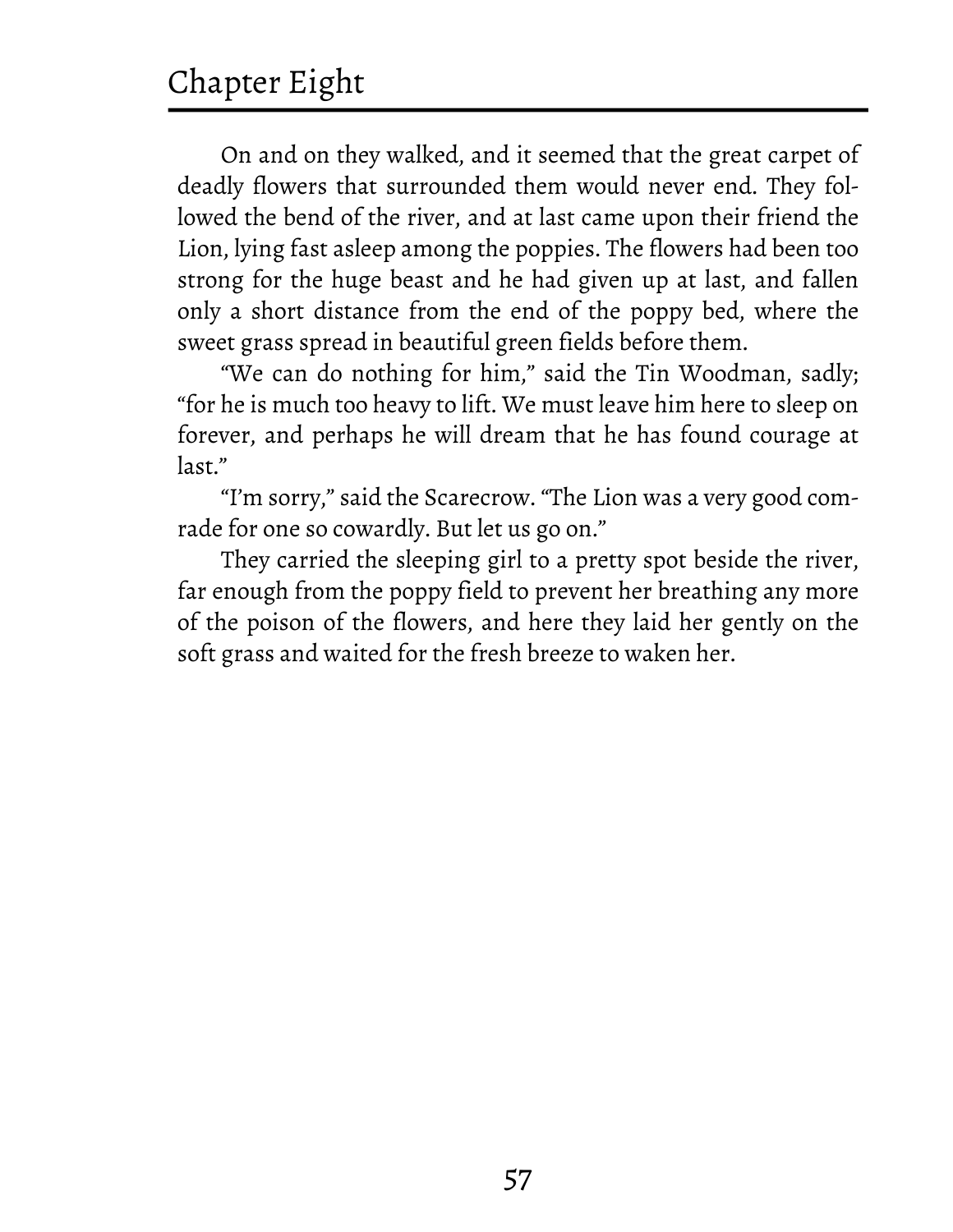## Chapter Eight

On and on they walked, and it seemed that the great carpet of deadly flowers that surrounded them would never end. They followed the bend of the river, and at last came upon their friend the Lion, lying fast asleep among the poppies. The flowers had been too strong for the huge beast and he had given up at last, and fallen only a short distance from the end of the poppy bed, where the sweet grass spread in beautiful green fields before them.

"We can do nothing for him," said the Tin Woodman, sadly; "for he is much too heavy to lift. We must leave him here to sleep on forever, and perhaps he will dream that he has found courage at last."

"I'm sorry," said the Scarecrow. "The Lion was a very good comrade for one so cowardly. But let us go on."

They carried the sleeping girl to a pretty spot beside the river, far enough from the poppy field to prevent her breathing any more of the poison of the flowers, and here they laid her gently on the soft grass and waited for the fresh breeze to waken her.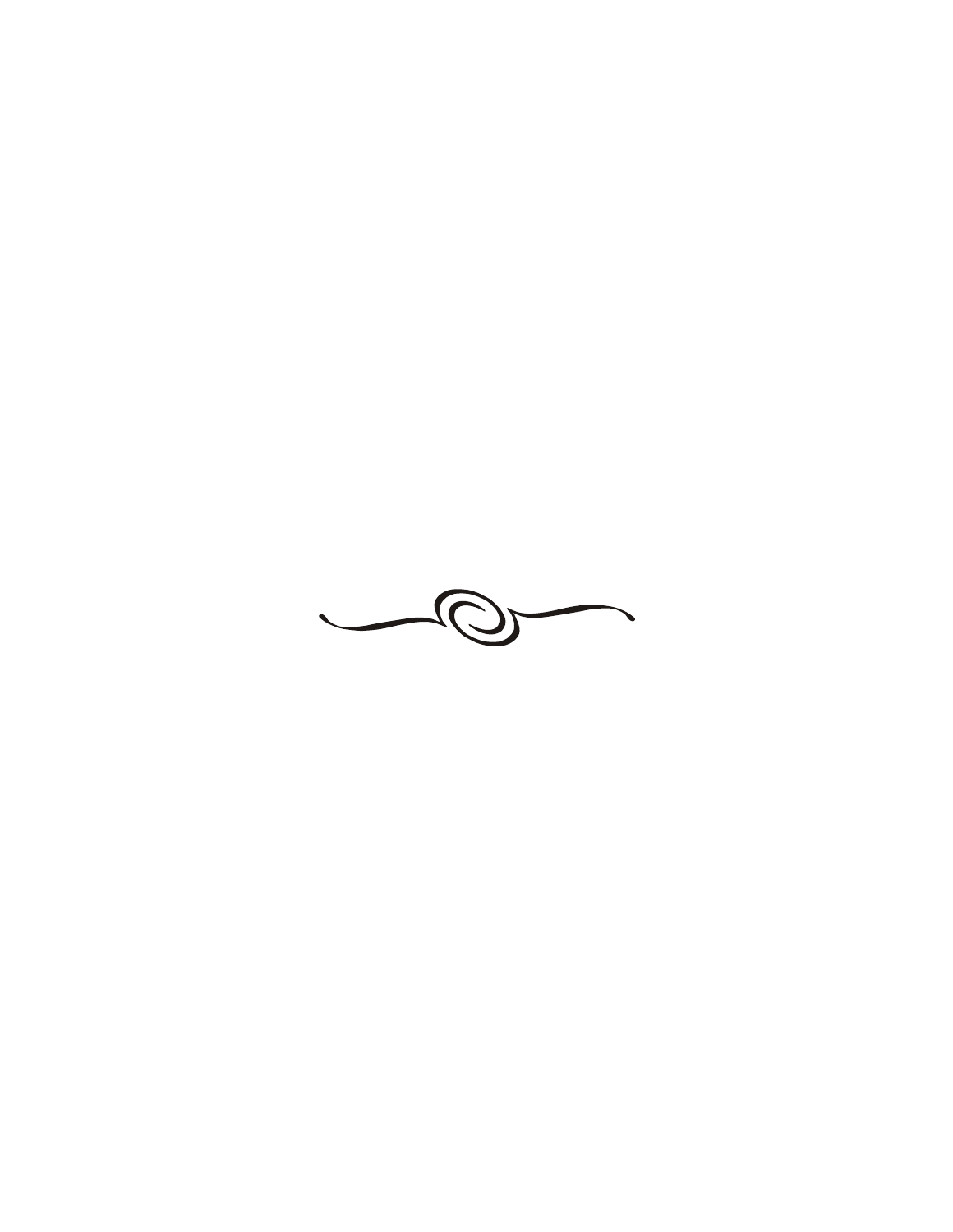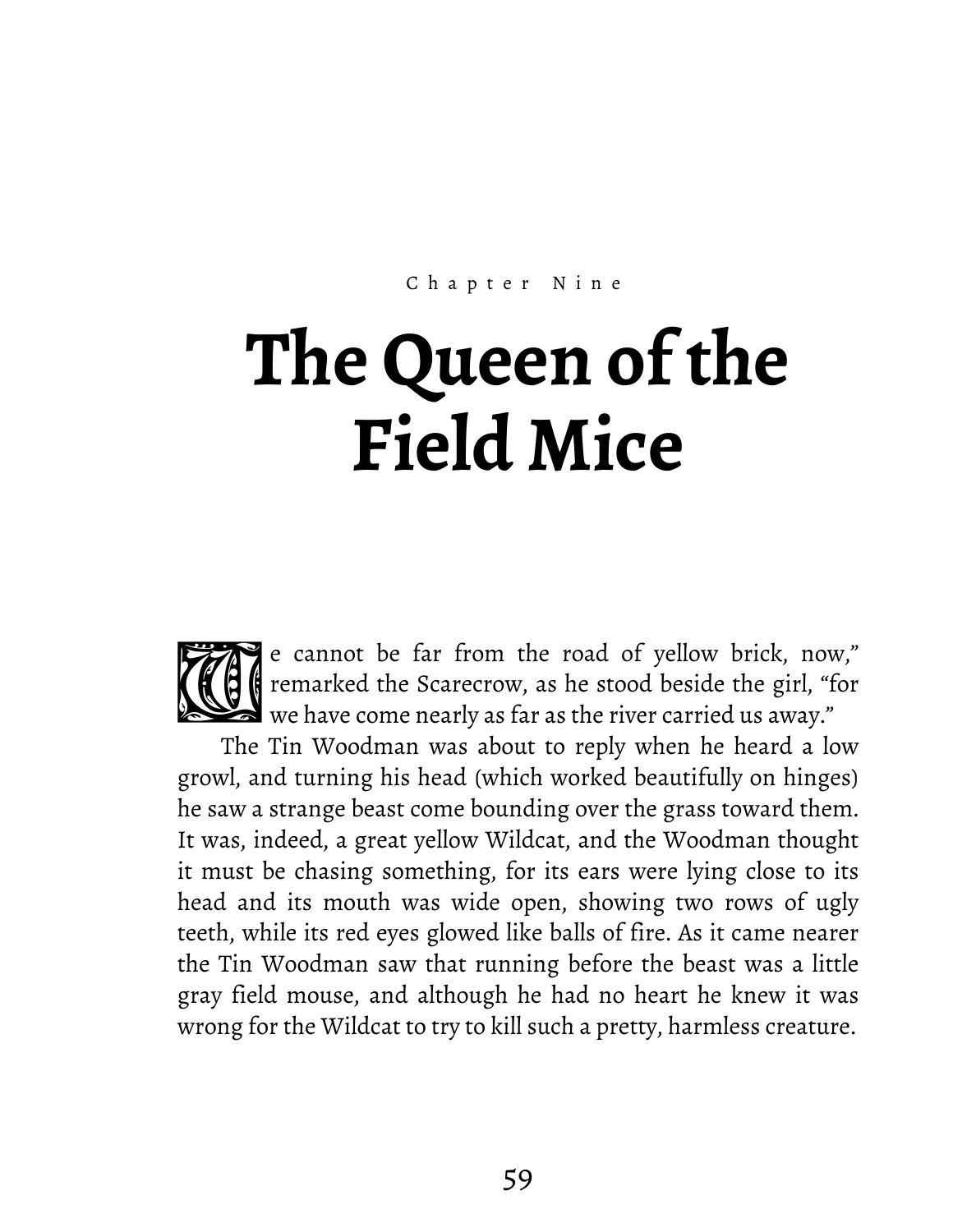### Chapter Nine

## **The Queen of the Field Mice**

e cannot be far from the road of yellow brick, now<br>remarked the Scarecrow, as he stood beside the girl, "f<br>we have come nearly as far as the river carried us away." e cannot be far from the road of yellow brick, now," remarked the Scarecrow, as he stood beside the girl, "for

The Tin Woodman was about to reply when he heard a low growl, and turning his head (which worked beautifully on hinges) he saw a strange beast come bounding over the grass toward them. It was, indeed, a great yellow Wildcat, and the Woodman thought it must be chasing something, for its ears were lying close to its head and its mouth was wide open, showing two rows of ugly teeth, while its red eyes glowed like balls of fire. As it came nearer the Tin Woodman saw that running before the beast was a little gray field mouse, and although he had no heart he knew it was wrong for the Wildcat to try to kill such a pretty, harmless creature.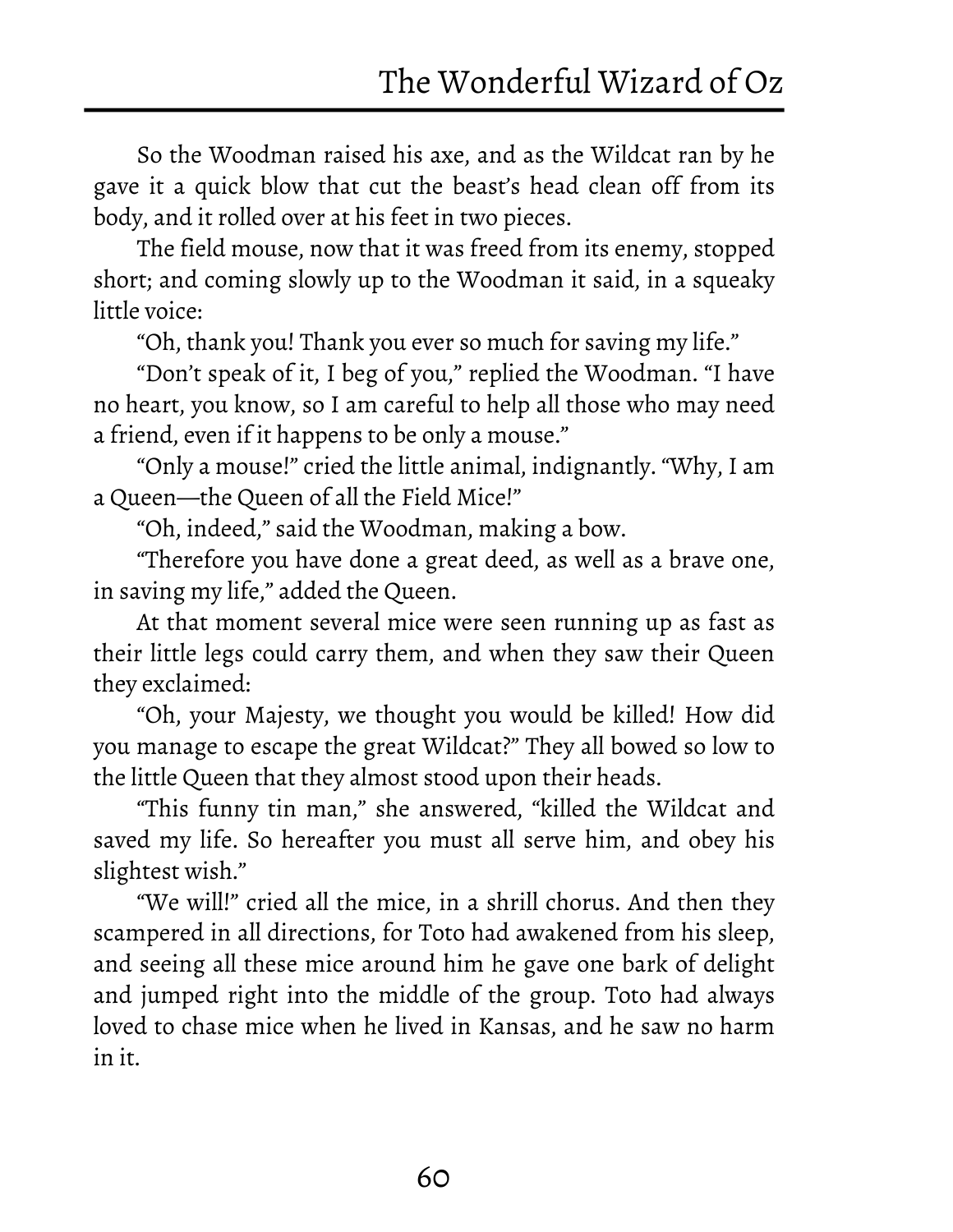So the Woodman raised his axe, and as the Wildcat ran by he gave it a quick blow that cut the beast's head clean off from its body, and it rolled over at his feet in two pieces.

The field mouse, now that it was freed from its enemy, stopped short; and coming slowly up to the Woodman it said, in a squeaky little voice:

"Oh, thank you! Thank you ever so much for saving my life."

"Don't speak of it, I beg of you," replied the Woodman. "I have no heart, you know, so I am careful to help all those who may need a friend, even if it happens to be only a mouse."

"Only a mouse!" cried the little animal, indignantly. "Why, I am a Queen—the Queen of all the Field Mice!"

"Oh, indeed," said the Woodman, making a bow.

"Therefore you have done a great deed, as well as a brave one, in saving my life," added the Queen.

At that moment several mice were seen running up as fast as their little legs could carry them, and when they saw their Queen they exclaimed:

"Oh, your Majesty, we thought you would be killed! How did you manage to escape the great Wildcat?" They all bowed so low to the little Queen that they almost stood upon their heads.

"This funny tin man," she answered, "killed the Wildcat and saved my life. So hereafter you must all serve him, and obey his slightest wish."

"We will!" cried all the mice, in a shrill chorus. And then they scampered in all directions, for Toto had awakened from his sleep, and seeing all these mice around him he gave one bark of delight and jumped right into the middle of the group. Toto had always loved to chase mice when he lived in Kansas, and he saw no harm in it.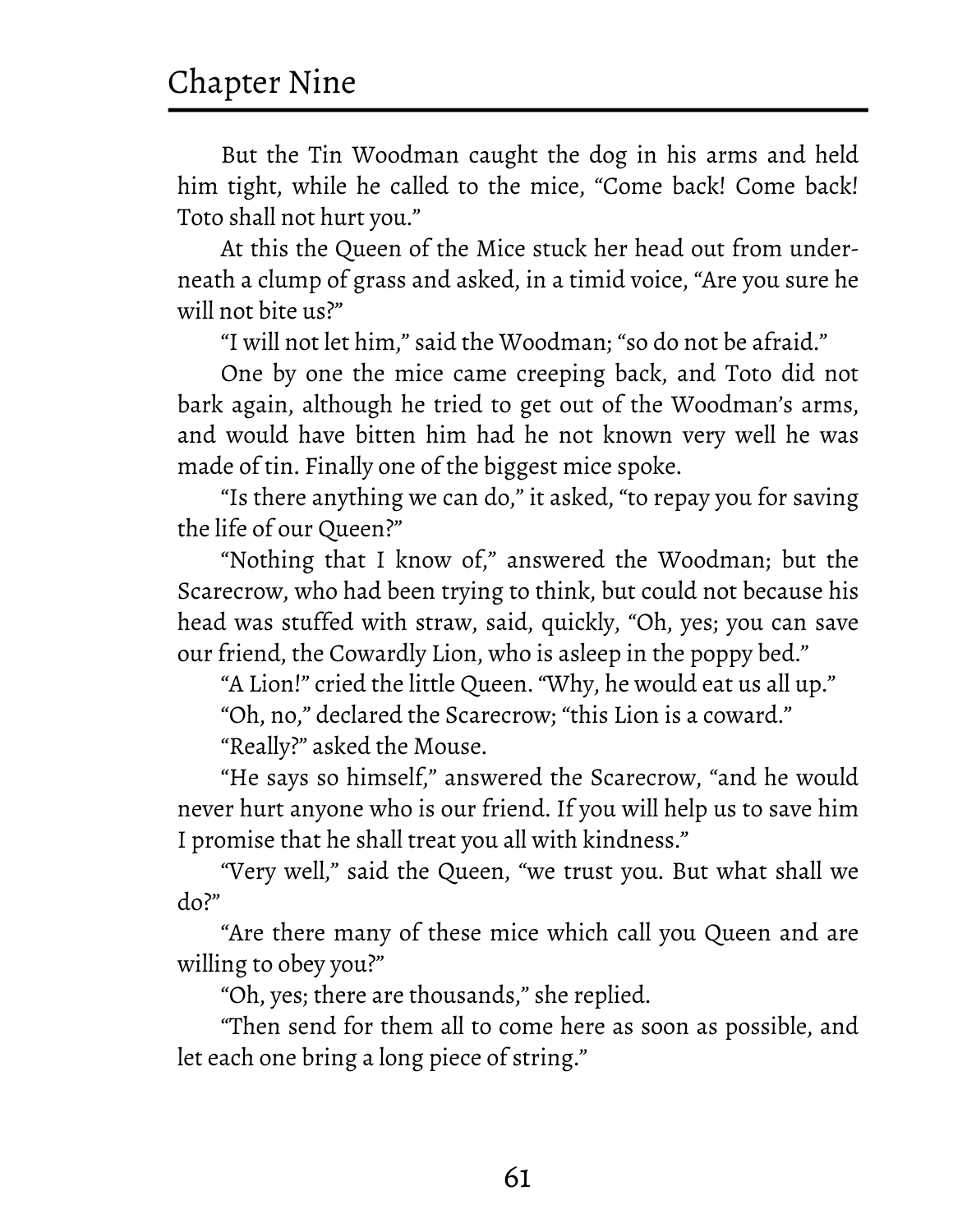But the Tin Woodman caught the dog in his arms and held him tight, while he called to the mice, "Come back! Come back! Toto shall not hurt you."

At this the Queen of the Mice stuck her head out from underneath a clump of grass and asked, in a timid voice, "Are you sure he will not bite us?"

"I will not let him," said the Woodman; "so do not be afraid."

One by one the mice came creeping back, and Toto did not bark again, although he tried to get out of the Woodman's arms, and would have bitten him had he not known very well he was made of tin. Finally one of the biggest mice spoke.

"Is there anything we can do," it asked, "to repay you for saving the life of our Queen?"

"Nothing that I know of," answered the Woodman; but the Scarecrow, who had been trying to think, but could not because his head was stuffed with straw, said, quickly, "Oh, yes; you can save our friend, the Cowardly Lion, who is asleep in the poppy bed."

"A Lion!" cried the little Queen. "Why, he would eat us all up."

"Oh, no," declared the Scarecrow; "this Lion is a coward."

"Really?" asked the Mouse.

"He says so himself," answered the Scarecrow, "and he would never hurt anyone who is our friend. If you will help us to save him I promise that he shall treat you all with kindness."

"Very well," said the Queen, "we trust you. But what shall we do?"

"Are there many of these mice which call you Queen and are willing to obey you?"

"Oh, yes; there are thousands," she replied.

"Then send for them all to come here as soon as possible, and let each one bring a long piece of string."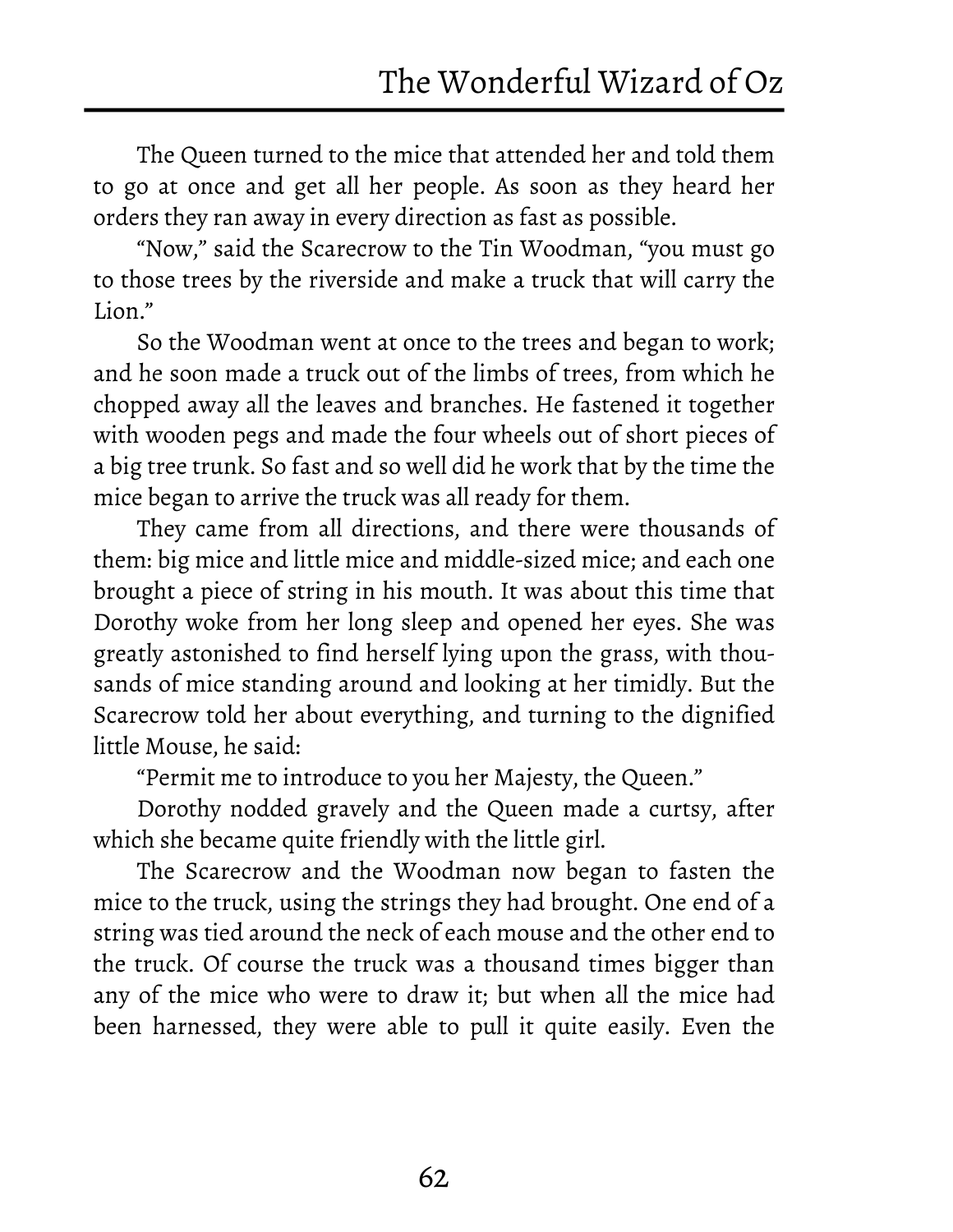The Queen turned to the mice that attended her and told them to go at once and get all her people. As soon as they heard her orders they ran away in every direction as fast as possible.

"Now," said the Scarecrow to the Tin Woodman, "you must go to those trees by the riverside and make a truck that will carry the Lion<sup>"</sup>

So the Woodman went at once to the trees and began to work; and he soon made a truck out of the limbs of trees, from which he chopped away all the leaves and branches. He fastened it together with wooden pegs and made the four wheels out of short pieces of a big tree trunk. So fast and so well did he work that by the time the mice began to arrive the truck was all ready for them.

They came from all directions, and there were thousands of them: big mice and little mice and middle‐sized mice; and each one brought a piece of string in his mouth. It was about this time that Dorothy woke from her long sleep and opened her eyes. She was greatly astonished to find herself lying upon the grass, with thousands of mice standing around and looking at her timidly. But the Scarecrow told her about everything, and turning to the dignified little Mouse, he said:

"Permit me to introduce to you her Majesty, the Queen."

Dorothy nodded gravely and the Queen made a curtsy, after which she became quite friendly with the little girl.

The Scarecrow and the Woodman now began to fasten the mice to the truck, using the strings they had brought. One end of a string was tied around the neck of each mouse and the other end to the truck. Of course the truck was a thousand times bigger than any of the mice who were to draw it; but when all the mice had been harnessed, they were able to pull it quite easily. Even the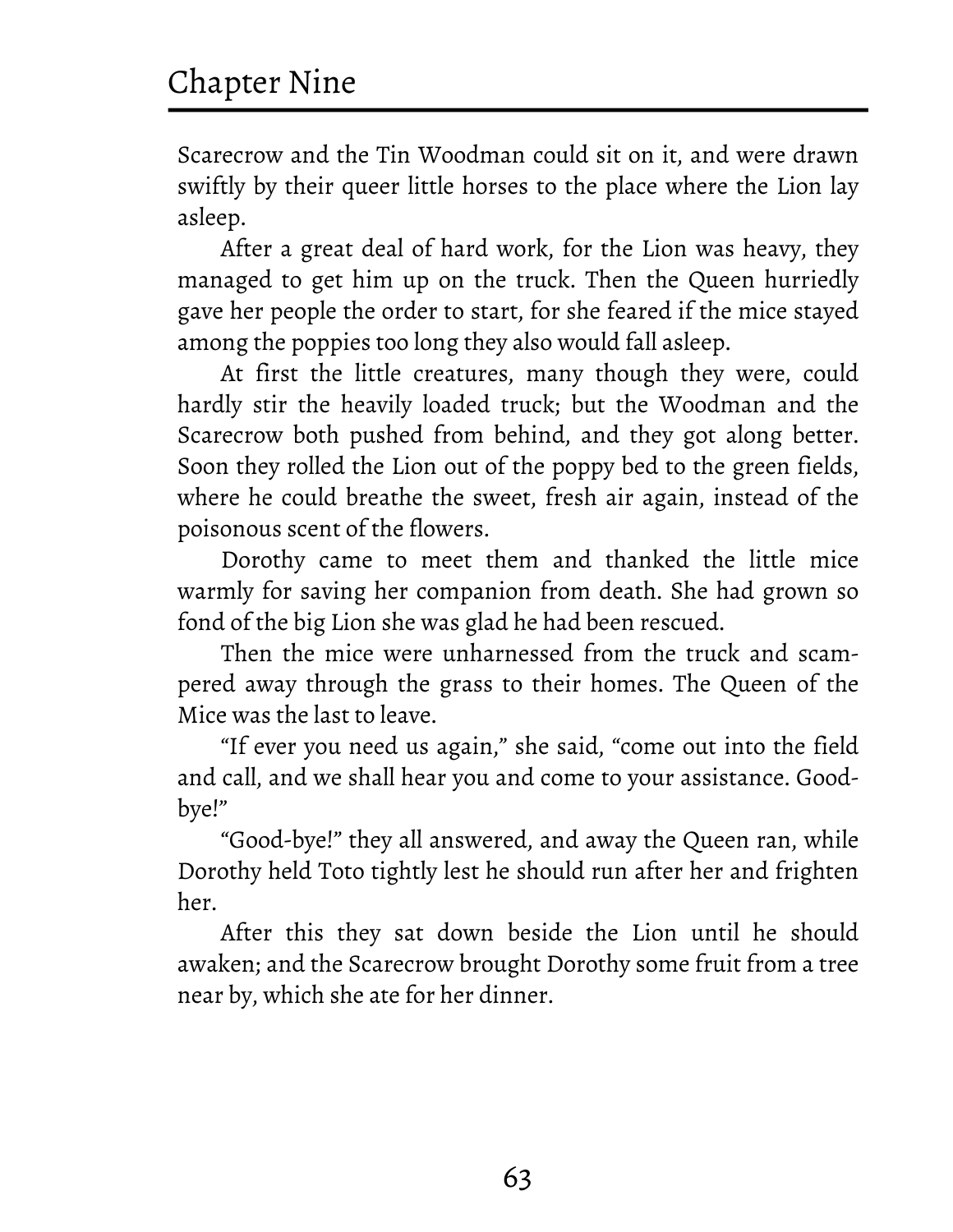Scarecrow and the Tin Woodman could sit on it, and were drawn swiftly by their queer little horses to the place where the Lion lay asleep.

After a great deal of hard work, for the Lion was heavy, they managed to get him up on the truck. Then the Queen hurriedly gave her people the order to start, for she feared if the mice stayed among the poppies too long they also would fall asleep.

At first the little creatures, many though they were, could hardly stir the heavily loaded truck; but the Woodman and the Scarecrow both pushed from behind, and they got along better. Soon they rolled the Lion out of the poppy bed to the green fields, where he could breathe the sweet, fresh air again, instead of the poisonous scent of the flowers.

Dorothy came to meet them and thanked the little mice warmly for saving her companion from death. She had grown so fond of the big Lion she was glad he had been rescued.

Then the mice were unharnessed from the truck and scampered away through the grass to their homes. The Queen of the Mice was the last to leave.

"If ever you need us again," she said, "come out into the field and call, and we shall hear you and come to your assistance. Good‐ bye!"

"Good‐bye!" they all answered, and away the Queen ran, while Dorothy held Toto tightly lest he should run after her and frighten her.

After this they sat down beside the Lion until he should awaken; and the Scarecrow brought Dorothy some fruit from a tree near by, which she ate for her dinner.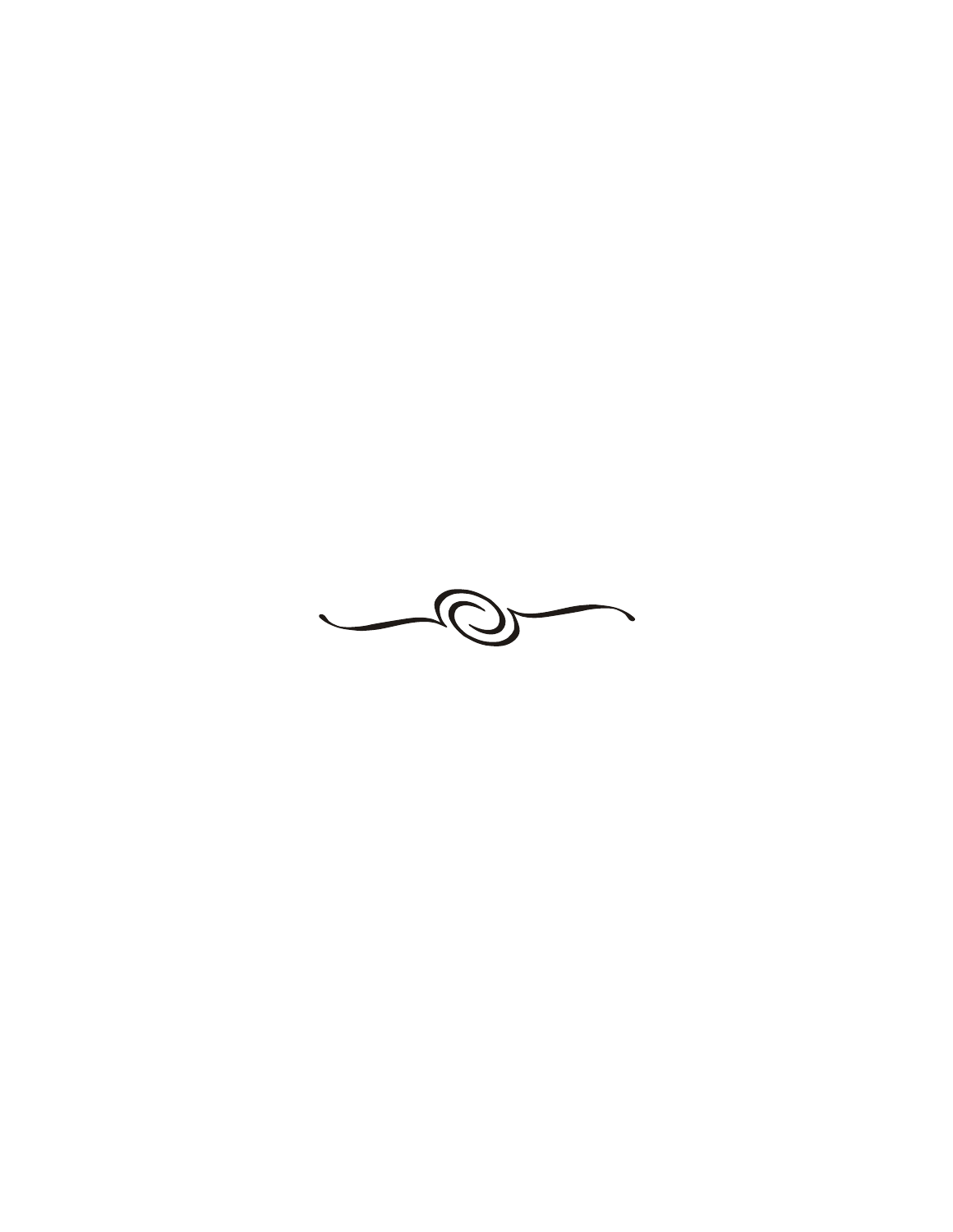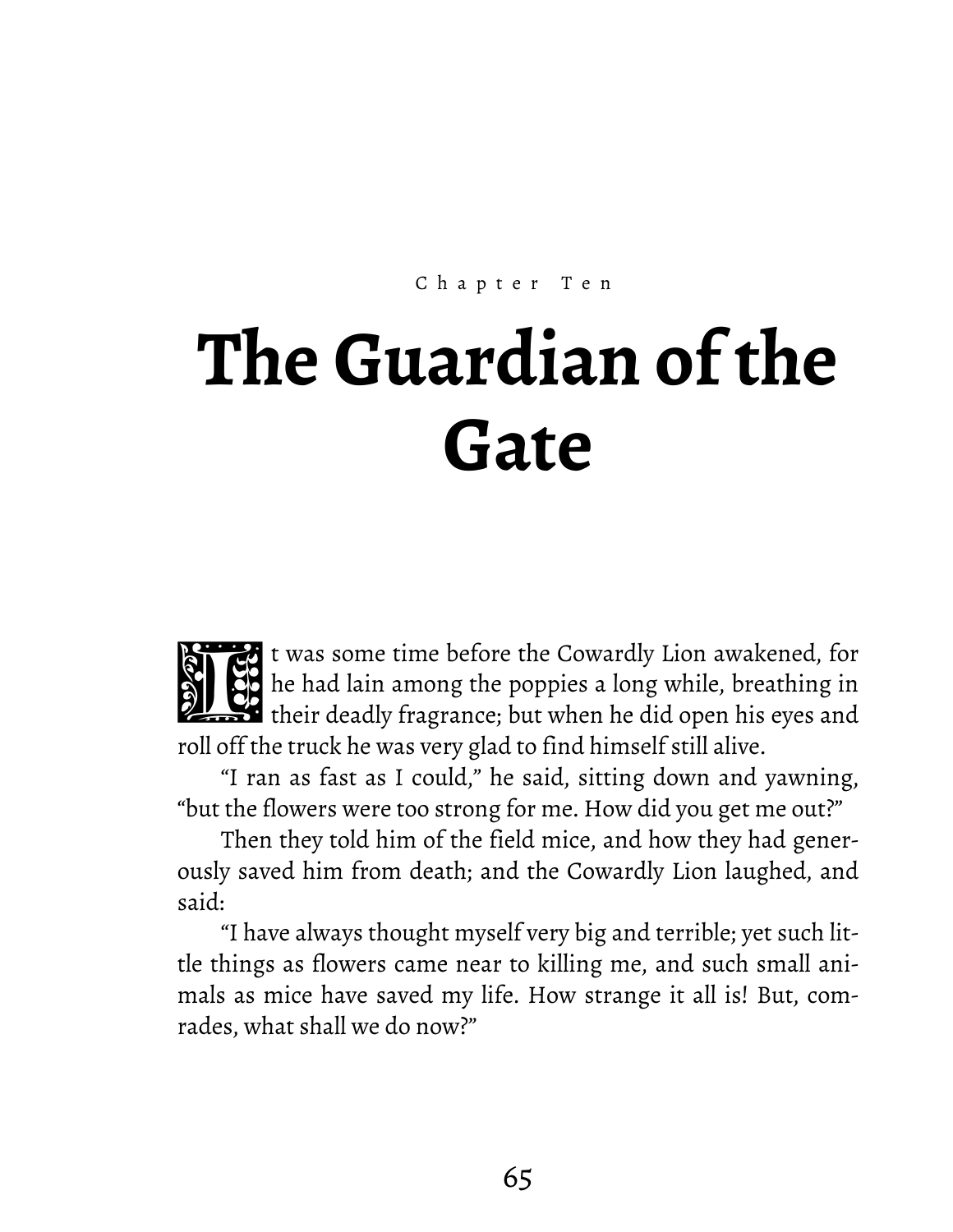### Chapter Ten

## **The Guardian of the Gate**

If the same time before the Cowardly Lion awakened, for<br>a he had lain among the poppies a long while, breathing in<br>their deadly fragrance; but when he did open his eyes and t was some time before the Cowardly Lion awakened, for  $\Omega$  he had lain among the poppies a long while, breathing in roll off the truck he was very glad to find himself still alive.

"I ran as fast as I could," he said, sitting down and yawning, "but the flowers were too strong for me. How did you get me out?"

Then they told him of the field mice, and how they had generously saved him from death; and the Cowardly Lion laughed, and said:

"I have always thought myself very big and terrible; yet such little things as flowers came near to killing me, and such small animals as mice have saved my life. How strange it all is! But, comrades, what shall we do now?"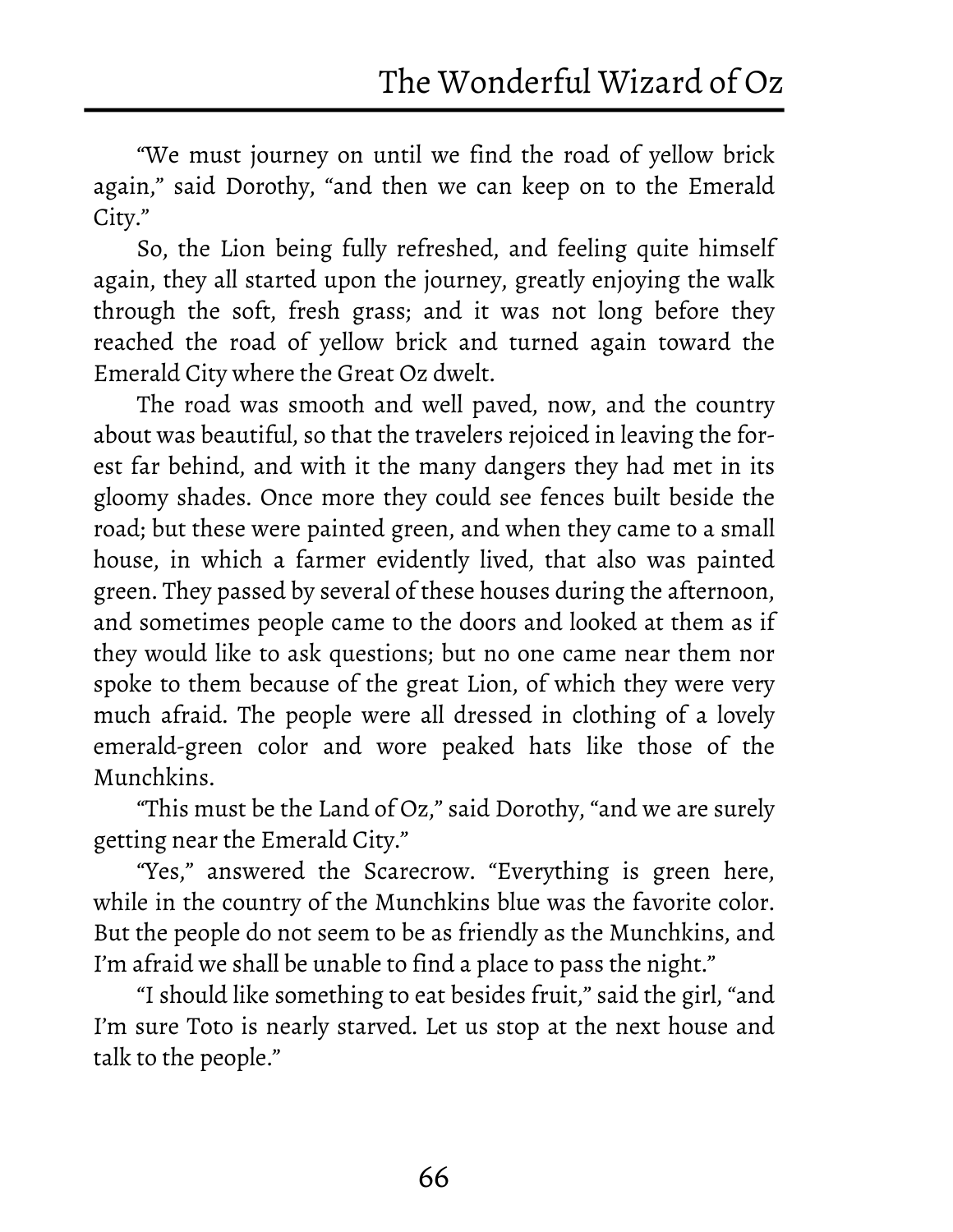"We must journey on until we find the road of yellow brick again," said Dorothy, "and then we can keep on to the Emerald City."

So, the Lion being fully refreshed, and feeling quite himself again, they all started upon the journey, greatly enjoying the walk through the soft, fresh grass; and it was not long before they reached the road of yellow brick and turned again toward the Emerald City where the Great Oz dwelt.

The road was smooth and well paved, now, and the country about was beautiful, so that the travelers rejoiced in leaving the forest far behind, and with it the many dangers they had met in its gloomy shades. Once more they could see fences built beside the road; but these were painted green, and when they came to a small house, in which a farmer evidently lived, that also was painted green. They passed by several of these houses during the afternoon, and sometimes people came to the doors and looked at them as if they would like to ask questions; but no one came near them nor spoke to them because of the great Lion, of which they were very much afraid. The people were all dressed in clothing of a lovely emerald‐green color and wore peaked hats like those of the Munchkins.

"This must be the Land of Oz," said Dorothy, "and we are surely getting near the Emerald City."

"Yes," answered the Scarecrow. "Everything is green here, while in the country of the Munchkins blue was the favorite color. But the people do not seem to be as friendly as the Munchkins, and I'm afraid we shall be unable to find a place to pass the night."

"I should like something to eat besides fruit," said the girl, "and I'm sure Toto is nearly starved. Let us stop at the next house and talk to the people."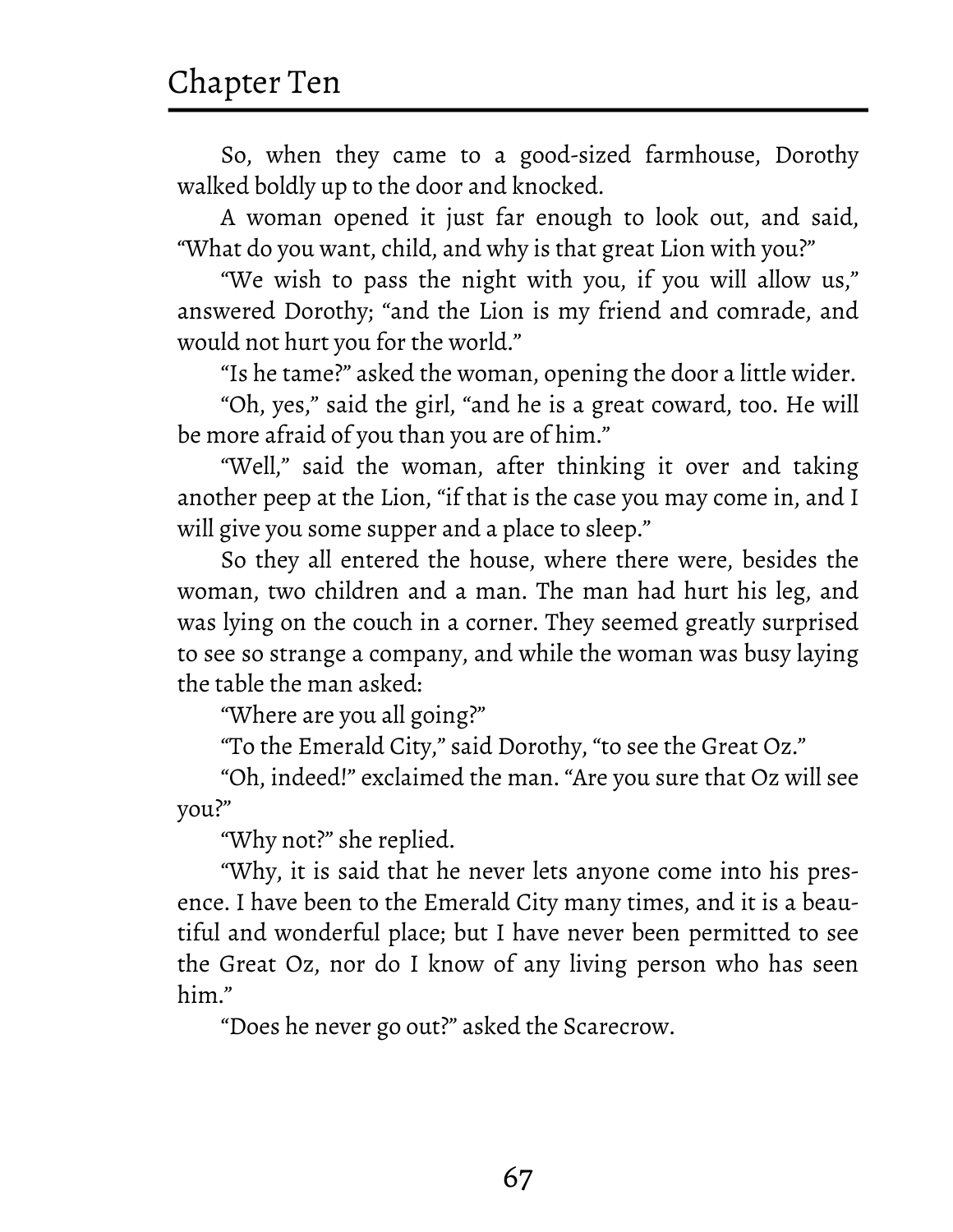So, when they came to a good‐sized farmhouse, Dorothy walked boldly up to the door and knocked.

A woman opened it just far enough to look out, and said, "What do you want, child, and why is that great Lion with you?"

"We wish to pass the night with you, if you will allow us," answered Dorothy; "and the Lion is my friend and comrade, and would not hurt you for the world."

"Is he tame?" asked the woman, opening the door a little wider.

"Oh, yes," said the girl, "and he is a great coward, too. He will be more afraid of you than you are of him."

"Well," said the woman, after thinking it over and taking another peep at the Lion, "if that is the case you may come in, and I will give you some supper and a place to sleep."

So they all entered the house, where there were, besides the woman, two children and a man. The man had hurt his leg, and was lying on the couch in a corner. They seemed greatly surprised to see so strange a company, and while the woman was busy laying the table the man asked:

"Where are you all going?"

"To the Emerald City," said Dorothy, "to see the Great Oz."

"Oh, indeed!" exclaimed the man. "Are you sure that Oz will see you?"

"Why not?" she replied.

"Why, it is said that he never lets anyone come into his presence. I have been to the Emerald City many times, and it is a beautiful and wonderful place; but I have never been permitted to see the Great Oz, nor do I know of any living person who has seen him."

"Does he never go out?" asked the Scarecrow.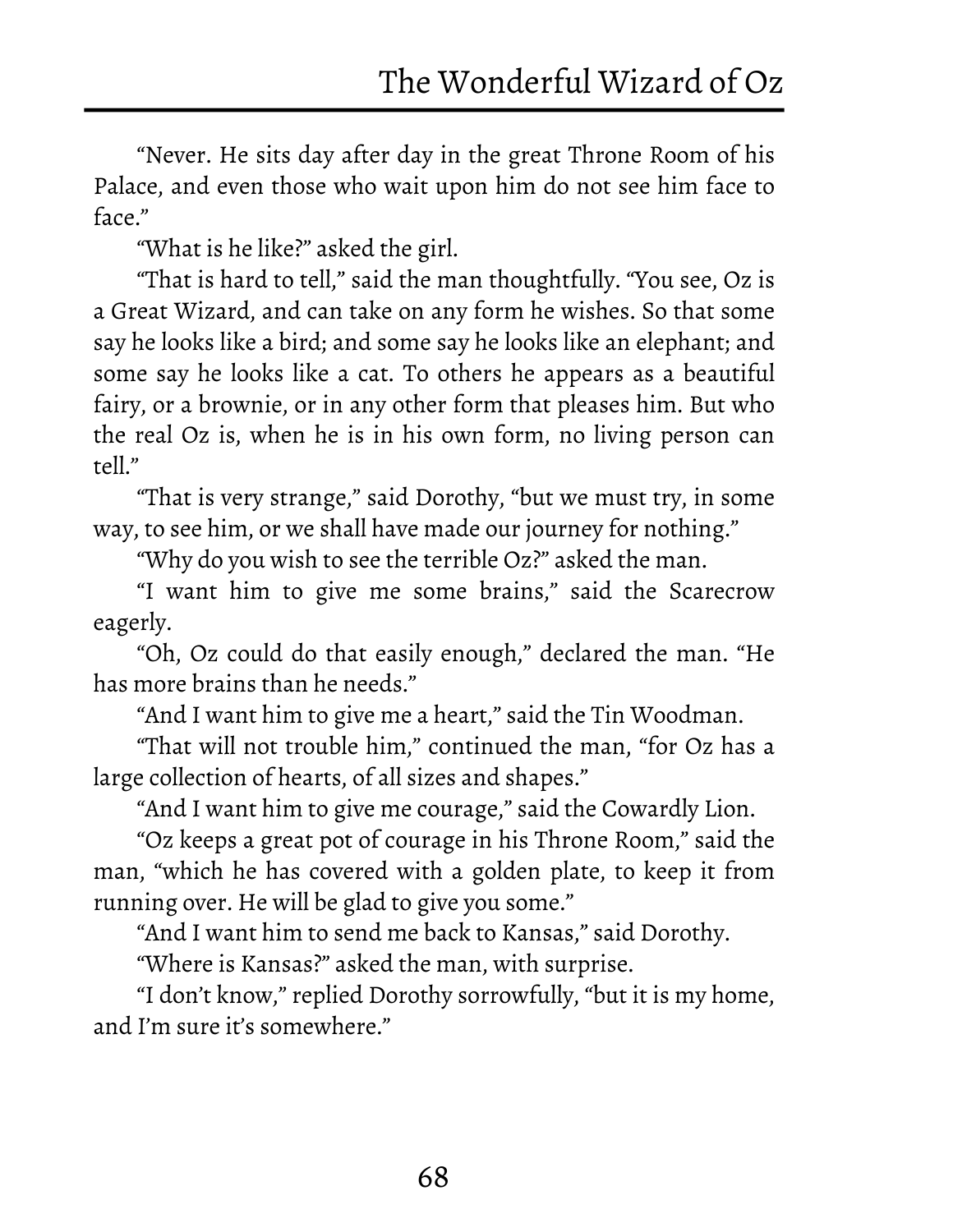"Never. He sits day after day in the great Throne Room of his Palace, and even those who wait upon him do not see him face to face."

"What is he like?" asked the girl.

"That is hard to tell," said the man thoughtfully. "You see, Oz is a Great Wizard, and can take on any form he wishes. So that some say he looks like a bird; and some say he looks like an elephant; and some say he looks like a cat. To others he appears as a beautiful fairy, or a brownie, or in any other form that pleases him. But who the real Oz is, when he is in his own form, no living person can tell."

"That is very strange," said Dorothy, "but we must try, in some way, to see him, or we shall have made our journey for nothing."

"Why do you wish to see the terrible Oz?" asked the man.

"I want him to give me some brains," said the Scarecrow eagerly.

"Oh, Oz could do that easily enough," declared the man. "He has more brains than he needs."

"And I want him to give me a heart," said the Tin Woodman.

"That will not trouble him," continued the man, "for Oz has a large collection of hearts, of all sizes and shapes."

"And I want him to give me courage," said the Cowardly Lion.

"Oz keeps a great pot of courage in his Throne Room," said the man, "which he has covered with a golden plate, to keep it from running over. He will be glad to give you some."

"And I want him to send me back to Kansas," said Dorothy.

"Where is Kansas?" asked the man, with surprise.

"I don't know," replied Dorothy sorrowfully, "but it is my home, and I'm sure it's somewhere."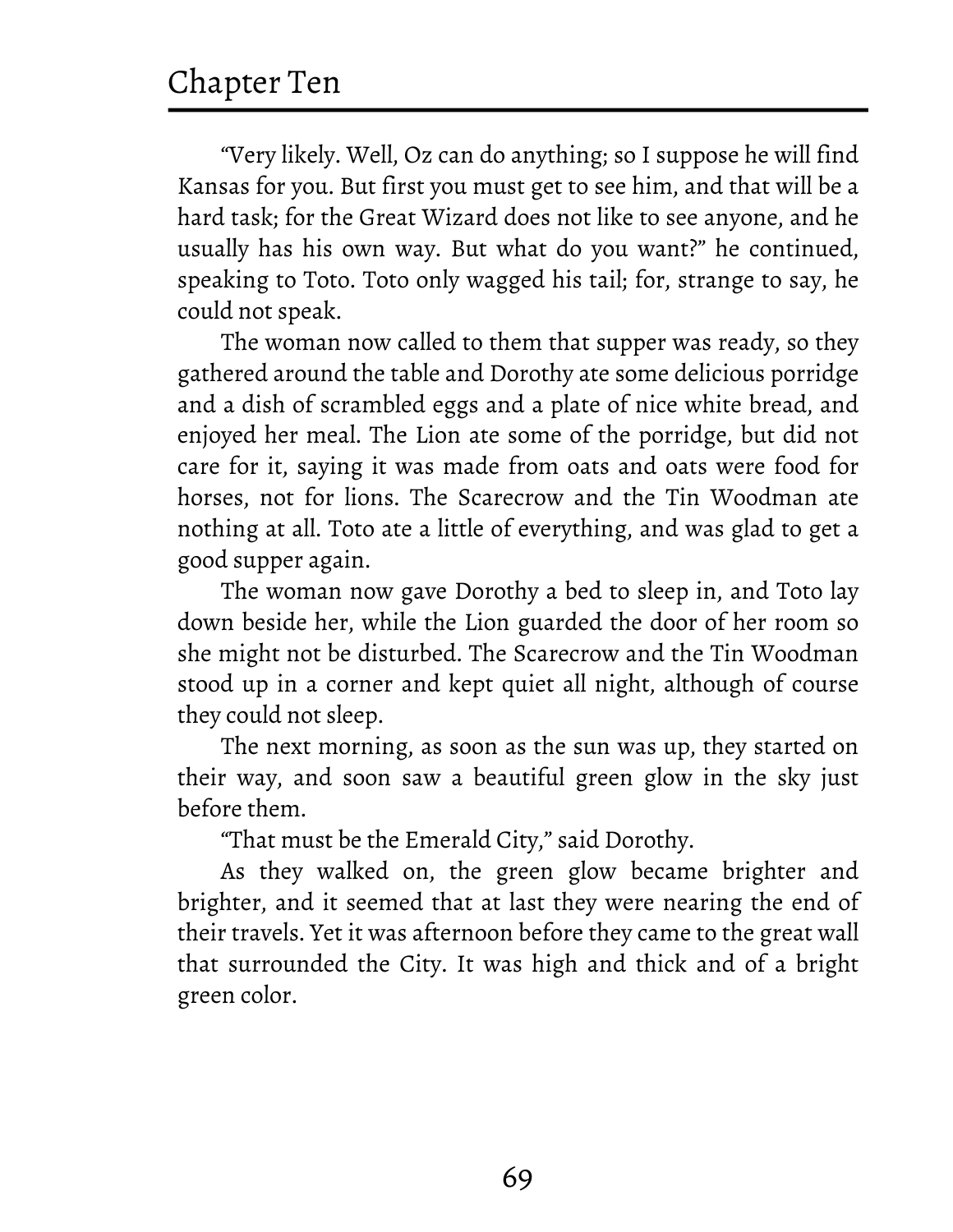"Very likely. Well, Oz can do anything; so I suppose he will find Kansas for you. But first you must get to see him, and that will be a hard task; for the Great Wizard does not like to see anyone, and he usually has his own way. But what do you want?" he continued, speaking to Toto. Toto only wagged his tail; for, strange to say, he could not speak.

The woman now called to them that supper was ready, so they gathered around the table and Dorothy ate some delicious porridge and a dish of scrambled eggs and a plate of nice white bread, and enjoyed her meal. The Lion ate some of the porridge, but did not care for it, saying it was made from oats and oats were food for horses, not for lions. The Scarecrow and the Tin Woodman ate nothing at all. Toto ate a little of everything, and was glad to get a good supper again.

The woman now gave Dorothy a bed to sleep in, and Toto lay down beside her, while the Lion guarded the door of her room so she might not be disturbed. The Scarecrow and the Tin Woodman stood up in a corner and kept quiet all night, although of course they could not sleep.

The next morning, as soon as the sun was up, they started on their way, and soon saw a beautiful green glow in the sky just before them.

"That must be the Emerald City," said Dorothy.

As they walked on, the green glow became brighter and brighter, and it seemed that at last they were nearing the end of their travels. Yet it was afternoon before they came to the great wall that surrounded the City. It was high and thick and of a bright green color.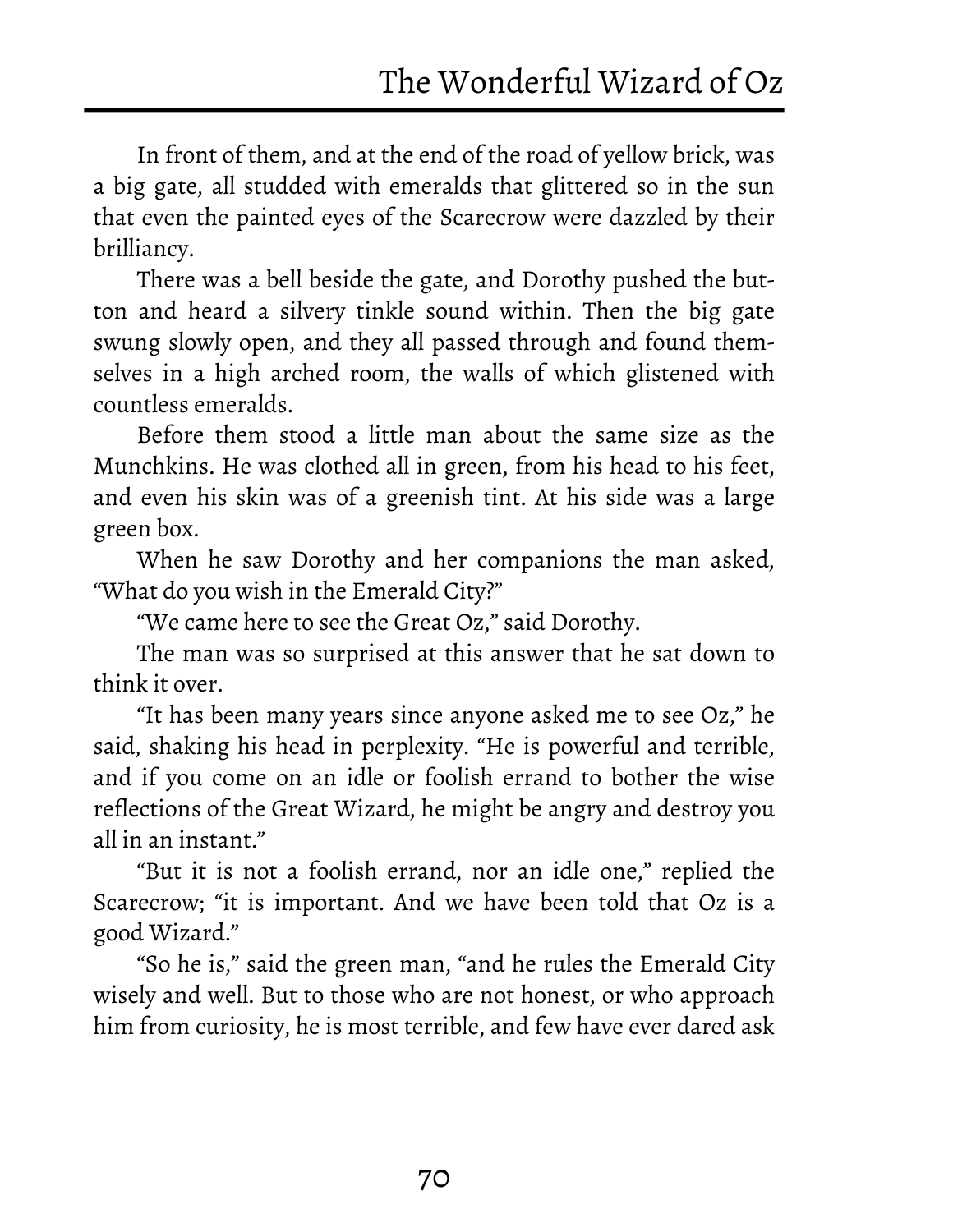In front of them, and at the end of the road of yellow brick, was a big gate, all studded with emeralds that glittered so in the sun that even the painted eyes of the Scarecrow were dazzled by their brilliancy.

There was a bell beside the gate, and Dorothy pushed the button and heard a silvery tinkle sound within. Then the big gate swung slowly open, and they all passed through and found themselves in a high arched room, the walls of which glistened with countless emeralds.

Before them stood a little man about the same size as the Munchkins. He was clothed all in green, from his head to his feet, and even his skin was of a greenish tint. At his side was a large green box.

When he saw Dorothy and her companions the man asked, "What do you wish in the Emerald City?"

"We came here to see the Great Oz," said Dorothy.

The man was so surprised at this answer that he sat down to think it over.

"It has been many years since anyone asked me to see Oz," he said, shaking his head in perplexity. "He is powerful and terrible, and if you come on an idle or foolish errand to bother the wise reflections of the Great Wizard, he might be angry and destroy you all in an instant."

"But it is not a foolish errand, nor an idle one," replied the Scarecrow; "it is important. And we have been told that Oz is a good Wizard."

"So he is," said the green man, "and he rules the Emerald City wisely and well. But to those who are not honest, or who approach him from curiosity, he is most terrible, and few have ever dared ask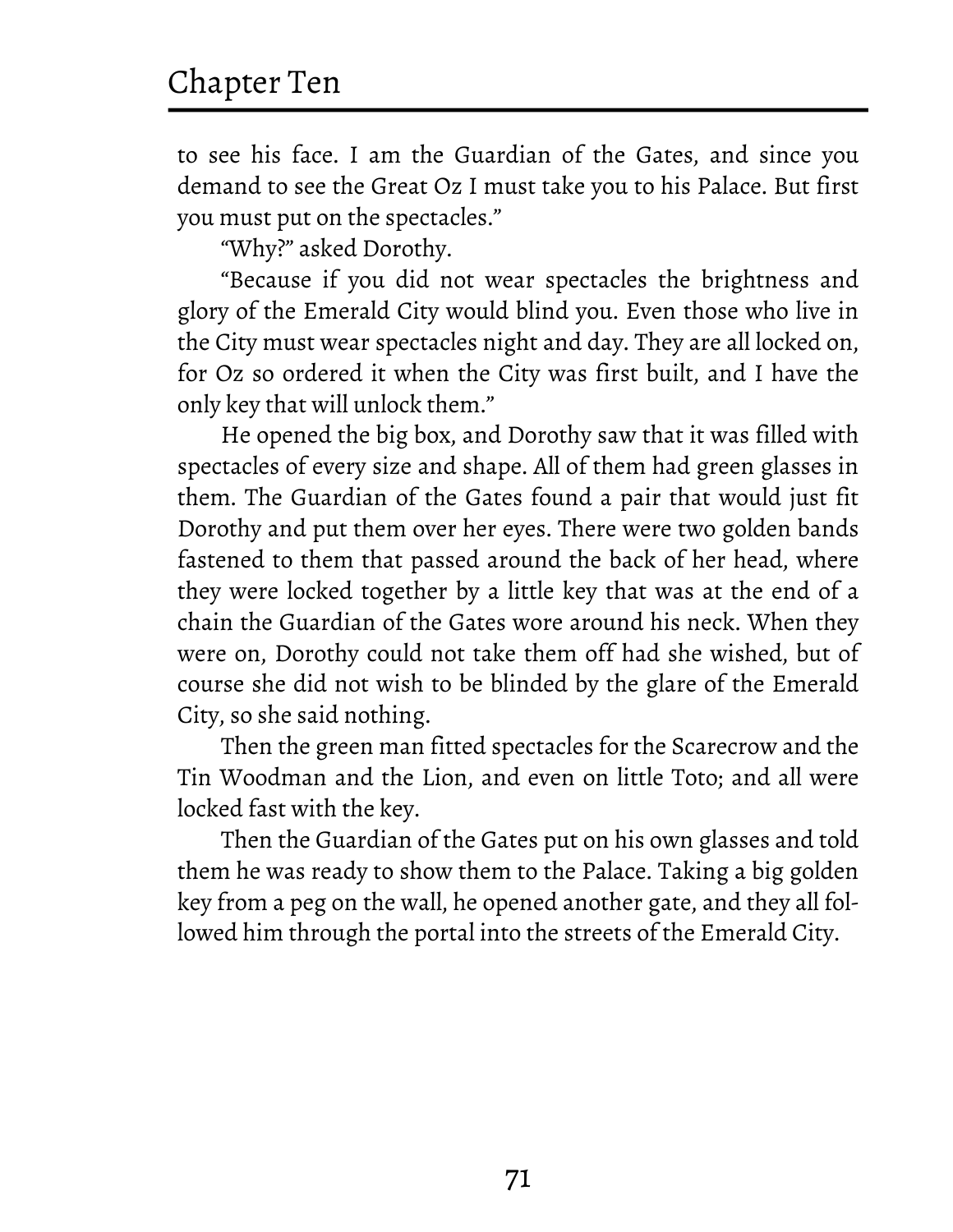to see his face. I am the Guardian of the Gates, and since you demand to see the Great Oz I must take you to his Palace. But first you must put on the spectacles."

"Why?" asked Dorothy.

"Because if you did not wear spectacles the brightness and glory of the Emerald City would blind you. Even those who live in the City must wear spectacles night and day. They are all locked on, for Oz so ordered it when the City was first built, and I have the only key that will unlock them."

He opened the big box, and Dorothy saw that it was filled with spectacles of every size and shape. All of them had green glasses in them. The Guardian of the Gates found a pair that would just fit Dorothy and put them over her eyes. There were two golden bands fastened to them that passed around the back of her head, where they were locked together by a little key that was at the end of a chain the Guardian of the Gates wore around his neck. When they were on, Dorothy could not take them off had she wished, but of course she did not wish to be blinded by the glare of the Emerald City, so she said nothing.

Then the green man fitted spectacles for the Scarecrow and the Tin Woodman and the Lion, and even on little Toto; and all were locked fast with the key.

Then the Guardian of the Gates put on his own glasses and told them he was ready to show them to the Palace. Taking a big golden key from a peg on the wall, he opened another gate, and they all followed him through the portal into the streets of the Emerald City.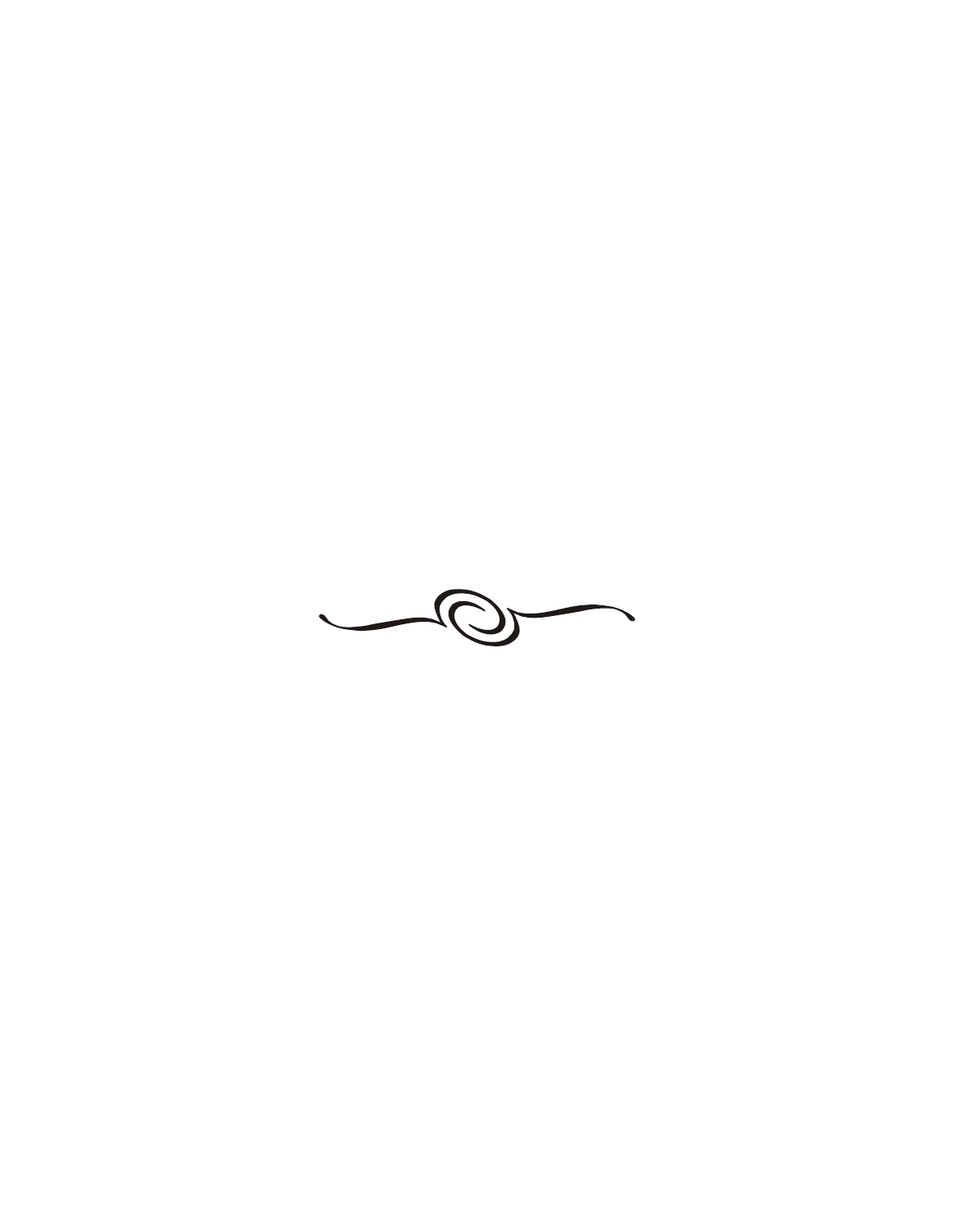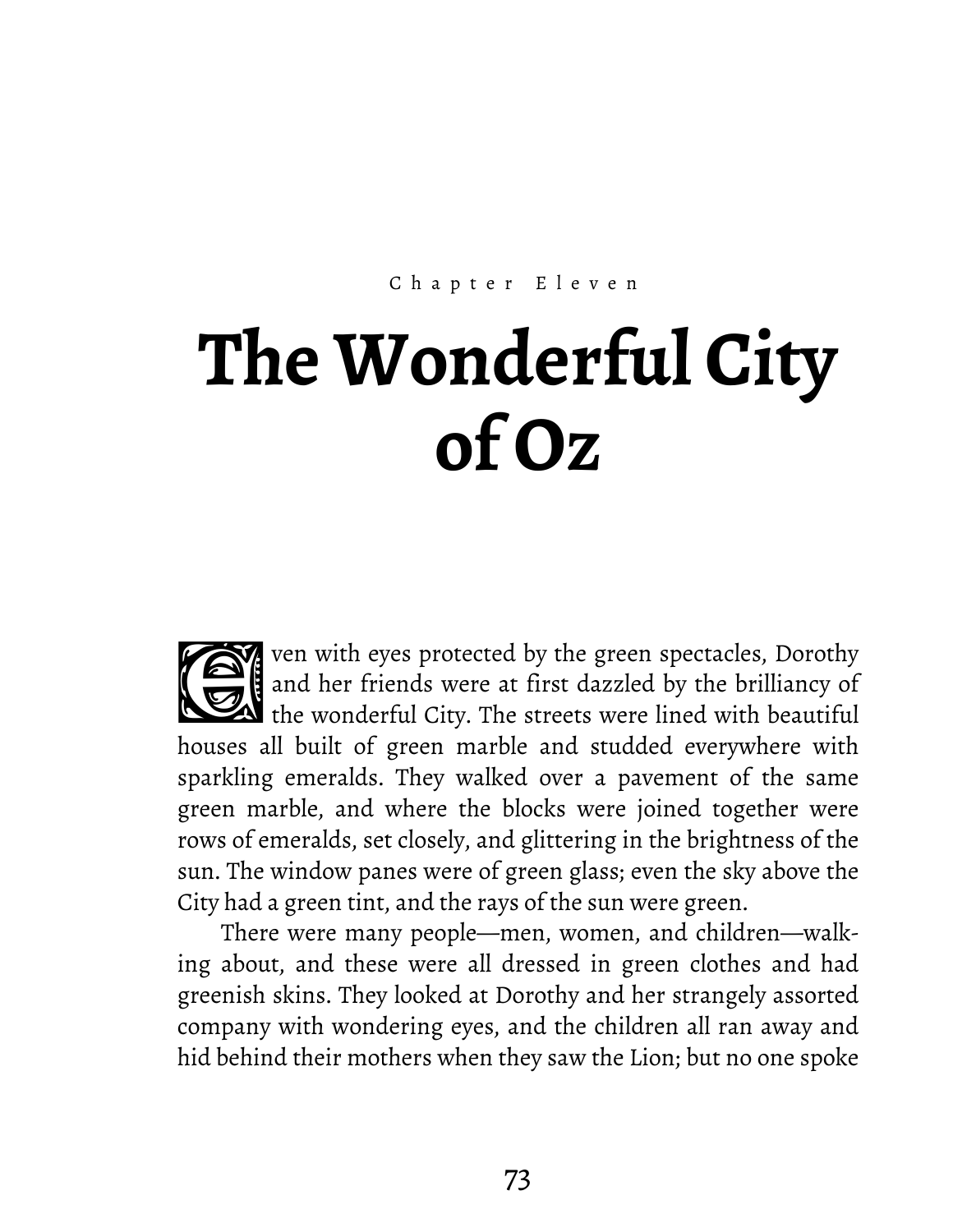#### Chapter Eleven

# **The Wonderful City of Oz**

ven with eyes protected by the green spectacles, Dorothy<br>and her friends were at first dazzled by the brilliancy of<br>the wonderful City. The streets were lined with beautiful and her friends were at first dazzled by the brilliancy of the wonderful City. The streets were lined with beautiful houses all built of green marble and studded everywhere with sparkling emeralds. They walked over a pavement of the same green marble, and where the blocks were joined together were rows of emeralds, set closely, and glittering in the brightness of the sun. The window panes were of green glass; even the sky above the City had a green tint, and the rays of the sun were green.

There were many people—men, women, and children—walking about, and these were all dressed in green clothes and had greenish skins. They looked at Dorothy and her strangely assorted company with wondering eyes, and the children all ran away and hid behind their mothers when they saw the Lion; but no one spoke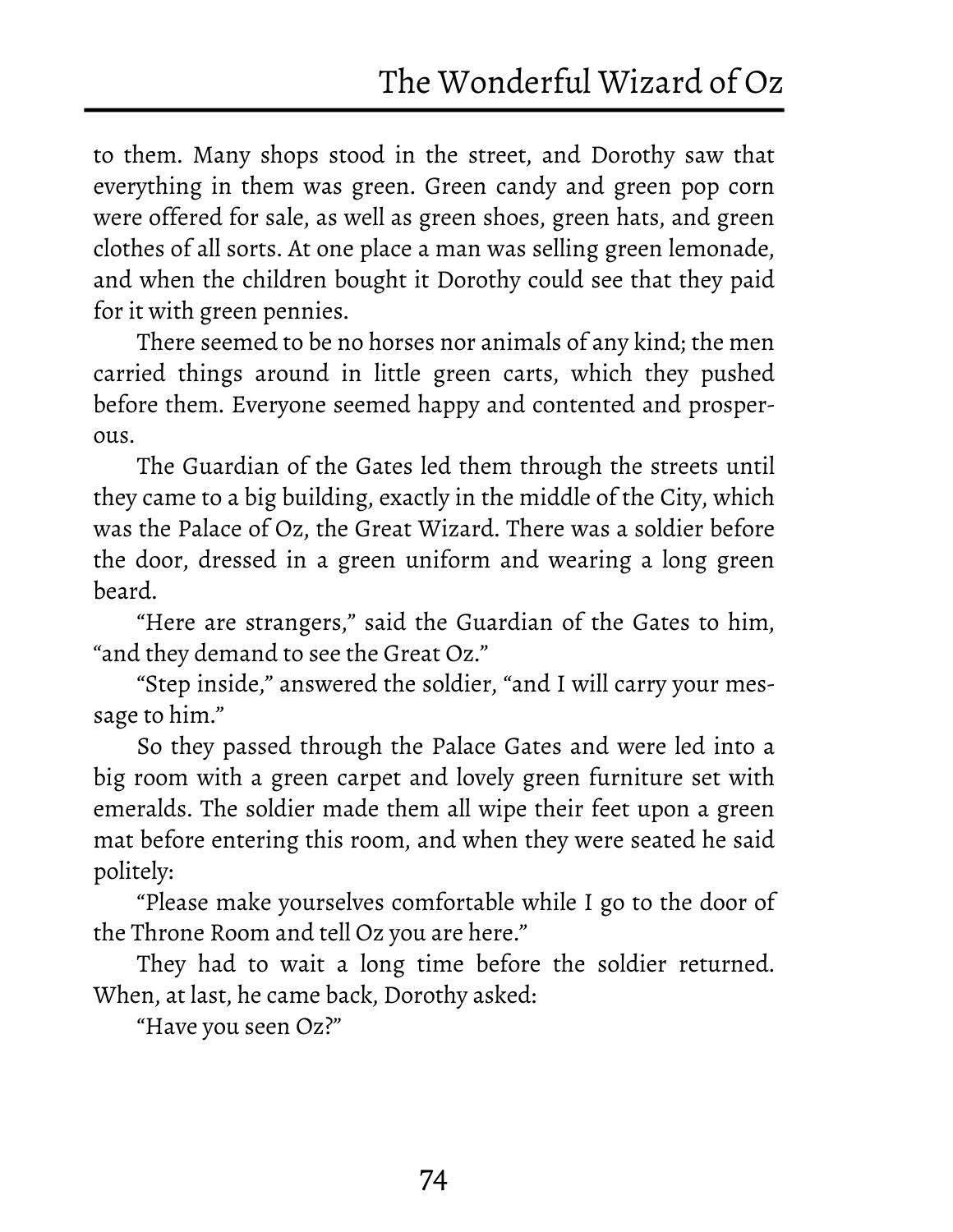to them. Many shops stood in the street, and Dorothy saw that everything in them was green. Green candy and green pop corn were offered for sale, as well as green shoes, green hats, and green clothes of all sorts. At one place a man was selling green lemonade, and when the children bought it Dorothy could see that they paid for it with green pennies.

There seemed to be no horses nor animals of any kind; the men carried things around in little green carts, which they pushed before them. Everyone seemed happy and contented and prosperous.

The Guardian of the Gates led them through the streets until they came to a big building, exactly in the middle of the City, which was the Palace of Oz, the Great Wizard. There was a soldier before the door, dressed in a green uniform and wearing a long green beard.

"Here are strangers," said the Guardian of the Gates to him, "and they demand to see the Great Oz."

"Step inside," answered the soldier, "and I will carry your message to him."

So they passed through the Palace Gates and were led into a big room with a green carpet and lovely green furniture set with emeralds. The soldier made them all wipe their feet upon a green mat before entering this room, and when they were seated he said politely:

"Please make yourselves comfortable while I go to the door of the Throne Room and tell Oz you are here."

They had to wait a long time before the soldier returned. When, at last, he came back, Dorothy asked:

"Have you seen Oz?"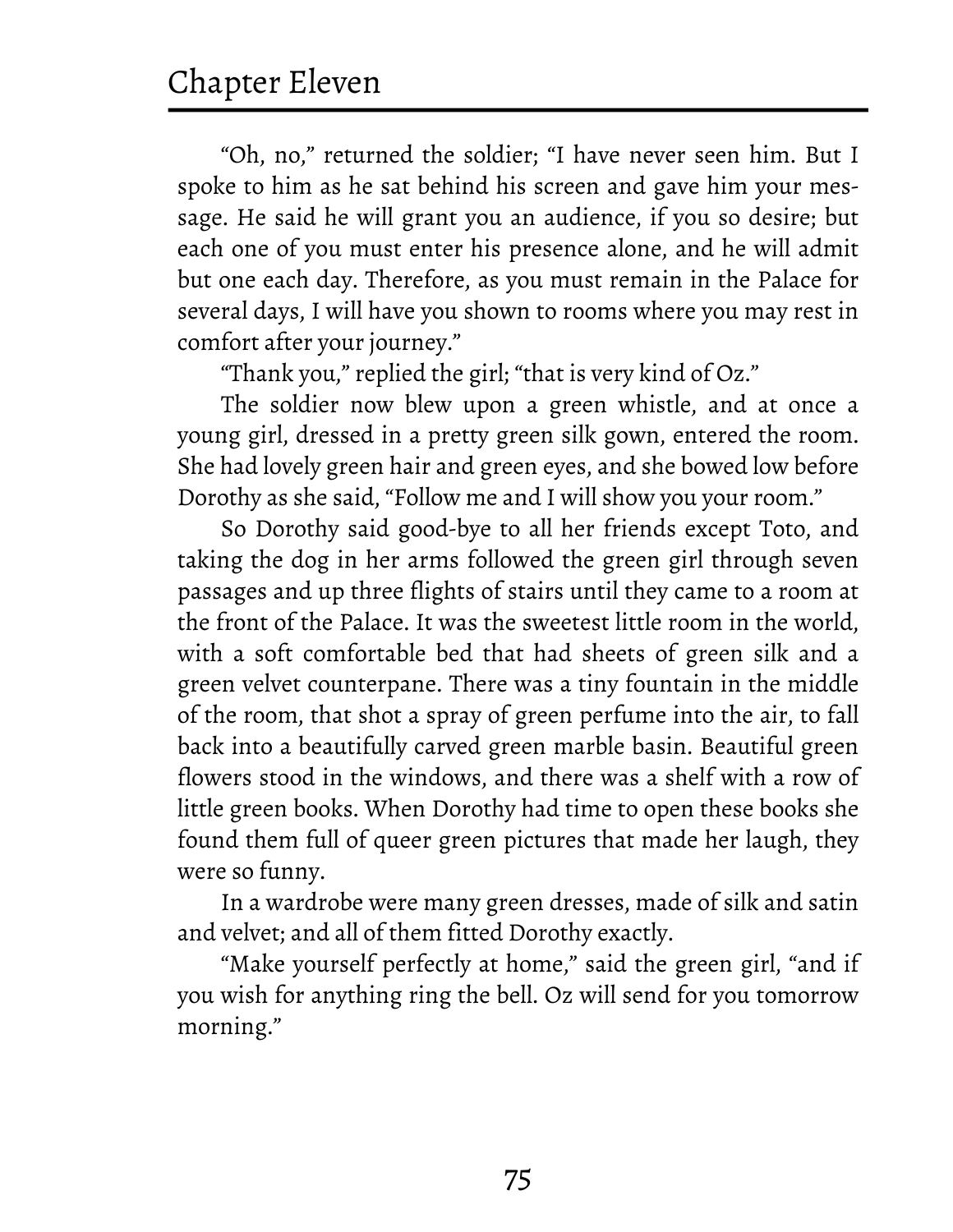"Oh, no," returned the soldier; "I have never seen him. But I spoke to him as he sat behind his screen and gave him your message. He said he will grant you an audience, if you so desire; but each one of you must enter his presence alone, and he will admit but one each day. Therefore, as you must remain in the Palace for several days, I will have you shown to rooms where you may rest in comfort after your journey."

"Thank you," replied the girl; "that is very kind of Oz."

The soldier now blew upon a green whistle, and at once a young girl, dressed in a pretty green silk gown, entered the room. She had lovely green hair and green eyes, and she bowed low before Dorothy as she said, "Follow me and I will show you your room."

So Dorothy said good‐bye to all her friends except Toto, and taking the dog in her arms followed the green girl through seven passages and up three flights of stairs until they came to a room at the front of the Palace. It was the sweetest little room in the world, with a soft comfortable bed that had sheets of green silk and a green velvet counterpane. There was a tiny fountain in the middle of the room, that shot a spray of green perfume into the air, to fall back into a beautifully carved green marble basin. Beautiful green flowers stood in the windows, and there was a shelf with a row of little green books. When Dorothy had time to open these books she found them full of queer green pictures that made her laugh, they were so funny.

In a wardrobe were many green dresses, made of silk and satin and velvet; and all of them fitted Dorothy exactly.

"Make yourself perfectly at home," said the green girl, "and if you wish for anything ring the bell. Oz will send for you tomorrow morning."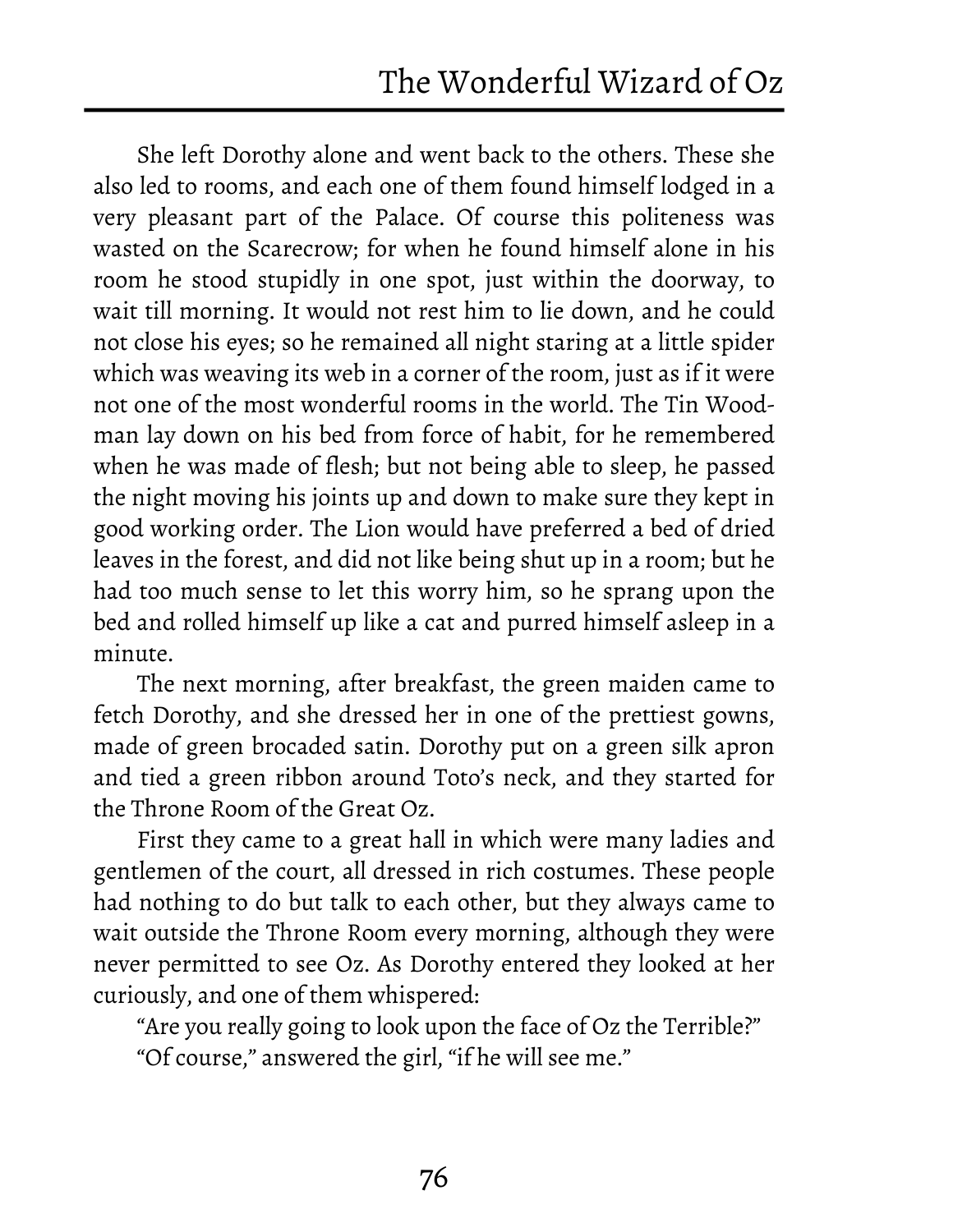She left Dorothy alone and went back to the others. These she also led to rooms, and each one of them found himself lodged in a very pleasant part of the Palace. Of course this politeness was wasted on the Scarecrow; for when he found himself alone in his room he stood stupidly in one spot, just within the doorway, to wait till morning. It would not rest him to lie down, and he could not close his eyes; so he remained all night staring at a little spider which was weaving its web in a corner of the room, just as if it were not one of the most wonderful rooms in the world. The Tin Woodman lay down on his bed from force of habit, for he remembered when he was made of flesh; but not being able to sleep, he passed the night moving his joints up and down to make sure they kept in good working order. The Lion would have preferred a bed of dried leaves in the forest, and did not like being shut up in a room; but he had too much sense to let this worry him, so he sprang upon the bed and rolled himself up like a cat and purred himself asleep in a minute.

The next morning, after breakfast, the green maiden came to fetch Dorothy, and she dressed her in one of the prettiest gowns, made of green brocaded satin. Dorothy put on a green silk apron and tied a green ribbon around Toto's neck, and they started for the Throne Room of the Great Oz.

First they came to a great hall in which were many ladies and gentlemen of the court, all dressed in rich costumes. These people had nothing to do but talk to each other, but they always came to wait outside the Throne Room every morning, although they were never permitted to see Oz. As Dorothy entered they looked at her curiously, and one of them whispered:

"Are you really going to look upon the face of Oz the Terrible?" "Of course," answered the girl, "if he will see me."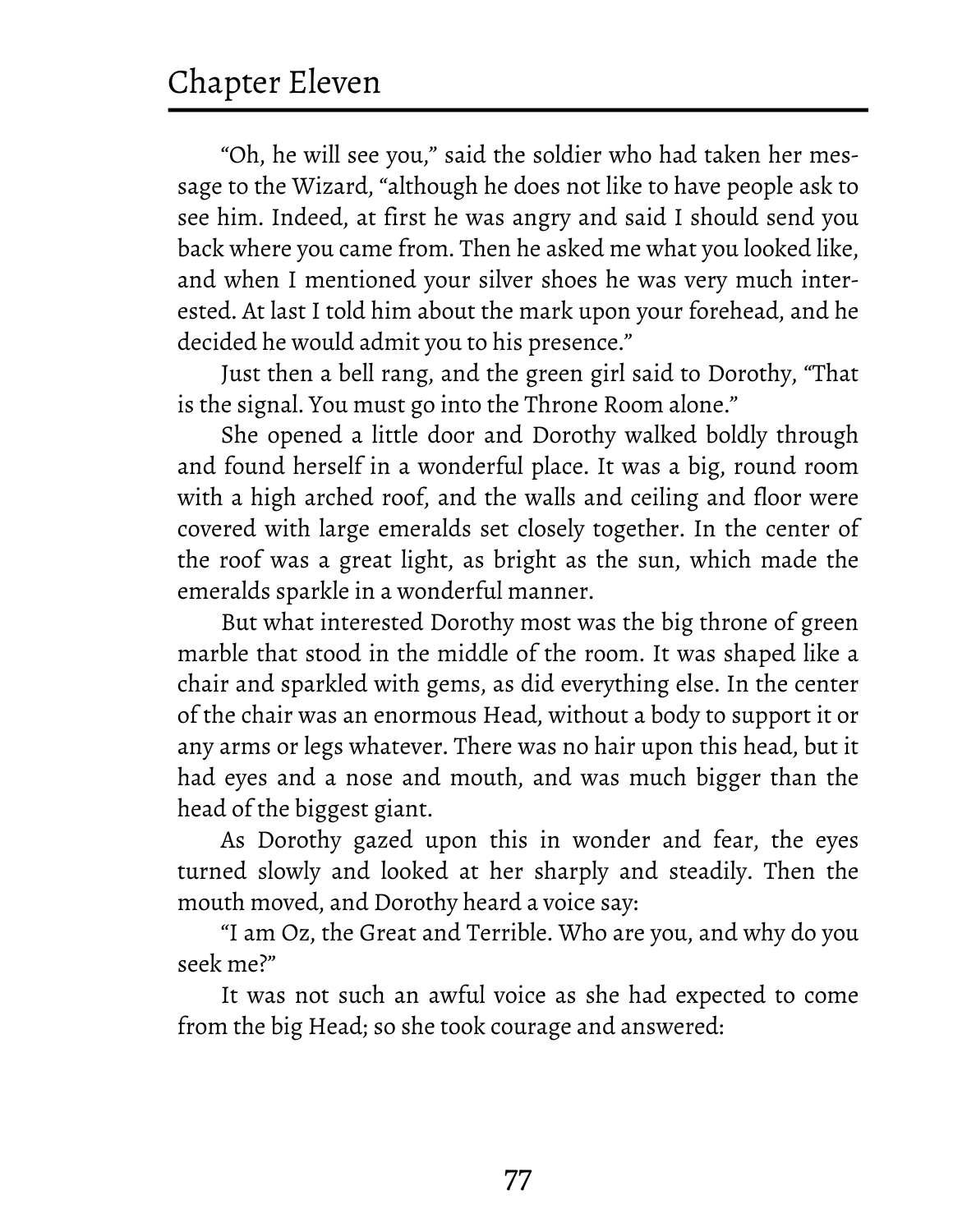### Chapter Eleven

"Oh, he will see you," said the soldier who had taken her message to the Wizard, "although he does not like to have people ask to see him. Indeed, at first he was angry and said I should send you back where you came from. Then he asked me what you looked like, and when I mentioned your silver shoes he was very much interested. At last I told him about the mark upon your forehead, and he decided he would admit you to his presence."

Just then a bell rang, and the green girl said to Dorothy, "That is the signal. You must go into the Throne Room alone."

She opened a little door and Dorothy walked boldly through and found herself in a wonderful place. It was a big, round room with a high arched roof, and the walls and ceiling and floor were covered with large emeralds set closely together. In the center of the roof was a great light, as bright as the sun, which made the emeralds sparkle in a wonderful manner.

But what interested Dorothy most was the big throne of green marble that stood in the middle of the room. It was shaped like a chair and sparkled with gems, as did everything else. In the center of the chair was an enormous Head, without a body to support it or any arms or legs whatever. There was no hair upon this head, but it had eyes and a nose and mouth, and was much bigger than the head of the biggest giant.

As Dorothy gazed upon this in wonder and fear, the eyes turned slowly and looked at her sharply and steadily. Then the mouth moved, and Dorothy heard a voice say:

"I am Oz, the Great and Terrible. Who are you, and why do you seek me?"

It was not such an awful voice as she had expected to come from the big Head; so she took courage and answered: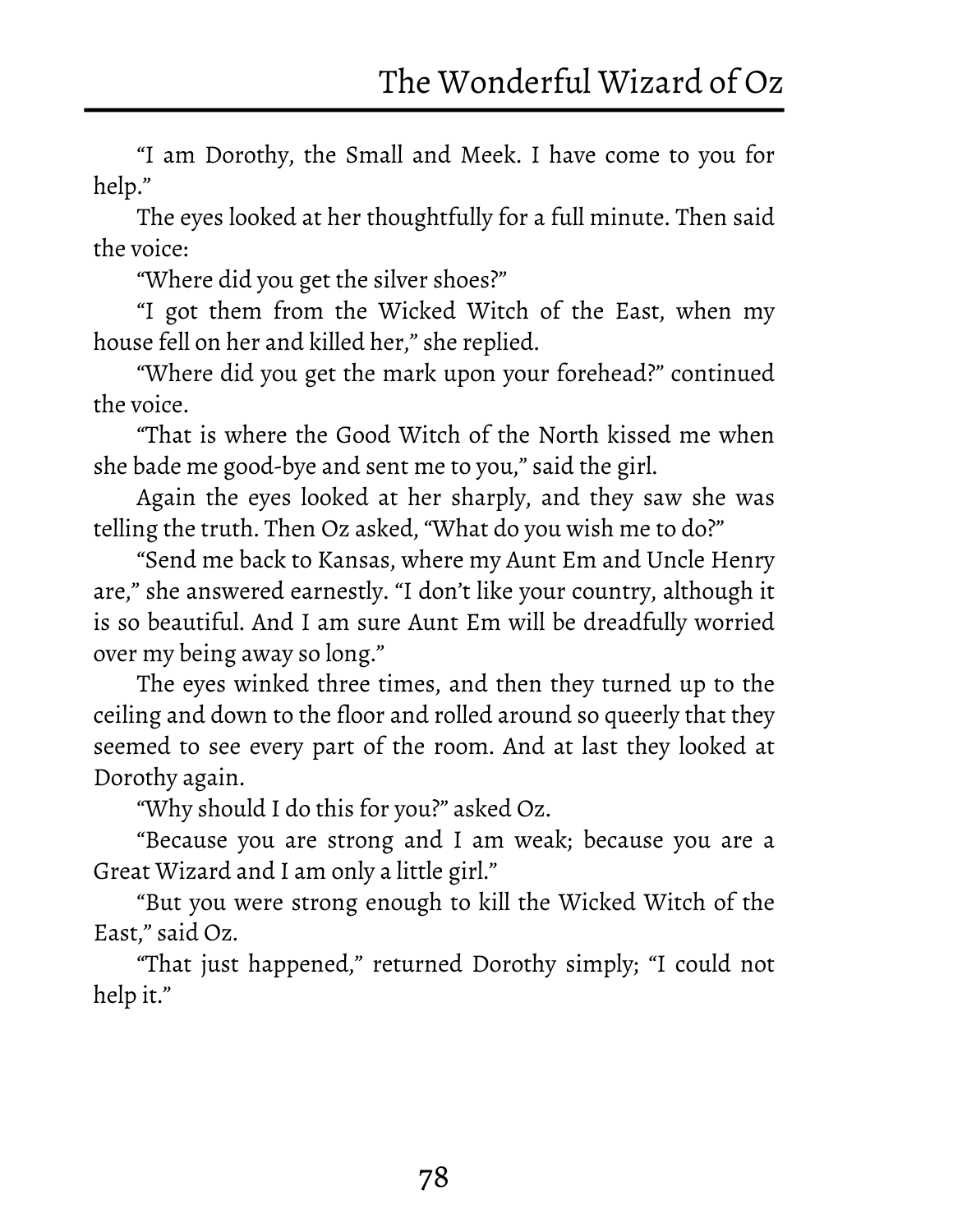"I am Dorothy, the Small and Meek. I have come to you for help."

The eyes looked at her thoughtfully for a full minute. Then said the voice:

"Where did you get the silver shoes?"

"I got them from the Wicked Witch of the East, when my house fell on her and killed her," she replied.

"Where did you get the mark upon your forehead?" continued the voice.

"That is where the Good Witch of the North kissed me when she bade me good‐bye and sent me to you," said the girl.

Again the eyes looked at her sharply, and they saw she was telling the truth. Then Oz asked, "What do you wish me to do?"

"Send me back to Kansas, where my Aunt Em and Uncle Henry are," she answered earnestly. "I don't like your country, although it is so beautiful. And I am sure Aunt Em will be dreadfully worried over my being away so long."

The eyes winked three times, and then they turned up to the ceiling and down to the floor and rolled around so queerly that they seemed to see every part of the room. And at last they looked at Dorothy again.

"Why should I do this for you?" asked Oz.

"Because you are strong and I am weak; because you are a Great Wizard and I am only a little girl."

"But you were strong enough to kill the Wicked Witch of the East," said Oz.

"That just happened," returned Dorothy simply; "I could not help it."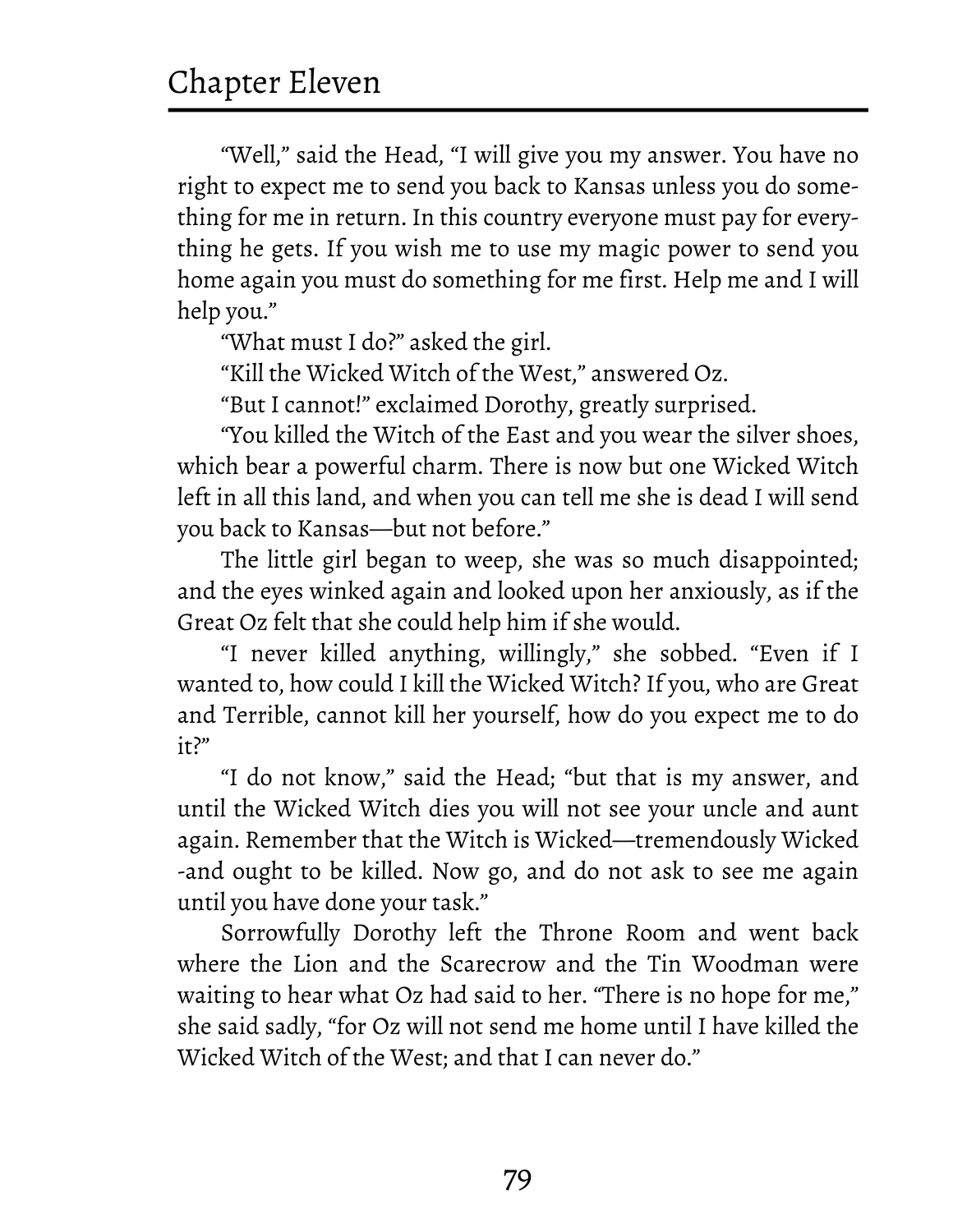"Well," said the Head, "I will give you my answer. You have no right to expect me to send you back to Kansas unless you do something for me in return. In this country everyone must pay for everything he gets. If you wish me to use my magic power to send you home again you must do something for me first. Help me and I will help you."

"What must I do?" asked the girl.

"Kill the Wicked Witch of the West," answered Oz.

"But I cannot!" exclaimed Dorothy, greatly surprised.

"You killed the Witch of the East and you wear the silver shoes, which bear a powerful charm. There is now but one Wicked Witch left in all this land, and when you can tell me she is dead I will send you back to Kansas—but not before."

The little girl began to weep, she was so much disappointed; and the eyes winked again and looked upon her anxiously, as if the Great Oz felt that she could help him if she would.

"I never killed anything, willingly," she sobbed. "Even if I wanted to, how could I kill the Wicked Witch? If you, who are Great and Terrible, cannot kill her yourself, how do you expect me to do it?"

"I do not know," said the Head; "but that is my answer, and until the Wicked Witch dies you will not see your uncle and aunt again. Remember that the Witch is Wicked—tremendously Wicked ‐and ought to be killed. Now go, and do not ask to see me again until you have done your task."

Sorrowfully Dorothy left the Throne Room and went back where the Lion and the Scarecrow and the Tin Woodman were waiting to hear what Oz had said to her. "There is no hope for me," she said sadly, "for Oz will not send me home until I have killed the Wicked Witch of the West; and that I can never do."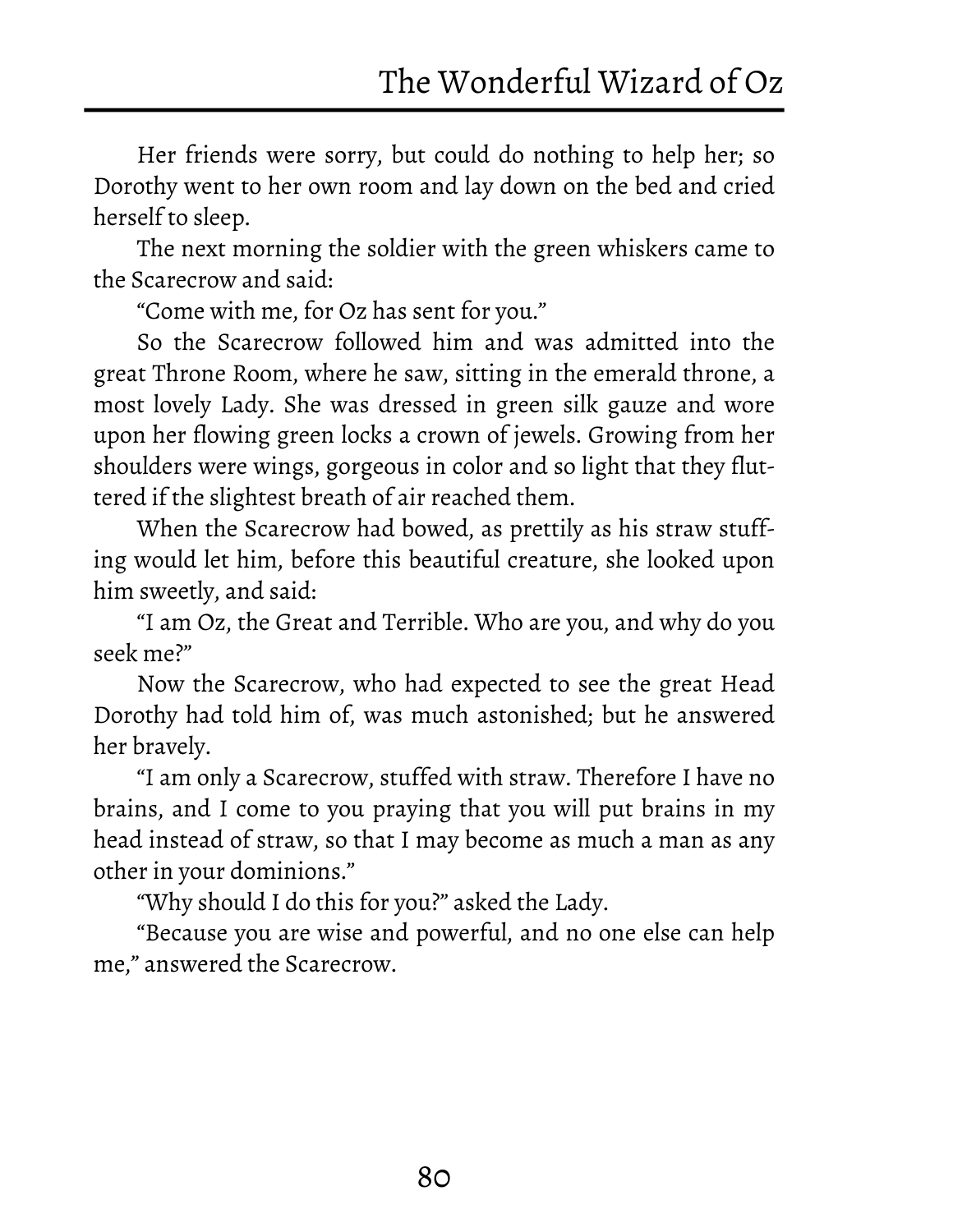Her friends were sorry, but could do nothing to help her; so Dorothy went to her own room and lay down on the bed and cried herself to sleep.

The next morning the soldier with the green whiskers came to the Scarecrow and said:

"Come with me, for Oz has sent for you."

So the Scarecrow followed him and was admitted into the great Throne Room, where he saw, sitting in the emerald throne, a most lovely Lady. She was dressed in green silk gauze and wore upon her flowing green locks a crown of jewels. Growing from her shoulders were wings, gorgeous in color and so light that they fluttered if the slightest breath of air reached them.

When the Scarecrow had bowed, as prettily as his straw stuffing would let him, before this beautiful creature, she looked upon him sweetly, and said:

"I am Oz, the Great and Terrible. Who are you, and why do you seek me?"

Now the Scarecrow, who had expected to see the great Head Dorothy had told him of, was much astonished; but he answered her bravely.

"I am only a Scarecrow, stuffed with straw. Therefore I have no brains, and I come to you praying that you will put brains in my head instead of straw, so that I may become as much a man as any other in your dominions."

"Why should I do this for you?" asked the Lady.

"Because you are wise and powerful, and no one else can help me," answered the Scarecrow.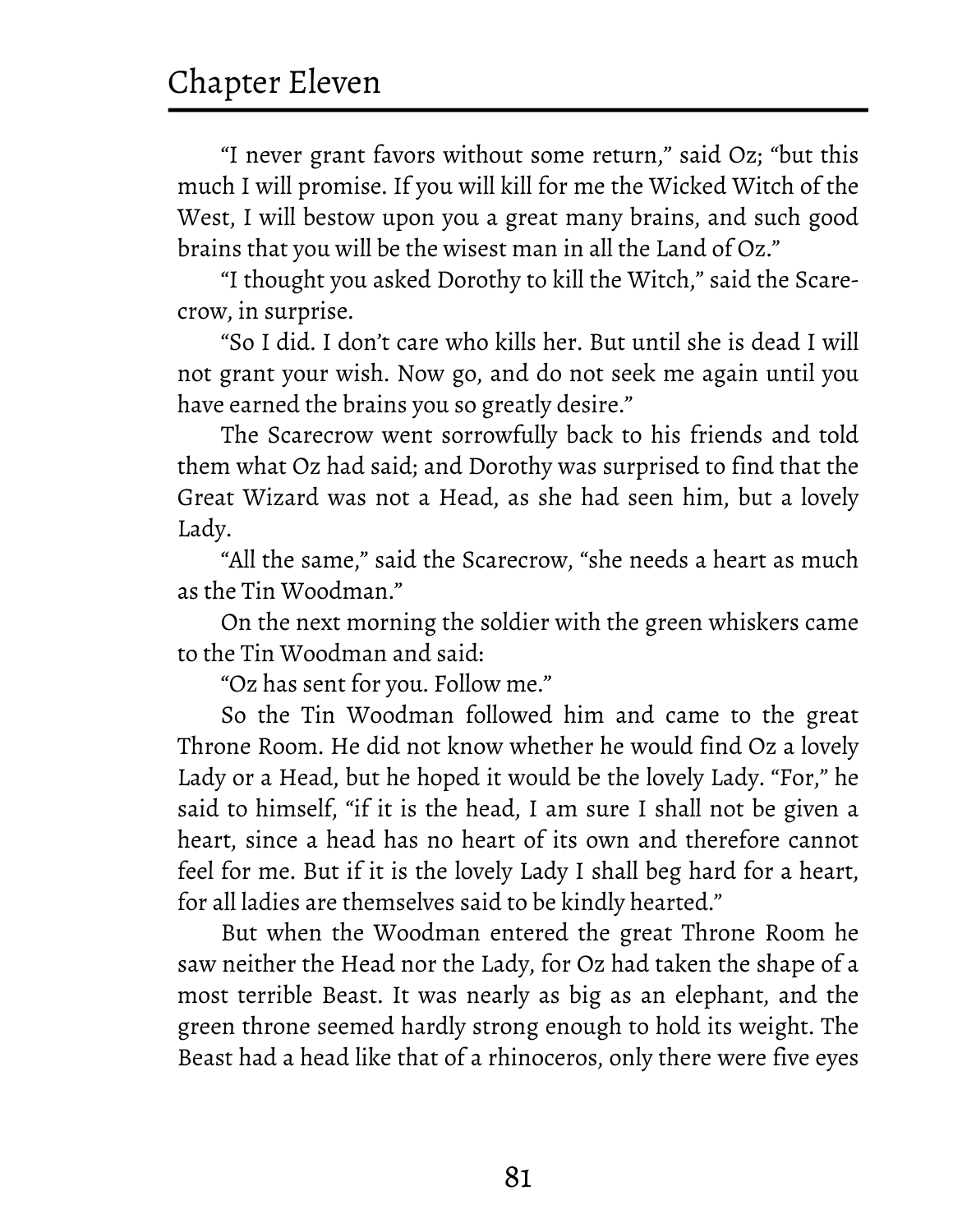"I never grant favors without some return," said Oz; "but this much I will promise. If you will kill for me the Wicked Witch of the West, I will bestow upon you a great many brains, and such good brains that you will be the wisest man in all the Land of Oz."

"I thought you asked Dorothy to kill the Witch," said the Scarecrow, in surprise.

"So I did. I don't care who kills her. But until she is dead I will not grant your wish. Now go, and do not seek me again until you have earned the brains you so greatly desire."

The Scarecrow went sorrowfully back to his friends and told them what Oz had said; and Dorothy was surprised to find that the Great Wizard was not a Head, as she had seen him, but a lovely Lady.

"All the same," said the Scarecrow, "she needs a heart as much as the Tin Woodman."

On the next morning the soldier with the green whiskers came to the Tin Woodman and said:

"Oz has sent for you. Follow me."

So the Tin Woodman followed him and came to the great Throne Room. He did not know whether he would find Oz a lovely Lady or a Head, but he hoped it would be the lovely Lady. "For," he said to himself, "if it is the head, I am sure I shall not be given a heart, since a head has no heart of its own and therefore cannot feel for me. But if it is the lovely Lady I shall beg hard for a heart, for all ladies are themselves said to be kindly hearted."

But when the Woodman entered the great Throne Room he saw neither the Head nor the Lady, for Oz had taken the shape of a most terrible Beast. It was nearly as big as an elephant, and the green throne seemed hardly strong enough to hold its weight. The Beast had a head like that of a rhinoceros, only there were five eyes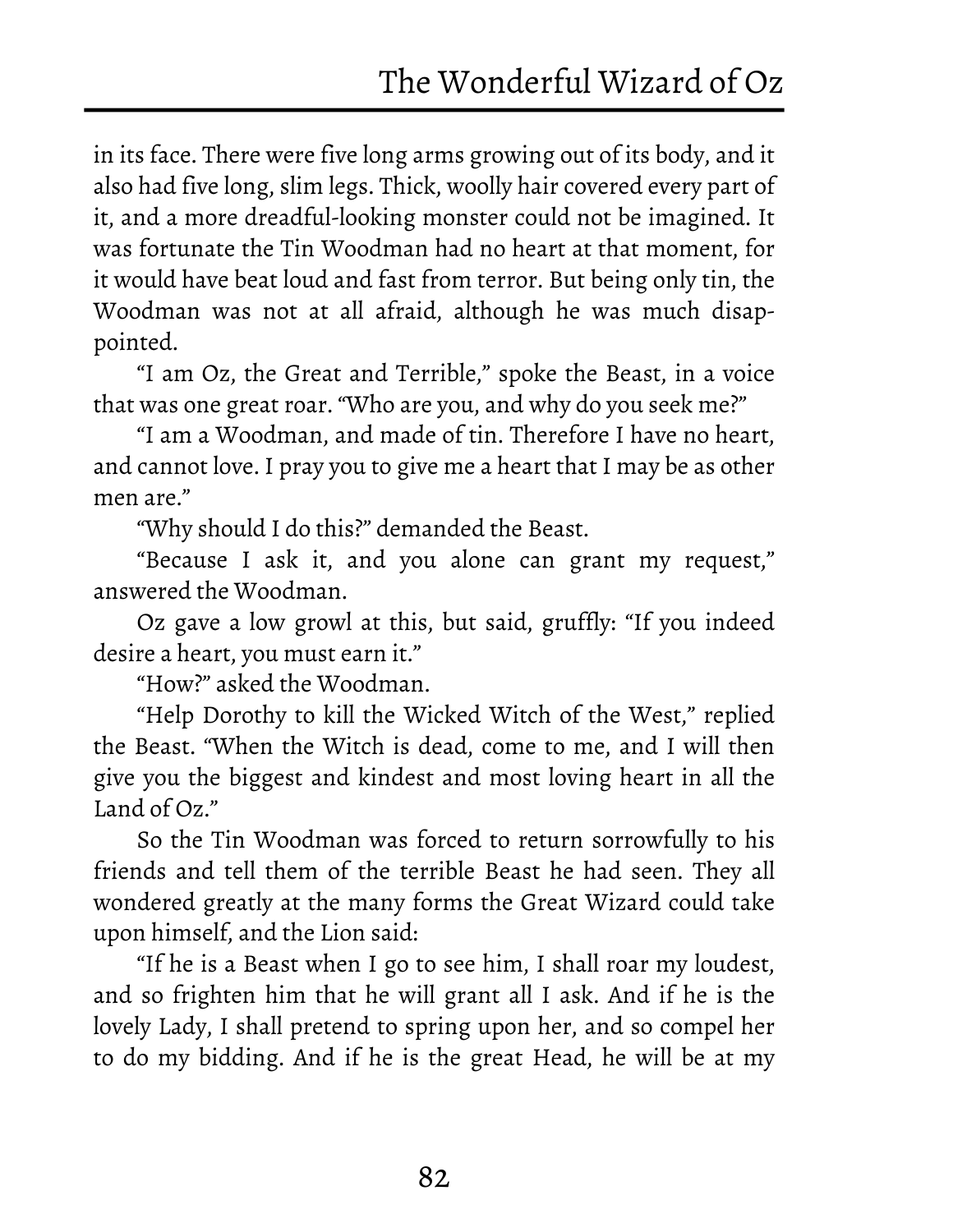in its face. There were five long arms growing out of its body, and it also had five long, slim legs. Thick, woolly hair covered every part of it, and a more dreadful‐looking monster could not be imagined. It was fortunate the Tin Woodman had no heart at that moment, for it would have beat loud and fast from terror. But being only tin, the Woodman was not at all afraid, although he was much disappointed.

"I am Oz, the Great and Terrible," spoke the Beast, in a voice that was one great roar. "Who are you, and why do you seek me?"

"I am a Woodman, and made of tin. Therefore I have no heart, and cannot love. I pray you to give me a heart that I may be as other men are."

"Why should I do this?" demanded the Beast.

"Because I ask it, and you alone can grant my request," answered the Woodman.

Oz gave a low growl at this, but said, gruffly: "If you indeed desire a heart, you must earn it."

"How?" asked the Woodman.

"Help Dorothy to kill the Wicked Witch of the West," replied the Beast. "When the Witch is dead, come to me, and I will then give you the biggest and kindest and most loving heart in all the Land of Oz."

So the Tin Woodman was forced to return sorrowfully to his friends and tell them of the terrible Beast he had seen. They all wondered greatly at the many forms the Great Wizard could take upon himself, and the Lion said:

"If he is a Beast when I go to see him, I shall roar my loudest, and so frighten him that he will grant all I ask. And if he is the lovely Lady, I shall pretend to spring upon her, and so compel her to do my bidding. And if he is the great Head, he will be at my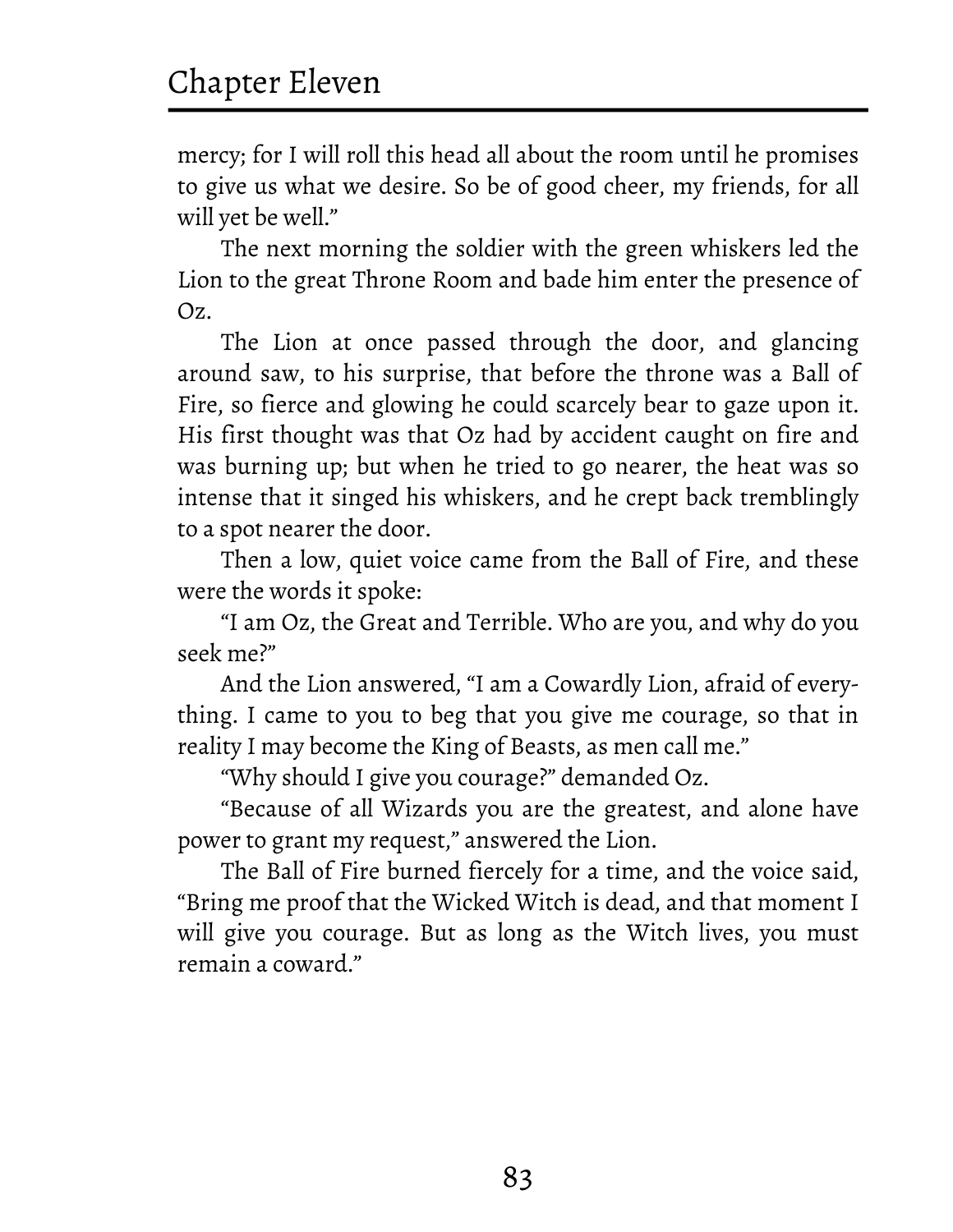mercy; for I will roll this head all about the room until he promises to give us what we desire. So be of good cheer, my friends, for all will yet be well."

The next morning the soldier with the green whiskers led the Lion to the great Throne Room and bade him enter the presence of  $Oz$ .

The Lion at once passed through the door, and glancing around saw, to his surprise, that before the throne was a Ball of Fire, so fierce and glowing he could scarcely bear to gaze upon it. His first thought was that Oz had by accident caught on fire and was burning up; but when he tried to go nearer, the heat was so intense that it singed his whiskers, and he crept back tremblingly to a spot nearer the door.

Then a low, quiet voice came from the Ball of Fire, and these were the words it spoke:

"I am Oz, the Great and Terrible. Who are you, and why do you seek me?"

And the Lion answered, "I am a Cowardly Lion, afraid of everything. I came to you to beg that you give me courage, so that in reality I may become the King of Beasts, as men call me."

"Why should I give you courage?" demanded Oz.

"Because of all Wizards you are the greatest, and alone have power to grant my request," answered the Lion.

The Ball of Fire burned fiercely for a time, and the voice said, "Bring me proof that the Wicked Witch is dead, and that moment I will give you courage. But as long as the Witch lives, you must remain a coward."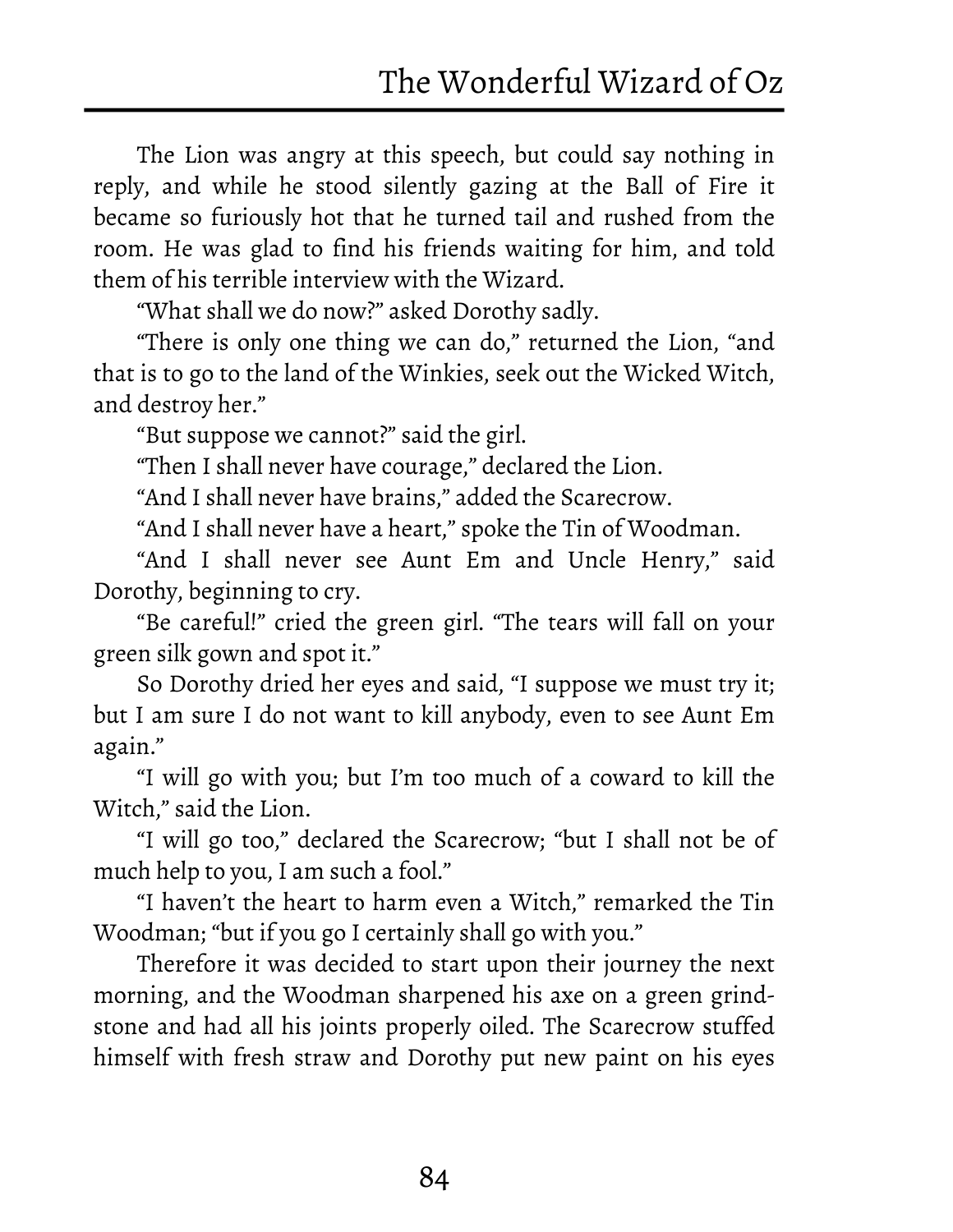The Lion was angry at this speech, but could say nothing in reply, and while he stood silently gazing at the Ball of Fire it became so furiously hot that he turned tail and rushed from the room. He was glad to find his friends waiting for him, and told them of his terrible interview with the Wizard.

"What shall we do now?" asked Dorothy sadly.

"There is only one thing we can do," returned the Lion, "and that is to go to the land of the Winkies, seek out the Wicked Witch, and destroy her."

"But suppose we cannot?" said the girl.

"Then I shall never have courage," declared the Lion.

"And I shall never have brains," added the Scarecrow.

"And I shall never have a heart," spoke the Tin of Woodman.

"And I shall never see Aunt Em and Uncle Henry," said Dorothy, beginning to cry.

"Be careful!" cried the green girl. "The tears will fall on your green silk gown and spot it."

So Dorothy dried her eyes and said, "I suppose we must try it; but I am sure I do not want to kill anybody, even to see Aunt Em again."

"I will go with you; but I'm too much of a coward to kill the Witch," said the Lion.

"I will go too," declared the Scarecrow; "but I shall not be of much help to you, I am such a fool."

"I haven't the heart to harm even a Witch," remarked the Tin Woodman; "but if you go I certainly shall go with you."

Therefore it was decided to start upon their journey the next morning, and the Woodman sharpened his axe on a green grindstone and had all his joints properly oiled. The Scarecrow stuffed himself with fresh straw and Dorothy put new paint on his eyes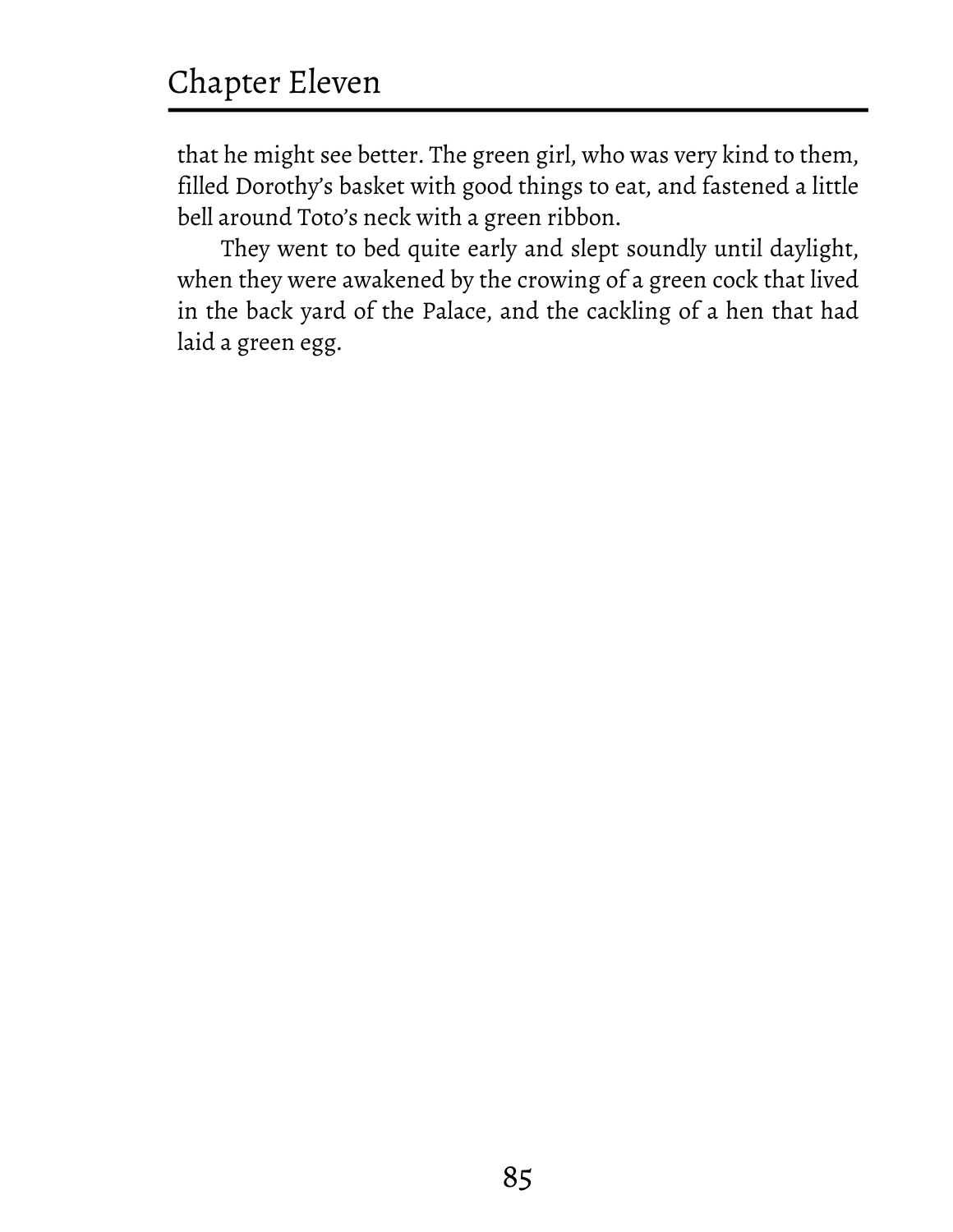### Chapter Eleven

that he might see better. The green girl, who was very kind to them, filled Dorothy's basket with good things to eat, and fastened a little bell around Toto's neck with a green ribbon.

They went to bed quite early and slept soundly until daylight, when they were awakened by the crowing of a green cock that lived in the back yard of the Palace, and the cackling of a hen that had laid a green egg.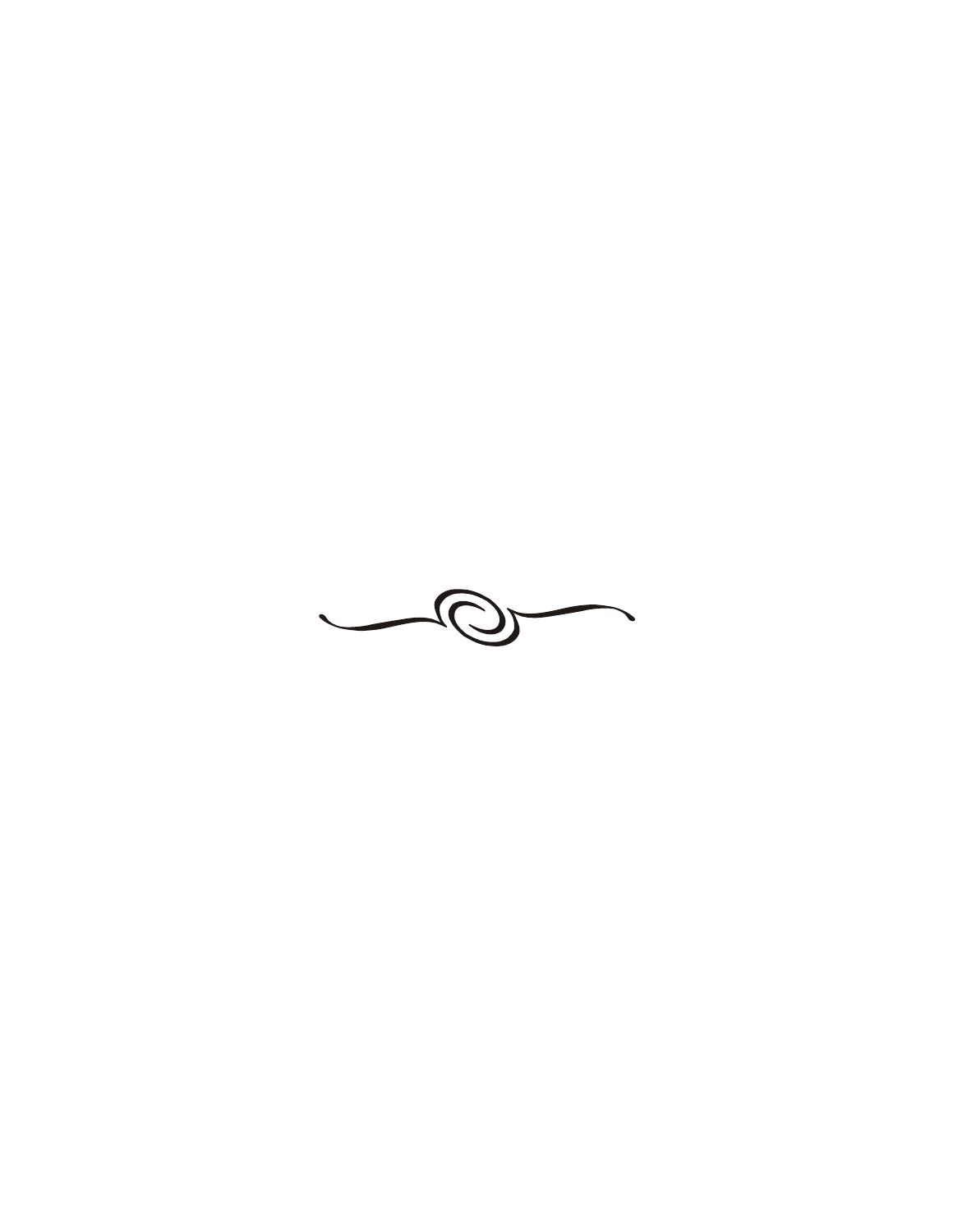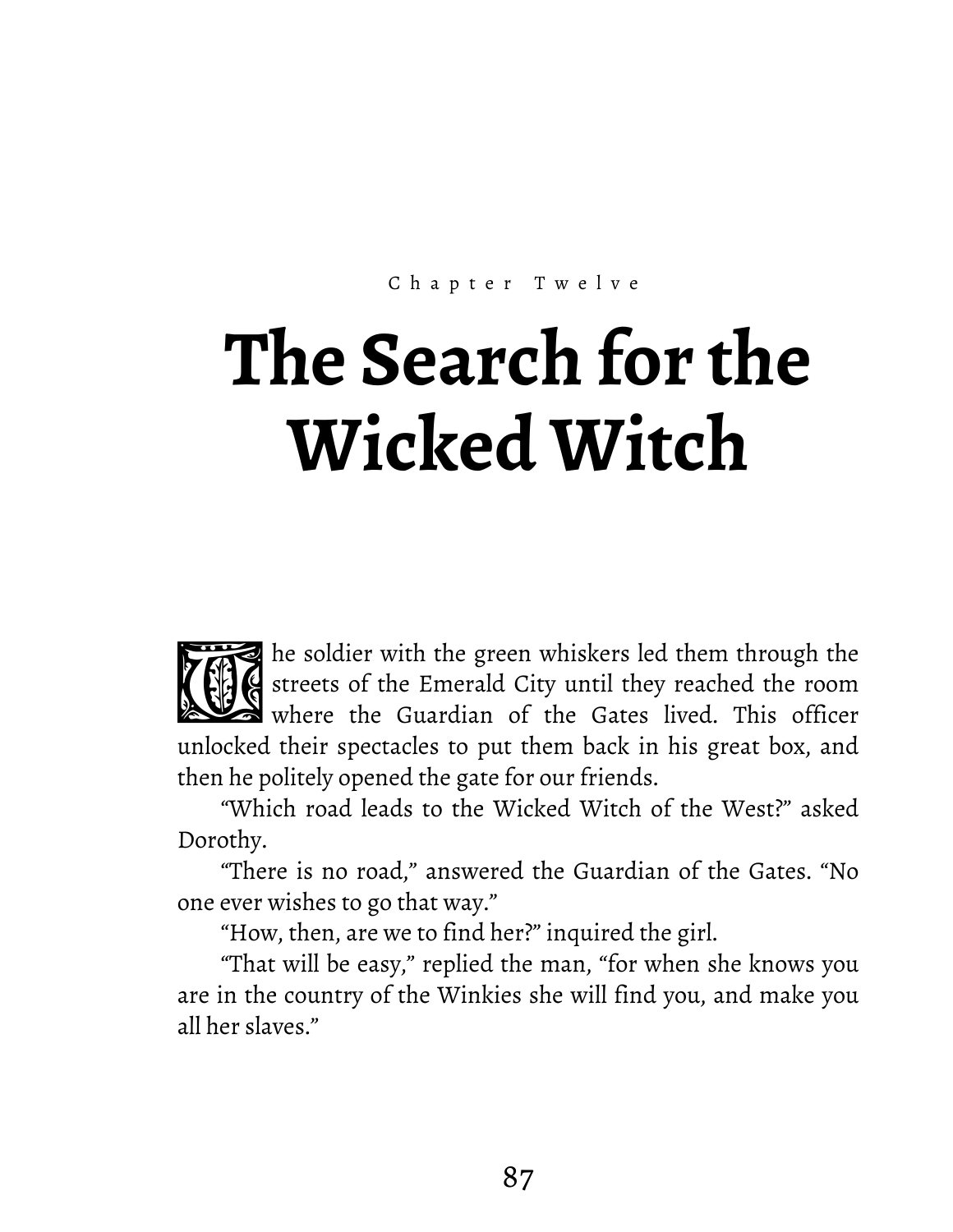#### Chapter Twelve

## **The Search for the Wicked Witch**

he str the soldier with the green whiskers led them through the streets of the Emerald City until they reached the room where the Guardian of the Gates lived. This officer unlocked their spectacles to put them back in his great box, and then he politely opened the gate for our friends.

"Which road leads to the Wicked Witch of the West?" asked Dorothy.

"There is no road," answered the Guardian of the Gates. "No one ever wishes to go that way."

"How, then, are we to find her?" inquired the girl.

"That will be easy," replied the man, "for when she knows you are in the country of the Winkies she will find you, and make you all her slaves."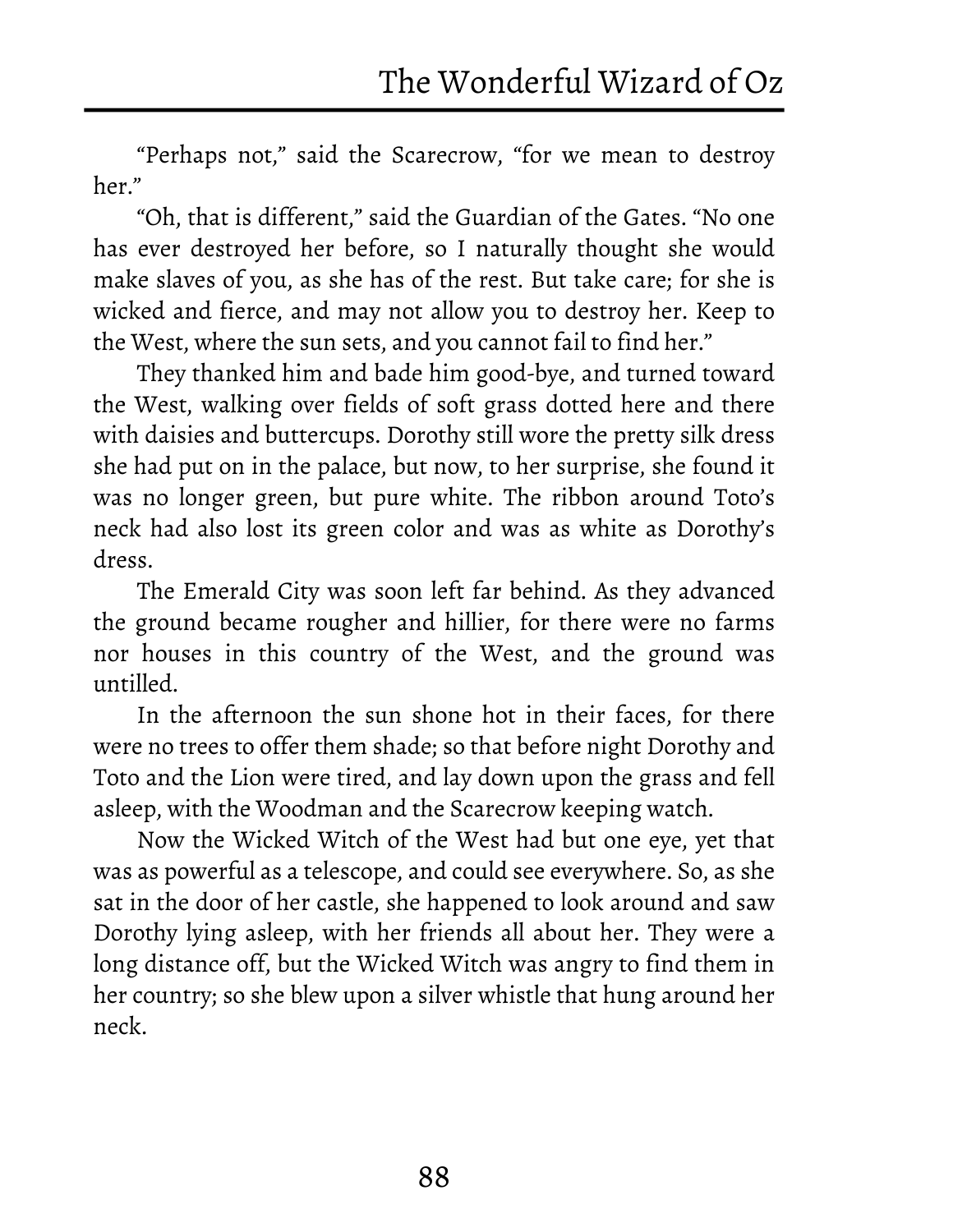"Perhaps not," said the Scarecrow, "for we mean to destroy her."

"Oh, that is different," said the Guardian of the Gates. "No one has ever destroyed her before, so I naturally thought she would make slaves of you, as she has of the rest. But take care; for she is wicked and fierce, and may not allow you to destroy her. Keep to the West, where the sun sets, and you cannot fail to find her."

They thanked him and bade him good‐bye, and turned toward the West, walking over fields of soft grass dotted here and there with daisies and buttercups. Dorothy still wore the pretty silk dress she had put on in the palace, but now, to her surprise, she found it was no longer green, but pure white. The ribbon around Toto's neck had also lost its green color and was as white as Dorothy's dress.

The Emerald City was soon left far behind. As they advanced the ground became rougher and hillier, for there were no farms nor houses in this country of the West, and the ground was untilled.

In the afternoon the sun shone hot in their faces, for there were no trees to offer them shade; so that before night Dorothy and Toto and the Lion were tired, and lay down upon the grass and fell asleep, with the Woodman and the Scarecrow keeping watch.

Now the Wicked Witch of the West had but one eye, yet that was as powerful as a telescope, and could see everywhere. So, as she sat in the door of her castle, she happened to look around and saw Dorothy lying asleep, with her friends all about her. They were a long distance off, but the Wicked Witch was angry to find them in her country; so she blew upon a silver whistle that hung around her neck.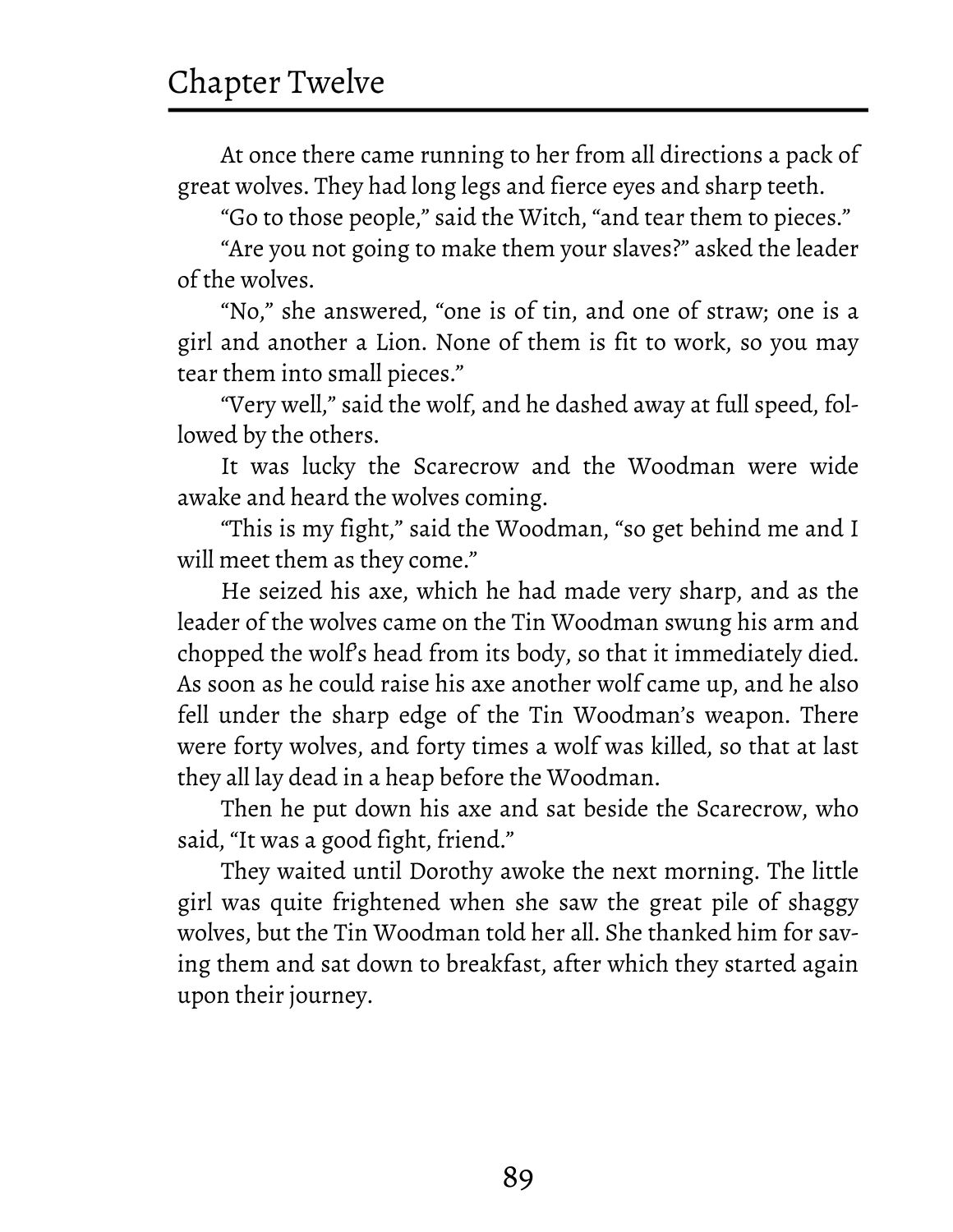At once there came running to her from all directions a pack of great wolves. They had long legs and fierce eyes and sharp teeth.

"Go to those people," said the Witch, "and tear them to pieces."

"Are you not going to make them your slaves?" asked the leader of the wolves.

"No," she answered, "one is of tin, and one of straw; one is a girl and another a Lion. None of them is fit to work, so you may tear them into small pieces."

"Very well," said the wolf, and he dashed away at full speed, followed by the others.

It was lucky the Scarecrow and the Woodman were wide awake and heard the wolves coming.

"This is my fight," said the Woodman, "so get behind me and I will meet them as they come."

He seized his axe, which he had made very sharp, and as the leader of the wolves came on the Tin Woodman swung his arm and chopped the wolf's head from its body, so that it immediately died. As soon as he could raise his axe another wolf came up, and he also fell under the sharp edge of the Tin Woodman's weapon. There were forty wolves, and forty times a wolf was killed, so that at last they all lay dead in a heap before the Woodman.

Then he put down his axe and sat beside the Scarecrow, who said, "It was a good fight, friend."

They waited until Dorothy awoke the next morning. The little girl was quite frightened when she saw the great pile of shaggy wolves, but the Tin Woodman told her all. She thanked him for saving them and sat down to breakfast, after which they started again upon their journey.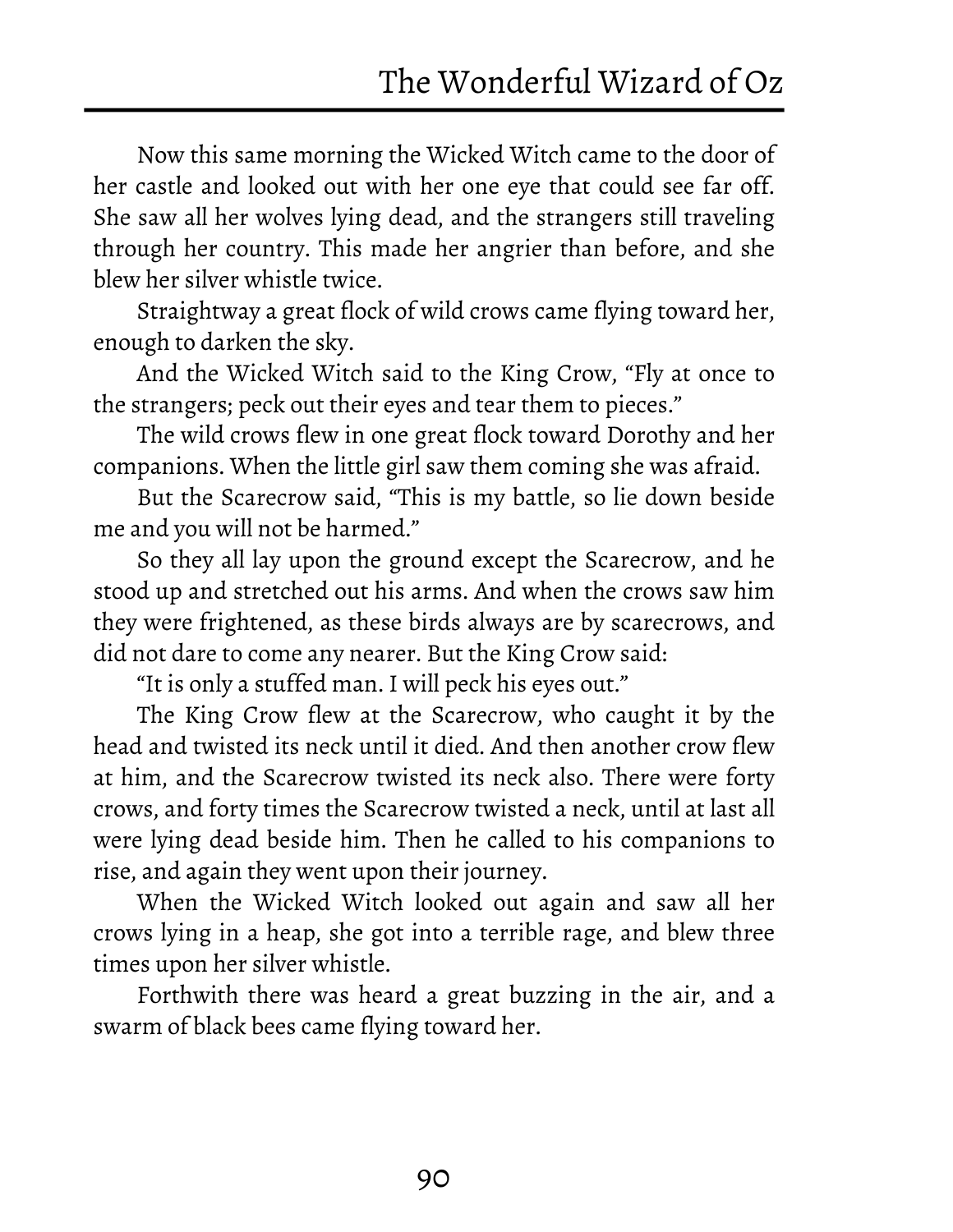Now this same morning the Wicked Witch came to the door of her castle and looked out with her one eye that could see far off. She saw all her wolves lying dead, and the strangers still traveling through her country. This made her angrier than before, and she blew her silver whistle twice.

Straightway a great flock of wild crows came flying toward her, enough to darken the sky.

And the Wicked Witch said to the King Crow, "Fly at once to the strangers; peck out their eyes and tear them to pieces."

The wild crows flew in one great flock toward Dorothy and her companions. When the little girl saw them coming she was afraid.

But the Scarecrow said, "This is my battle, so lie down beside me and you will not be harmed."

So they all lay upon the ground except the Scarecrow, and he stood up and stretched out his arms. And when the crows saw him they were frightened, as these birds always are by scarecrows, and did not dare to come any nearer. But the King Crow said:

"It is only a stuffed man. I will peck his eyes out."

The King Crow flew at the Scarecrow, who caught it by the head and twisted its neck until it died. And then another crow flew at him, and the Scarecrow twisted its neck also. There were forty crows, and forty times the Scarecrow twisted a neck, until at last all were lying dead beside him. Then he called to his companions to rise, and again they went upon their journey.

When the Wicked Witch looked out again and saw all her crows lying in a heap, she got into a terrible rage, and blew three times upon her silver whistle.

Forthwith there was heard a great buzzing in the air, and a swarm of black bees came flying toward her.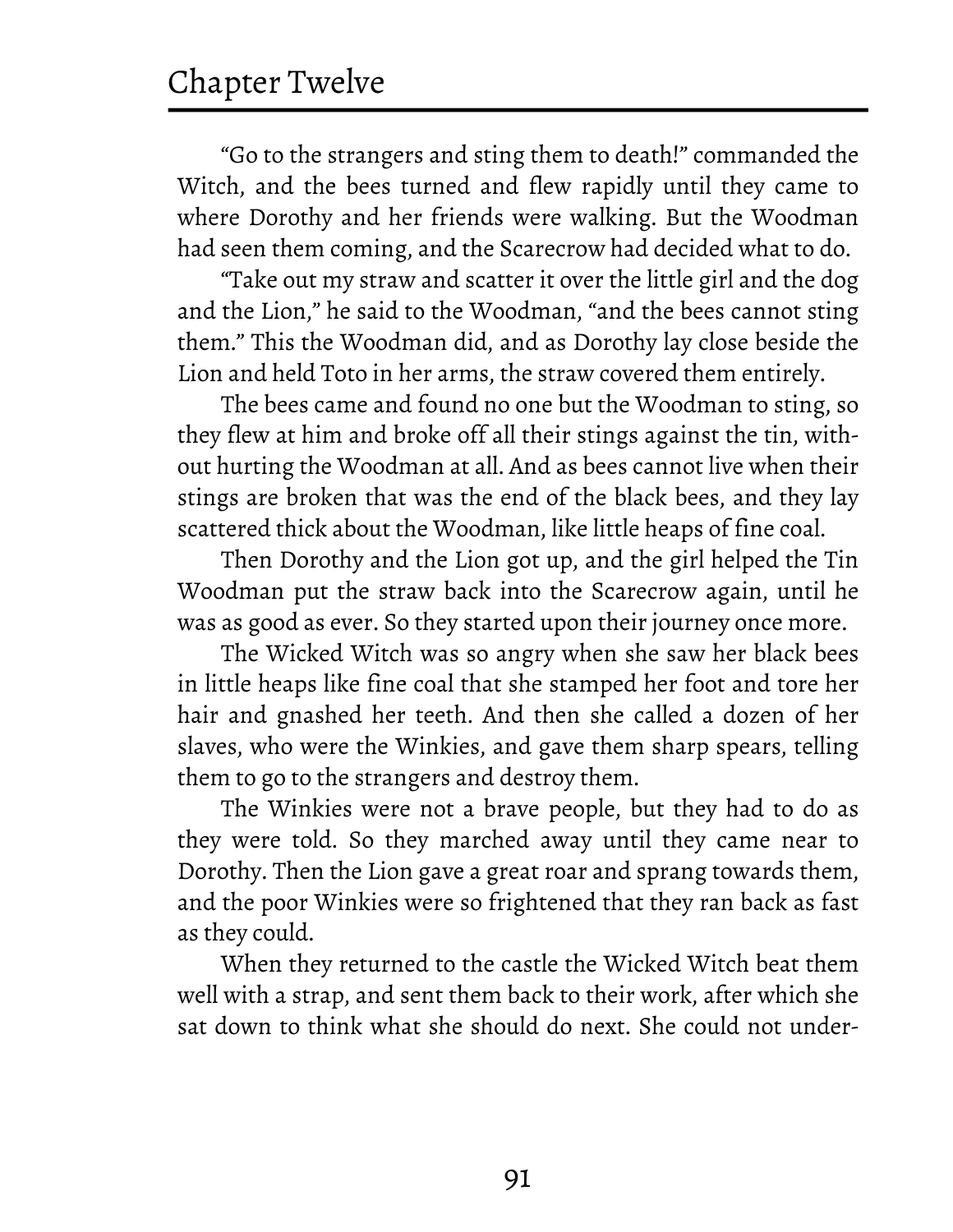### Chapter Twelve

"Go to the strangers and sting them to death!" commanded the Witch, and the bees turned and flew rapidly until they came to where Dorothy and her friends were walking. But the Woodman had seen them coming, and the Scarecrow had decided what to do.

"Take out my straw and scatter it over the little girl and the dog and the Lion," he said to the Woodman, "and the bees cannot sting them." This the Woodman did, and as Dorothy lay close beside the Lion and held Toto in her arms, the straw covered them entirely.

The bees came and found no one but the Woodman to sting, so they flew at him and broke off all their stings against the tin, without hurting the Woodman at all. And as bees cannot live when their stings are broken that was the end of the black bees, and they lay scattered thick about the Woodman, like little heaps of fine coal.

Then Dorothy and the Lion got up, and the girl helped the Tin Woodman put the straw back into the Scarecrow again, until he was as good as ever. So they started upon their journey once more.

The Wicked Witch was so angry when she saw her black bees in little heaps like fine coal that she stamped her foot and tore her hair and gnashed her teeth. And then she called a dozen of her slaves, who were the Winkies, and gave them sharp spears, telling them to go to the strangers and destroy them.

The Winkies were not a brave people, but they had to do as they were told. So they marched away until they came near to Dorothy. Then the Lion gave a great roar and sprang towards them, and the poor Winkies were so frightened that they ran back as fast as they could.

When they returned to the castle the Wicked Witch beat them well with a strap, and sent them back to their work, after which she sat down to think what she should do next. She could not under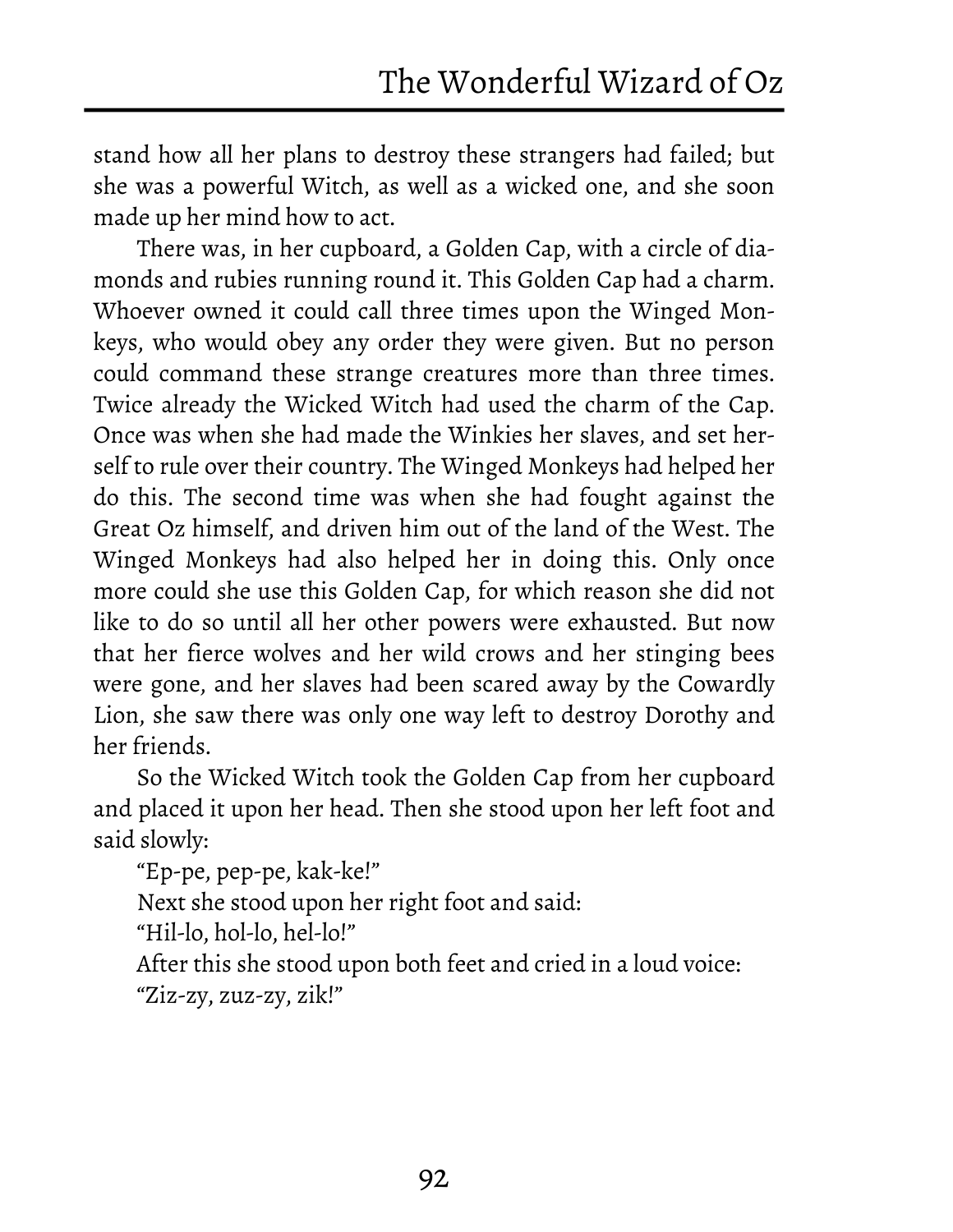stand how all her plans to destroy these strangers had failed; but she was a powerful Witch, as well as a wicked one, and she soon made up her mind how to act.

There was, in her cupboard, a Golden Cap, with a circle of diamonds and rubies running round it. This Golden Cap had a charm. Whoever owned it could call three times upon the Winged Monkeys, who would obey any order they were given. But no person could command these strange creatures more than three times. Twice already the Wicked Witch had used the charm of the Cap. Once was when she had made the Winkies her slaves, and set herself to rule over their country. The Winged Monkeys had helped her do this. The second time was when she had fought against the Great Oz himself, and driven him out of the land of the West. The Winged Monkeys had also helped her in doing this. Only once more could she use this Golden Cap, for which reason she did not like to do so until all her other powers were exhausted. But now that her fierce wolves and her wild crows and her stinging bees were gone, and her slaves had been scared away by the Cowardly Lion, she saw there was only one way left to destroy Dorothy and her friends.

So the Wicked Witch took the Golden Cap from her cupboard and placed it upon her head. Then she stood upon her left foot and said slowly:

"Ep‐pe, pep‐pe, kak‐ke!"

Next she stood upon her right foot and said:

"Hil‐lo, hol‐lo, hel‐lo!"

After this she stood upon both feet and cried in a loud voice:

"Ziz‐zy, zuz‐zy, zik!"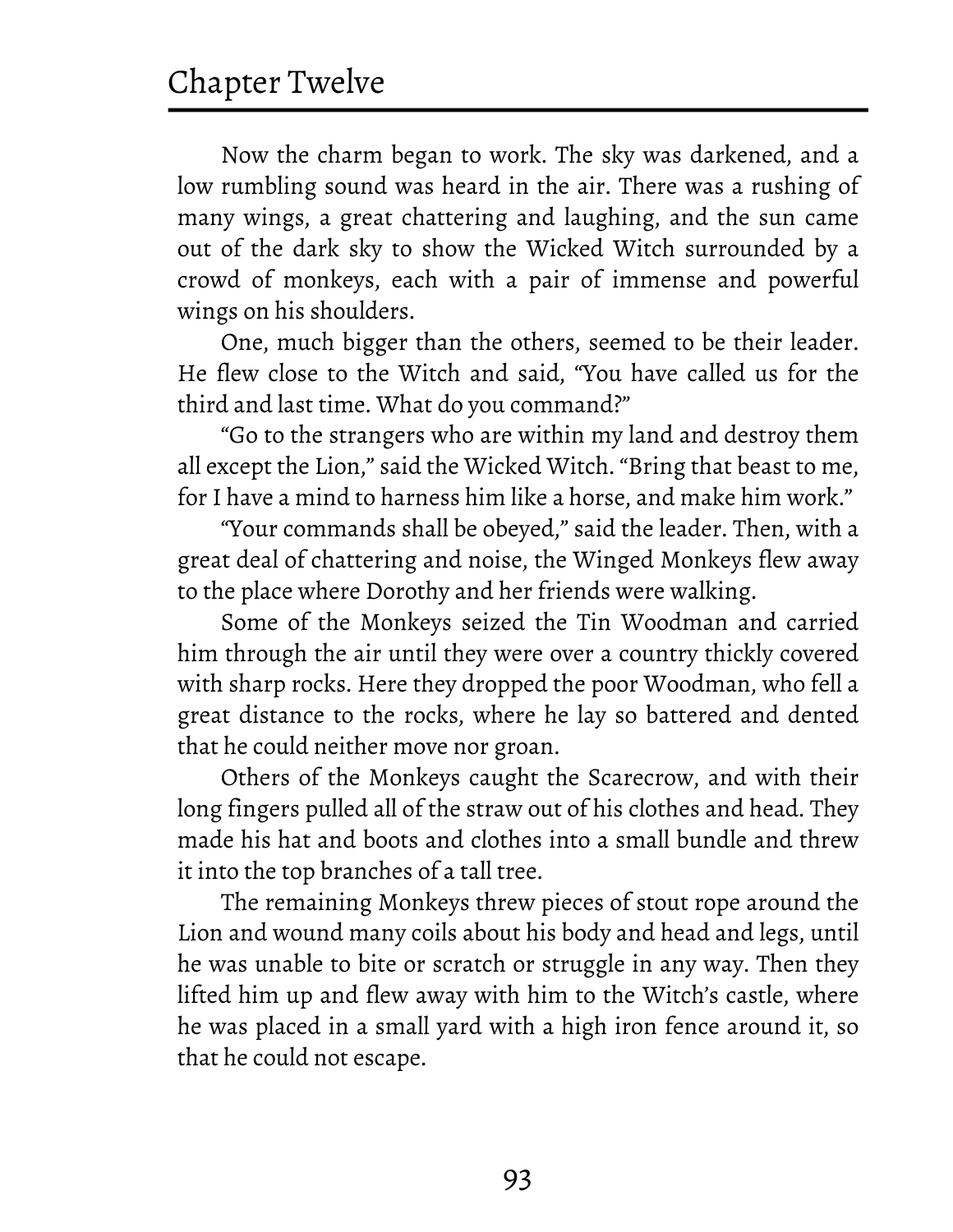Now the charm began to work. The sky was darkened, and a low rumbling sound was heard in the air. There was a rushing of many wings, a great chattering and laughing, and the sun came out of the dark sky to show the Wicked Witch surrounded by a crowd of monkeys, each with a pair of immense and powerful wings on his shoulders.

One, much bigger than the others, seemed to be their leader. He flew close to the Witch and said, "You have called us for the third and last time. What do you command?"

"Go to the strangers who are within my land and destroy them all except the Lion," said the Wicked Witch. "Bring that beast to me, for I have a mind to harness him like a horse, and make him work."

"Your commands shall be obeyed," said the leader. Then, with a great deal of chattering and noise, the Winged Monkeys flew away to the place where Dorothy and her friends were walking.

Some of the Monkeys seized the Tin Woodman and carried him through the air until they were over a country thickly covered with sharp rocks. Here they dropped the poor Woodman, who fell a great distance to the rocks, where he lay so battered and dented that he could neither move nor groan.

Others of the Monkeys caught the Scarecrow, and with their long fingers pulled all of the straw out of his clothes and head. They made his hat and boots and clothes into a small bundle and threw it into the top branches of a tall tree.

The remaining Monkeys threw pieces of stout rope around the Lion and wound many coils about his body and head and legs, until he was unable to bite or scratch or struggle in any way. Then they lifted him up and flew away with him to the Witch's castle, where he was placed in a small yard with a high iron fence around it, so that he could not escape.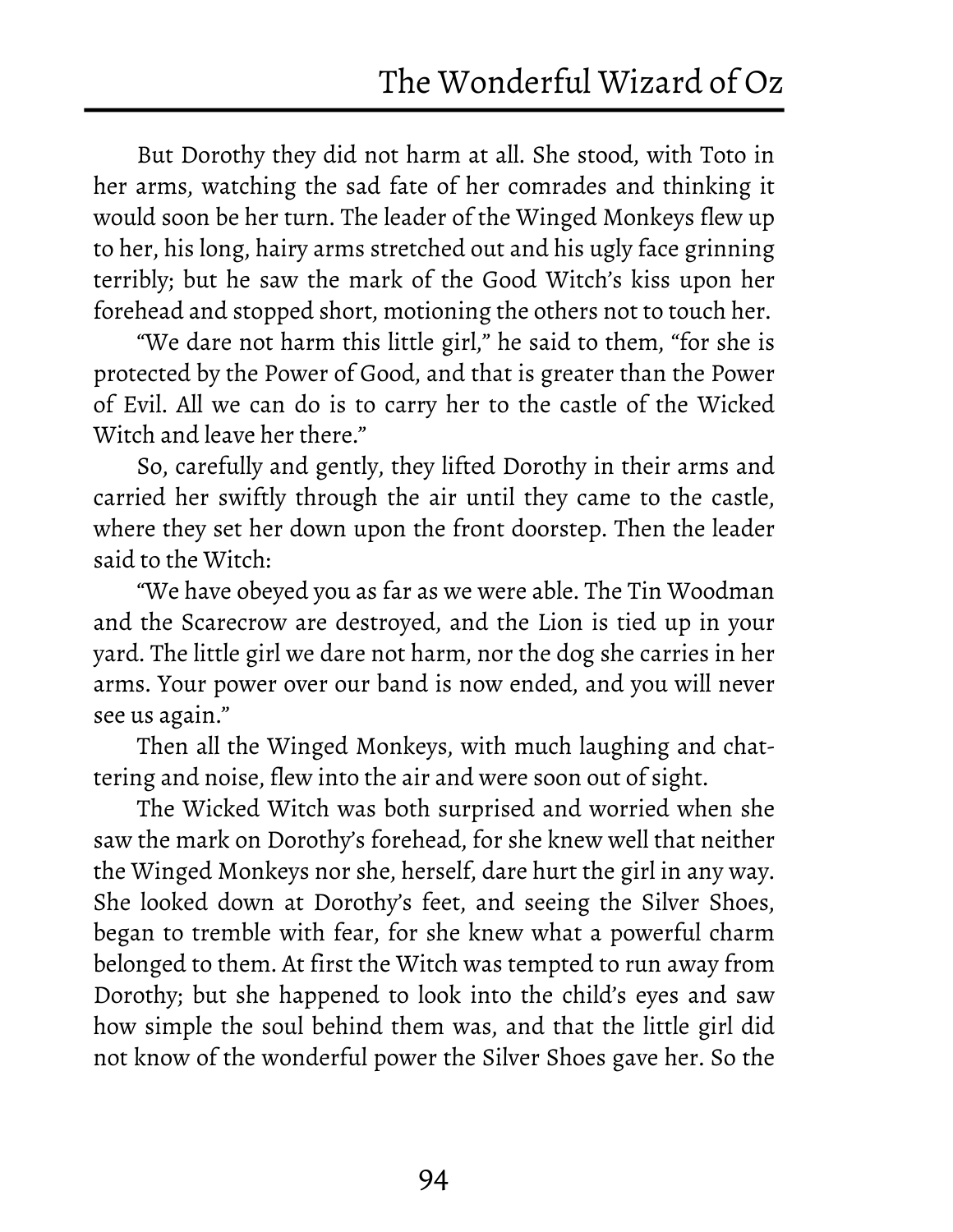But Dorothy they did not harm at all. She stood, with Toto in her arms, watching the sad fate of her comrades and thinking it would soon be her turn. The leader of the Winged Monkeys flew up to her, his long, hairy arms stretched out and his ugly face grinning terribly; but he saw the mark of the Good Witch's kiss upon her forehead and stopped short, motioning the others not to touch her.

"We dare not harm this little girl," he said to them, "for she is protected by the Power of Good, and that is greater than the Power of Evil. All we can do is to carry her to the castle of the Wicked Witch and leave her there."

So, carefully and gently, they lifted Dorothy in their arms and carried her swiftly through the air until they came to the castle, where they set her down upon the front doorstep. Then the leader said to the Witch:

"We have obeyed you as far as we were able. The Tin Woodman and the Scarecrow are destroyed, and the Lion is tied up in your yard. The little girl we dare not harm, nor the dog she carries in her arms. Your power over our band is now ended, and you will never see us again."

Then all the Winged Monkeys, with much laughing and chattering and noise, flew into the air and were soon out of sight.

The Wicked Witch was both surprised and worried when she saw the mark on Dorothy's forehead, for she knew well that neither the Winged Monkeys nor she, herself, dare hurt the girl in any way. She looked down at Dorothy's feet, and seeing the Silver Shoes, began to tremble with fear, for she knew what a powerful charm belonged to them. At first the Witch was tempted to run away from Dorothy; but she happened to look into the child's eyes and saw how simple the soul behind them was, and that the little girl did not know of the wonderful power the Silver Shoes gave her. So the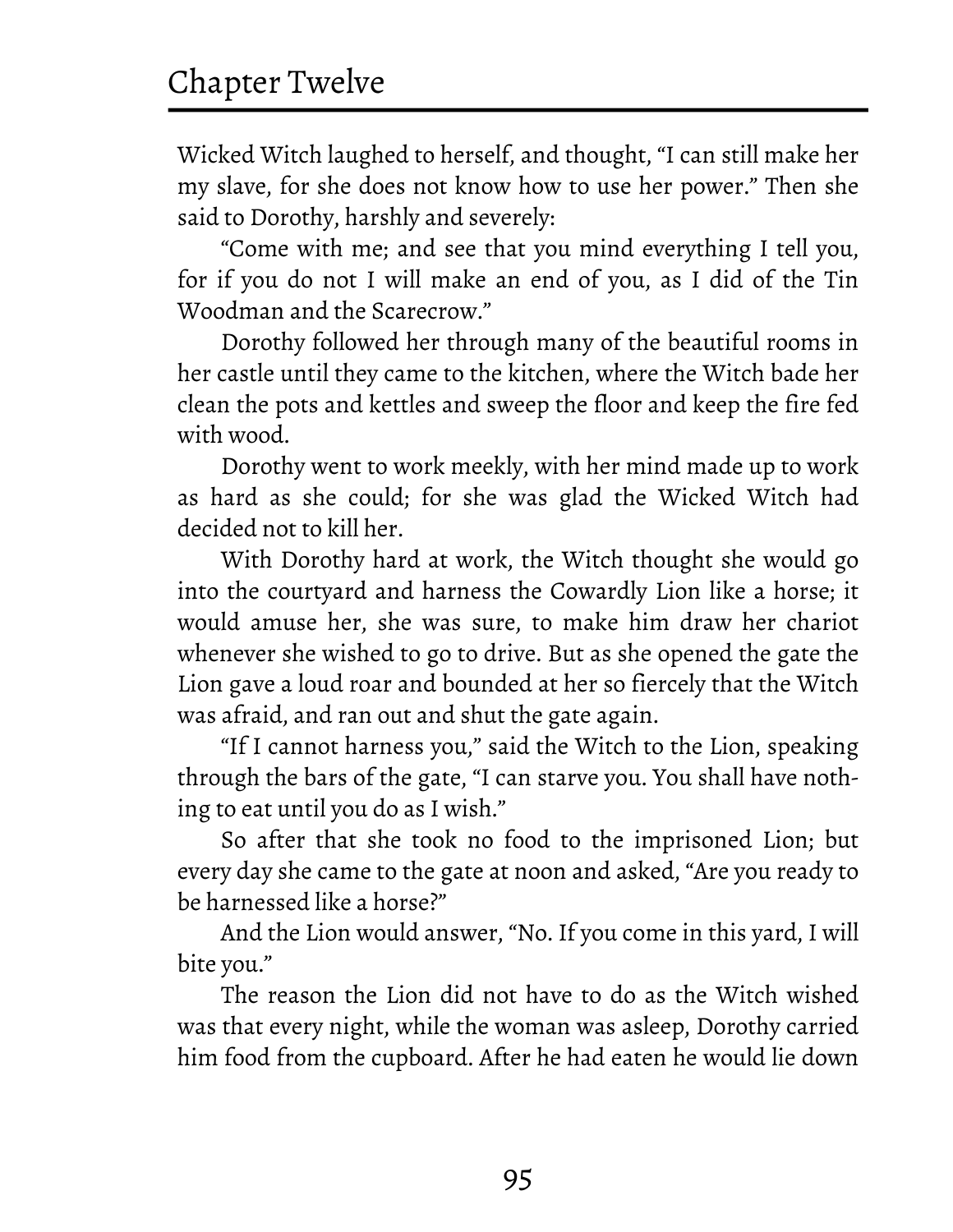Wicked Witch laughed to herself, and thought, "I can still make her my slave, for she does not know how to use her power." Then she said to Dorothy, harshly and severely:

"Come with me; and see that you mind everything I tell you, for if you do not I will make an end of you, as I did of the Tin Woodman and the Scarecrow."

Dorothy followed her through many of the beautiful rooms in her castle until they came to the kitchen, where the Witch bade her clean the pots and kettles and sweep the floor and keep the fire fed with wood.

Dorothy went to work meekly, with her mind made up to work as hard as she could; for she was glad the Wicked Witch had decided not to kill her.

With Dorothy hard at work, the Witch thought she would go into the courtyard and harness the Cowardly Lion like a horse; it would amuse her, she was sure, to make him draw her chariot whenever she wished to go to drive. But as she opened the gate the Lion gave a loud roar and bounded at her so fiercely that the Witch was afraid, and ran out and shut the gate again.

"If I cannot harness you," said the Witch to the Lion, speaking through the bars of the gate, "I can starve you. You shall have nothing to eat until you do as I wish."

So after that she took no food to the imprisoned Lion; but every day she came to the gate at noon and asked, "Are you ready to be harnessed like a horse?"

And the Lion would answer, "No. If you come in this yard, I will bite you."

The reason the Lion did not have to do as the Witch wished was that every night, while the woman was asleep, Dorothy carried him food from the cupboard. After he had eaten he would lie down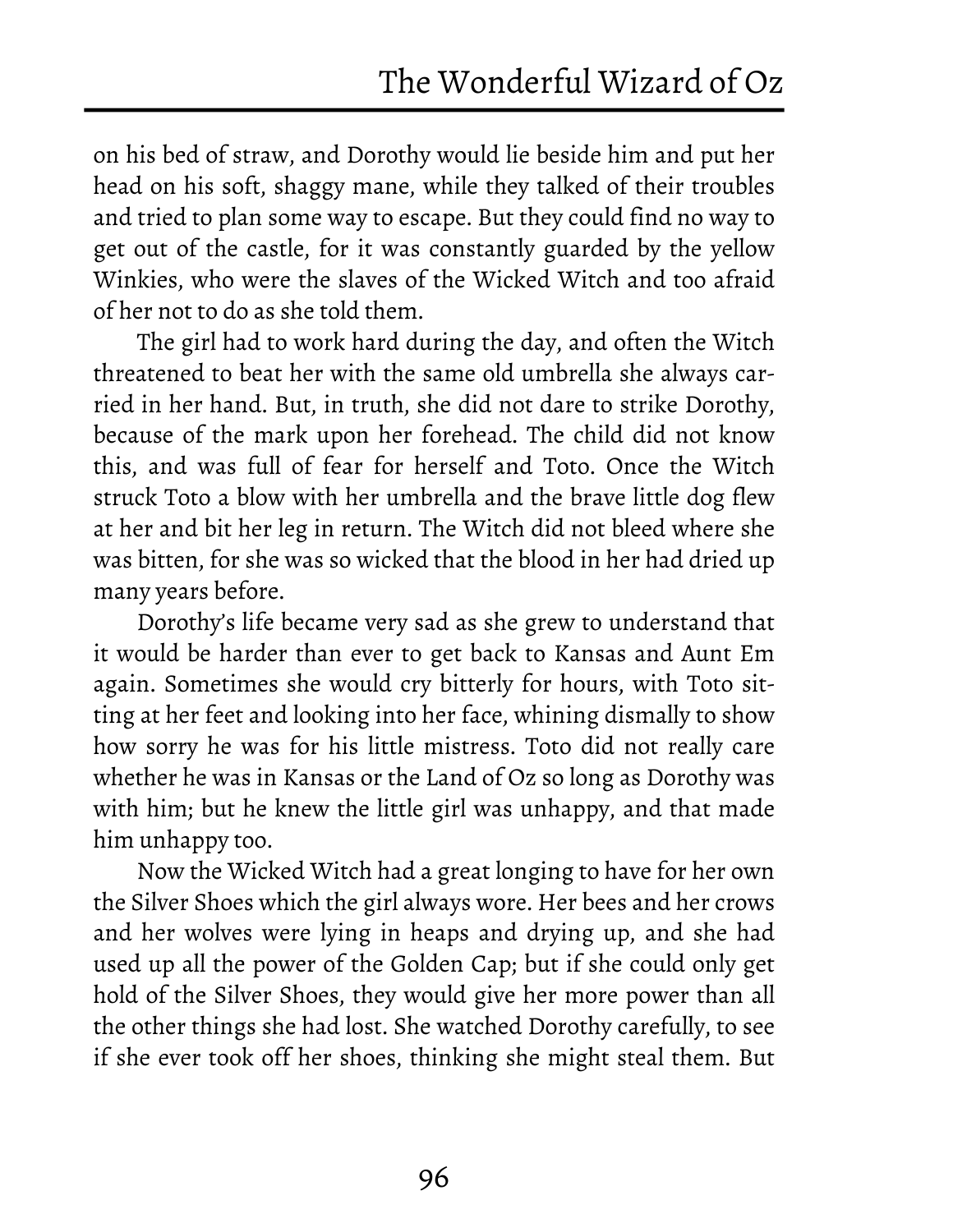on his bed of straw, and Dorothy would lie beside him and put her head on his soft, shaggy mane, while they talked of their troubles and tried to plan some way to escape. But they could find no way to get out of the castle, for it was constantly guarded by the yellow Winkies, who were the slaves of the Wicked Witch and too afraid of her not to do as she told them.

The girl had to work hard during the day, and often the Witch threatened to beat her with the same old umbrella she always carried in her hand. But, in truth, she did not dare to strike Dorothy, because of the mark upon her forehead. The child did not know this, and was full of fear for herself and Toto. Once the Witch struck Toto a blow with her umbrella and the brave little dog flew at her and bit her leg in return. The Witch did not bleed where she was bitten, for she was so wicked that the blood in her had dried up many years before.

Dorothy's life became very sad as she grew to understand that it would be harder than ever to get back to Kansas and Aunt Em again. Sometimes she would cry bitterly for hours, with Toto sitting at her feet and looking into her face, whining dismally to show how sorry he was for his little mistress. Toto did not really care whether he was in Kansas or the Land of Oz so long as Dorothy was with him; but he knew the little girl was unhappy, and that made him unhappy too.

Now the Wicked Witch had a great longing to have for her own the Silver Shoes which the girl always wore. Her bees and her crows and her wolves were lying in heaps and drying up, and she had used up all the power of the Golden Cap; but if she could only get hold of the Silver Shoes, they would give her more power than all the other things she had lost. She watched Dorothy carefully, to see if she ever took off her shoes, thinking she might steal them. But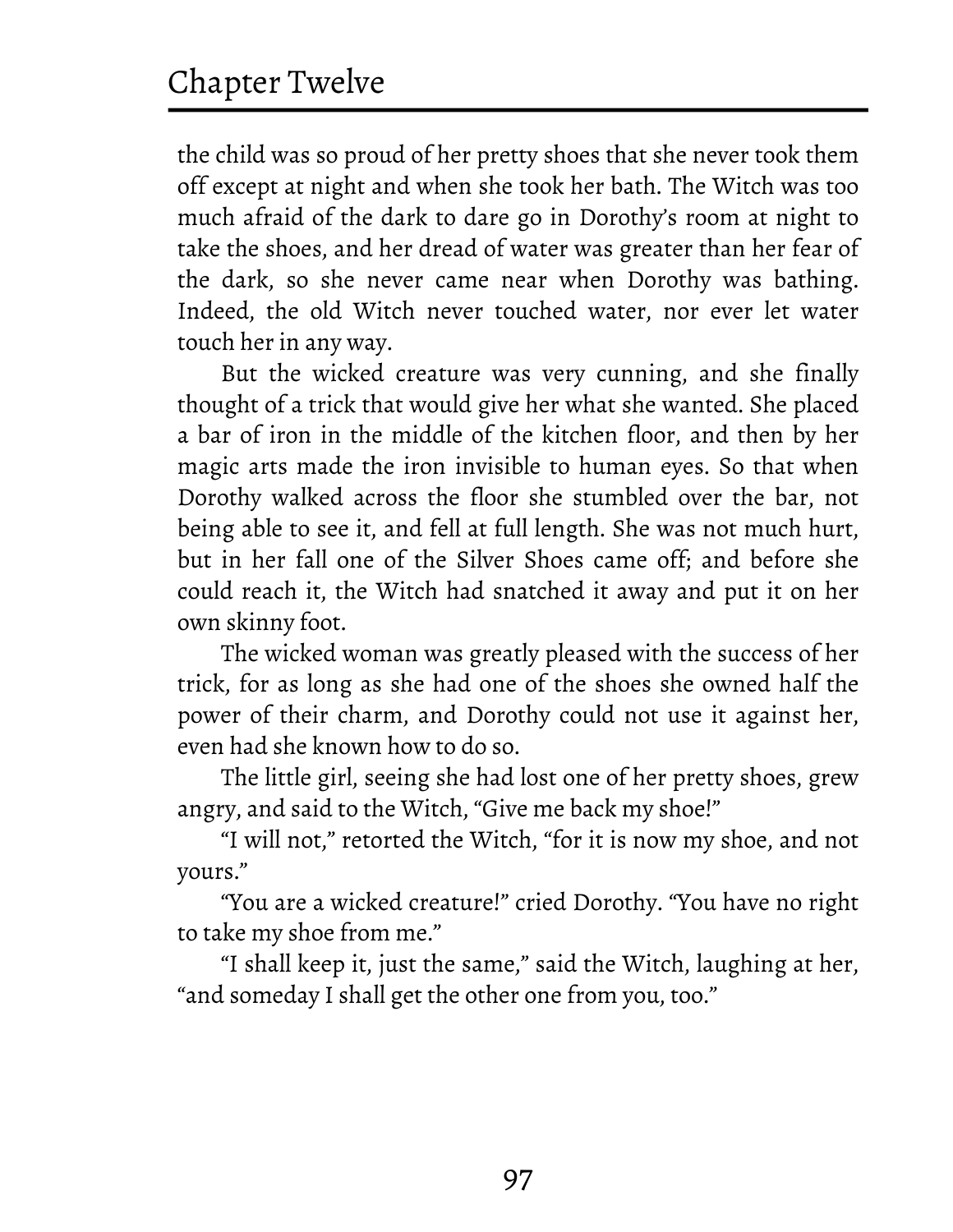the child was so proud of her pretty shoes that she never took them off except at night and when she took her bath. The Witch was too much afraid of the dark to dare go in Dorothy's room at night to take the shoes, and her dread of water was greater than her fear of the dark, so she never came near when Dorothy was bathing. Indeed, the old Witch never touched water, nor ever let water touch her in any way.

But the wicked creature was very cunning, and she finally thought of a trick that would give her what she wanted. She placed a bar of iron in the middle of the kitchen floor, and then by her magic arts made the iron invisible to human eyes. So that when Dorothy walked across the floor she stumbled over the bar, not being able to see it, and fell at full length. She was not much hurt, but in her fall one of the Silver Shoes came off; and before she could reach it, the Witch had snatched it away and put it on her own skinny foot.

The wicked woman was greatly pleased with the success of her trick, for as long as she had one of the shoes she owned half the power of their charm, and Dorothy could not use it against her, even had she known how to do so.

The little girl, seeing she had lost one of her pretty shoes, grew angry, and said to the Witch, "Give me back my shoe!"

"I will not," retorted the Witch, "for it is now my shoe, and not yours."

"You are a wicked creature!" cried Dorothy. "You have no right to take my shoe from me."

"I shall keep it, just the same," said the Witch, laughing at her, "and someday I shall get the other one from you, too."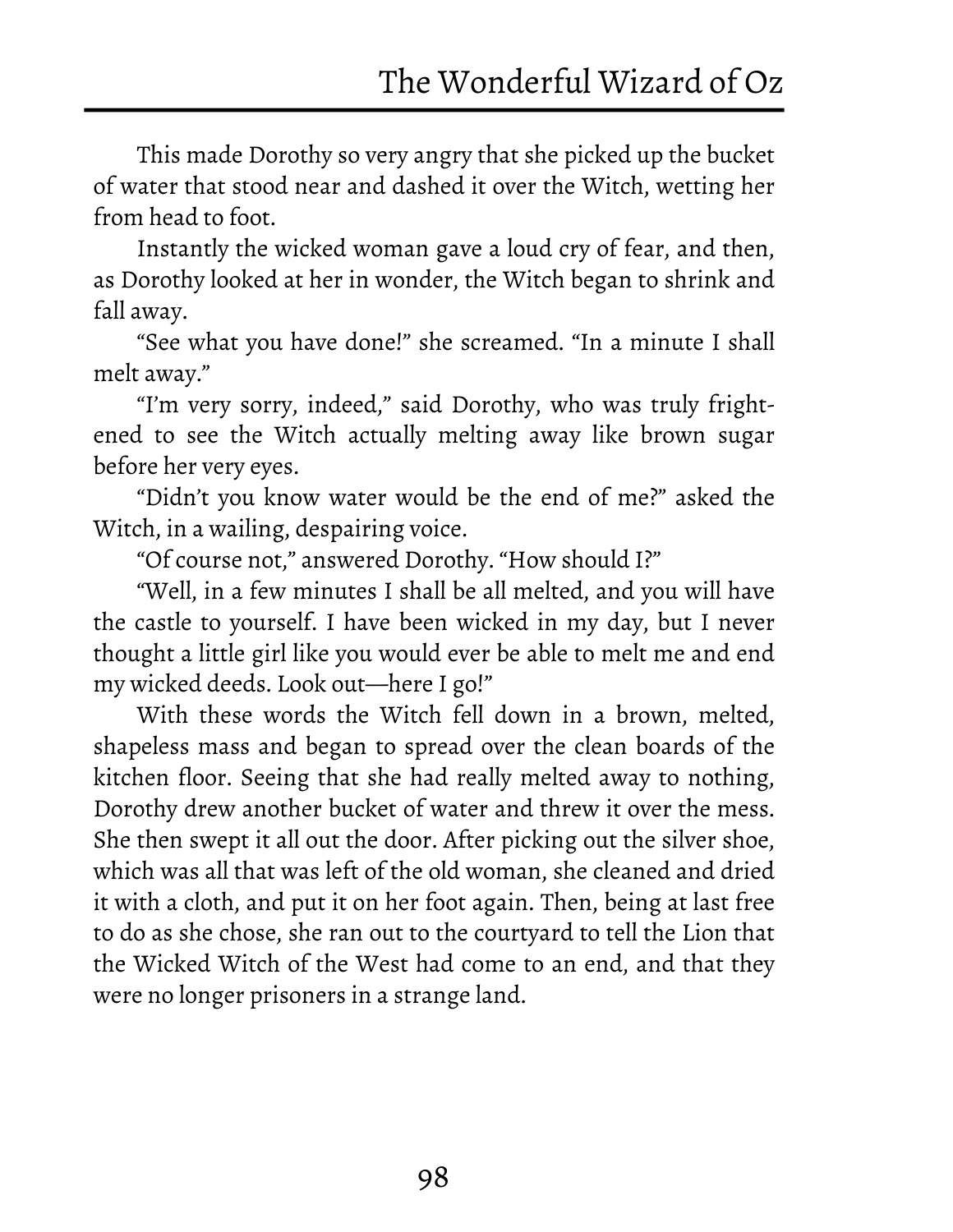This made Dorothy so very angry that she picked up the bucket of water that stood near and dashed it over the Witch, wetting her from head to foot.

Instantly the wicked woman gave a loud cry of fear, and then, as Dorothy looked at her in wonder, the Witch began to shrink and fall away.

"See what you have done!" she screamed. "In a minute I shall melt away."

"I'm very sorry, indeed," said Dorothy, who was truly frightened to see the Witch actually melting away like brown sugar before her very eyes.

"Didn't you know water would be the end of me?" asked the Witch, in a wailing, despairing voice.

"Of course not," answered Dorothy. "How should I?"

"Well, in a few minutes I shall be all melted, and you will have the castle to yourself. I have been wicked in my day, but I never thought a little girl like you would ever be able to melt me and end my wicked deeds. Look out—here I go!"

With these words the Witch fell down in a brown, melted, shapeless mass and began to spread over the clean boards of the kitchen floor. Seeing that she had really melted away to nothing, Dorothy drew another bucket of water and threw it over the mess. She then swept it all out the door. After picking out the silver shoe, which was all that was left of the old woman, she cleaned and dried it with a cloth, and put it on her foot again. Then, being at last free to do as she chose, she ran out to the courtyard to tell the Lion that the Wicked Witch of the West had come to an end, and that they were no longer prisoners in a strange land.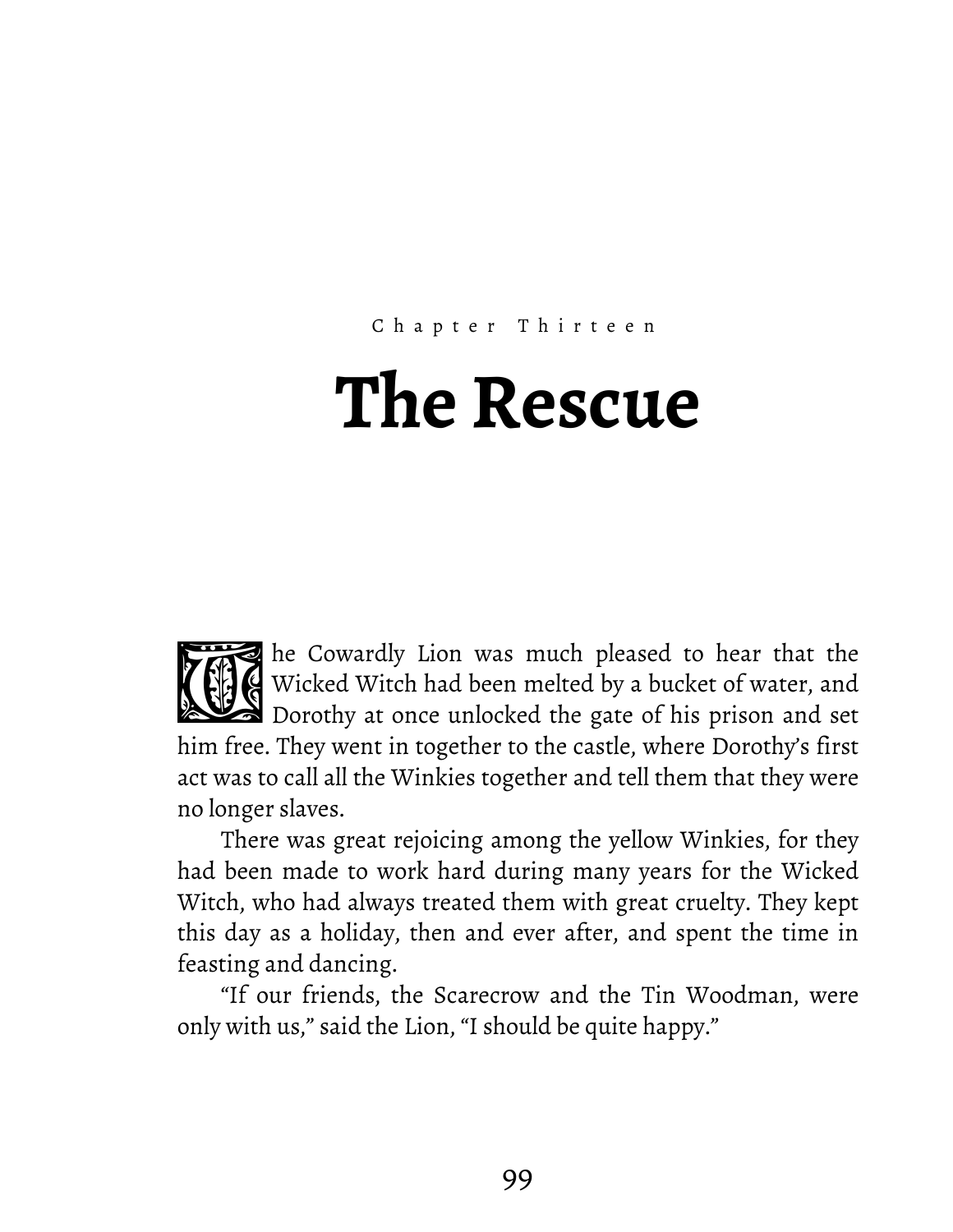Chapter Thirteen

## **The Rescue**

The Cowardly Lion was much pleased to hear that the Wicked Witch had been melted by a bucket of water, and Dorothy at once unlocked the gate of his prison and set he Cowardly Lion was much pleased to hear that the  $\mathcal G$  Wicked Witch had been melted by a bucket of water, and him free. They went in together to the castle, where Dorothy's first act was to call all the Winkies together and tell them that they were no longer slaves.

There was great rejoicing among the yellow Winkies, for they had been made to work hard during many years for the Wicked Witch, who had always treated them with great cruelty. They kept this day as a holiday, then and ever after, and spent the time in feasting and dancing.

"If our friends, the Scarecrow and the Tin Woodman, were only with us," said the Lion, "I should be quite happy."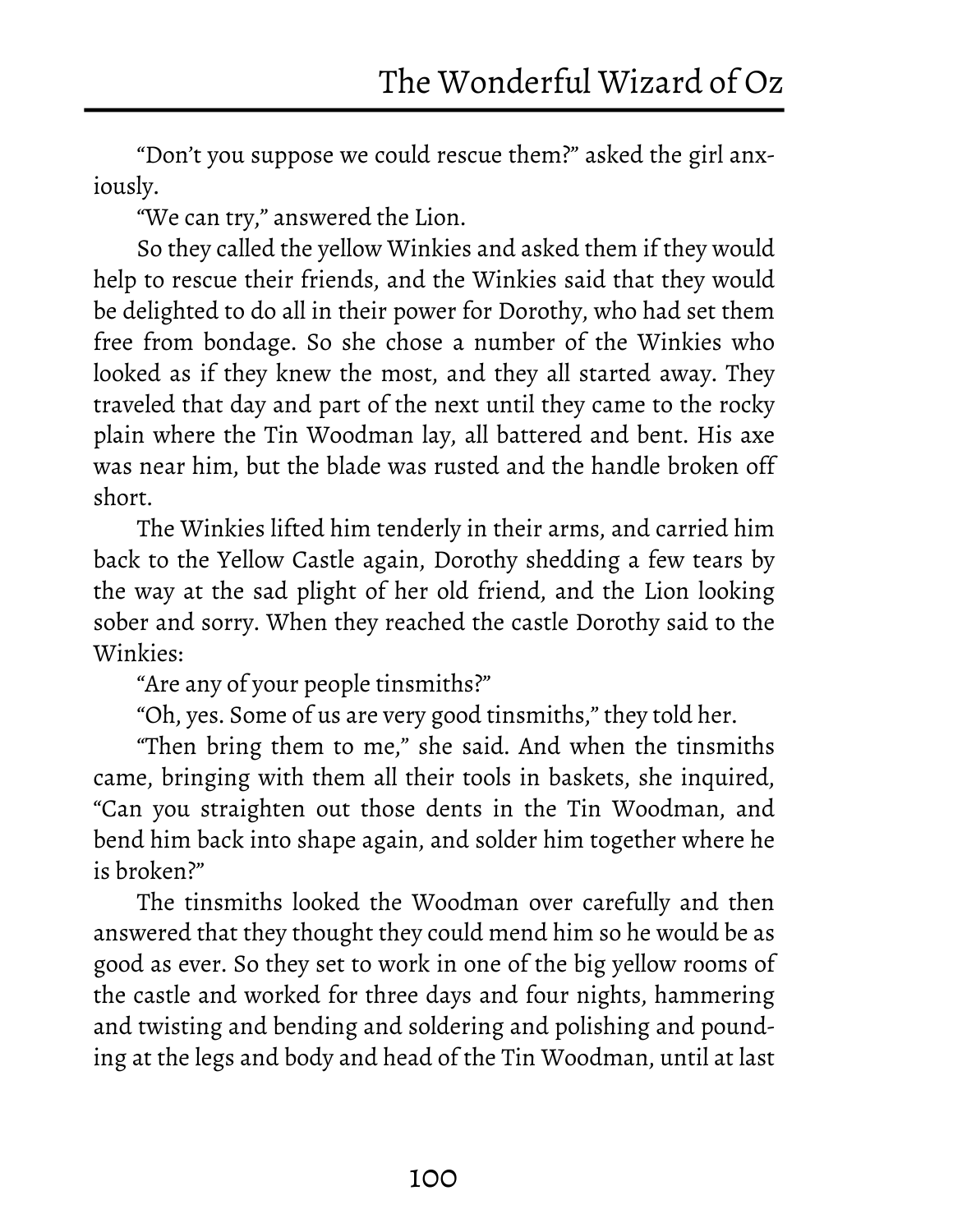"Don't you suppose we could rescue them?" asked the girl anxiously.

"We can try," answered the Lion.

So they called the yellow Winkies and asked them if they would help to rescue their friends, and the Winkies said that they would be delighted to do all in their power for Dorothy, who had set them free from bondage. So she chose a number of the Winkies who looked as if they knew the most, and they all started away. They traveled that day and part of the next until they came to the rocky plain where the Tin Woodman lay, all battered and bent. His axe was near him, but the blade was rusted and the handle broken off short.

The Winkies lifted him tenderly in their arms, and carried him back to the Yellow Castle again, Dorothy shedding a few tears by the way at the sad plight of her old friend, and the Lion looking sober and sorry. When they reached the castle Dorothy said to the Winkies:

"Are any of your people tinsmiths?"

"Oh, yes. Some of us are very good tinsmiths," they told her.

"Then bring them to me," she said. And when the tinsmiths came, bringing with them all their tools in baskets, she inquired, "Can you straighten out those dents in the Tin Woodman, and bend him back into shape again, and solder him together where he is broken?"

The tinsmiths looked the Woodman over carefully and then answered that they thought they could mend him so he would be as good as ever. So they set to work in one of the big yellow rooms of the castle and worked for three days and four nights, hammering and twisting and bending and soldering and polishing and pounding at the legs and body and head of the Tin Woodman, until at last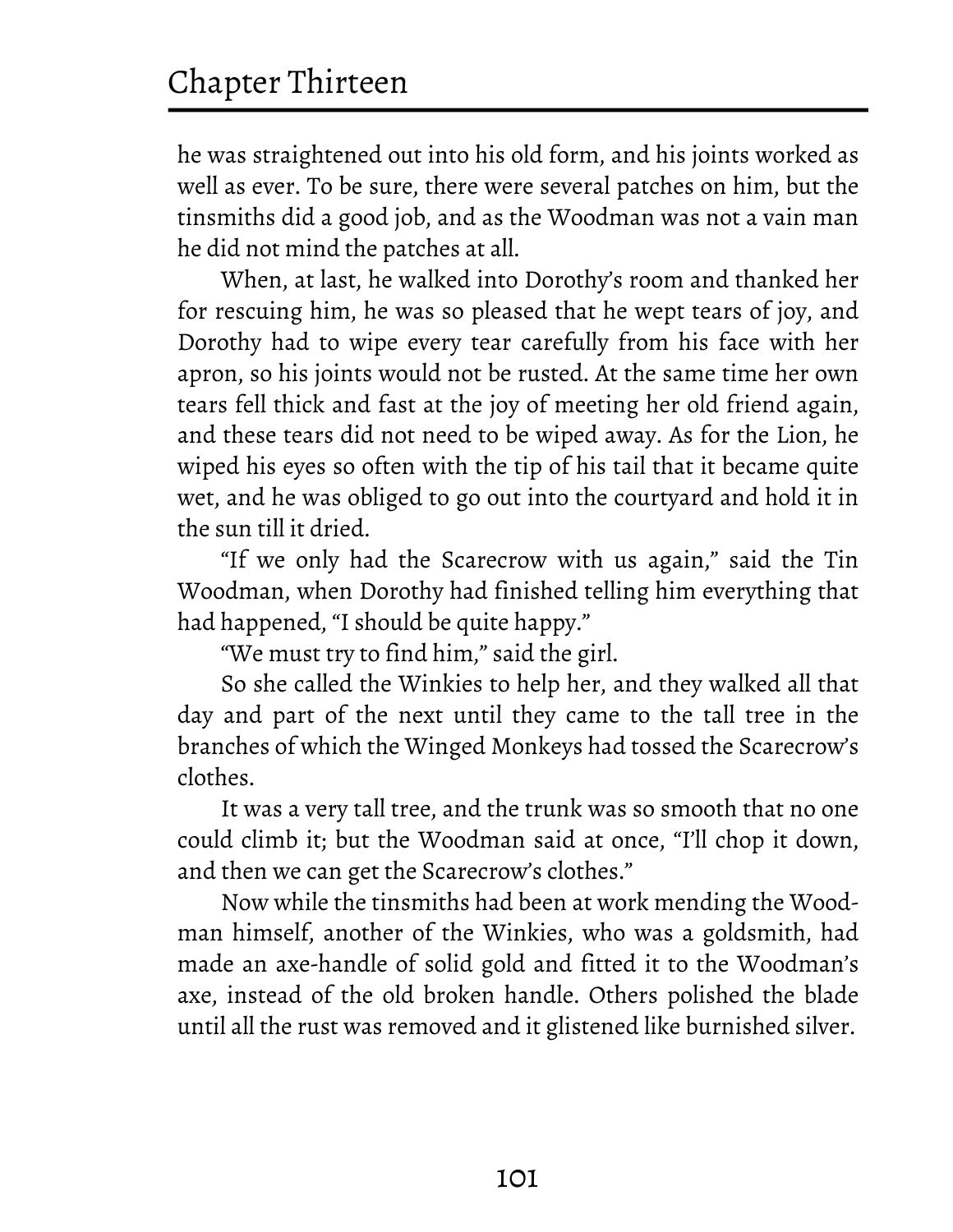he was straightened out into his old form, and his joints worked as well as ever. To be sure, there were several patches on him, but the tinsmiths did a good job, and as the Woodman was not a vain man he did not mind the patches at all.

When, at last, he walked into Dorothy's room and thanked her for rescuing him, he was so pleased that he wept tears of joy, and Dorothy had to wipe every tear carefully from his face with her apron, so his joints would not be rusted. At the same time her own tears fell thick and fast at the joy of meeting her old friend again, and these tears did not need to be wiped away. As for the Lion, he wiped his eyes so often with the tip of his tail that it became quite wet, and he was obliged to go out into the courtyard and hold it in the sun till it dried.

"If we only had the Scarecrow with us again," said the Tin Woodman, when Dorothy had finished telling him everything that had happened, "I should be quite happy."

"We must try to find him," said the girl.

So she called the Winkies to help her, and they walked all that day and part of the next until they came to the tall tree in the branches of which the Winged Monkeys had tossed the Scarecrow's clothes.

It was a very tall tree, and the trunk was so smooth that no one could climb it; but the Woodman said at once, "I'll chop it down, and then we can get the Scarecrow's clothes."

Now while the tinsmiths had been at work mending the Woodman himself, another of the Winkies, who was a goldsmith, had made an axe‐handle of solid gold and fitted it to the Woodman's axe, instead of the old broken handle. Others polished the blade until all the rust was removed and it glistened like burnished silver.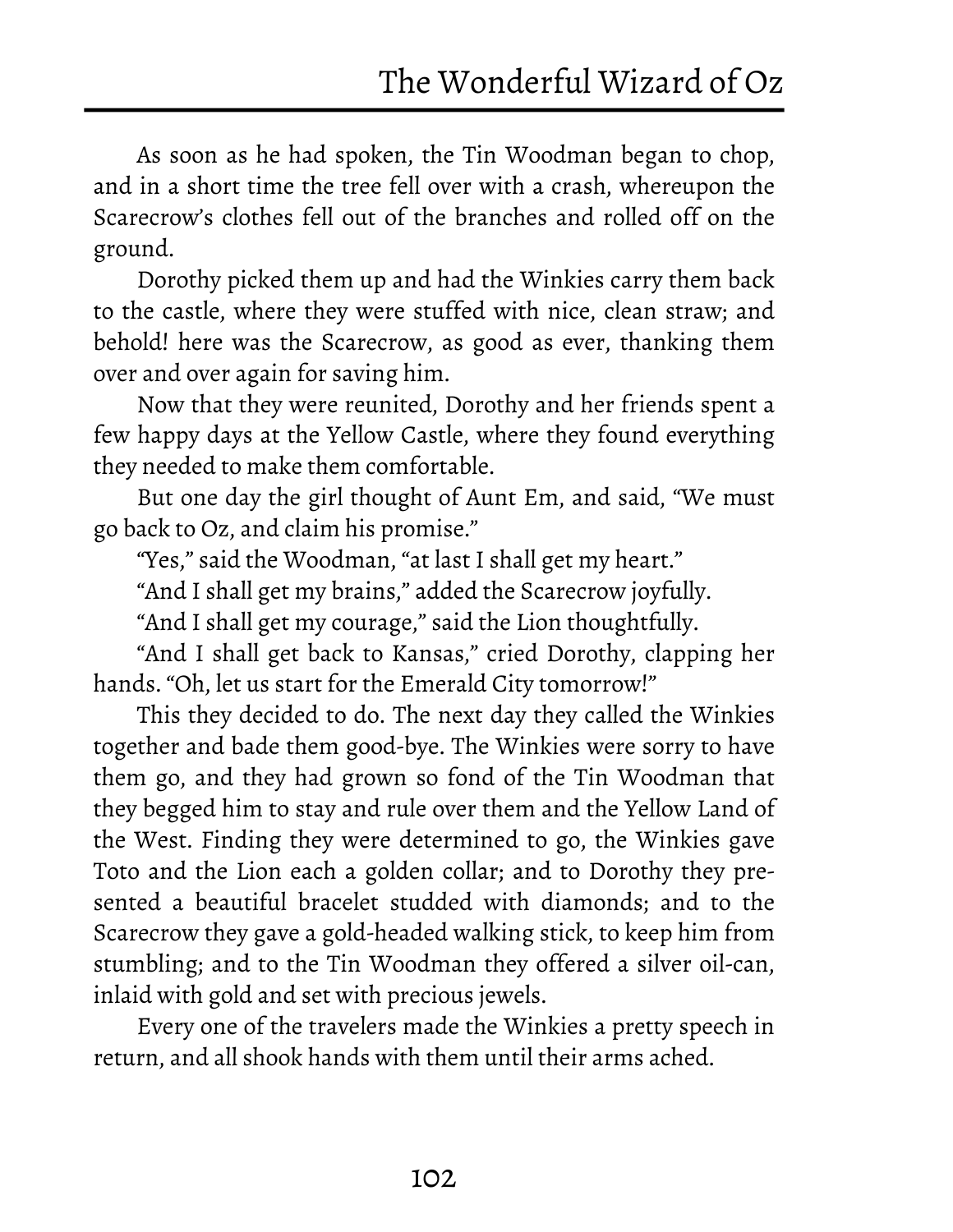As soon as he had spoken, the Tin Woodman began to chop, and in a short time the tree fell over with a crash, whereupon the Scarecrow's clothes fell out of the branches and rolled off on the ground.

Dorothy picked them up and had the Winkies carry them back to the castle, where they were stuffed with nice, clean straw; and behold! here was the Scarecrow, as good as ever, thanking them over and over again for saving him.

Now that they were reunited, Dorothy and her friends spent a few happy days at the Yellow Castle, where they found everything they needed to make them comfortable.

But one day the girl thought of Aunt Em, and said, "We must go back to Oz, and claim his promise."

"Yes," said the Woodman, "at last I shall get my heart."

"And I shall get my brains," added the Scarecrow joyfully.

"And I shall get my courage," said the Lion thoughtfully.

"And I shall get back to Kansas," cried Dorothy, clapping her hands. "Oh, let us start for the Emerald City tomorrow!"

This they decided to do. The next day they called the Winkies together and bade them good‐bye. The Winkies were sorry to have them go, and they had grown so fond of the Tin Woodman that they begged him to stay and rule over them and the Yellow Land of the West. Finding they were determined to go, the Winkies gave Toto and the Lion each a golden collar; and to Dorothy they presented a beautiful bracelet studded with diamonds; and to the Scarecrow they gave a gold‐headed walking stick, to keep him from stumbling; and to the Tin Woodman they offered a silver oil‐can, inlaid with gold and set with precious jewels.

Every one of the travelers made the Winkies a pretty speech in return, and all shook hands with them until their arms ached.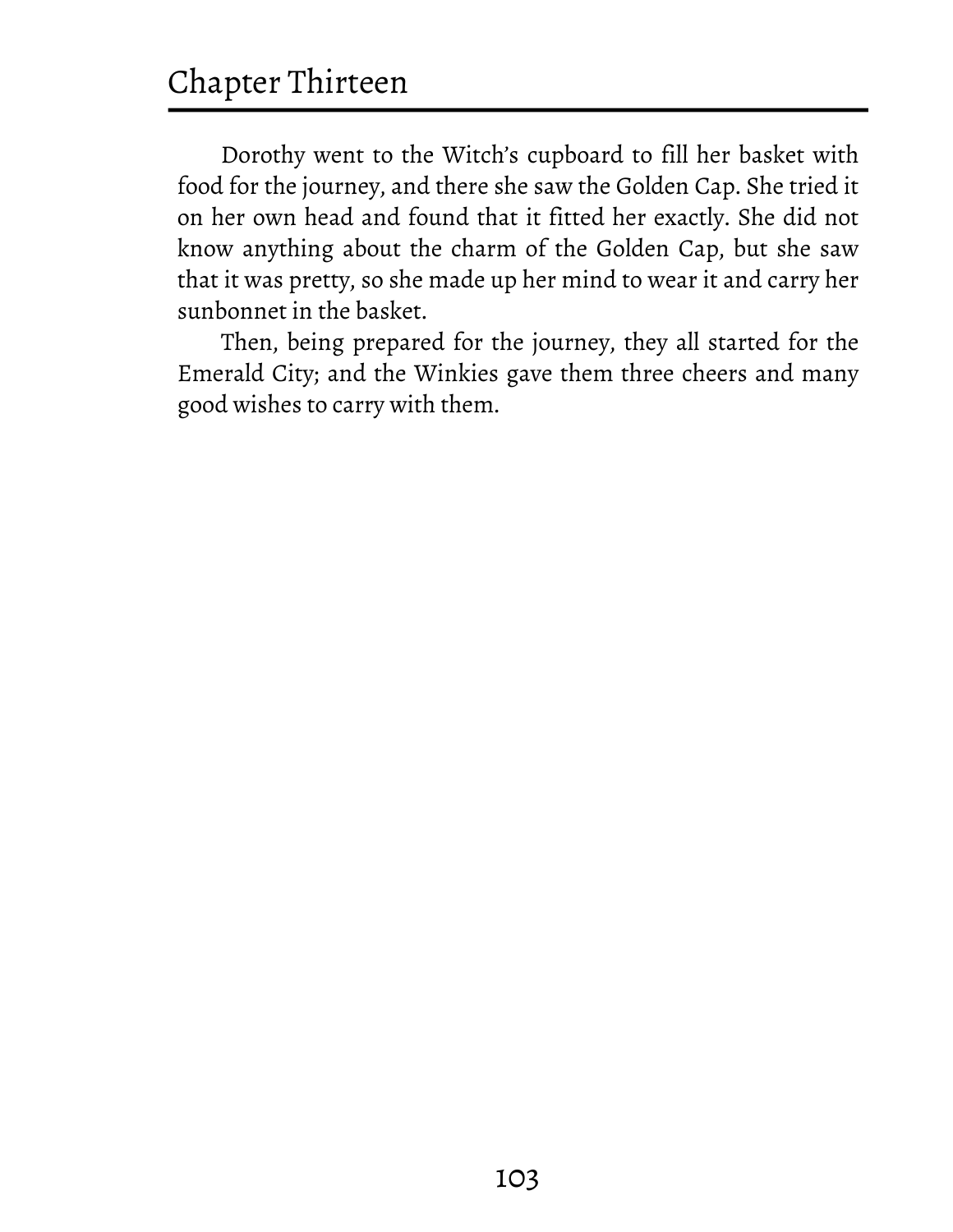## Chapter Thirteen

Dorothy went to the Witch's cupboard to fill her basket with food for the journey, and there she saw the Golden Cap. She tried it on her own head and found that it fitted her exactly. She did not know anything about the charm of the Golden Cap, but she saw that it was pretty, so she made up her mind to wear it and carry her sunbonnet in the basket.

Then, being prepared for the journey, they all started for the Emerald City; and the Winkies gave them three cheers and many good wishes to carry with them.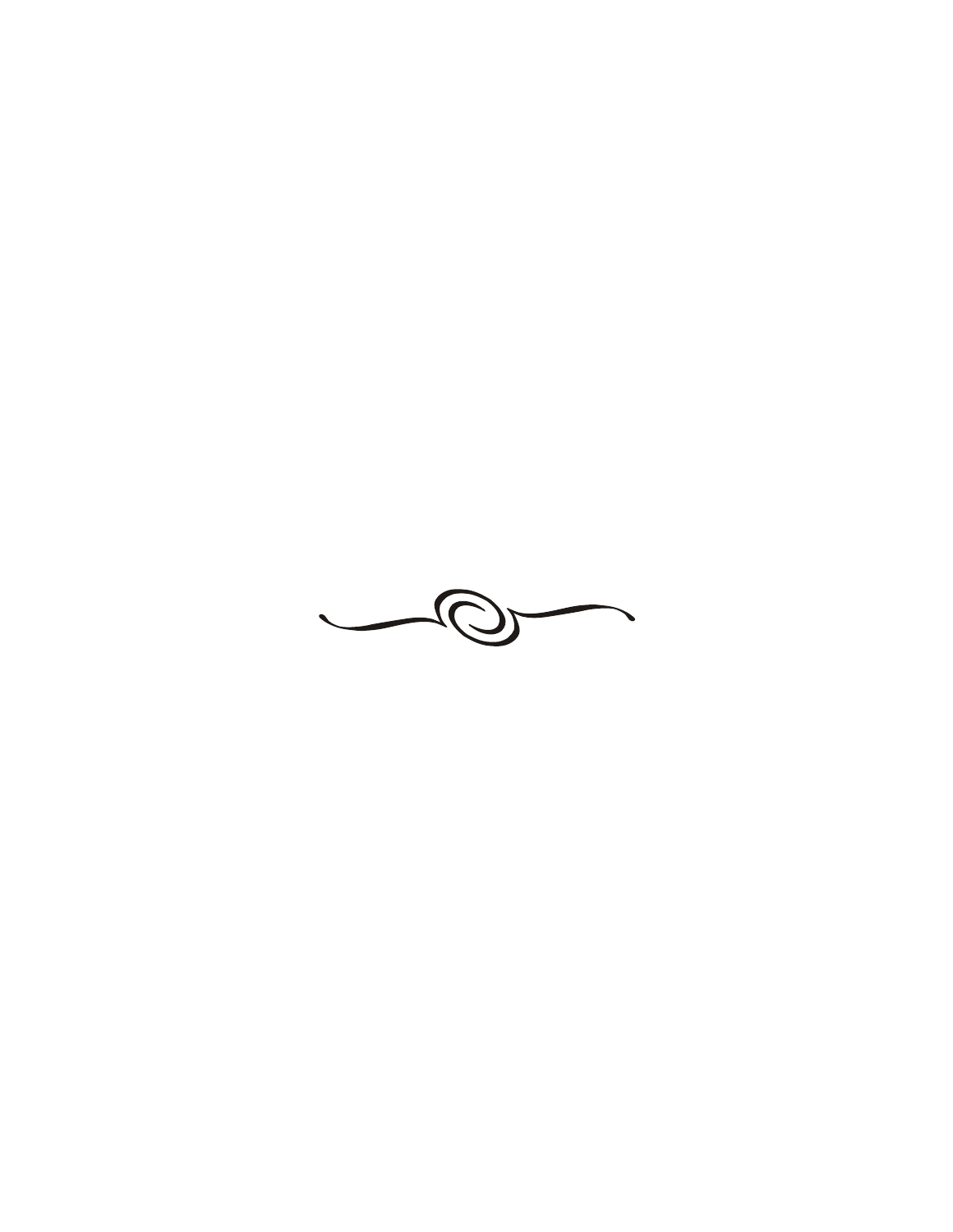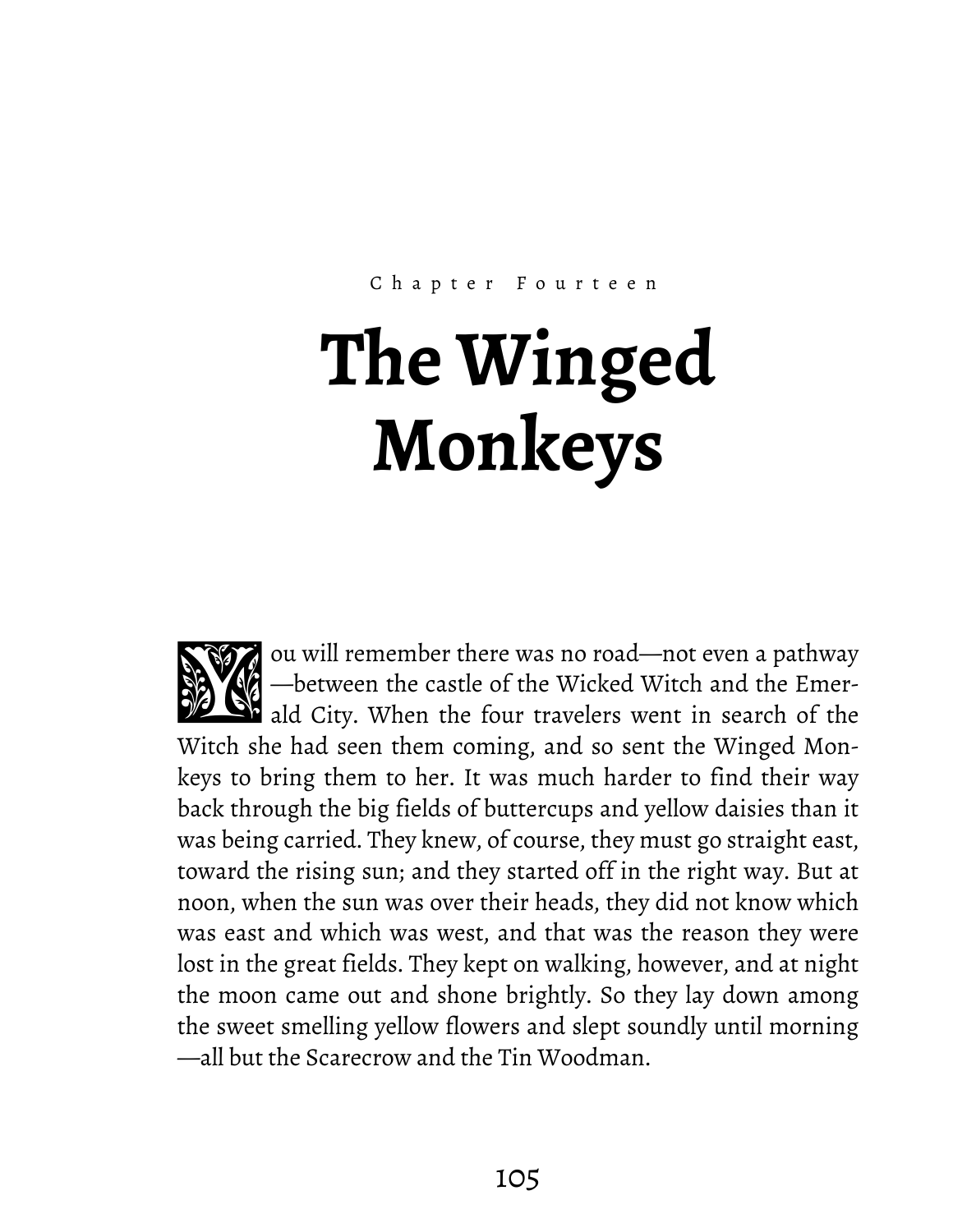#### Chapter Fourteen

# **The Winged Monkeys**

Sou will remember there was no road—not even a pathway<br>—between the castle of the Wicked Witch and the Emer-<br>ald City. When the four travelers went in search of the ou will remember there was no road—not even a pathway —between the castle of the Wicked Witch and the Emer-Witch she had seen them coming, and so sent the Winged Monkeys to bring them to her. It was much harder to find their way back through the big fields of buttercups and yellow daisies than it was being carried. They knew, of course, they must go straight east, toward the rising sun; and they started off in the right way. But at noon, when the sun was over their heads, they did not know which was east and which was west, and that was the reason they were lost in the great fields. They kept on walking, however, and at night the moon came out and shone brightly. So they lay down among the sweet smelling yellow flowers and slept soundly until morning —all but the Scarecrow and the Tin Woodman.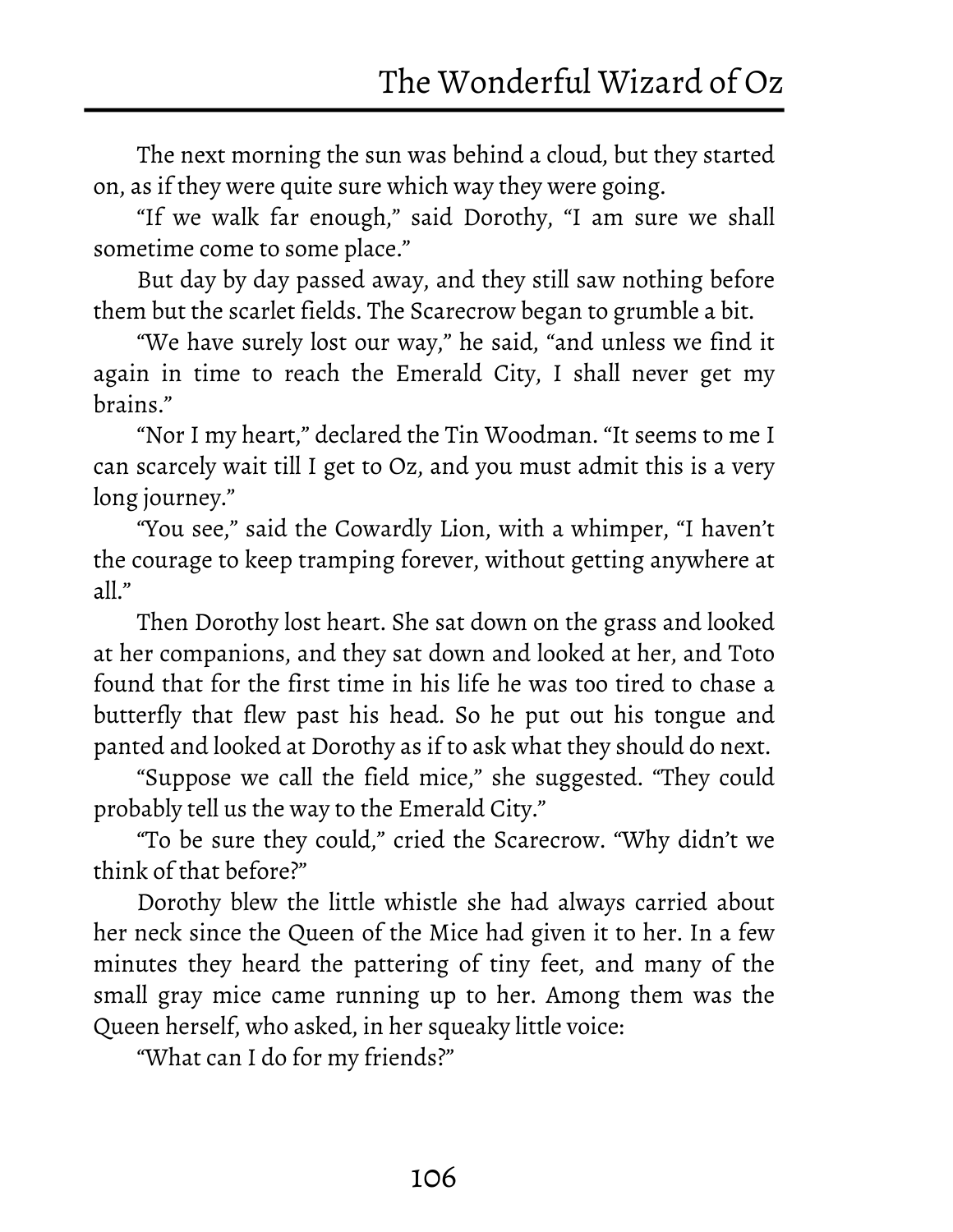The next morning the sun was behind a cloud, but they started on, as if they were quite sure which way they were going.

"If we walk far enough," said Dorothy, "I am sure we shall sometime come to some place."

But day by day passed away, and they still saw nothing before them but the scarlet fields. The Scarecrow began to grumble a bit.

"We have surely lost our way," he said, "and unless we find it again in time to reach the Emerald City, I shall never get my brains."

"Nor I my heart," declared the Tin Woodman. "It seems to me I can scarcely wait till I get to Oz, and you must admit this is a very long journey."

"You see," said the Cowardly Lion, with a whimper, "I haven't the courage to keep tramping forever, without getting anywhere at all."

Then Dorothy lost heart. She sat down on the grass and looked at her companions, and they sat down and looked at her, and Toto found that for the first time in his life he was too tired to chase a butterfly that flew past his head. So he put out his tongue and panted and looked at Dorothy as if to ask what they should do next.

"Suppose we call the field mice," she suggested. "They could probably tell us the way to the Emerald City."

"To be sure they could," cried the Scarecrow. "Why didn't we think of that before?"

Dorothy blew the little whistle she had always carried about her neck since the Queen of the Mice had given it to her. In a few minutes they heard the pattering of tiny feet, and many of the small gray mice came running up to her. Among them was the Queen herself, who asked, in her squeaky little voice:

"What can I do for my friends?"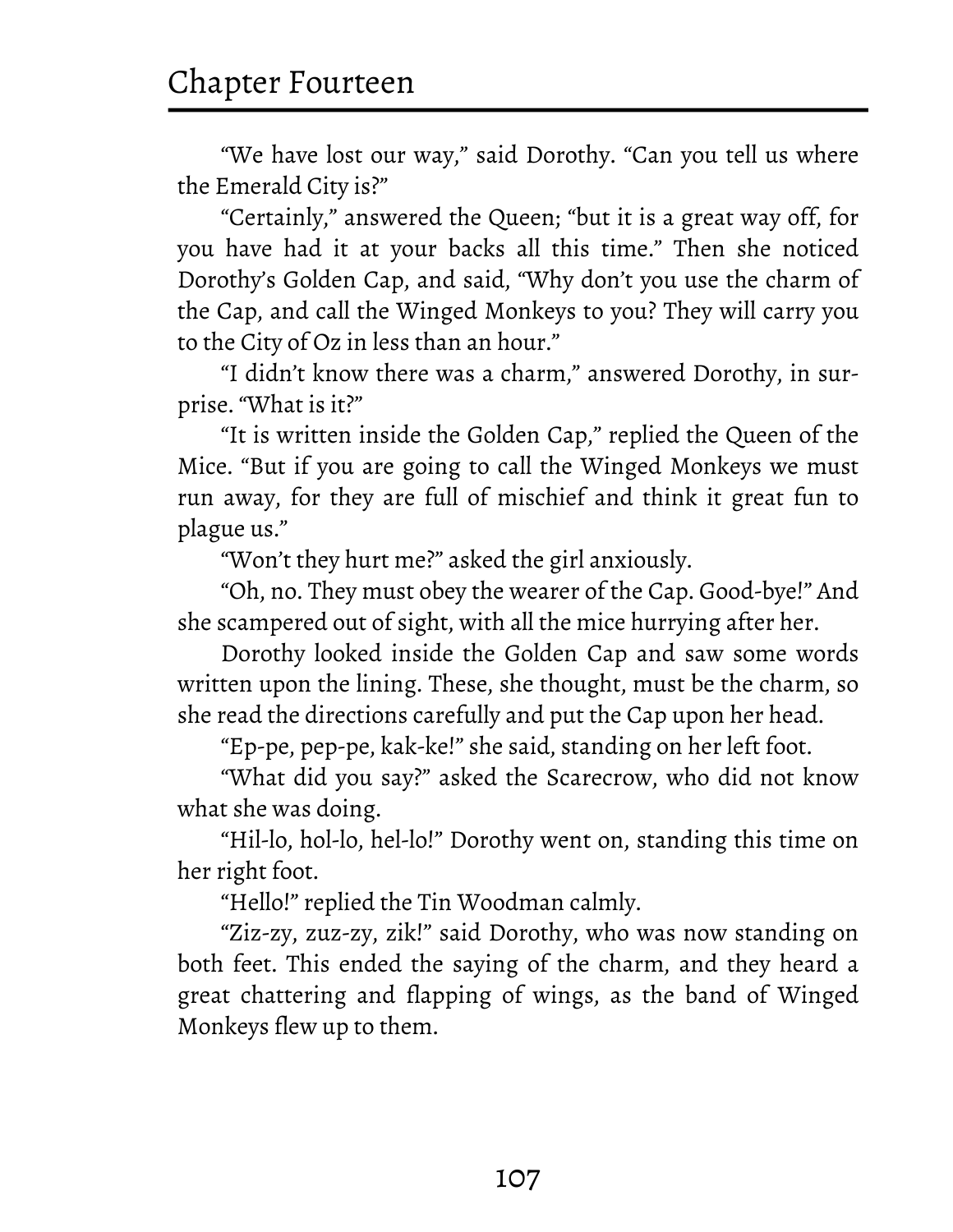"We have lost our way," said Dorothy. "Can you tell us where the Emerald City is?"

"Certainly," answered the Queen; "but it is a great way off, for you have had it at your backs all this time." Then she noticed Dorothy's Golden Cap, and said, "Why don't you use the charm of the Cap, and call the Winged Monkeys to you? They will carry you to the City of Oz in less than an hour."

"I didn't know there was a charm," answered Dorothy, in surprise. "What is it?"

"It is written inside the Golden Cap," replied the Queen of the Mice. "But if you are going to call the Winged Monkeys we must run away, for they are full of mischief and think it great fun to plague us."

"Won't they hurt me?" asked the girl anxiously.

"Oh, no. They must obey the wearer of the Cap. Good‐bye!" And she scampered out of sight, with all the mice hurrying after her.

Dorothy looked inside the Golden Cap and saw some words written upon the lining. These, she thought, must be the charm, so she read the directions carefully and put the Cap upon her head.

"Ep‐pe, pep‐pe, kak‐ke!" she said, standing on her left foot.

"What did you say?" asked the Scarecrow, who did not know what she was doing.

"Hil‐lo, hol‐lo, hel‐lo!" Dorothy went on, standing this time on her right foot.

"Hello!" replied the Tin Woodman calmly.

"Ziz‐zy, zuz‐zy, zik!" said Dorothy, who was now standing on both feet. This ended the saying of the charm, and they heard a great chattering and flapping of wings, as the band of Winged Monkeys flew up to them.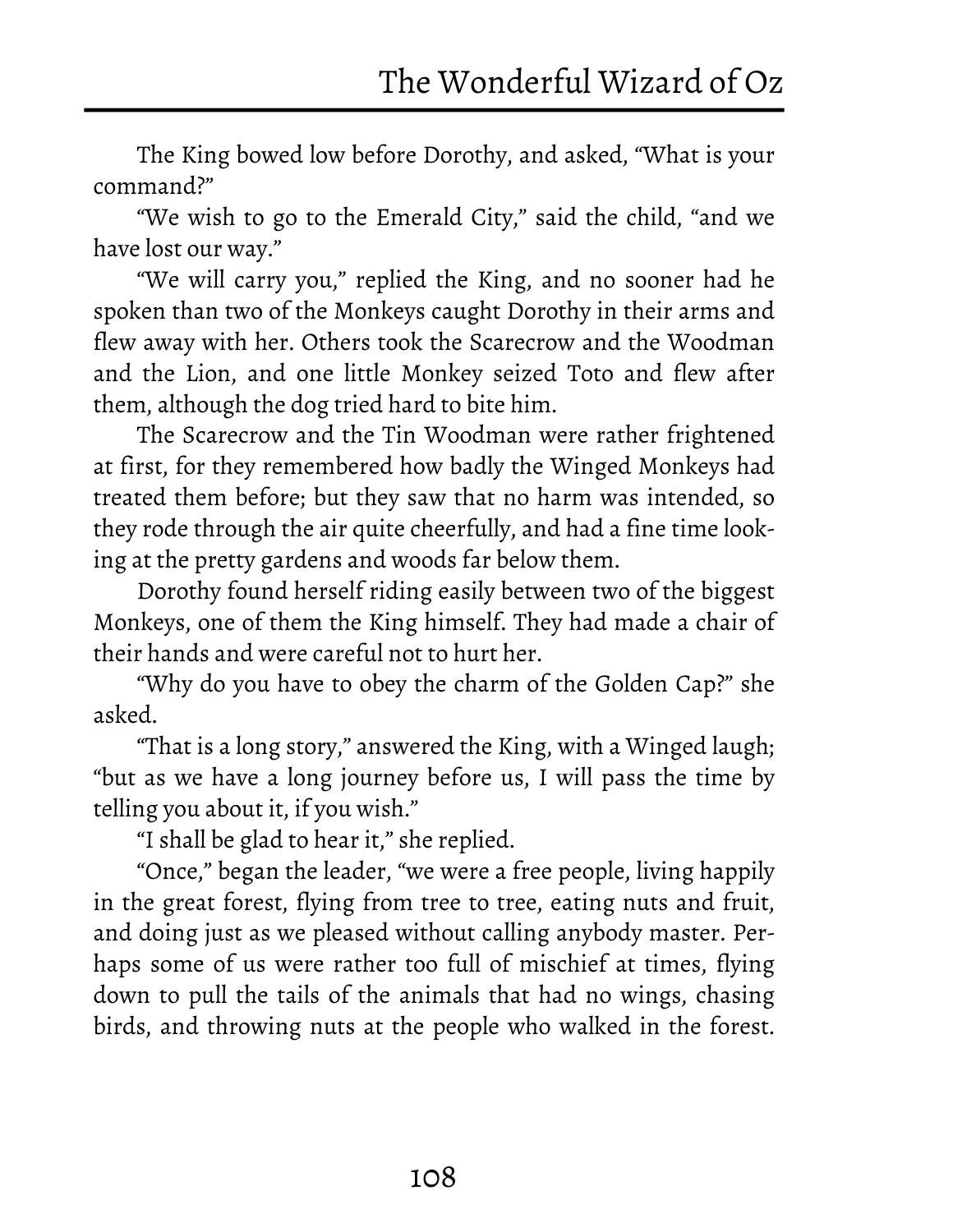The King bowed low before Dorothy, and asked, "What is your command?"

"We wish to go to the Emerald City," said the child, "and we have lost our way."

"We will carry you," replied the King, and no sooner had he spoken than two of the Monkeys caught Dorothy in their arms and flew away with her. Others took the Scarecrow and the Woodman and the Lion, and one little Monkey seized Toto and flew after them, although the dog tried hard to bite him.

The Scarecrow and the Tin Woodman were rather frightened at first, for they remembered how badly the Winged Monkeys had treated them before; but they saw that no harm was intended, so they rode through the air quite cheerfully, and had a fine time looking at the pretty gardens and woods far below them.

Dorothy found herself riding easily between two of the biggest Monkeys, one of them the King himself. They had made a chair of their hands and were careful not to hurt her.

"Why do you have to obey the charm of the Golden Cap?" she asked.

"That is a long story," answered the King, with a Winged laugh; "but as we have a long journey before us, I will pass the time by telling you about it, if you wish."

"I shall be glad to hear it," she replied.

"Once," began the leader, "we were a free people, living happily in the great forest, flying from tree to tree, eating nuts and fruit, and doing just as we pleased without calling anybody master. Perhaps some of us were rather too full of mischief at times, flying down to pull the tails of the animals that had no wings, chasing birds, and throwing nuts at the people who walked in the forest.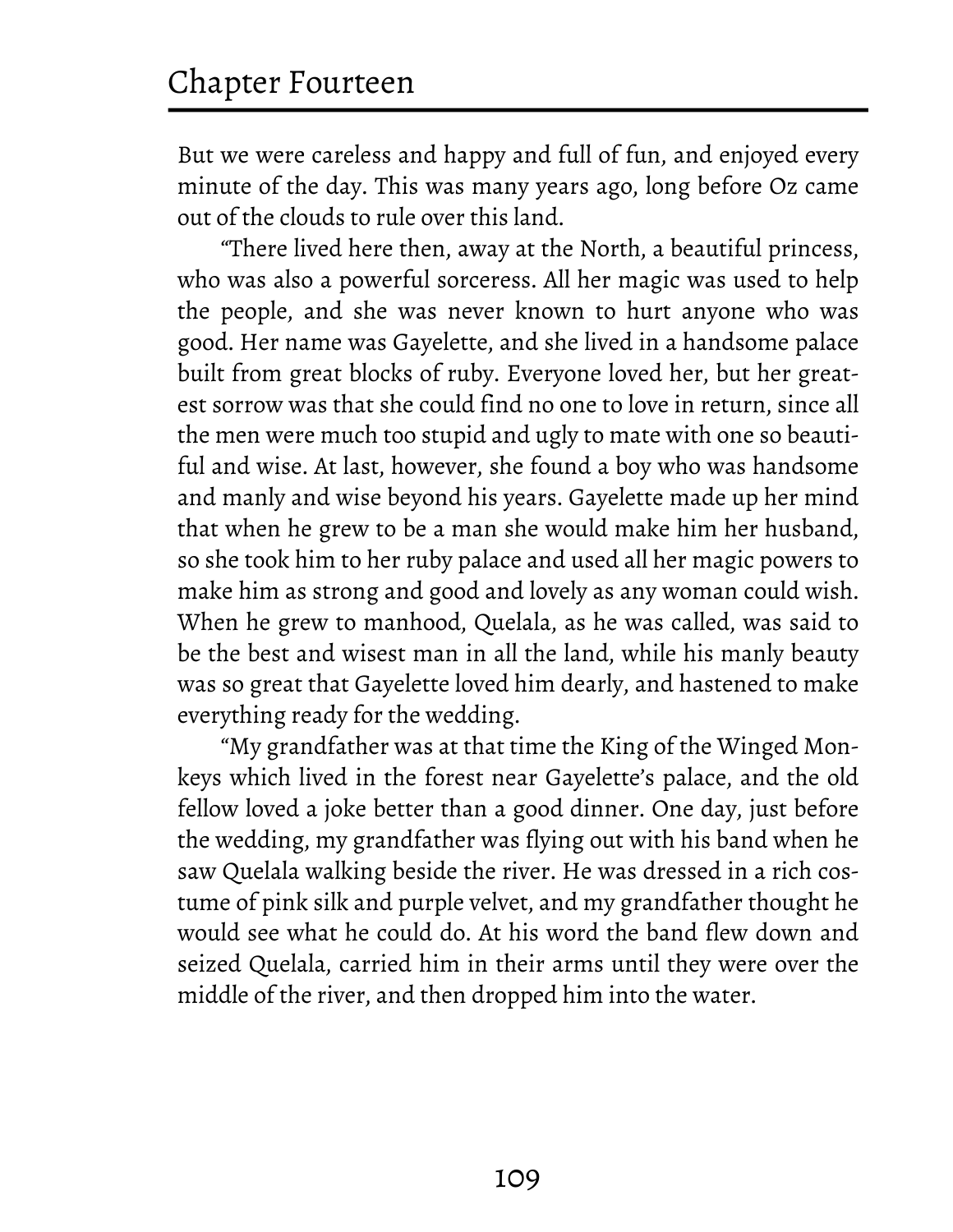But we were careless and happy and full of fun, and enjoyed every minute of the day. This was many years ago, long before Oz came out of the clouds to rule over this land.

"There lived here then, away at the North, a beautiful princess, who was also a powerful sorceress. All her magic was used to help the people, and she was never known to hurt anyone who was good. Her name was Gayelette, and she lived in a handsome palace built from great blocks of ruby. Everyone loved her, but her greatest sorrow was that she could find no one to love in return, since all the men were much too stupid and ugly to mate with one so beautiful and wise. At last, however, she found a boy who was handsome and manly and wise beyond his years. Gayelette made up her mind that when he grew to be a man she would make him her husband, so she took him to her ruby palace and used all her magic powers to make him as strong and good and lovely as any woman could wish. When he grew to manhood, Quelala, as he was called, was said to be the best and wisest man in all the land, while his manly beauty was so great that Gayelette loved him dearly, and hastened to make everything ready for the wedding.

"My grandfather was at that time the King of the Winged Monkeys which lived in the forest near Gayelette's palace, and the old fellow loved a joke better than a good dinner. One day, just before the wedding, my grandfather was flying out with his band when he saw Quelala walking beside the river. He was dressed in a rich costume of pink silk and purple velvet, and my grandfather thought he would see what he could do. At his word the band flew down and seized Quelala, carried him in their arms until they were over the middle of the river, and then dropped him into the water.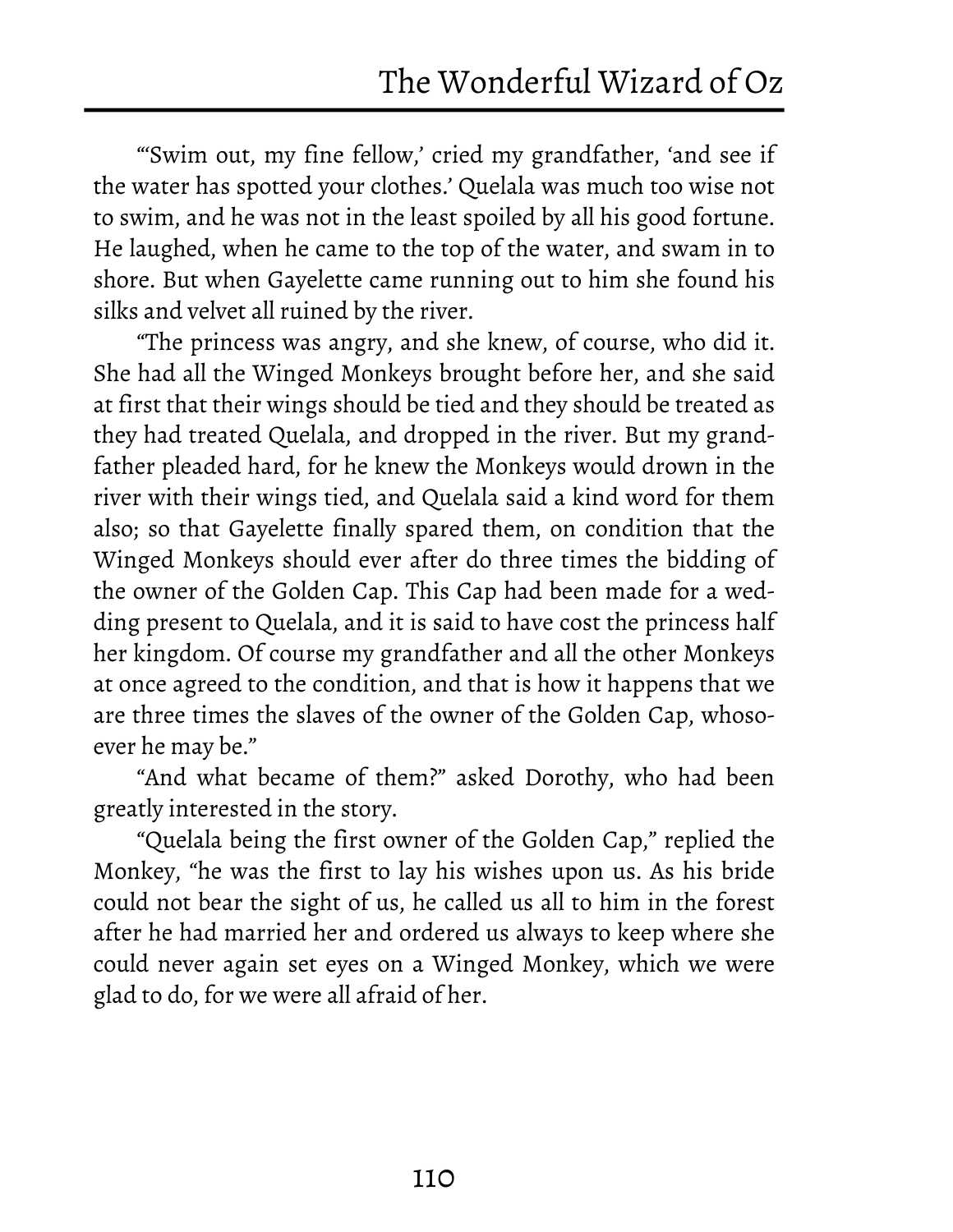"'Swim out, my fine fellow,' cried my grandfather, 'and see if the water has spotted your clothes.' Quelala was much too wise not to swim, and he was not in the least spoiled by all his good fortune. He laughed, when he came to the top of the water, and swam in to shore. But when Gayelette came running out to him she found his silks and velvet all ruined by the river.

"The princess was angry, and she knew, of course, who did it. She had all the Winged Monkeys brought before her, and she said at first that their wings should be tied and they should be treated as they had treated Quelala, and dropped in the river. But my grandfather pleaded hard, for he knew the Monkeys would drown in the river with their wings tied, and Quelala said a kind word for them also; so that Gayelette finally spared them, on condition that the Winged Monkeys should ever after do three times the bidding of the owner of the Golden Cap. This Cap had been made for a wedding present to Quelala, and it is said to have cost the princess half her kingdom. Of course my grandfather and all the other Monkeys at once agreed to the condition, and that is how it happens that we are three times the slaves of the owner of the Golden Cap, whosoever he may be."

"And what became of them?" asked Dorothy, who had been greatly interested in the story.

"Quelala being the first owner of the Golden Cap," replied the Monkey, "he was the first to lay his wishes upon us. As his bride could not bear the sight of us, he called us all to him in the forest after he had married her and ordered us always to keep where she could never again set eyes on a Winged Monkey, which we were glad to do, for we were all afraid of her.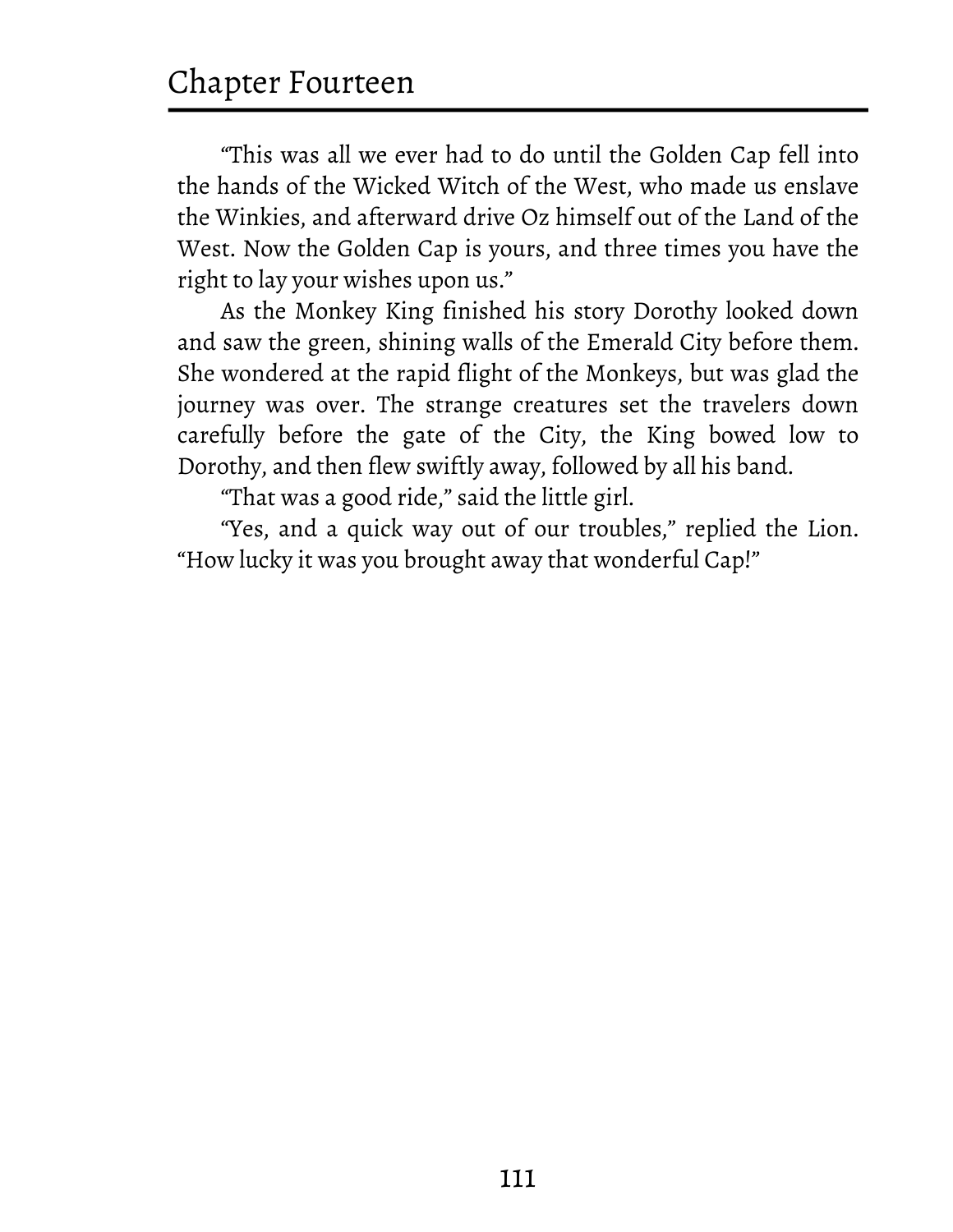### Chapter Fourteen

"This was all we ever had to do until the Golden Cap fell into the hands of the Wicked Witch of the West, who made us enslave the Winkies, and afterward drive Oz himself out of the Land of the West. Now the Golden Cap is yours, and three times you have the right to lay your wishes upon us."

As the Monkey King finished his story Dorothy looked down and saw the green, shining walls of the Emerald City before them. She wondered at the rapid flight of the Monkeys, but was glad the journey was over. The strange creatures set the travelers down carefully before the gate of the City, the King bowed low to Dorothy, and then flew swiftly away, followed by all his band.

"That was a good ride," said the little girl.

"Yes, and a quick way out of our troubles," replied the Lion. "How lucky it was you brought away that wonderful Cap!"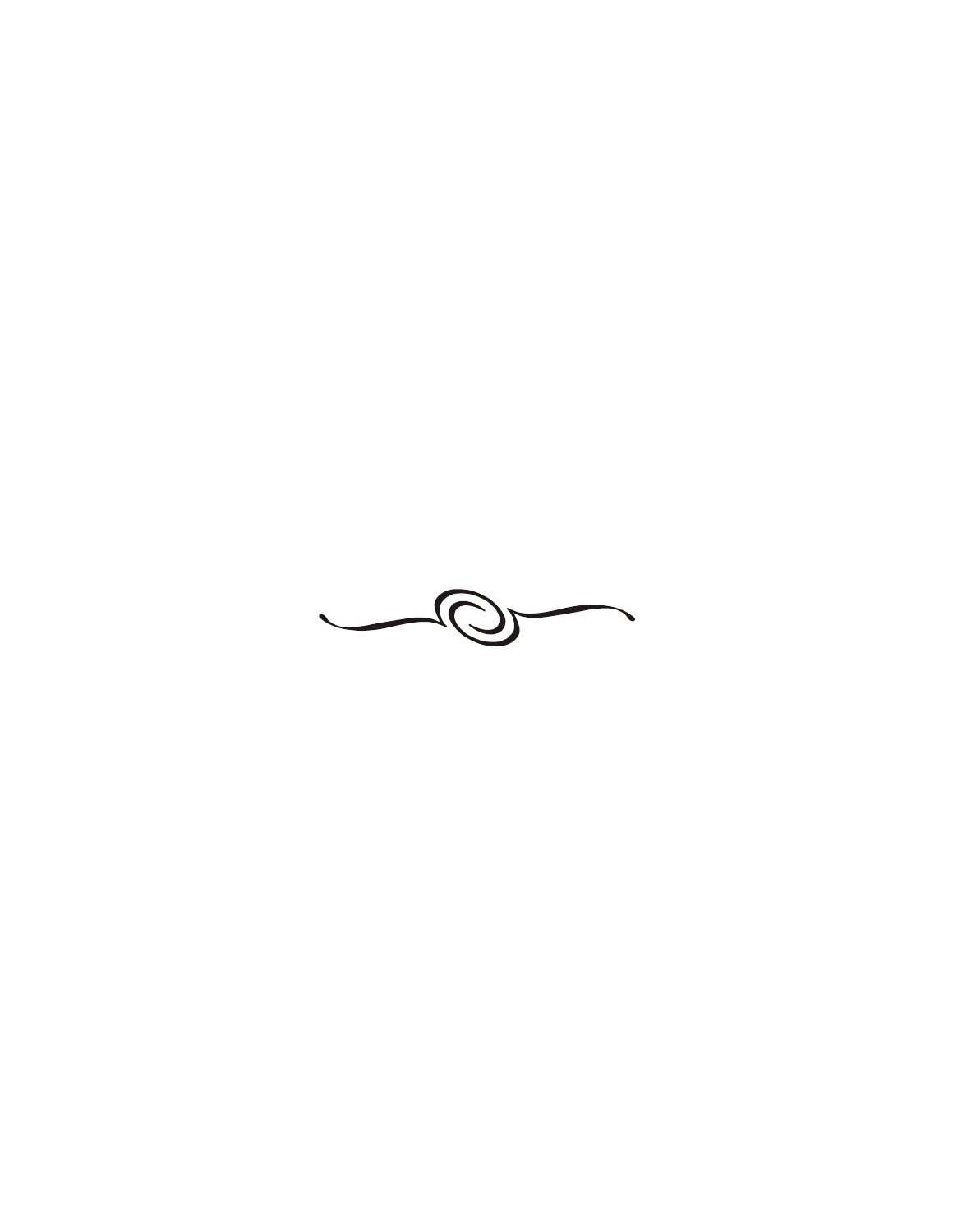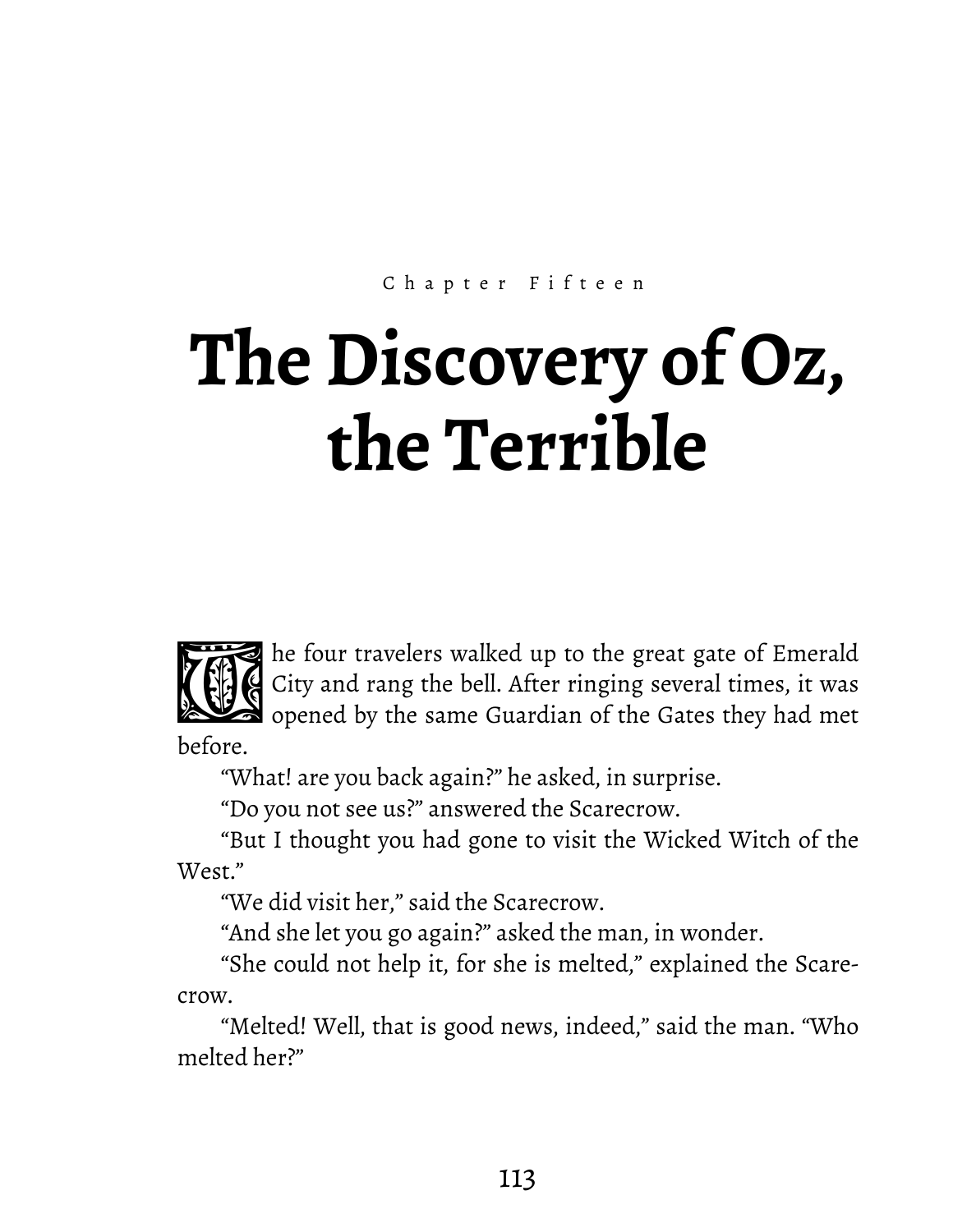Chapter Fifteen

# **The Discovery of Oz, the Terrible**



The four travelers walked up to the great gate of Emerald<br>City and rang the bell. After ringing several times, it was<br>opened by the same Guardian of the Gates they had met the four travelers walked up to the great gate of Emerald City and rang the bell. After ringing several times, it was

before.

"What! are you back again?" he asked, in surprise.

"Do you not see us?" answered the Scarecrow.

"But I thought you had gone to visit the Wicked Witch of the West."

"We did visit her," said the Scarecrow.

"And she let you go again?" asked the man, in wonder.

"She could not help it, for she is melted," explained the Scarecrow.

"Melted! Well, that is good news, indeed," said the man. "Who melted her?"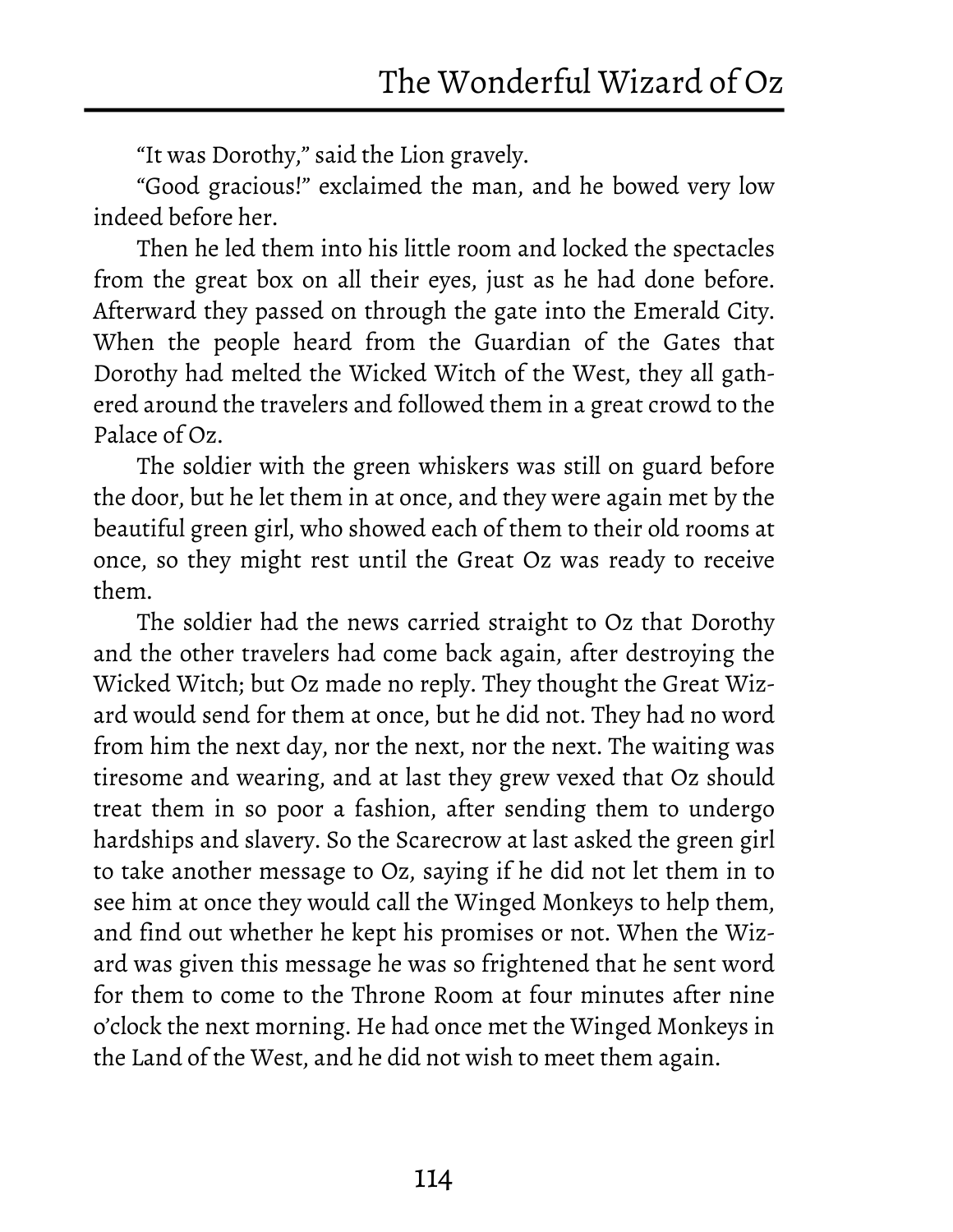"It was Dorothy," said the Lion gravely.

"Good gracious!" exclaimed the man, and he bowed very low indeed before her.

Then he led them into his little room and locked the spectacles from the great box on all their eyes, just as he had done before. Afterward they passed on through the gate into the Emerald City. When the people heard from the Guardian of the Gates that Dorothy had melted the Wicked Witch of the West, they all gathered around the travelers and followed them in a great crowd to the Palace of Oz.

The soldier with the green whiskers was still on guard before the door, but he let them in at once, and they were again met by the beautiful green girl, who showed each of them to their old rooms at once, so they might rest until the Great Oz was ready to receive them.

The soldier had the news carried straight to Oz that Dorothy and the other travelers had come back again, after destroying the Wicked Witch; but Oz made no reply. They thought the Great Wizard would send for them at once, but he did not. They had no word from him the next day, nor the next, nor the next. The waiting was tiresome and wearing, and at last they grew vexed that Oz should treat them in so poor a fashion, after sending them to undergo hardships and slavery. So the Scarecrow at last asked the green girl to take another message to Oz, saying if he did not let them in to see him at once they would call the Winged Monkeys to help them, and find out whether he kept his promises or not. When the Wizard was given this message he was so frightened that he sent word for them to come to the Throne Room at four minutes after nine o'clock the next morning. He had once met the Winged Monkeys in the Land of the West, and he did not wish to meet them again.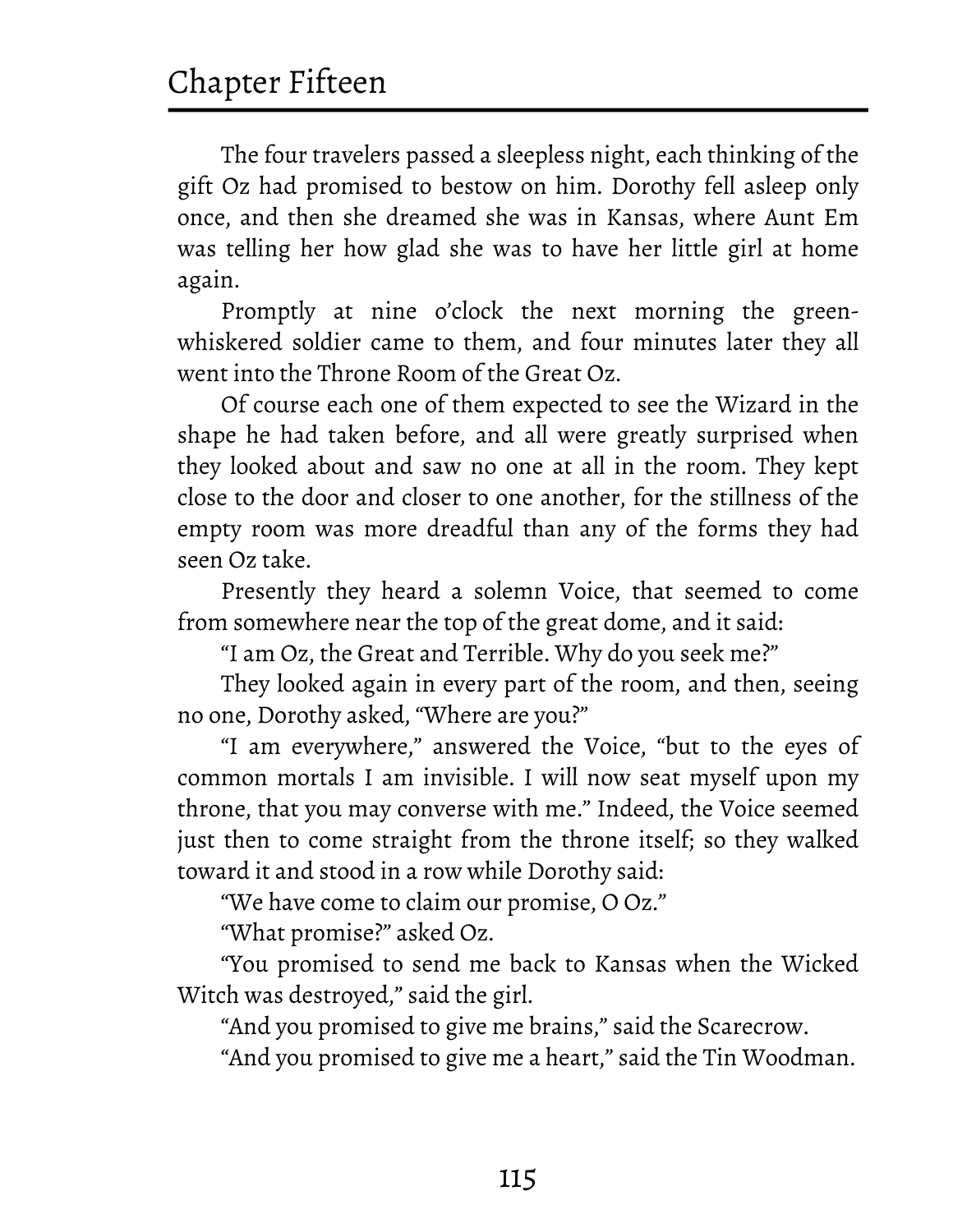The four travelers passed a sleepless night, each thinking of the gift Oz had promised to bestow on him. Dorothy fell asleep only once, and then she dreamed she was in Kansas, where Aunt Em was telling her how glad she was to have her little girl at home again.

Promptly at nine o'clock the next morning the green‐ whiskered soldier came to them, and four minutes later they all went into the Throne Room of the Great Oz.

Of course each one of them expected to see the Wizard in the shape he had taken before, and all were greatly surprised when they looked about and saw no one at all in the room. They kept close to the door and closer to one another, for the stillness of the empty room was more dreadful than any of the forms they had seen Oz take.

Presently they heard a solemn Voice, that seemed to come from somewhere near the top of the great dome, and it said:

"I am Oz, the Great and Terrible. Why do you seek me?"

They looked again in every part of the room, and then, seeing no one, Dorothy asked, "Where are you?"

"I am everywhere," answered the Voice, "but to the eyes of common mortals I am invisible. I will now seat myself upon my throne, that you may converse with me." Indeed, the Voice seemed just then to come straight from the throne itself; so they walked toward it and stood in a row while Dorothy said:

"We have come to claim our promise, O Oz."

"What promise?" asked Oz.

"You promised to send me back to Kansas when the Wicked Witch was destroyed," said the girl.

"And you promised to give me brains," said the Scarecrow.

"And you promised to give me a heart," said the Tin Woodman.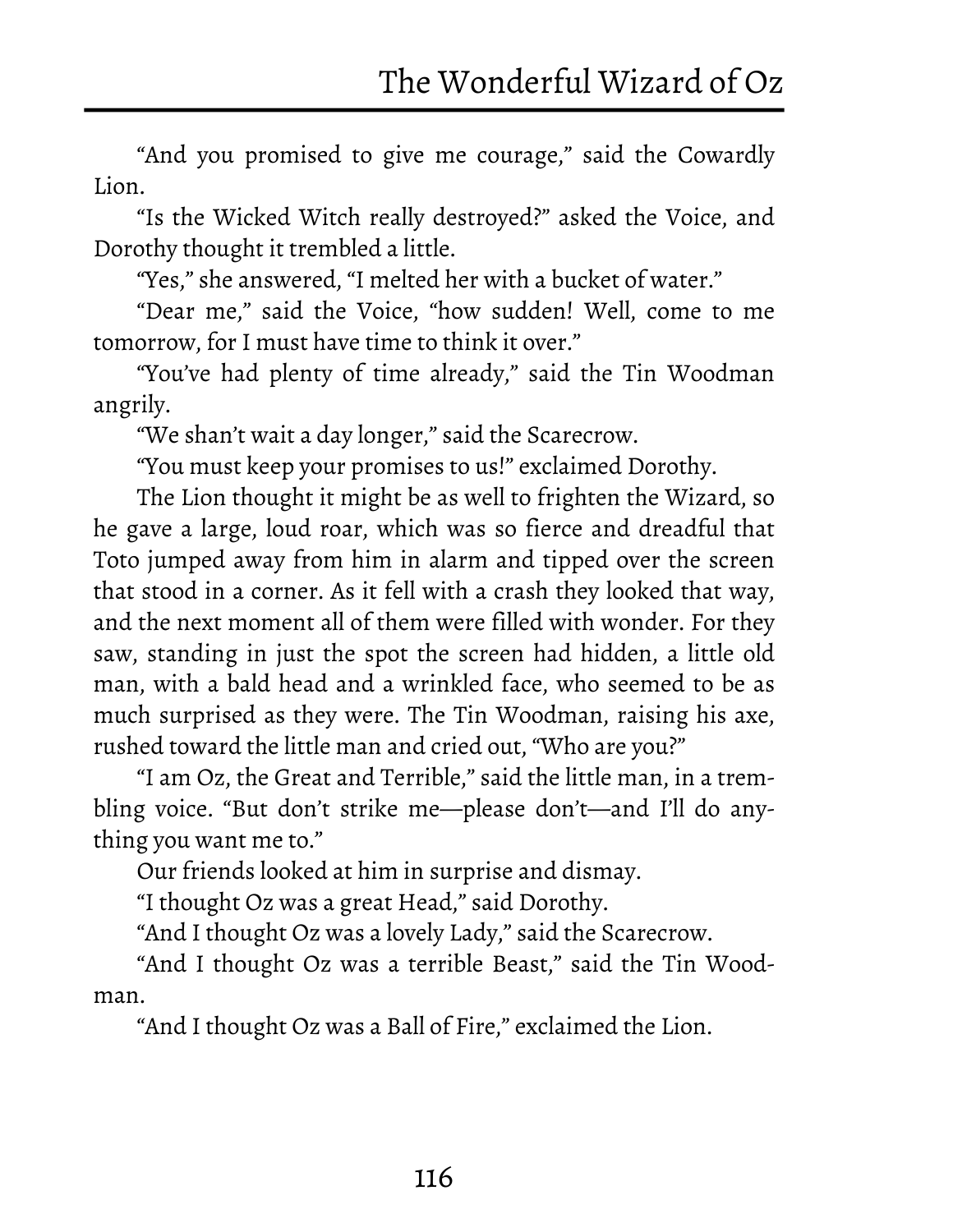"And you promised to give me courage," said the Cowardly Lion.

"Is the Wicked Witch really destroyed?" asked the Voice, and Dorothy thought it trembled a little.

"Yes," she answered, "I melted her with a bucket of water."

"Dear me," said the Voice, "how sudden! Well, come to me tomorrow, for I must have time to think it over."

"You've had plenty of time already," said the Tin Woodman angrily.

"We shan't wait a day longer," said the Scarecrow.

"You must keep your promises to us!" exclaimed Dorothy.

The Lion thought it might be as well to frighten the Wizard, so he gave a large, loud roar, which was so fierce and dreadful that Toto jumped away from him in alarm and tipped over the screen that stood in a corner. As it fell with a crash they looked that way, and the next moment all of them were filled with wonder. For they saw, standing in just the spot the screen had hidden, a little old man, with a bald head and a wrinkled face, who seemed to be as much surprised as they were. The Tin Woodman, raising his axe, rushed toward the little man and cried out, "Who are you?"

"I am Oz, the Great and Terrible," said the little man, in a trembling voice. "But don't strike me—please don't—and I'll do anything you want me to."

Our friends looked at him in surprise and dismay.

"I thought Oz was a great Head," said Dorothy.

"And I thought Oz was a lovely Lady," said the Scarecrow.

"And I thought Oz was a terrible Beast," said the Tin Woodman.

"And I thought Oz was a Ball of Fire," exclaimed the Lion.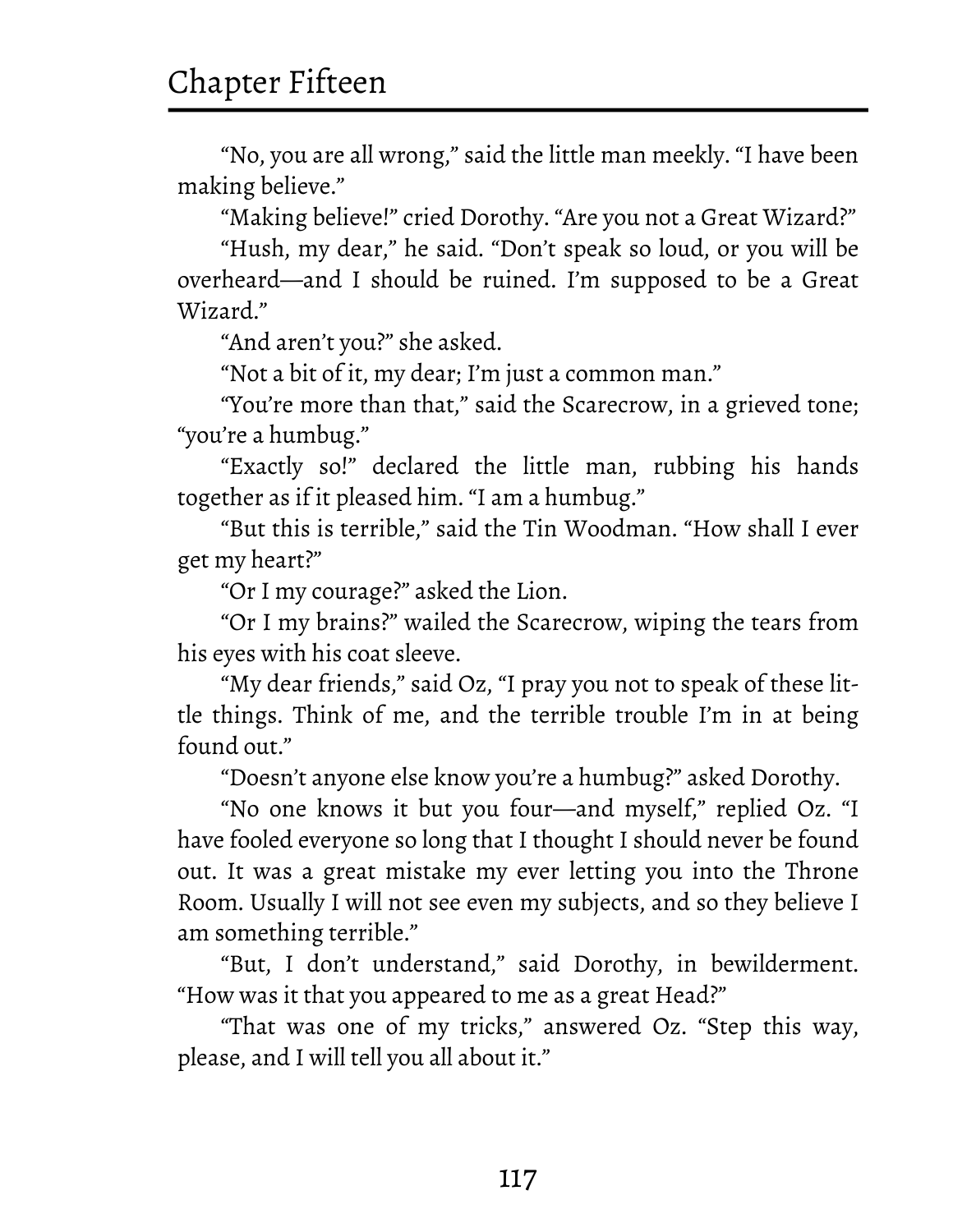"No, you are all wrong," said the little man meekly. "I have been making believe."

"Making believe!" cried Dorothy. "Are you not a Great Wizard?"

"Hush, my dear," he said. "Don't speak so loud, or you will be overheard—and I should be ruined. I'm supposed to be a Great Wizard."

"And aren't you?" she asked.

"Not a bit of it, my dear; I'm just a common man."

"You're more than that," said the Scarecrow, in a grieved tone; "you're a humbug."

"Exactly so!" declared the little man, rubbing his hands together as if it pleased him. "I am a humbug."

"But this is terrible," said the Tin Woodman. "How shall I ever get my heart?"

"Or I my courage?" asked the Lion.

"Or I my brains?" wailed the Scarecrow, wiping the tears from his eyes with his coat sleeve.

"My dear friends," said Oz, "I pray you not to speak of these little things. Think of me, and the terrible trouble I'm in at being found out."

"Doesn't anyone else know you're a humbug?" asked Dorothy.

"No one knows it but you four—and myself," replied Oz. "I have fooled everyone so long that I thought I should never be found out. It was a great mistake my ever letting you into the Throne Room. Usually I will not see even my subjects, and so they believe I am something terrible."

"But, I don't understand," said Dorothy, in bewilderment. "How was it that you appeared to me as a great Head?"

"That was one of my tricks," answered Oz. "Step this way, please, and I will tell you all about it."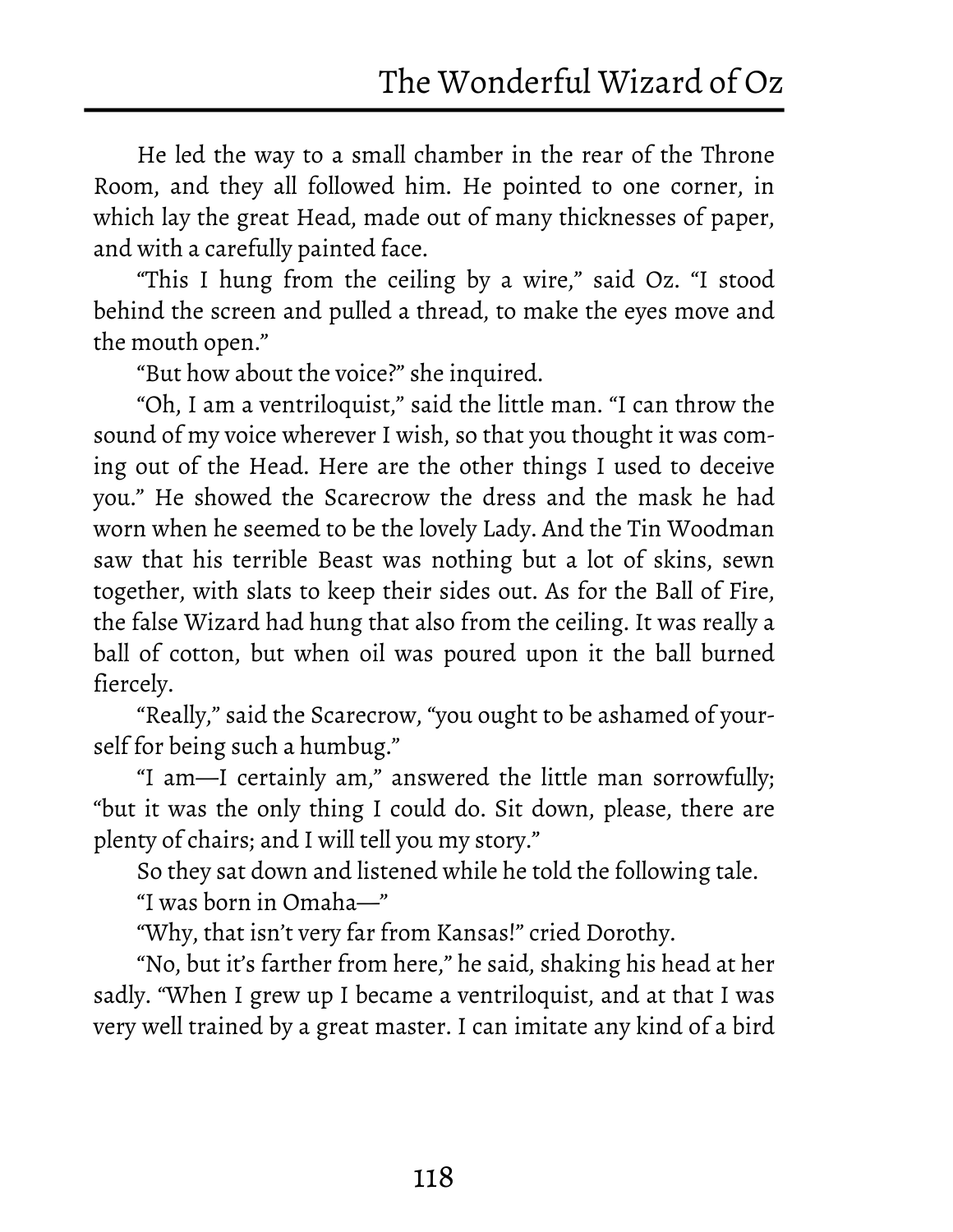He led the way to a small chamber in the rear of the Throne Room, and they all followed him. He pointed to one corner, in which lay the great Head, made out of many thicknesses of paper, and with a carefully painted face.

"This I hung from the ceiling by a wire," said Oz. "I stood behind the screen and pulled a thread, to make the eyes move and the mouth open."

"But how about the voice?" she inquired.

"Oh, I am a ventriloquist," said the little man. "I can throw the sound of my voice wherever I wish, so that you thought it was coming out of the Head. Here are the other things I used to deceive you." He showed the Scarecrow the dress and the mask he had worn when he seemed to be the lovely Lady. And the Tin Woodman saw that his terrible Beast was nothing but a lot of skins, sewn together, with slats to keep their sides out. As for the Ball of Fire, the false Wizard had hung that also from the ceiling. It was really a ball of cotton, but when oil was poured upon it the ball burned fiercely.

"Really," said the Scarecrow, "you ought to be ashamed of yourself for being such a humbug."

"I am—I certainly am," answered the little man sorrowfully; "but it was the only thing I could do. Sit down, please, there are plenty of chairs; and I will tell you my story."

So they sat down and listened while he told the following tale.

"I was born in Omaha—"

"Why, that isn't very far from Kansas!" cried Dorothy.

"No, but it's farther from here," he said, shaking his head at her sadly. "When I grew up I became a ventriloquist, and at that I was very well trained by a great master. I can imitate any kind of a bird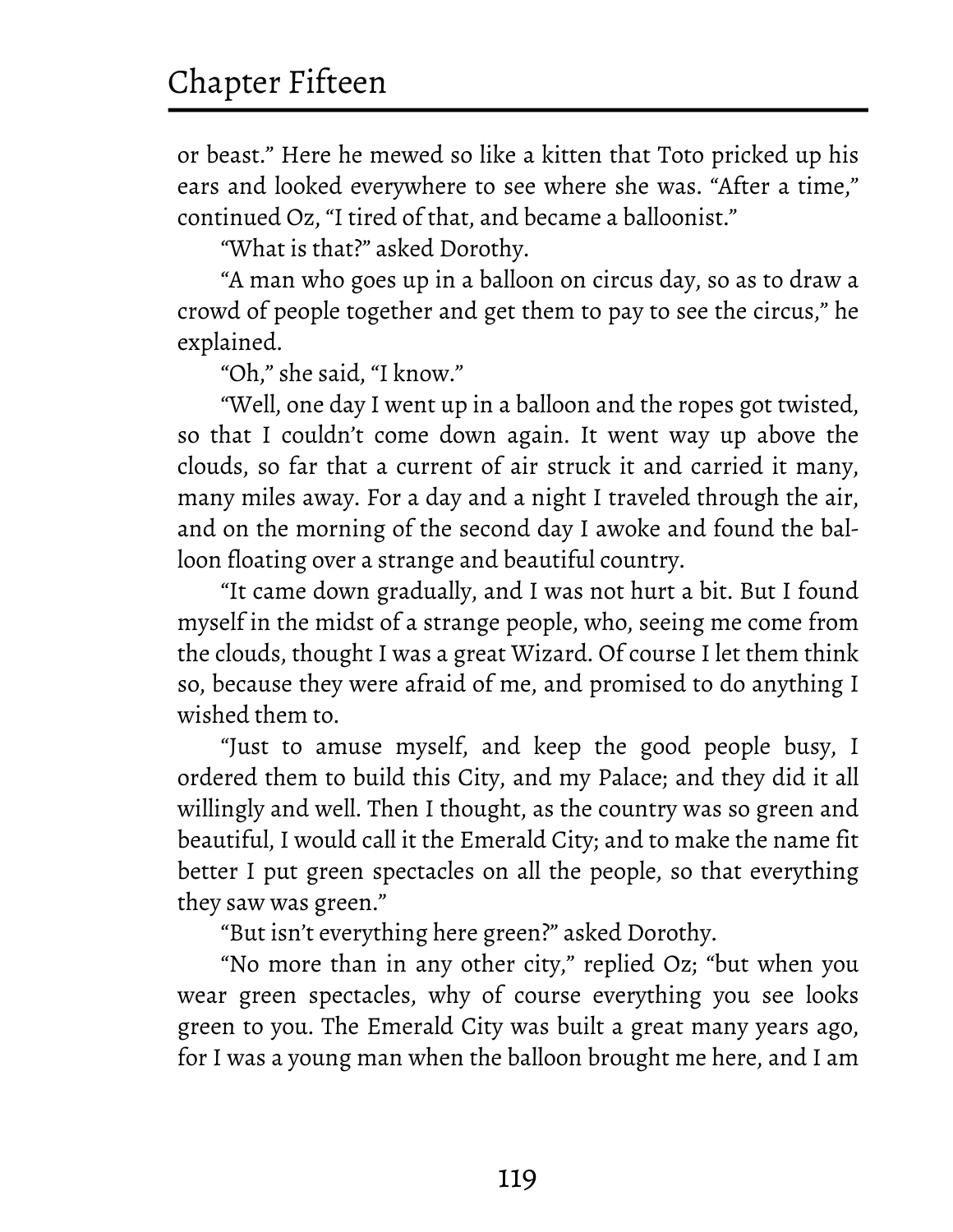or beast." Here he mewed so like a kitten that Toto pricked up his ears and looked everywhere to see where she was. "After a time," continued Oz, "I tired of that, and became a balloonist."

"What is that?" asked Dorothy.

"A man who goes up in a balloon on circus day, so as to draw a crowd of people together and get them to pay to see the circus," he explained.

"Oh," she said, "I know."

"Well, one day I went up in a balloon and the ropes got twisted, so that I couldn't come down again. It went way up above the clouds, so far that a current of air struck it and carried it many, many miles away. For a day and a night I traveled through the air, and on the morning of the second day I awoke and found the balloon floating over a strange and beautiful country.

"It came down gradually, and I was not hurt a bit. But I found myself in the midst of a strange people, who, seeing me come from the clouds, thought I was a great Wizard. Of course I let them think so, because they were afraid of me, and promised to do anything I wished them to.

"Just to amuse myself, and keep the good people busy, I ordered them to build this City, and my Palace; and they did it all willingly and well. Then I thought, as the country was so green and beautiful, I would call it the Emerald City; and to make the name fit better I put green spectacles on all the people, so that everything they saw was green."

"But isn't everything here green?" asked Dorothy.

"No more than in any other city," replied Oz; "but when you wear green spectacles, why of course everything you see looks green to you. The Emerald City was built a great many years ago, for I was a young man when the balloon brought me here, and I am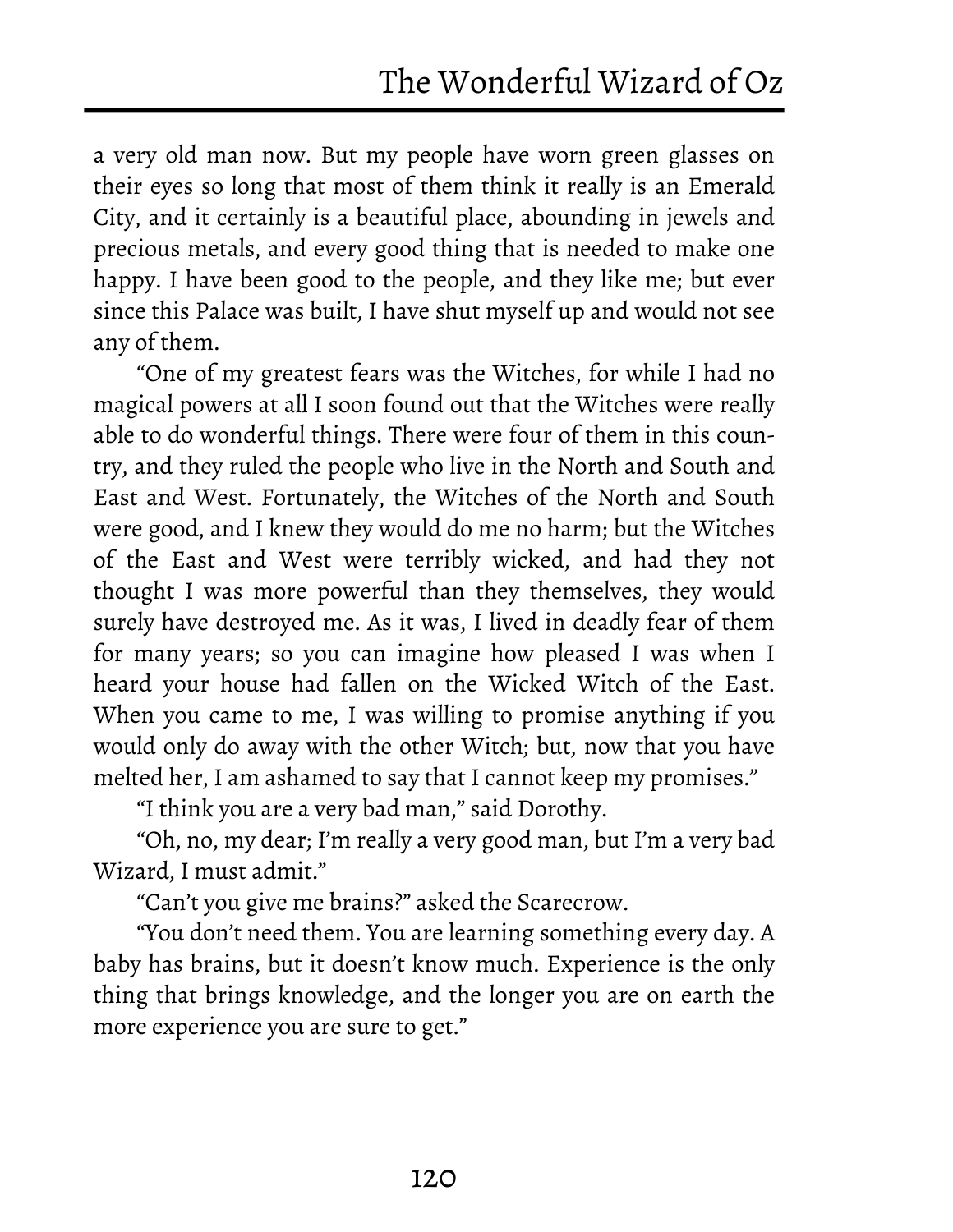a very old man now. But my people have worn green glasses on their eyes so long that most of them think it really is an Emerald City, and it certainly is a beautiful place, abounding in jewels and precious metals, and every good thing that is needed to make one happy. I have been good to the people, and they like me; but ever since this Palace was built, I have shut myself up and would not see any of them.

"One of my greatest fears was the Witches, for while I had no magical powers at all I soon found out that the Witches were really able to do wonderful things. There were four of them in this country, and they ruled the people who live in the North and South and East and West. Fortunately, the Witches of the North and South were good, and I knew they would do me no harm; but the Witches of the East and West were terribly wicked, and had they not thought I was more powerful than they themselves, they would surely have destroyed me. As it was, I lived in deadly fear of them for many years; so you can imagine how pleased I was when I heard your house had fallen on the Wicked Witch of the East. When you came to me, I was willing to promise anything if you would only do away with the other Witch; but, now that you have melted her, I am ashamed to say that I cannot keep my promises."

"I think you are a very bad man," said Dorothy.

"Oh, no, my dear; I'm really a very good man, but I'm a very bad Wizard, I must admit."

"Can't you give me brains?" asked the Scarecrow.

"You don't need them. You are learning something every day. A baby has brains, but it doesn't know much. Experience is the only thing that brings knowledge, and the longer you are on earth the more experience you are sure to get."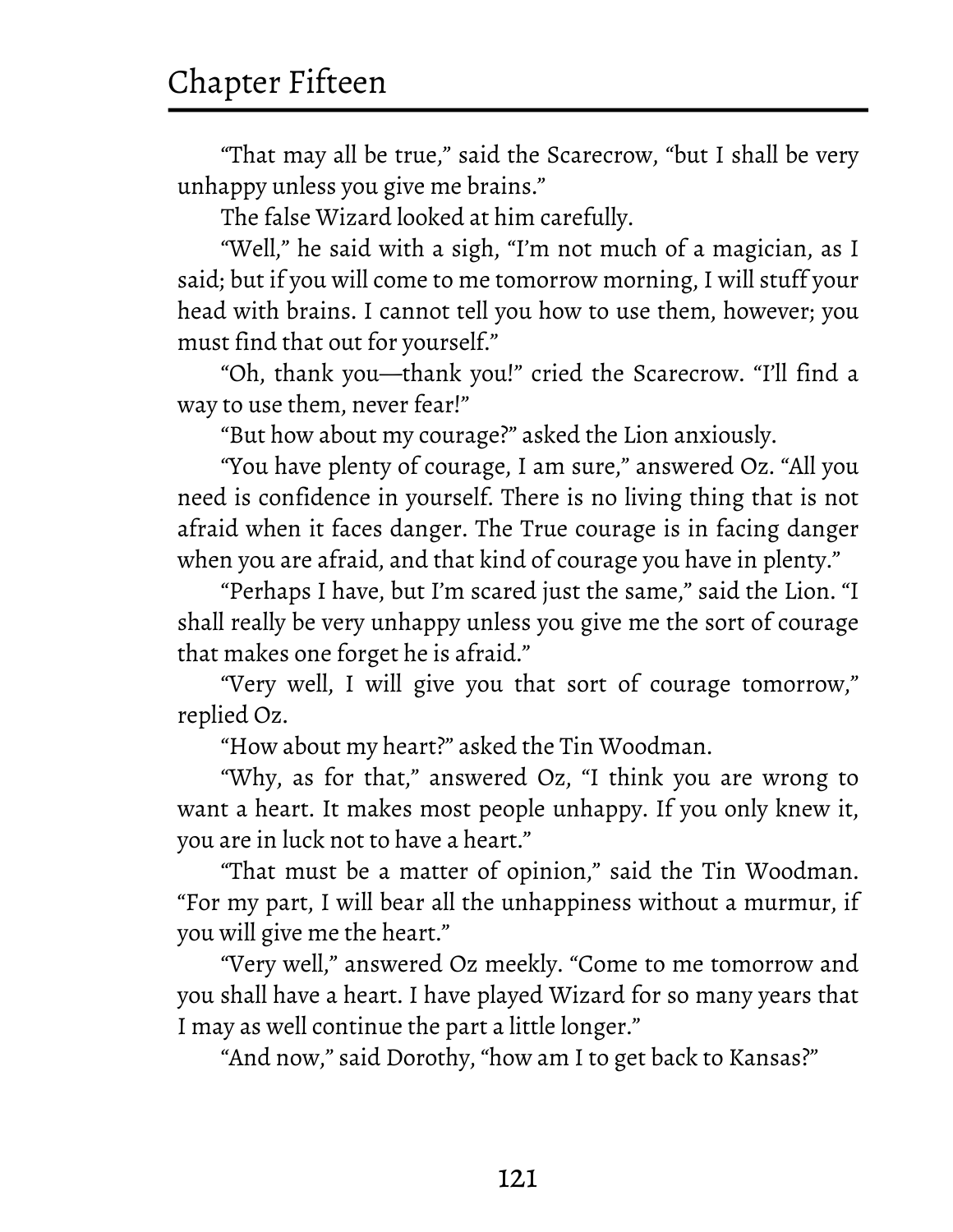"That may all be true," said the Scarecrow, "but I shall be very unhappy unless you give me brains."

The false Wizard looked at him carefully.

"Well," he said with a sigh, "I'm not much of a magician, as I said; but if you will come to me tomorrow morning, I will stuff your head with brains. I cannot tell you how to use them, however; you must find that out for yourself."

"Oh, thank you—thank you!" cried the Scarecrow. "I'll find a way to use them, never fear!"

"But how about my courage?" asked the Lion anxiously.

"You have plenty of courage, I am sure," answered Oz. "All you need is confidence in yourself. There is no living thing that is not afraid when it faces danger. The True courage is in facing danger when you are afraid, and that kind of courage you have in plenty."

"Perhaps I have, but I'm scared just the same," said the Lion. "I shall really be very unhappy unless you give me the sort of courage that makes one forget he is afraid."

"Very well, I will give you that sort of courage tomorrow," replied Oz.

"How about my heart?" asked the Tin Woodman.

"Why, as for that," answered Oz, "I think you are wrong to want a heart. It makes most people unhappy. If you only knew it, you are in luck not to have a heart."

"That must be a matter of opinion," said the Tin Woodman. "For my part, I will bear all the unhappiness without a murmur, if you will give me the heart."

"Very well," answered Oz meekly. "Come to me tomorrow and you shall have a heart. I have played Wizard for so many years that I may as well continue the part a little longer."

"And now," said Dorothy, "how am I to get back to Kansas?"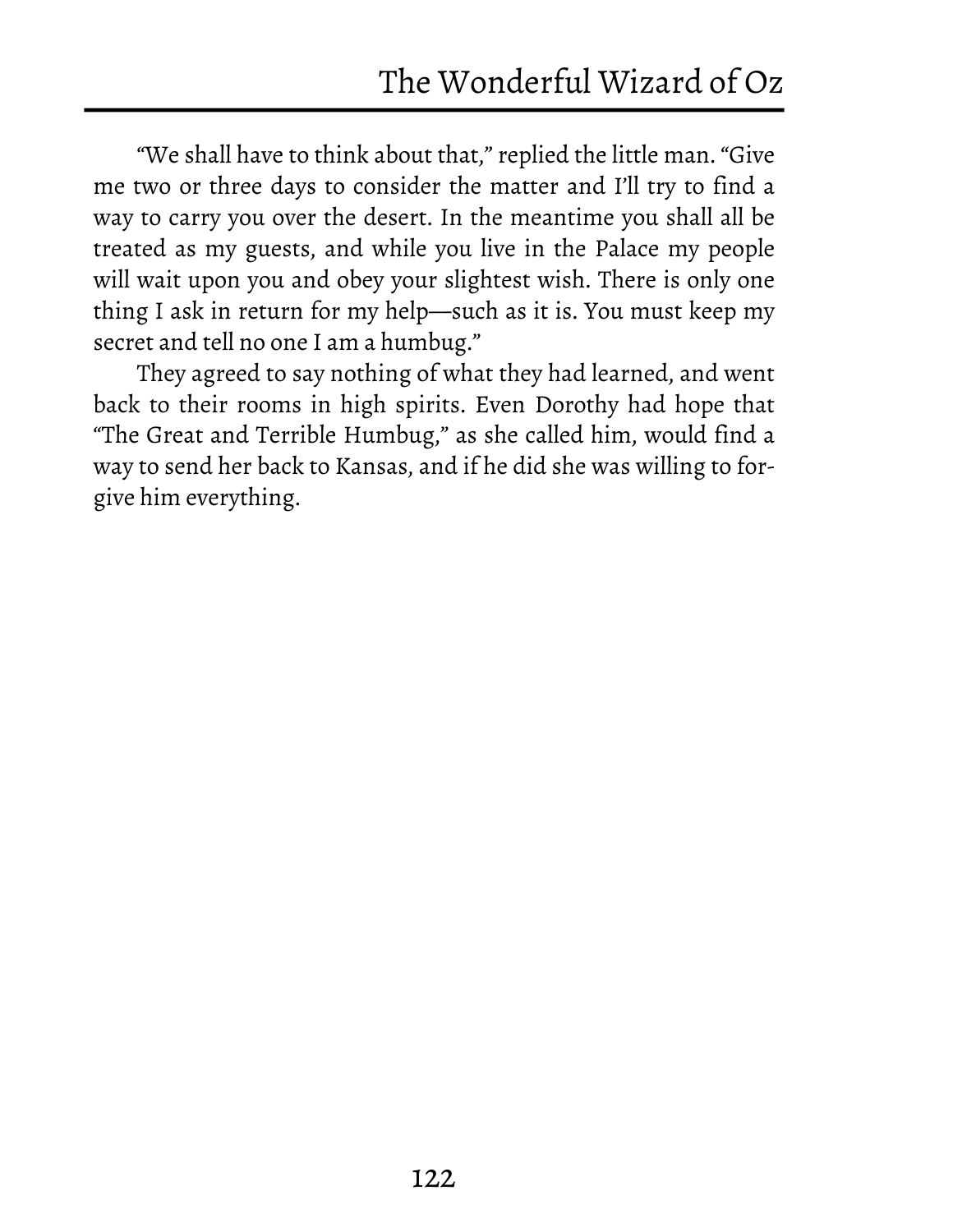"We shall have to think about that," replied the little man. "Give me two or three days to consider the matter and I'll try to find a way to carry you over the desert. In the meantime you shall all be treated as my guests, and while you live in the Palace my people will wait upon you and obey your slightest wish. There is only one thing I ask in return for my help—such as it is. You must keep my secret and tell no one I am a humbug."

They agreed to say nothing of what they had learned, and went back to their rooms in high spirits. Even Dorothy had hope that "The Great and Terrible Humbug," as she called him, would find a way to send her back to Kansas, and if he did she was willing to forgive him everything.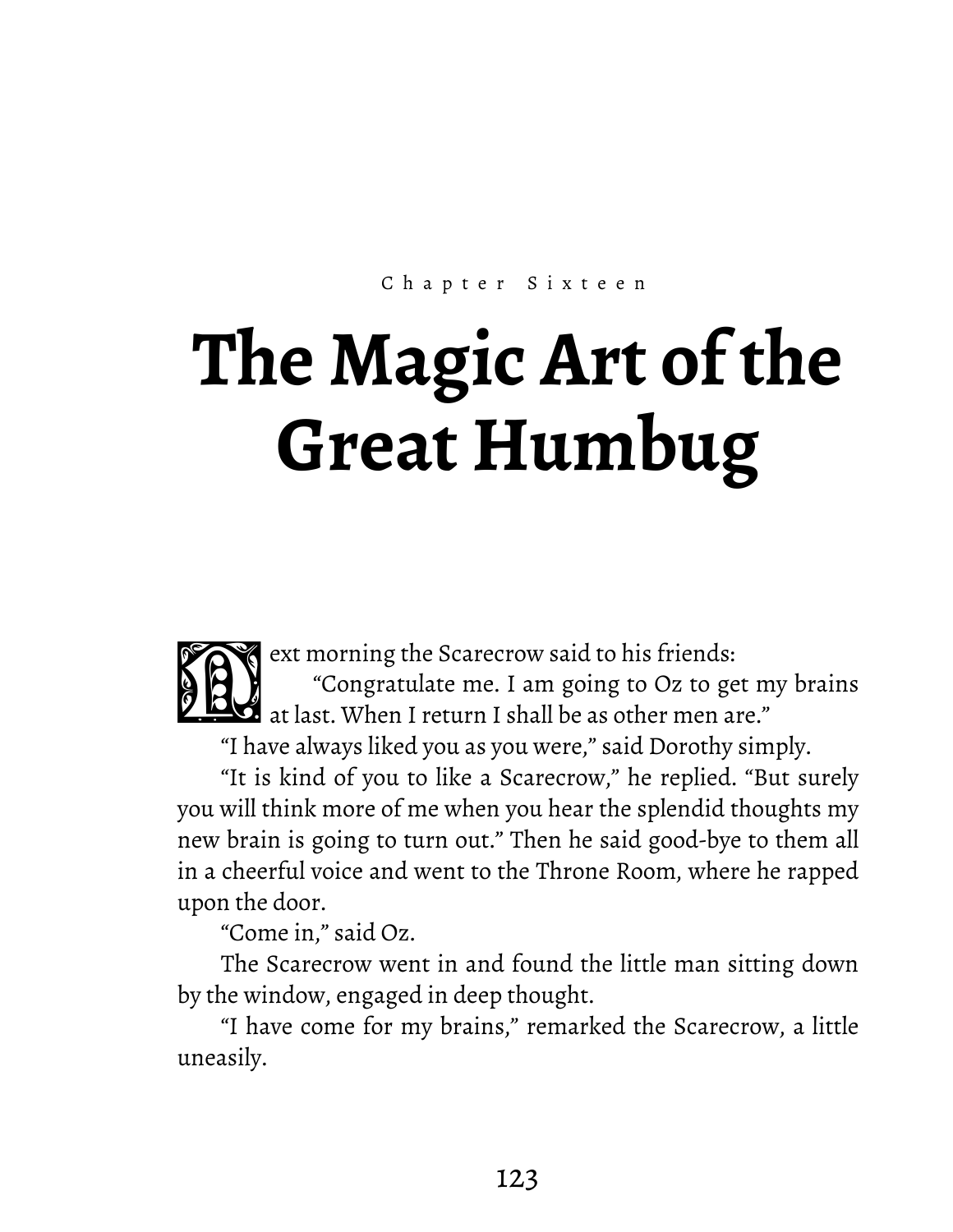### Chapter Sixteen

# **The Magic Art of the Great Humbug**

ext morning the Scarecrow said to his friends:<br>"Congratulate me. I am going to Oz to get m<br>at last. When I return I shall be as other men are." ext morning the Scarecrow said to his friends: "Congratulate me. I am going to Oz to get my brains

"I have always liked you as you were," said Dorothy simply.

"It is kind of you to like a Scarecrow," he replied. "But surely you will think more of me when you hear the splendid thoughts my new brain is going to turn out." Then he said good‐bye to them all in a cheerful voice and went to the Throne Room, where he rapped upon the door.

"Come in," said Oz.

The Scarecrow went in and found the little man sitting down by the window, engaged in deep thought.

"I have come for my brains," remarked the Scarecrow, a little uneasily.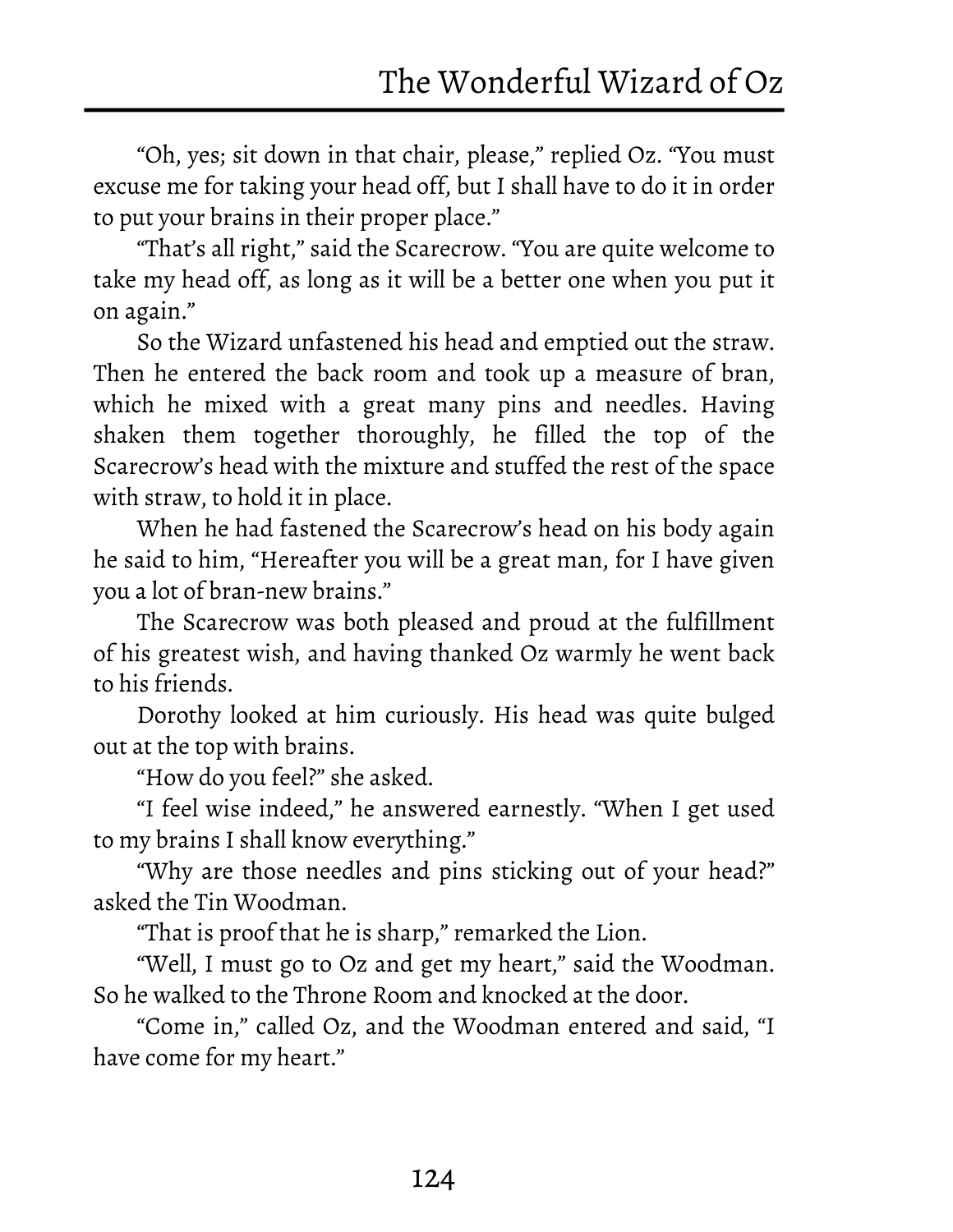"Oh, yes; sit down in that chair, please," replied Oz. "You must excuse me for taking your head off, but I shall have to do it in order to put your brains in their proper place."

"That's all right," said the Scarecrow. "You are quite welcome to take my head off, as long as it will be a better one when you put it on again."

So the Wizard unfastened his head and emptied out the straw. Then he entered the back room and took up a measure of bran, which he mixed with a great many pins and needles. Having shaken them together thoroughly, he filled the top of the Scarecrow's head with the mixture and stuffed the rest of the space with straw, to hold it in place.

When he had fastened the Scarecrow's head on his body again he said to him, "Hereafter you will be a great man, for I have given you a lot of bran‐new brains."

The Scarecrow was both pleased and proud at the fulfillment of his greatest wish, and having thanked Oz warmly he went back to his friends.

Dorothy looked at him curiously. His head was quite bulged out at the top with brains.

"How do you feel?" she asked.

"I feel wise indeed," he answered earnestly. "When I get used to my brains I shall know everything."

"Why are those needles and pins sticking out of your head?" asked the Tin Woodman.

"That is proof that he is sharp," remarked the Lion.

"Well, I must go to Oz and get my heart," said the Woodman. So he walked to the Throne Room and knocked at the door.

"Come in," called Oz, and the Woodman entered and said, "I have come for my heart."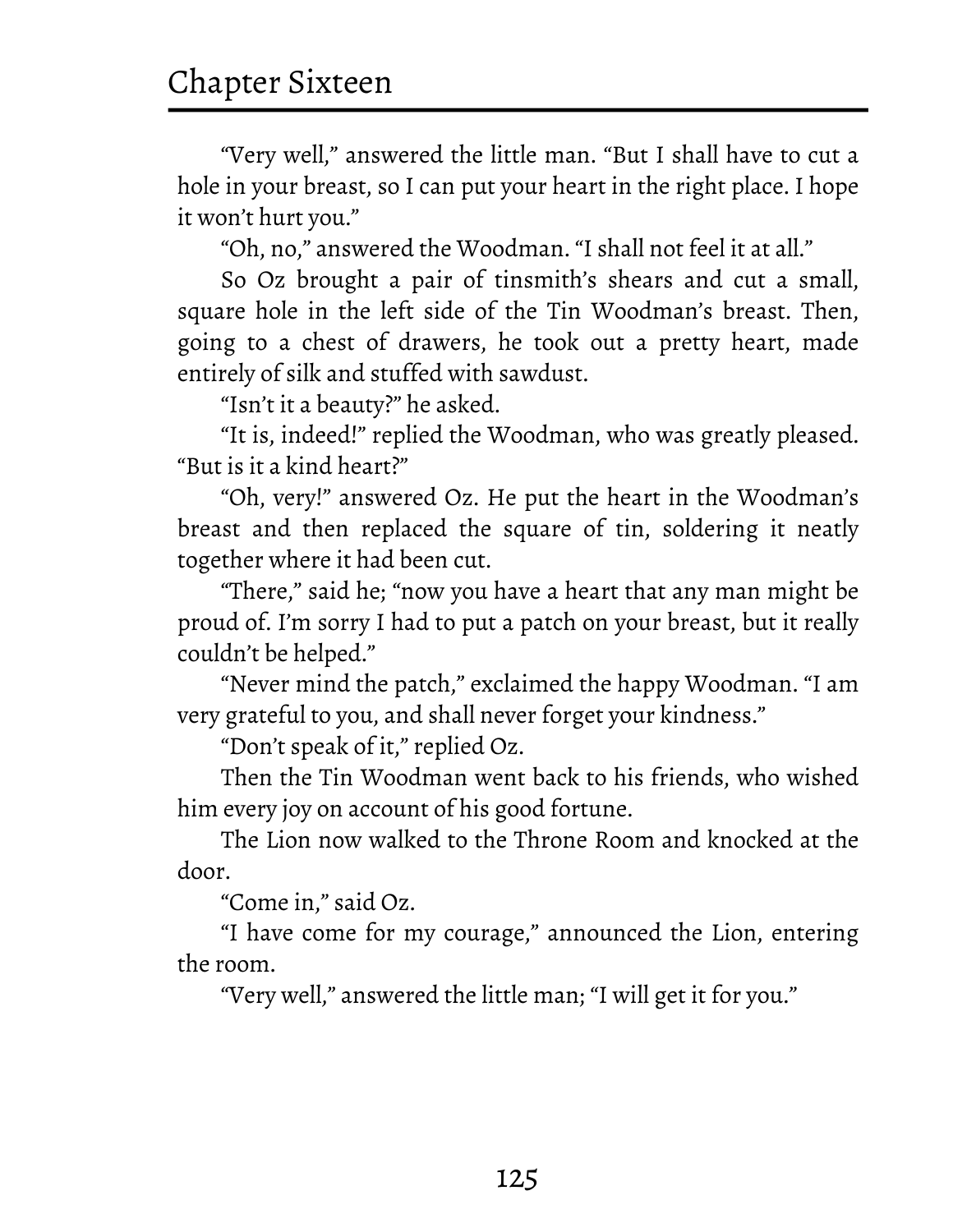"Very well," answered the little man. "But I shall have to cut a hole in your breast, so I can put your heart in the right place. I hope it won't hurt you."

"Oh, no," answered the Woodman. "I shall not feel it at all."

So Oz brought a pair of tinsmith's shears and cut a small, square hole in the left side of the Tin Woodman's breast. Then, going to a chest of drawers, he took out a pretty heart, made entirely of silk and stuffed with sawdust.

"Isn't it a beauty?" he asked.

"It is, indeed!" replied the Woodman, who was greatly pleased. "But is it a kind heart?"

"Oh, very!" answered Oz. He put the heart in the Woodman's breast and then replaced the square of tin, soldering it neatly together where it had been cut.

"There," said he; "now you have a heart that any man might be proud of. I'm sorry I had to put a patch on your breast, but it really couldn't be helped."

"Never mind the patch," exclaimed the happy Woodman. "I am very grateful to you, and shall never forget your kindness."

"Don't speak of it," replied Oz.

Then the Tin Woodman went back to his friends, who wished him every joy on account of his good fortune.

The Lion now walked to the Throne Room and knocked at the door.

"Come in," said Oz.

"I have come for my courage," announced the Lion, entering the room.

"Very well," answered the little man; "I will get it for you."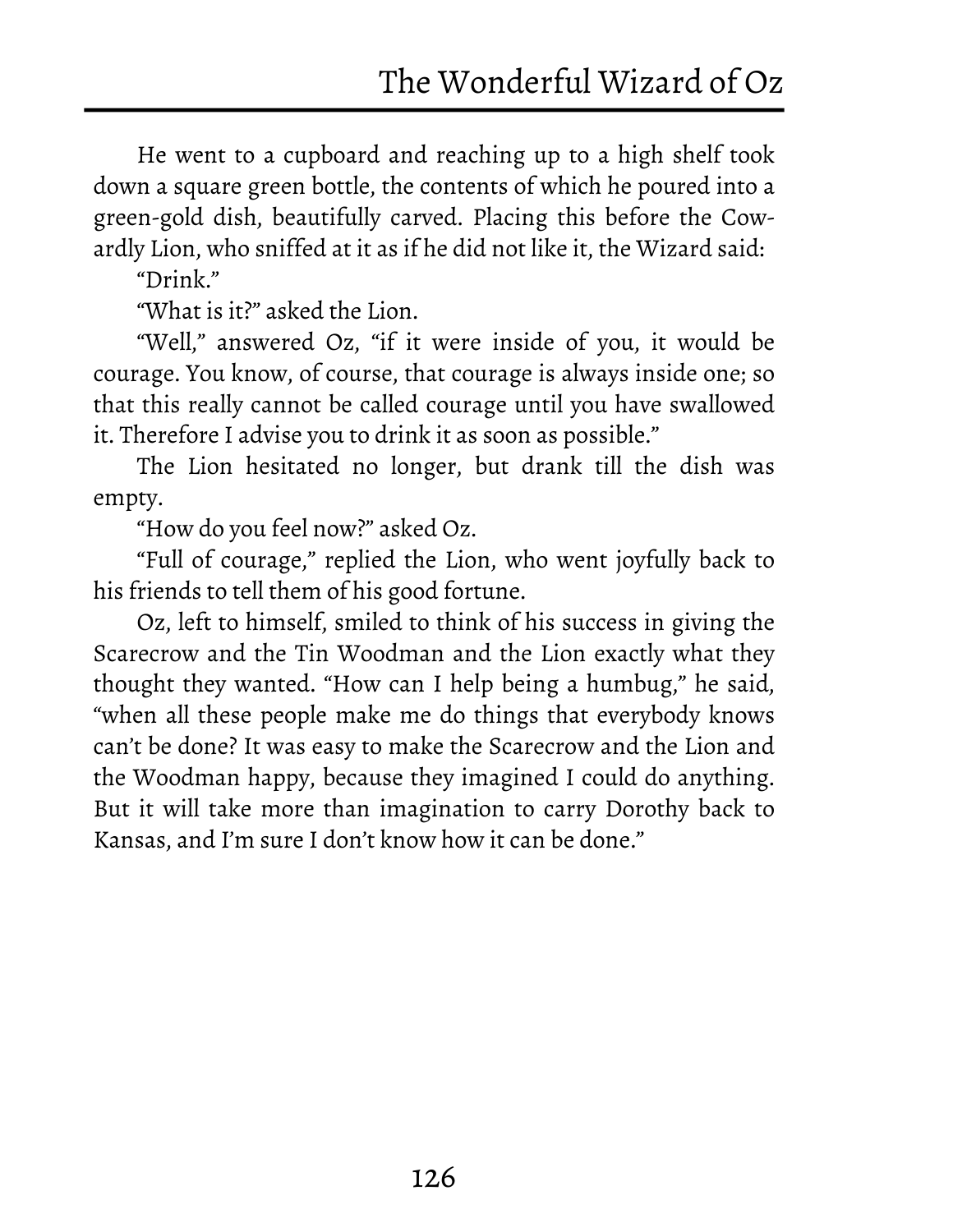He went to a cupboard and reaching up to a high shelf took down a square green bottle, the contents of which he poured into a green‐gold dish, beautifully carved. Placing this before the Cowardly Lion, who sniffed at it as if he did not like it, the Wizard said:

"Drink."

"What is it?" asked the Lion.

"Well," answered Oz, "if it were inside of you, it would be courage. You know, of course, that courage is always inside one; so that this really cannot be called courage until you have swallowed it. Therefore I advise you to drink it as soon as possible."

The Lion hesitated no longer, but drank till the dish was empty.

"How do you feel now?" asked Oz.

"Full of courage," replied the Lion, who went joyfully back to his friends to tell them of his good fortune.

Oz, left to himself, smiled to think of his success in giving the Scarecrow and the Tin Woodman and the Lion exactly what they thought they wanted. "How can I help being a humbug," he said, "when all these people make me do things that everybody knows can't be done? It was easy to make the Scarecrow and the Lion and the Woodman happy, because they imagined I could do anything. But it will take more than imagination to carry Dorothy back to Kansas, and I'm sure I don't know how it can be done."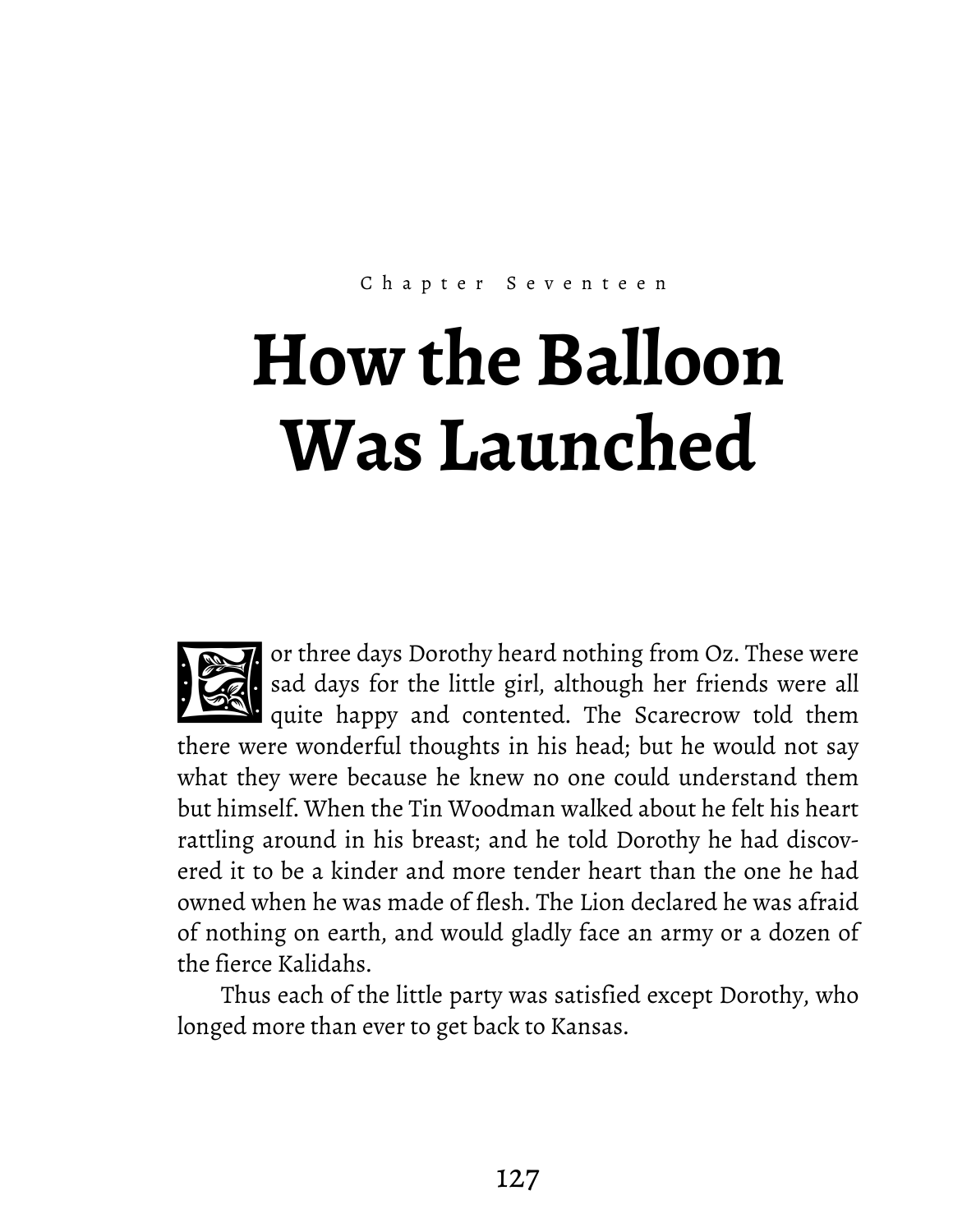#### Chapter Seventeen

## **How the Balloon Was Launched**

or three days Dorothy heard nothing from Oz. These were<br>sad days for the little girl, although her friends were all<br>quite happy and contented. The Scarecrow told them sad days for the little girl, although her friends were all quite happy and contented. The Scarecrow told them there were wonderful thoughts in his head; but he would not say what they were because he knew no one could understand them but himself. When the Tin Woodman walked about he felt his heart rattling around in his breast; and he told Dorothy he had discovered it to be a kinder and more tender heart than the one he had owned when he was made of flesh. The Lion declared he was afraid of nothing on earth, and would gladly face an army or a dozen of the fierce Kalidahs.

Thus each of the little party was satisfied except Dorothy, who longed more than ever to get back to Kansas.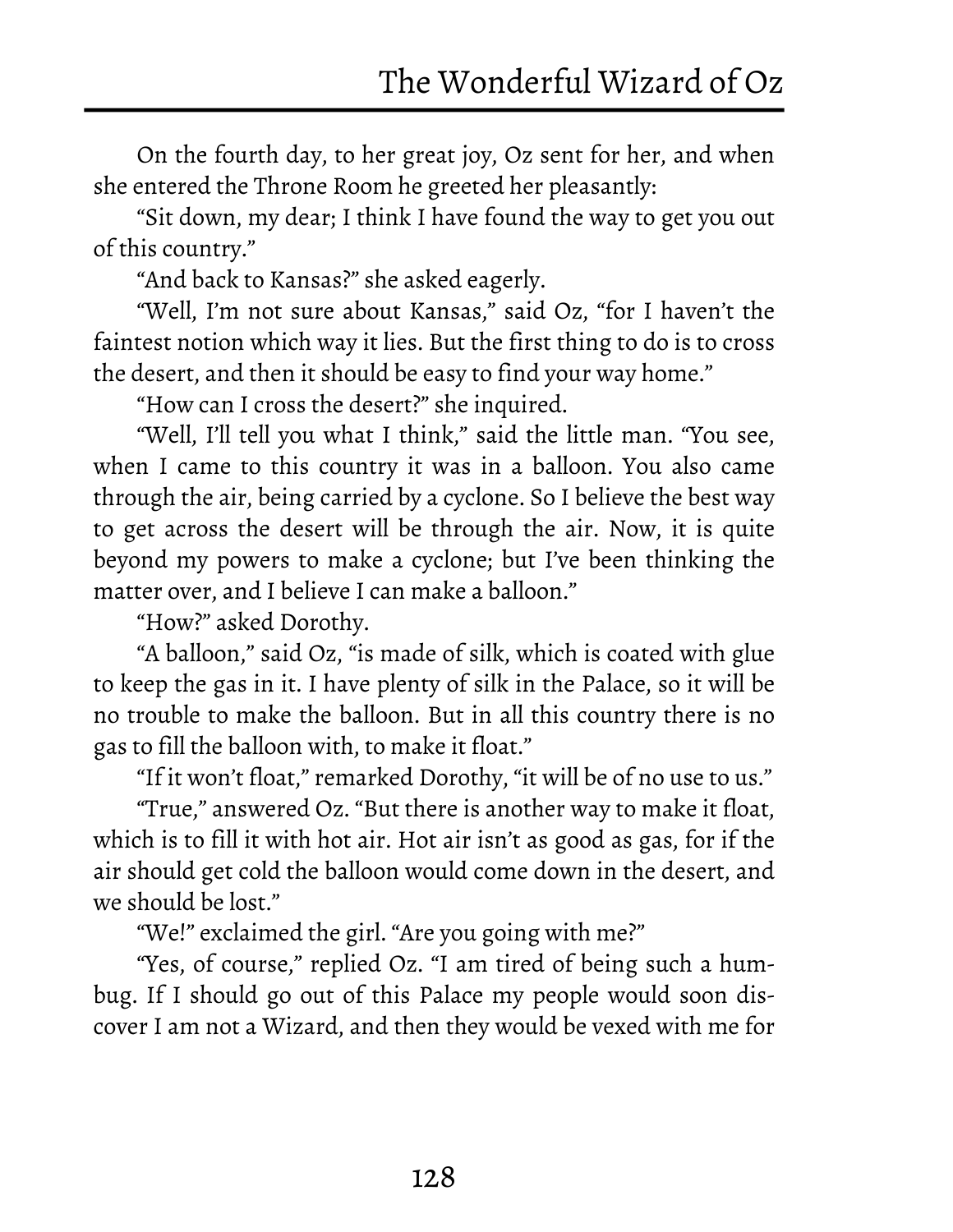On the fourth day, to her great joy, Oz sent for her, and when she entered the Throne Room he greeted her pleasantly:

"Sit down, my dear; I think I have found the way to get you out of this country."

"And back to Kansas?" she asked eagerly.

"Well, I'm not sure about Kansas," said Oz, "for I haven't the faintest notion which way it lies. But the first thing to do is to cross the desert, and then it should be easy to find your way home."

"How can I cross the desert?" she inquired.

"Well, I'll tell you what I think," said the little man. "You see, when I came to this country it was in a balloon. You also came through the air, being carried by a cyclone. So I believe the best way to get across the desert will be through the air. Now, it is quite beyond my powers to make a cyclone; but I've been thinking the matter over, and I believe I can make a balloon."

"How?" asked Dorothy.

"A balloon," said Oz, "is made of silk, which is coated with glue to keep the gas in it. I have plenty of silk in the Palace, so it will be no trouble to make the balloon. But in all this country there is no gas to fill the balloon with, to make it float."

"If it won't float," remarked Dorothy, "it will be of no use to us."

"True," answered Oz. "But there is another way to make it float, which is to fill it with hot air. Hot air isn't as good as gas, for if the air should get cold the balloon would come down in the desert, and we should be lost."

"We!" exclaimed the girl. "Are you going with me?"

"Yes, of course," replied Oz. "I am tired of being such a humbug. If I should go out of this Palace my people would soon discover I am not a Wizard, and then they would be vexed with me for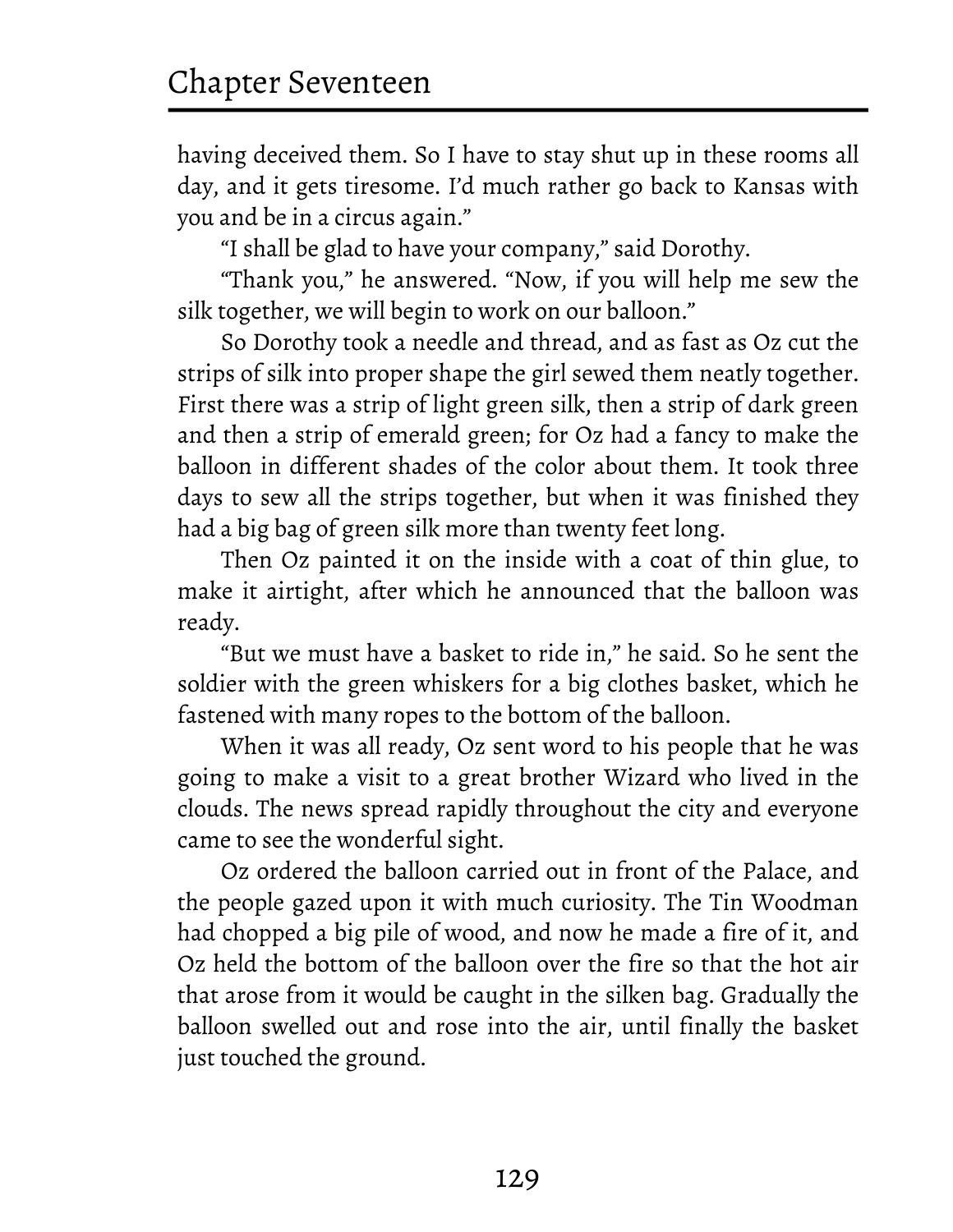having deceived them. So I have to stay shut up in these rooms all day, and it gets tiresome. I'd much rather go back to Kansas with you and be in a circus again."

"I shall be glad to have your company," said Dorothy.

"Thank you," he answered. "Now, if you will help me sew the silk together, we will begin to work on our balloon."

So Dorothy took a needle and thread, and as fast as Oz cut the strips of silk into proper shape the girl sewed them neatly together. First there was a strip of light green silk, then a strip of dark green and then a strip of emerald green; for Oz had a fancy to make the balloon in different shades of the color about them. It took three days to sew all the strips together, but when it was finished they had a big bag of green silk more than twenty feet long.

Then Oz painted it on the inside with a coat of thin glue, to make it airtight, after which he announced that the balloon was ready.

"But we must have a basket to ride in," he said. So he sent the soldier with the green whiskers for a big clothes basket, which he fastened with many ropes to the bottom of the balloon.

When it was all ready, Oz sent word to his people that he was going to make a visit to a great brother Wizard who lived in the clouds. The news spread rapidly throughout the city and everyone came to see the wonderful sight.

Oz ordered the balloon carried out in front of the Palace, and the people gazed upon it with much curiosity. The Tin Woodman had chopped a big pile of wood, and now he made a fire of it, and Oz held the bottom of the balloon over the fire so that the hot air that arose from it would be caught in the silken bag. Gradually the balloon swelled out and rose into the air, until finally the basket just touched the ground.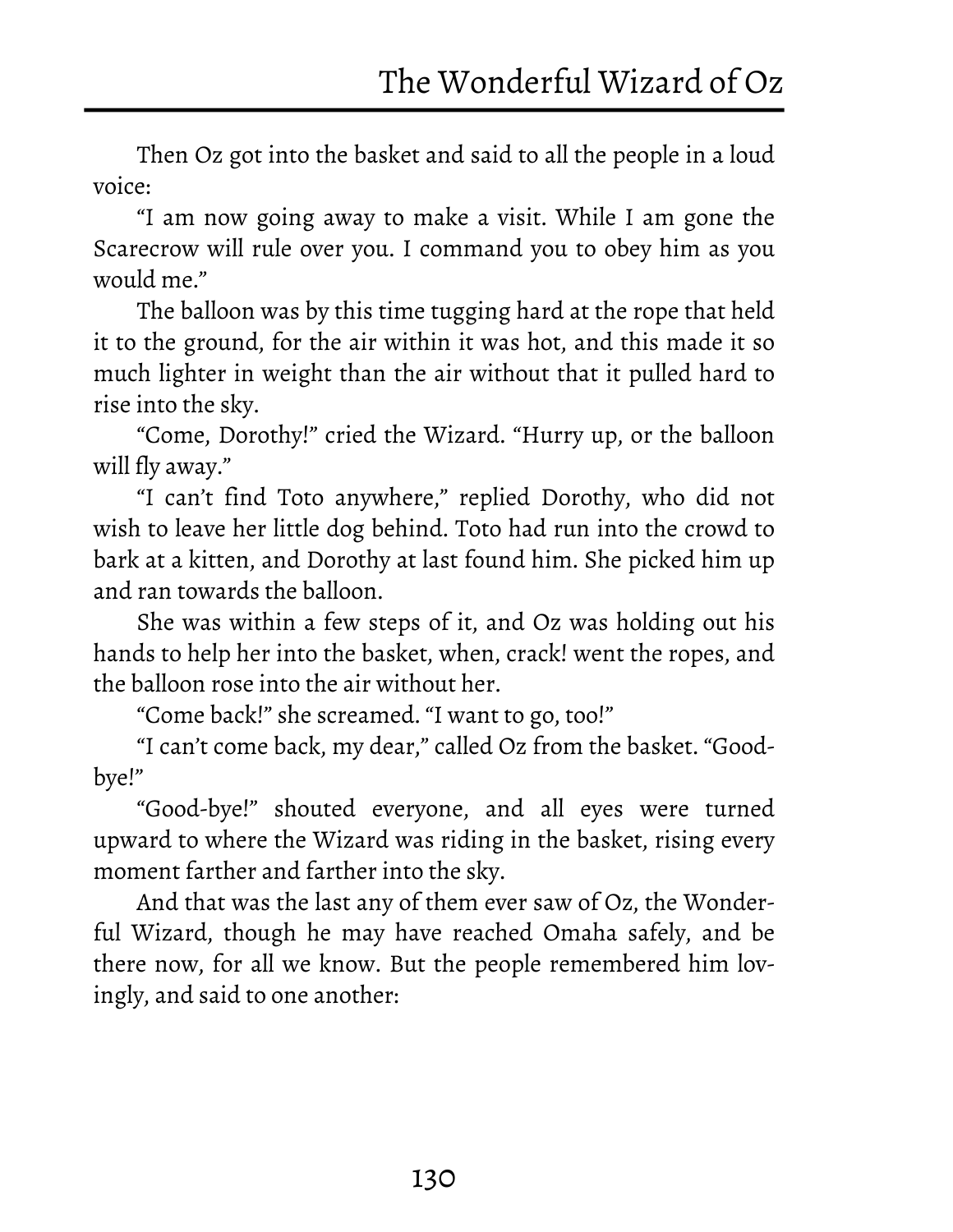Then Oz got into the basket and said to all the people in a loud voice:

"I am now going away to make a visit. While I am gone the Scarecrow will rule over you. I command you to obey him as you would me."

The balloon was by this time tugging hard at the rope that held it to the ground, for the air within it was hot, and this made it so much lighter in weight than the air without that it pulled hard to rise into the sky.

"Come, Dorothy!" cried the Wizard. "Hurry up, or the balloon will fly away."

"I can't find Toto anywhere," replied Dorothy, who did not wish to leave her little dog behind. Toto had run into the crowd to bark at a kitten, and Dorothy at last found him. She picked him up and ran towards the balloon.

She was within a few steps of it, and Oz was holding out his hands to help her into the basket, when, crack! went the ropes, and the balloon rose into the air without her.

"Come back!" she screamed. "I want to go, too!"

"I can't come back, my dear," called Oz from the basket. "Good‐ bye!"

"Good‐bye!" shouted everyone, and all eyes were turned upward to where the Wizard was riding in the basket, rising every moment farther and farther into the sky.

And that was the last any of them ever saw of Oz, the Wonderful Wizard, though he may have reached Omaha safely, and be there now, for all we know. But the people remembered him lovingly, and said to one another: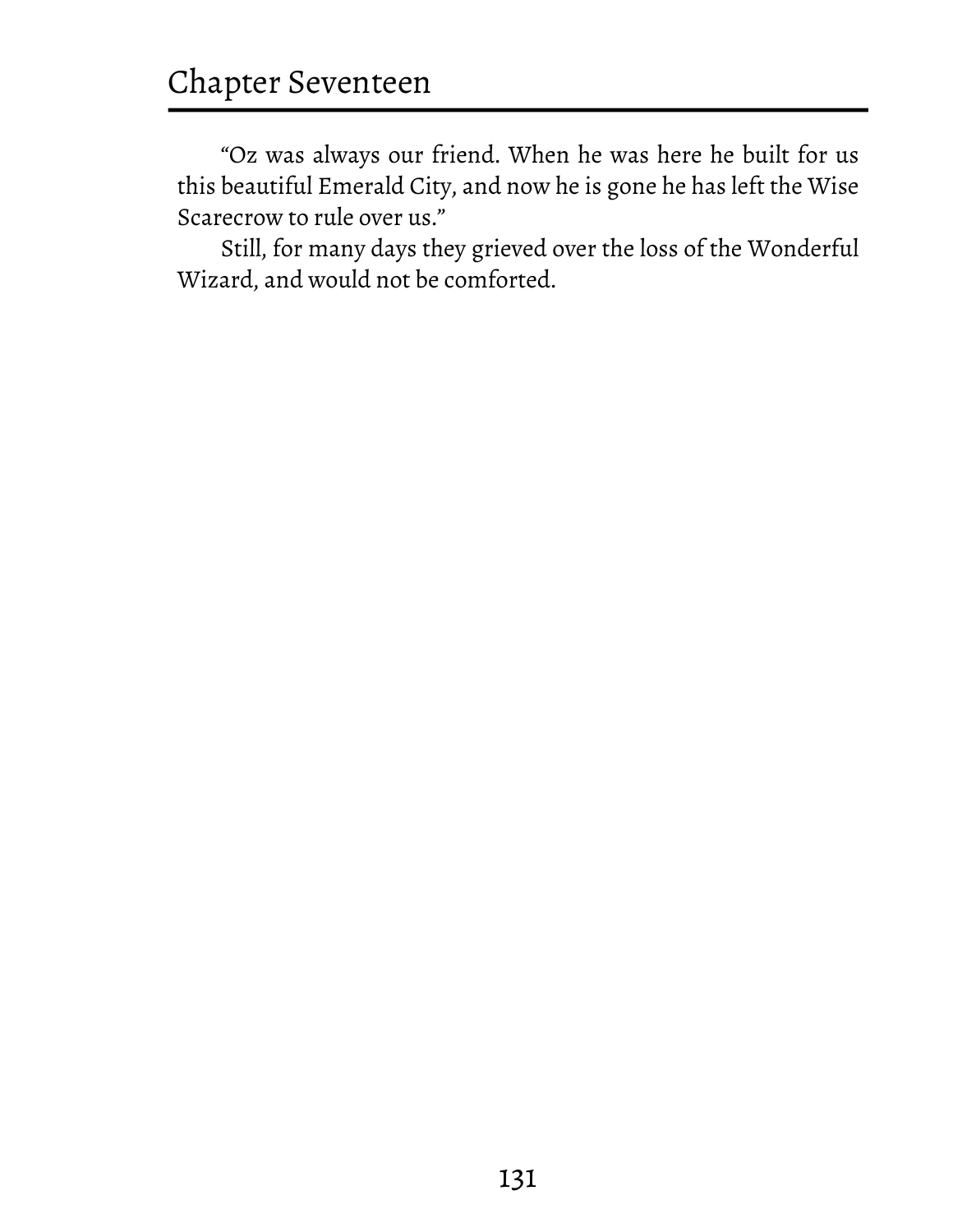"Oz was always our friend. When he was here he built for us this beautiful Emerald City, and now he is gone he has left the Wise Scarecrow to rule over us."

Still, for many days they grieved over the loss of the Wonderful Wizard, and would not be comforted.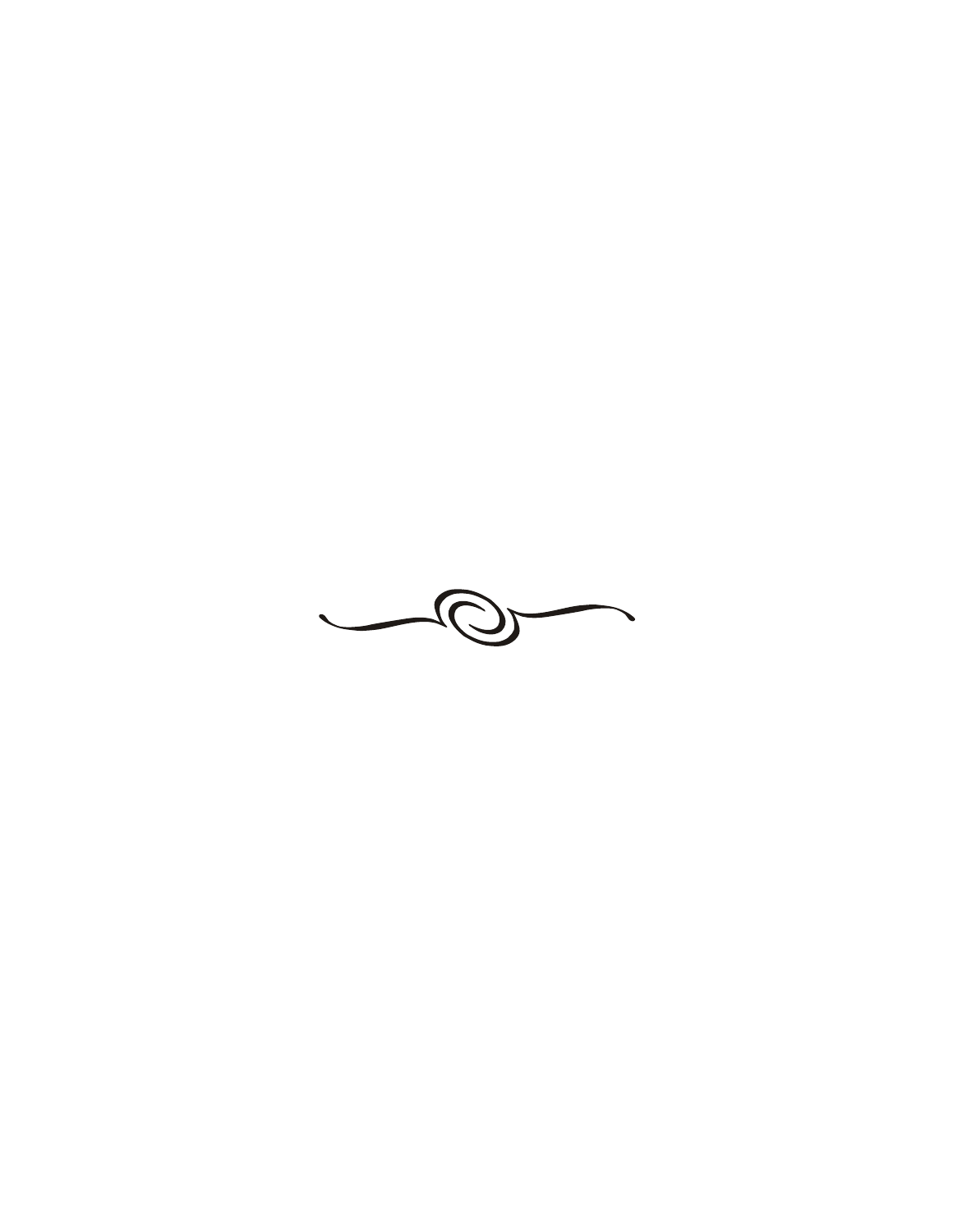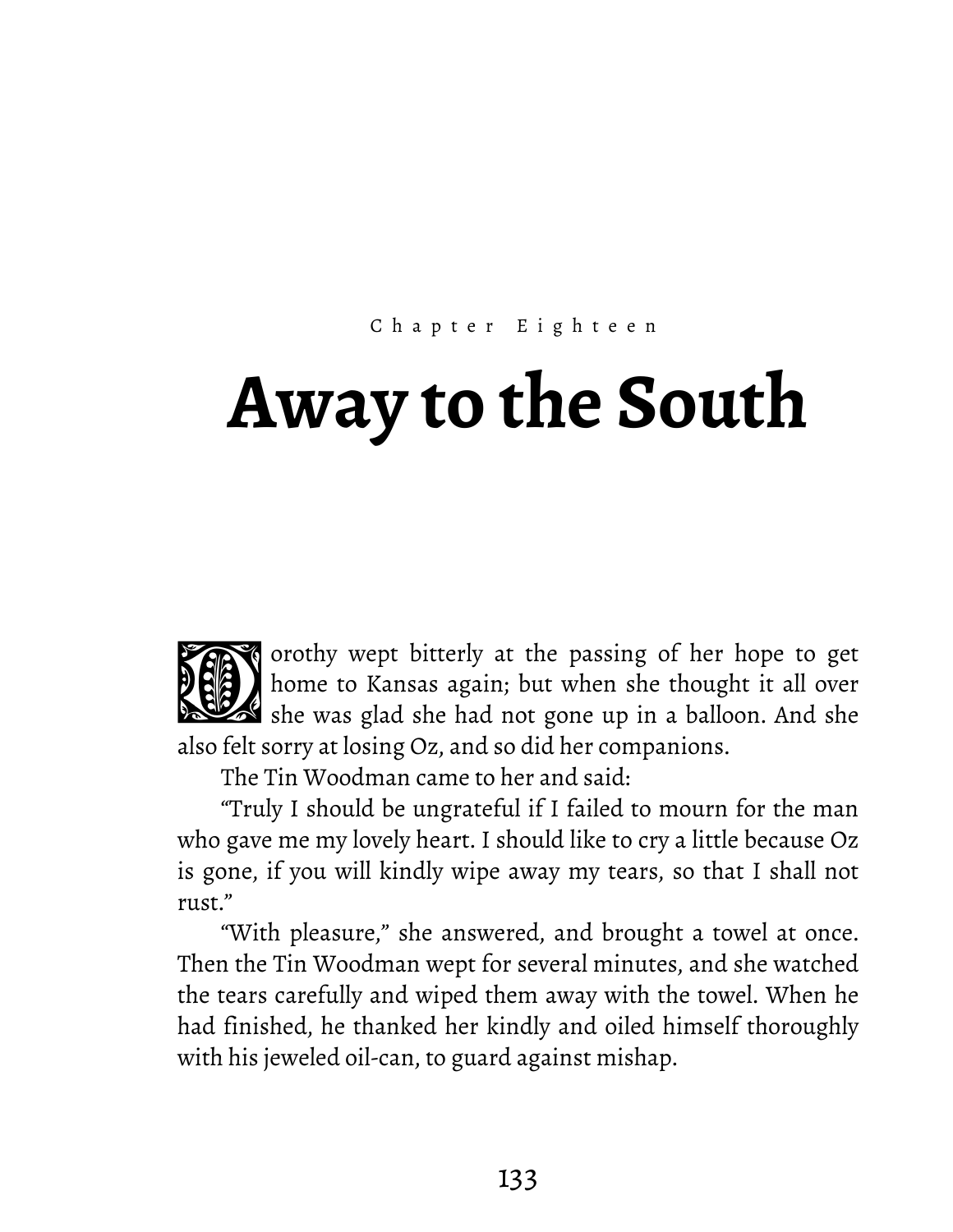### Chapter Eighteen

# **Away to the South**

Sorothy wept bitterly at the passing of her hope to get<br>home to Kansas again; but when she thought it all over<br>she was glad she had not gone up in a balloon. And she orothy wept bitterly at the passing of her hope to get home to Kansas again; but when she thought it all over also felt sorry at losing Oz, and so did her companions.

The Tin Woodman came to her and said:

"Truly I should be ungrateful if I failed to mourn for the man who gave me my lovely heart. I should like to cry a little because Oz is gone, if you will kindly wipe away my tears, so that I shall not rust."

"With pleasure," she answered, and brought a towel at once. Then the Tin Woodman wept for several minutes, and she watched the tears carefully and wiped them away with the towel. When he had finished, he thanked her kindly and oiled himself thoroughly with his jeweled oil-can, to guard against mishap.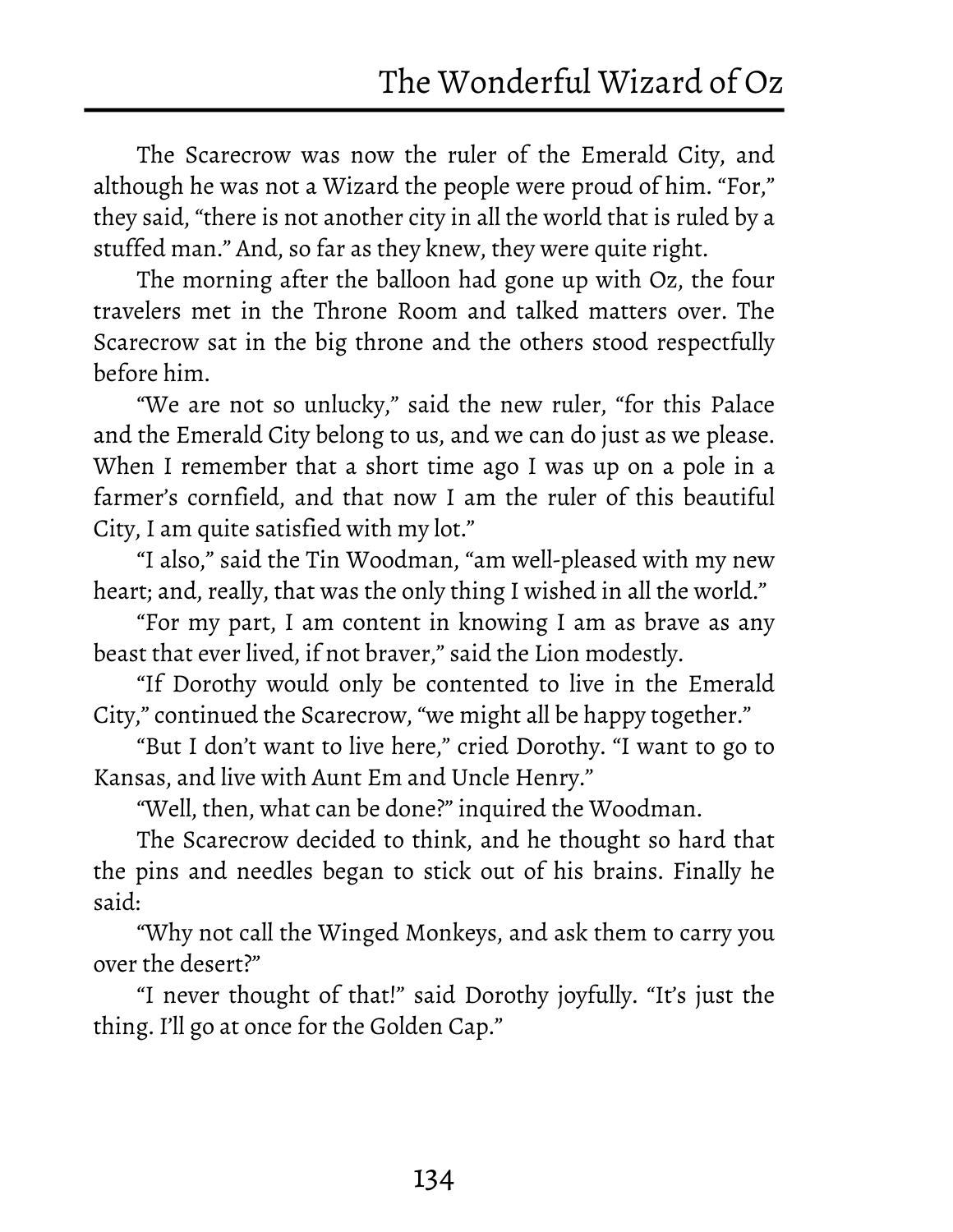The Scarecrow was now the ruler of the Emerald City, and although he was not a Wizard the people were proud of him. "For," they said, "there is not another city in all the world that is ruled by a stuffed man." And, so far as they knew, they were quite right.

The morning after the balloon had gone up with Oz, the four travelers met in the Throne Room and talked matters over. The Scarecrow sat in the big throne and the others stood respectfully before him.

"We are not so unlucky," said the new ruler, "for this Palace and the Emerald City belong to us, and we can do just as we please. When I remember that a short time ago I was up on a pole in a farmer's cornfield, and that now I am the ruler of this beautiful City, I am quite satisfied with my lot."

"I also," said the Tin Woodman, "am well‐pleased with my new heart; and, really, that was the only thing I wished in all the world."

"For my part, I am content in knowing I am as brave as any beast that ever lived, if not braver," said the Lion modestly.

"If Dorothy would only be contented to live in the Emerald City," continued the Scarecrow, "we might all be happy together."

"But I don't want to live here," cried Dorothy. "I want to go to Kansas, and live with Aunt Em and Uncle Henry."

"Well, then, what can be done?" inquired the Woodman.

The Scarecrow decided to think, and he thought so hard that the pins and needles began to stick out of his brains. Finally he said:

"Why not call the Winged Monkeys, and ask them to carry you over the desert?"

"I never thought of that!" said Dorothy joyfully. "It's just the thing. I'll go at once for the Golden Cap."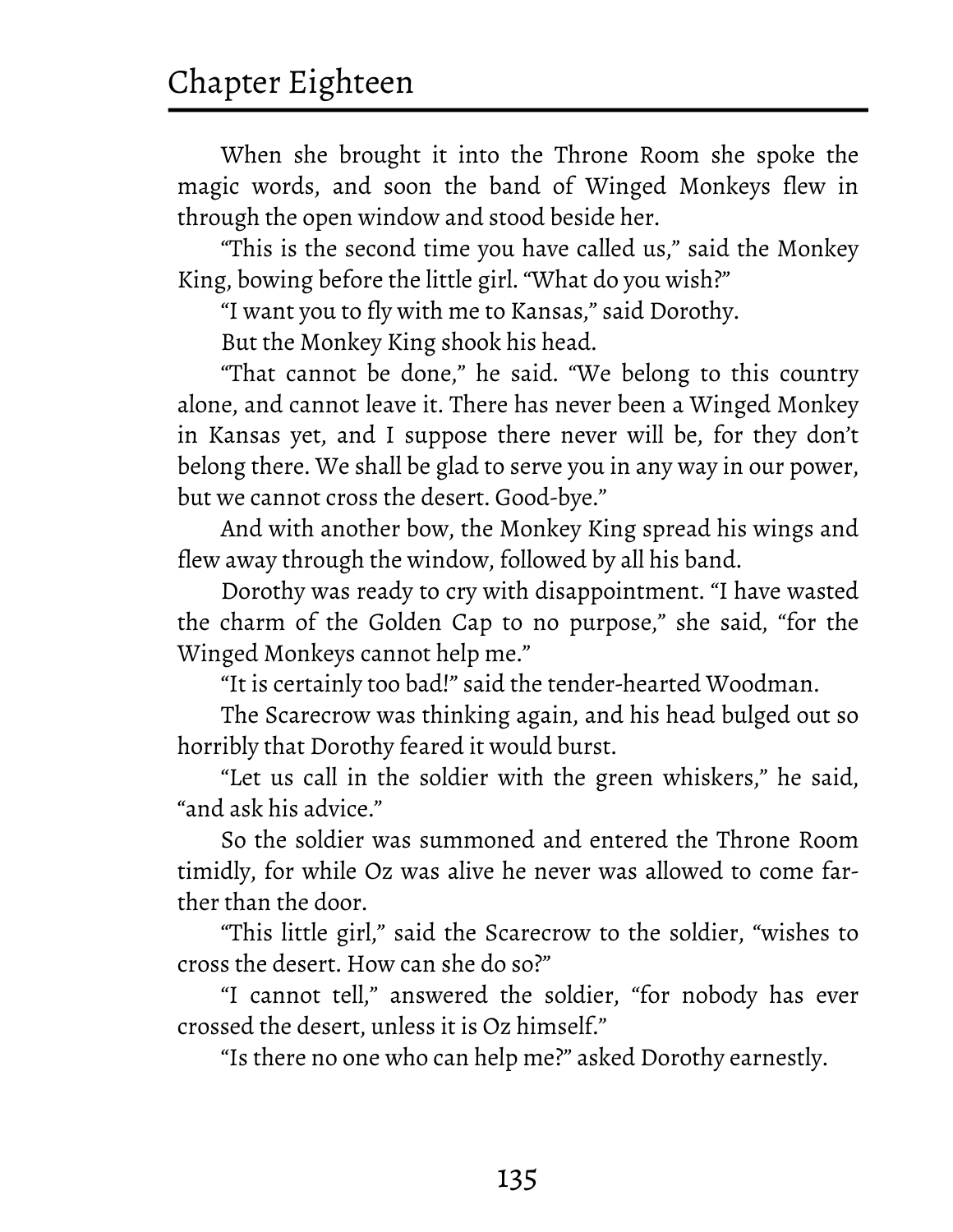When she brought it into the Throne Room she spoke the magic words, and soon the band of Winged Monkeys flew in through the open window and stood beside her.

"This is the second time you have called us," said the Monkey King, bowing before the little girl. "What do you wish?"

"I want you to fly with me to Kansas," said Dorothy.

But the Monkey King shook his head.

"That cannot be done," he said. "We belong to this country alone, and cannot leave it. There has never been a Winged Monkey in Kansas yet, and I suppose there never will be, for they don't belong there. We shall be glad to serve you in any way in our power, but we cannot cross the desert. Good‐bye."

And with another bow, the Monkey King spread his wings and flew away through the window, followed by all his band.

Dorothy was ready to cry with disappointment. "I have wasted the charm of the Golden Cap to no purpose," she said, "for the Winged Monkeys cannot help me."

"It is certainly too bad!" said the tender‐hearted Woodman.

The Scarecrow was thinking again, and his head bulged out so horribly that Dorothy feared it would burst.

"Let us call in the soldier with the green whiskers," he said, "and ask his advice."

So the soldier was summoned and entered the Throne Room timidly, for while Oz was alive he never was allowed to come farther than the door.

"This little girl," said the Scarecrow to the soldier, "wishes to cross the desert. How can she do so?"

"I cannot tell," answered the soldier, "for nobody has ever crossed the desert, unless it is Oz himself."

"Is there no one who can help me?" asked Dorothy earnestly.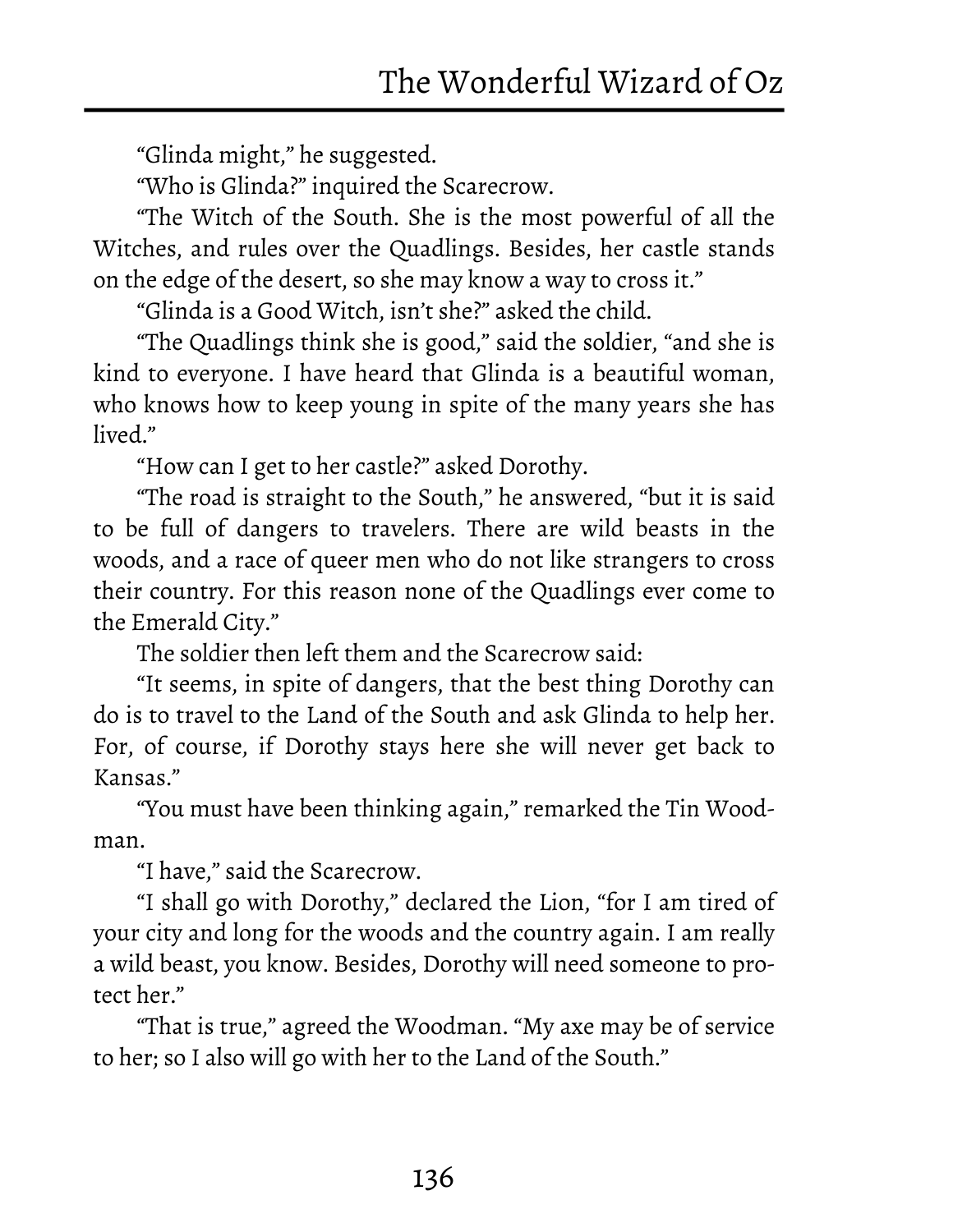"Glinda might," he suggested.

"Who is Glinda?" inquired the Scarecrow.

"The Witch of the South. She is the most powerful of all the Witches, and rules over the Quadlings. Besides, her castle stands on the edge of the desert, so she may know a way to cross it."

"Glinda is a Good Witch, isn't she?" asked the child.

"The Quadlings think she is good," said the soldier, "and she is kind to everyone. I have heard that Glinda is a beautiful woman, who knows how to keep young in spite of the many years she has lived."

"How can I get to her castle?" asked Dorothy.

"The road is straight to the South," he answered, "but it is said to be full of dangers to travelers. There are wild beasts in the woods, and a race of queer men who do not like strangers to cross their country. For this reason none of the Quadlings ever come to the Emerald City."

The soldier then left them and the Scarecrow said:

"It seems, in spite of dangers, that the best thing Dorothy can do is to travel to the Land of the South and ask Glinda to help her. For, of course, if Dorothy stays here she will never get back to Kansas."

"You must have been thinking again," remarked the Tin Woodman.

"I have," said the Scarecrow.

"I shall go with Dorothy," declared the Lion, "for I am tired of your city and long for the woods and the country again. I am really a wild beast, you know. Besides, Dorothy will need someone to protect her."

"That is true," agreed the Woodman. "My axe may be of service to her; so I also will go with her to the Land of the South."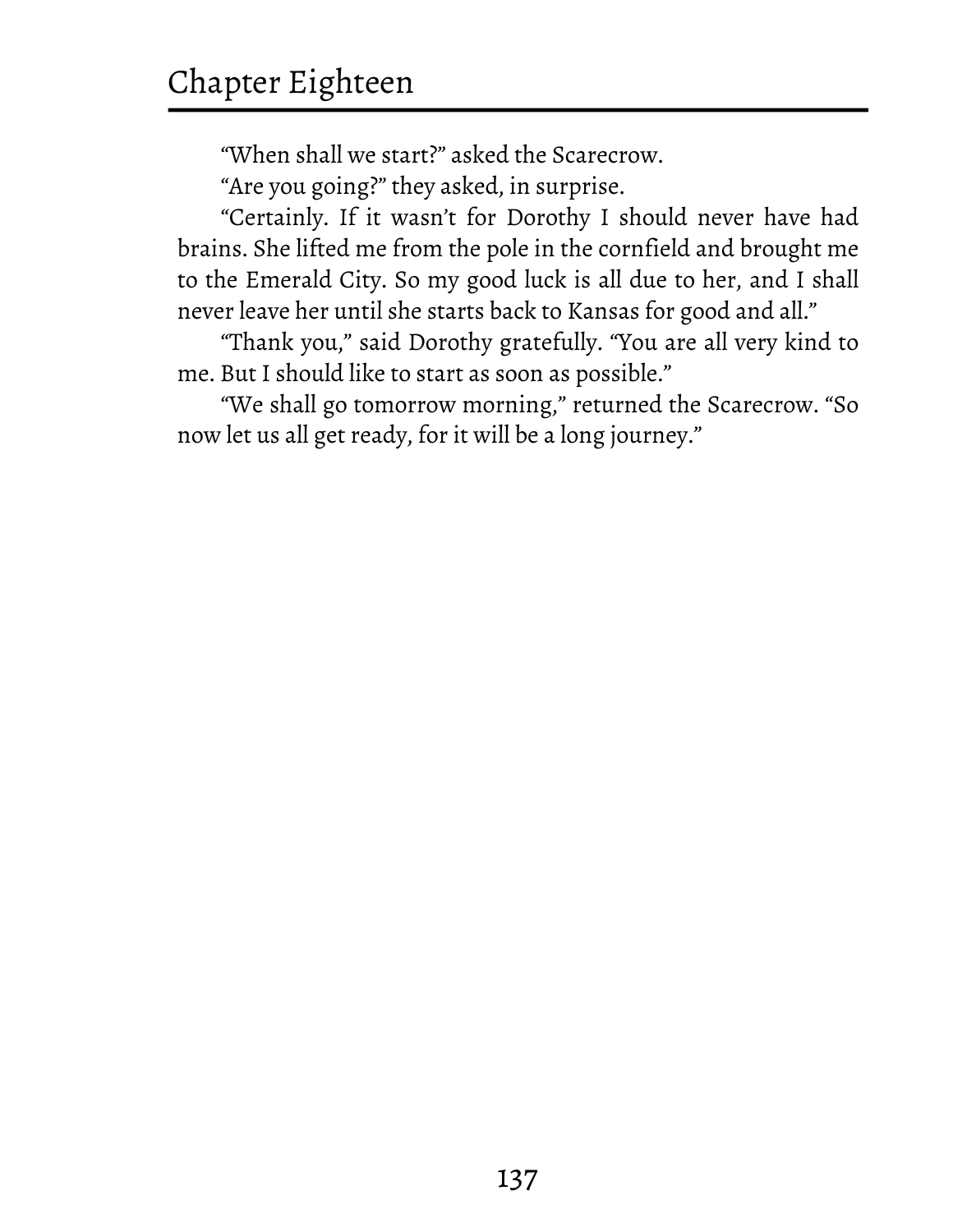"When shall we start?" asked the Scarecrow.

"Are you going?" they asked, in surprise.

"Certainly. If it wasn't for Dorothy I should never have had brains. She lifted me from the pole in the cornfield and brought me to the Emerald City. So my good luck is all due to her, and I shall never leave her until she starts back to Kansas for good and all."

"Thank you," said Dorothy gratefully. "You are all very kind to me. But I should like to start as soon as possible."

"We shall go tomorrow morning," returned the Scarecrow. "So now let us all get ready, for it will be a long journey."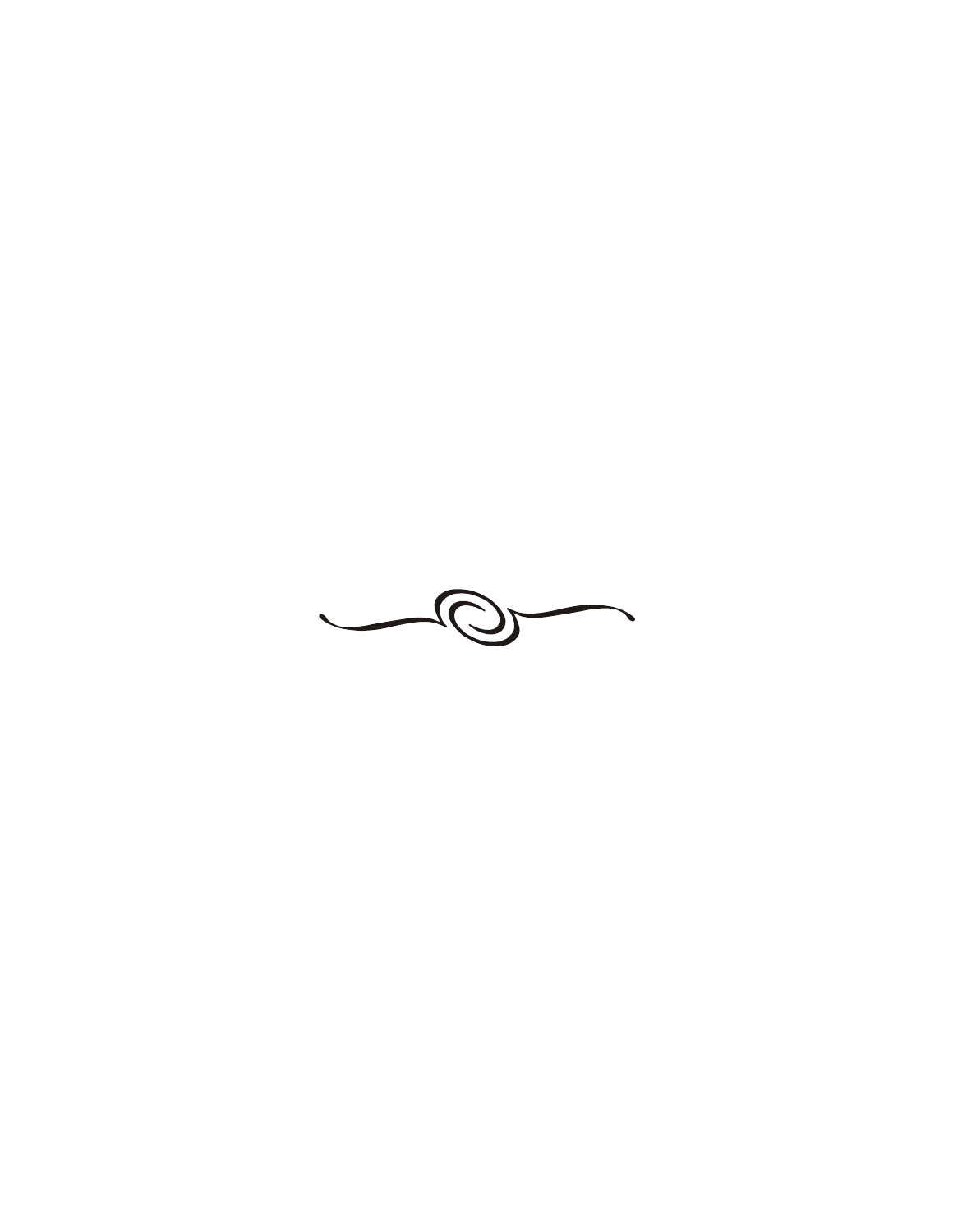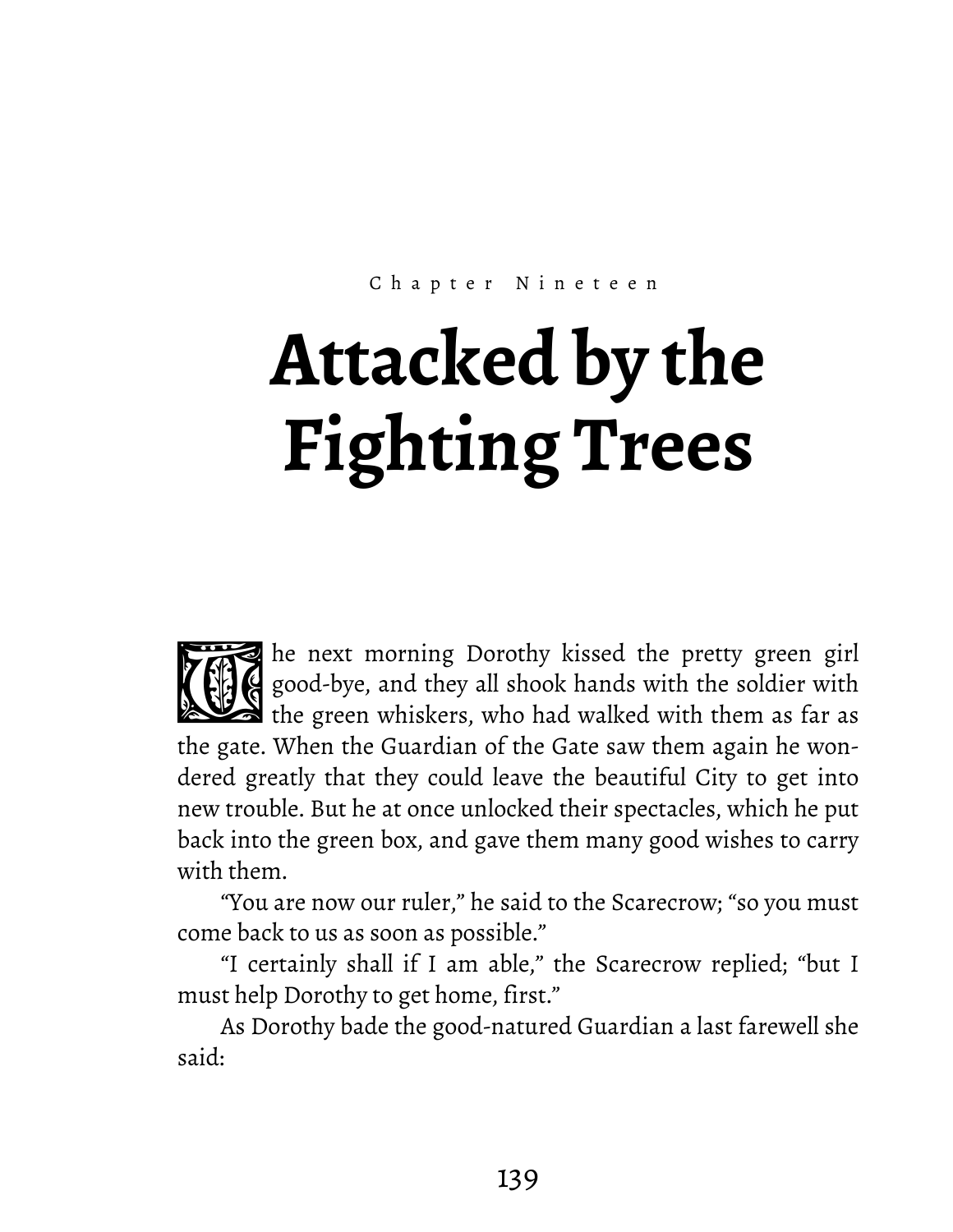### Chapter Nineteen

# **Attacked by the Fighting Trees**

he go he he next morning Dorothy kissed the pretty green girl good‐bye, and they all shook hands with the soldier with the green whiskers, who had walked with them as far as the gate. When the Guardian of the Gate saw them again he wondered greatly that they could leave the beautiful City to get into new trouble. But he at once unlocked their spectacles, which he put back into the green box, and gave them many good wishes to carry with them.

"You are now our ruler," he said to the Scarecrow; "so you must come back to us as soon as possible."

"I certainly shall if I am able," the Scarecrow replied; "but I must help Dorothy to get home, first."

As Dorothy bade the good‐natured Guardian a last farewell she said: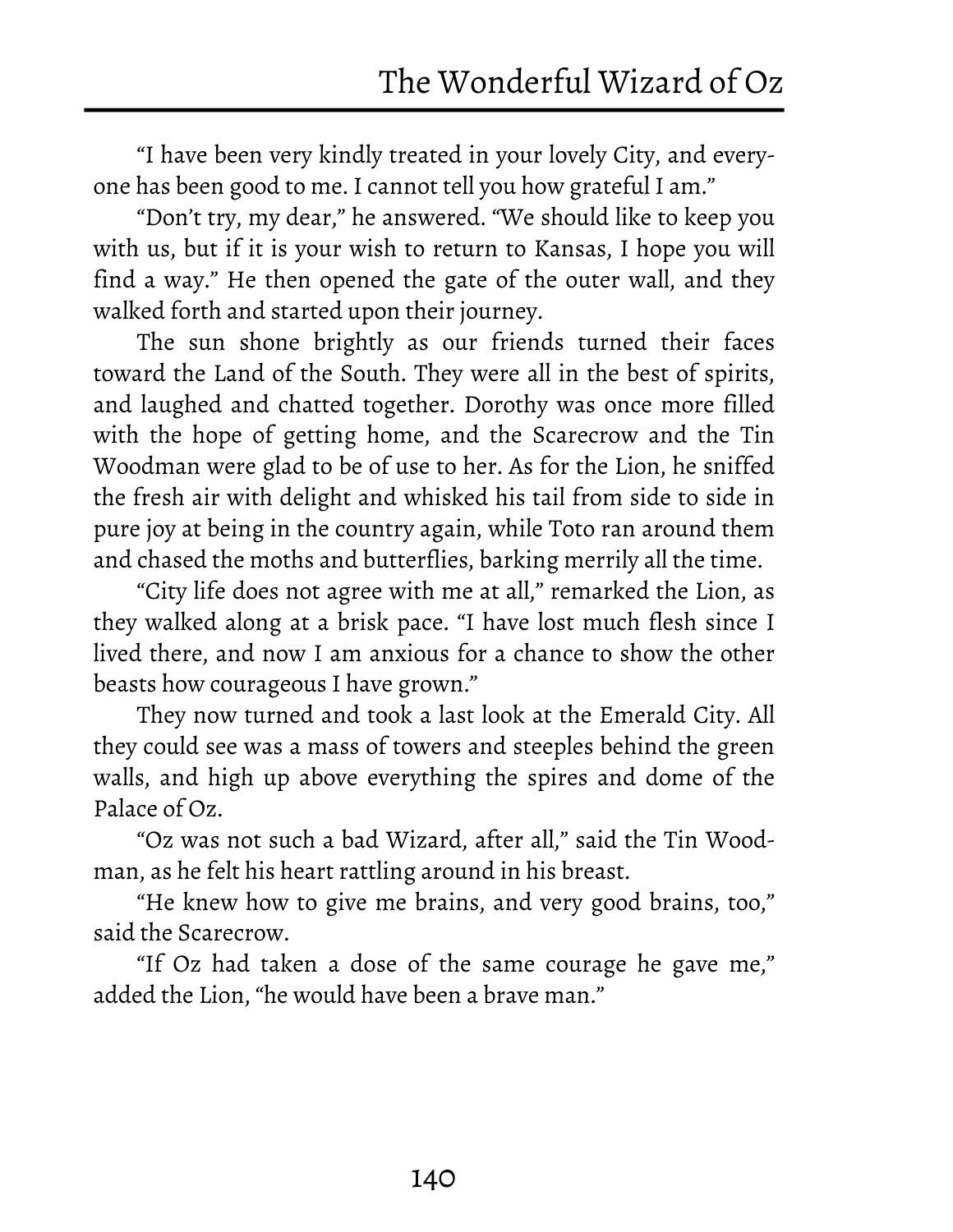"I have been very kindly treated in your lovely City, and everyone has been good to me. I cannot tell you how grateful I am."

"Don't try, my dear," he answered. "We should like to keep you with us, but if it is your wish to return to Kansas, I hope you will find a way." He then opened the gate of the outer wall, and they walked forth and started upon their journey.

The sun shone brightly as our friends turned their faces toward the Land of the South. They were all in the best of spirits, and laughed and chatted together. Dorothy was once more filled with the hope of getting home, and the Scarecrow and the Tin Woodman were glad to be of use to her. As for the Lion, he sniffed the fresh air with delight and whisked his tail from side to side in pure joy at being in the country again, while Toto ran around them and chased the moths and butterflies, barking merrily all the time.

"City life does not agree with me at all," remarked the Lion, as they walked along at a brisk pace. "I have lost much flesh since I lived there, and now I am anxious for a chance to show the other beasts how courageous I have grown."

They now turned and took a last look at the Emerald City. All they could see was a mass of towers and steeples behind the green walls, and high up above everything the spires and dome of the Palace of Oz.

"Oz was not such a bad Wizard, after all," said the Tin Woodman, as he felt his heart rattling around in his breast.

"He knew how to give me brains, and very good brains, too," said the Scarecrow.

"If Oz had taken a dose of the same courage he gave me," added the Lion, "he would have been a brave man."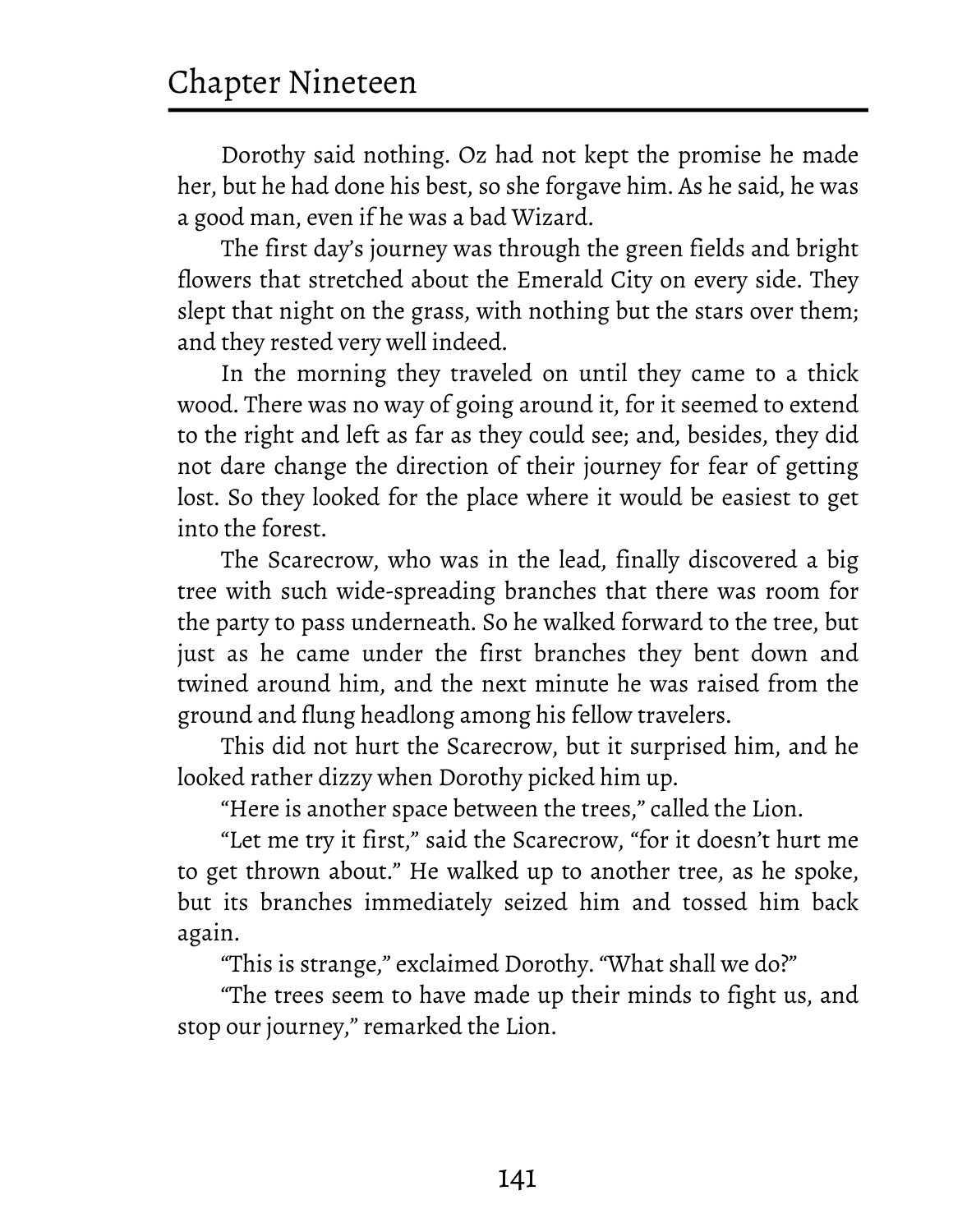## Chapter Nineteen

Dorothy said nothing. Oz had not kept the promise he made her, but he had done his best, so she forgave him. As he said, he was a good man, even if he was a bad Wizard.

The first day's journey was through the green fields and bright flowers that stretched about the Emerald City on every side. They slept that night on the grass, with nothing but the stars over them; and they rested very well indeed.

In the morning they traveled on until they came to a thick wood. There was no way of going around it, for it seemed to extend to the right and left as far as they could see; and, besides, they did not dare change the direction of their journey for fear of getting lost. So they looked for the place where it would be easiest to get into the forest.

The Scarecrow, who was in the lead, finally discovered a big tree with such wide‐spreading branches that there was room for the party to pass underneath. So he walked forward to the tree, but just as he came under the first branches they bent down and twined around him, and the next minute he was raised from the ground and flung headlong among his fellow travelers.

This did not hurt the Scarecrow, but it surprised him, and he looked rather dizzy when Dorothy picked him up.

"Here is another space between the trees," called the Lion.

"Let me try it first," said the Scarecrow, "for it doesn't hurt me to get thrown about." He walked up to another tree, as he spoke, but its branches immediately seized him and tossed him back again.

"This is strange," exclaimed Dorothy. "What shall we do?"

"The trees seem to have made up their minds to fight us, and stop our journey," remarked the Lion.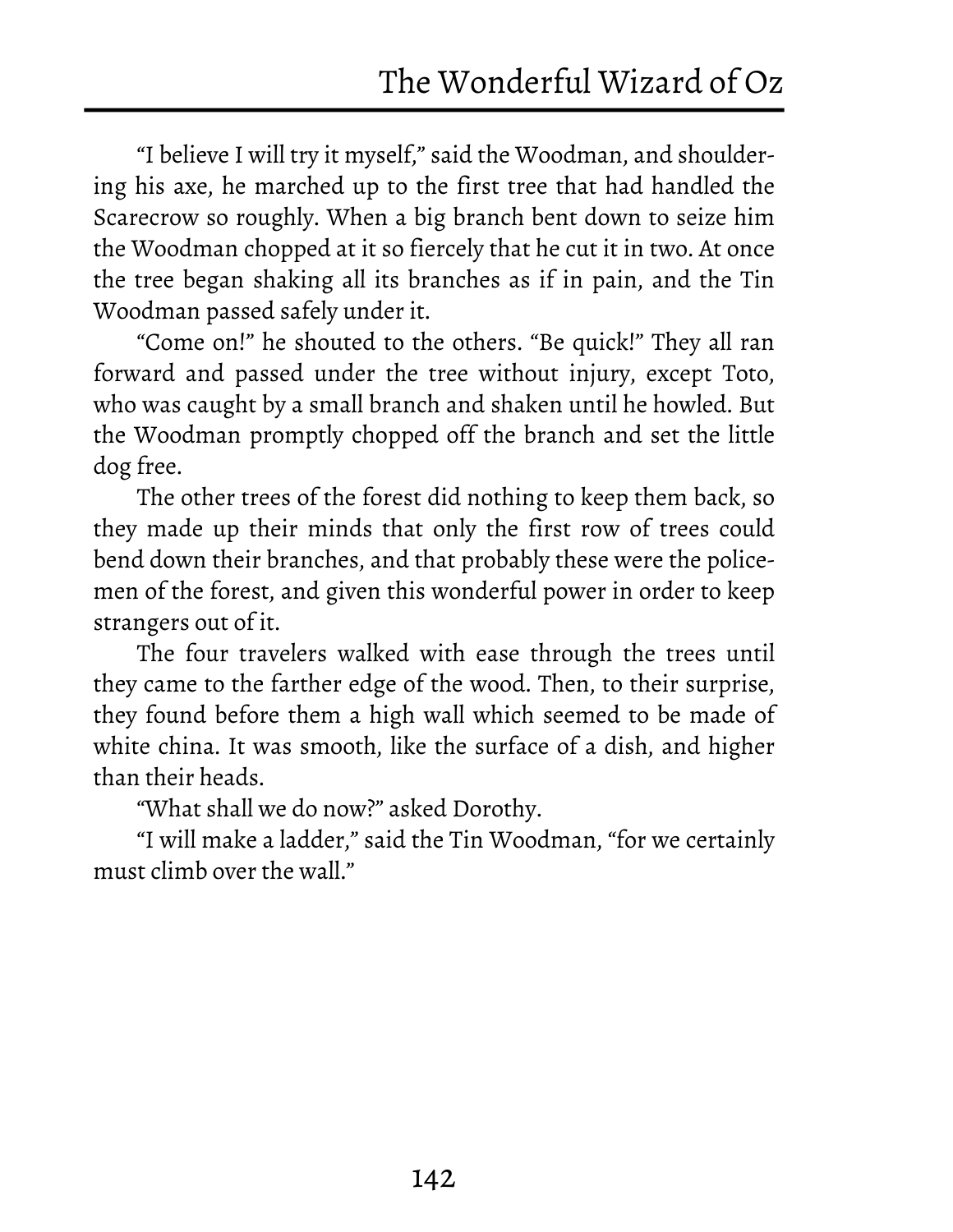"I believe I will try it myself," said the Woodman, and shouldering his axe, he marched up to the first tree that had handled the Scarecrow so roughly. When a big branch bent down to seize him the Woodman chopped at it so fiercely that he cut it in two. At once the tree began shaking all its branches as if in pain, and the Tin Woodman passed safely under it.

"Come on!" he shouted to the others. "Be quick!" They all ran forward and passed under the tree without injury, except Toto, who was caught by a small branch and shaken until he howled. But the Woodman promptly chopped off the branch and set the little dog free.

The other trees of the forest did nothing to keep them back, so they made up their minds that only the first row of trees could bend down their branches, and that probably these were the policemen of the forest, and given this wonderful power in order to keep strangers out of it.

The four travelers walked with ease through the trees until they came to the farther edge of the wood. Then, to their surprise, they found before them a high wall which seemed to be made of white china. It was smooth, like the surface of a dish, and higher than their heads.

"What shall we do now?" asked Dorothy.

"I will make a ladder," said the Tin Woodman, "for we certainly must climb over the wall."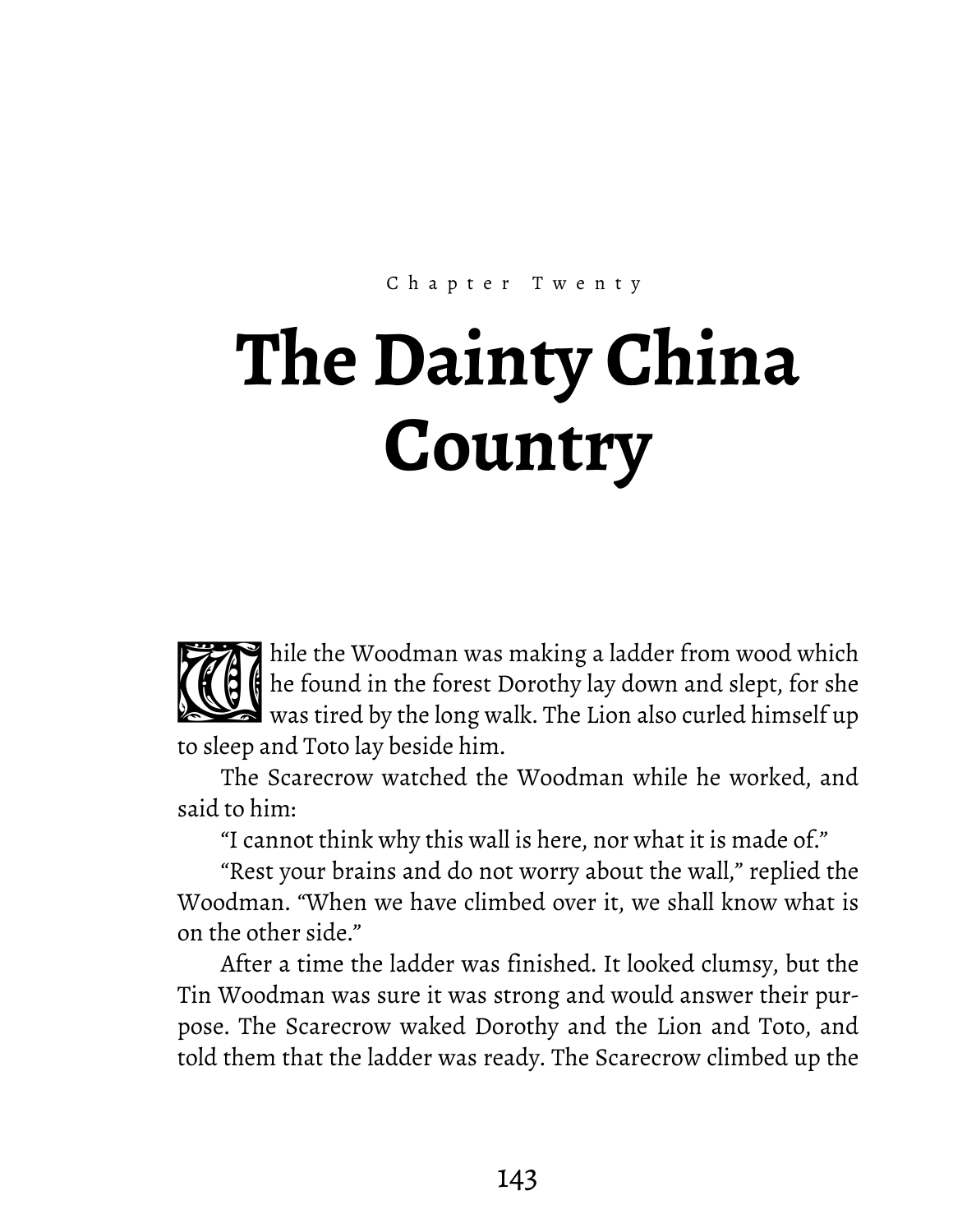### Chapter Twenty

# **The Dainty China Country**

Thile the Woodman was making a ladder from wood which<br>the found in the forest Dorothy lay down and slept, for she<br>was tired by the long walk. The Lion also curled himself up hile the Woodman was making a ladder from wood which the found in the forest Dorothy lay down and slept, for she to sleep and Toto lay beside him.

The Scarecrow watched the Woodman while he worked, and said to him:

"I cannot think why this wall is here, nor what it is made of."

"Rest your brains and do not worry about the wall," replied the Woodman. "When we have climbed over it, we shall know what is on the other side."

After a time the ladder was finished. It looked clumsy, but the Tin Woodman was sure it was strong and would answer their purpose. The Scarecrow waked Dorothy and the Lion and Toto, and told them that the ladder was ready. The Scarecrow climbed up the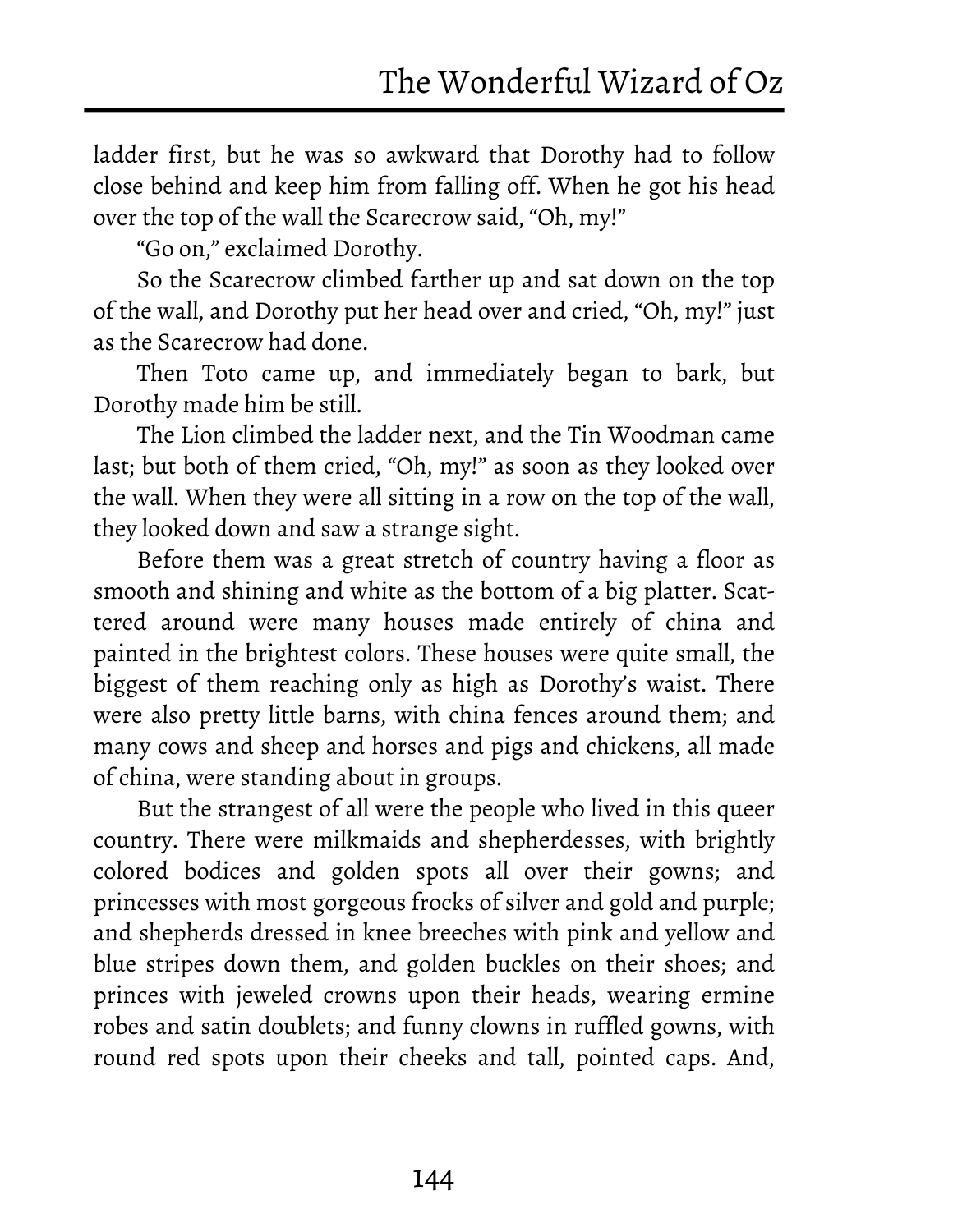ladder first, but he was so awkward that Dorothy had to follow close behind and keep him from falling off. When he got his head over the top of the wall the Scarecrow said, "Oh, my!"

"Go on," exclaimed Dorothy.

So the Scarecrow climbed farther up and sat down on the top of the wall, and Dorothy put her head over and cried, "Oh, my!" just as the Scarecrow had done.

Then Toto came up, and immediately began to bark, but Dorothy made him be still.

The Lion climbed the ladder next, and the Tin Woodman came last; but both of them cried, "Oh, my!" as soon as they looked over the wall. When they were all sitting in a row on the top of the wall, they looked down and saw a strange sight.

Before them was a great stretch of country having a floor as smooth and shining and white as the bottom of a big platter. Scattered around were many houses made entirely of china and painted in the brightest colors. These houses were quite small, the biggest of them reaching only as high as Dorothy's waist. There were also pretty little barns, with china fences around them; and many cows and sheep and horses and pigs and chickens, all made of china, were standing about in groups.

But the strangest of all were the people who lived in this queer country. There were milkmaids and shepherdesses, with brightly colored bodices and golden spots all over their gowns; and princesses with most gorgeous frocks of silver and gold and purple; and shepherds dressed in knee breeches with pink and yellow and blue stripes down them, and golden buckles on their shoes; and princes with jeweled crowns upon their heads, wearing ermine robes and satin doublets; and funny clowns in ruffled gowns, with round red spots upon their cheeks and tall, pointed caps. And,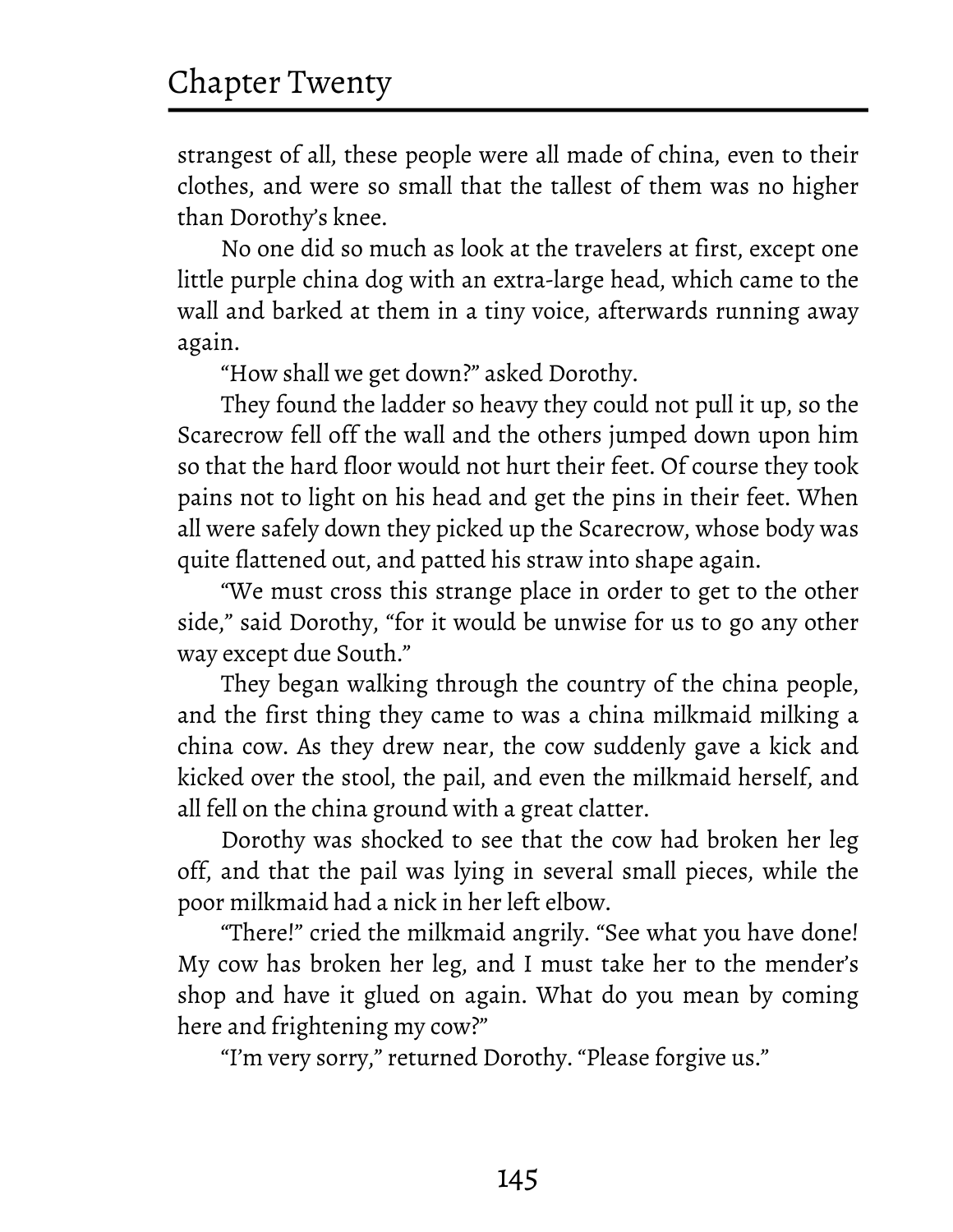strangest of all, these people were all made of china, even to their clothes, and were so small that the tallest of them was no higher than Dorothy's knee.

No one did so much as look at the travelers at first, except one little purple china dog with an extra‐large head, which came to the wall and barked at them in a tiny voice, afterwards running away again.

"How shall we get down?" asked Dorothy.

They found the ladder so heavy they could not pull it up, so the Scarecrow fell off the wall and the others jumped down upon him so that the hard floor would not hurt their feet. Of course they took pains not to light on his head and get the pins in their feet. When all were safely down they picked up the Scarecrow, whose body was quite flattened out, and patted his straw into shape again.

"We must cross this strange place in order to get to the other side," said Dorothy, "for it would be unwise for us to go any other way except due South."

They began walking through the country of the china people, and the first thing they came to was a china milkmaid milking a china cow. As they drew near, the cow suddenly gave a kick and kicked over the stool, the pail, and even the milkmaid herself, and all fell on the china ground with a great clatter.

Dorothy was shocked to see that the cow had broken her leg off, and that the pail was lying in several small pieces, while the poor milkmaid had a nick in her left elbow.

"There!" cried the milkmaid angrily. "See what you have done! My cow has broken her leg, and I must take her to the mender's shop and have it glued on again. What do you mean by coming here and frightening my cow?"

"I'm very sorry," returned Dorothy. "Please forgive us."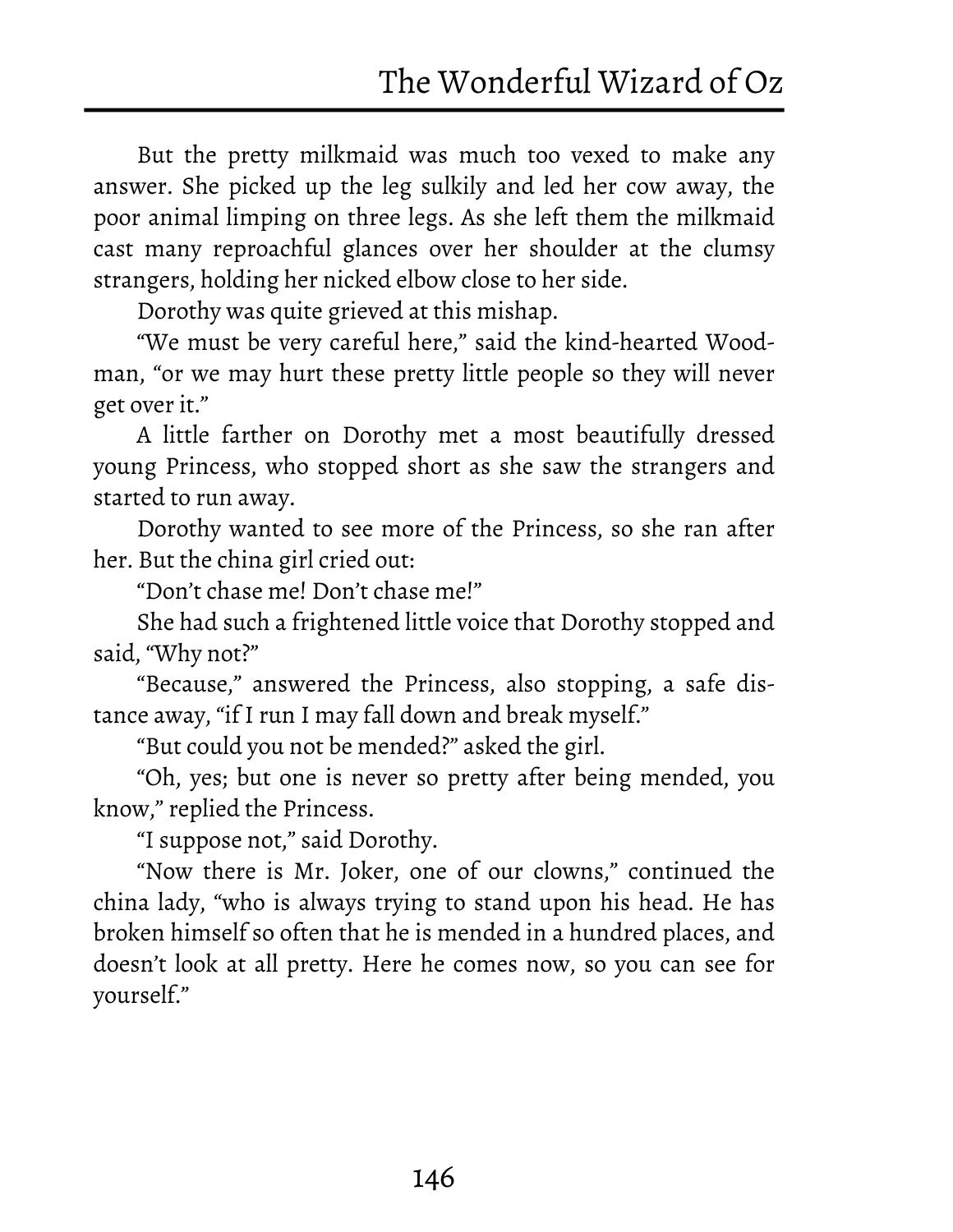But the pretty milkmaid was much too vexed to make any answer. She picked up the leg sulkily and led her cow away, the poor animal limping on three legs. As she left them the milkmaid cast many reproachful glances over her shoulder at the clumsy strangers, holding her nicked elbow close to her side.

Dorothy was quite grieved at this mishap.

"We must be very careful here," said the kind‐hearted Woodman, "or we may hurt these pretty little people so they will never get over it."

A little farther on Dorothy met a most beautifully dressed young Princess, who stopped short as she saw the strangers and started to run away.

Dorothy wanted to see more of the Princess, so she ran after her. But the china girl cried out:

"Don't chase me! Don't chase me!"

She had such a frightened little voice that Dorothy stopped and said, "Why not?"

"Because," answered the Princess, also stopping, a safe distance away, "if I run I may fall down and break myself."

"But could you not be mended?" asked the girl.

"Oh, yes; but one is never so pretty after being mended, you know," replied the Princess.

"I suppose not," said Dorothy.

"Now there is Mr. Joker, one of our clowns," continued the china lady, "who is always trying to stand upon his head. He has broken himself so often that he is mended in a hundred places, and doesn't look at all pretty. Here he comes now, so you can see for yourself."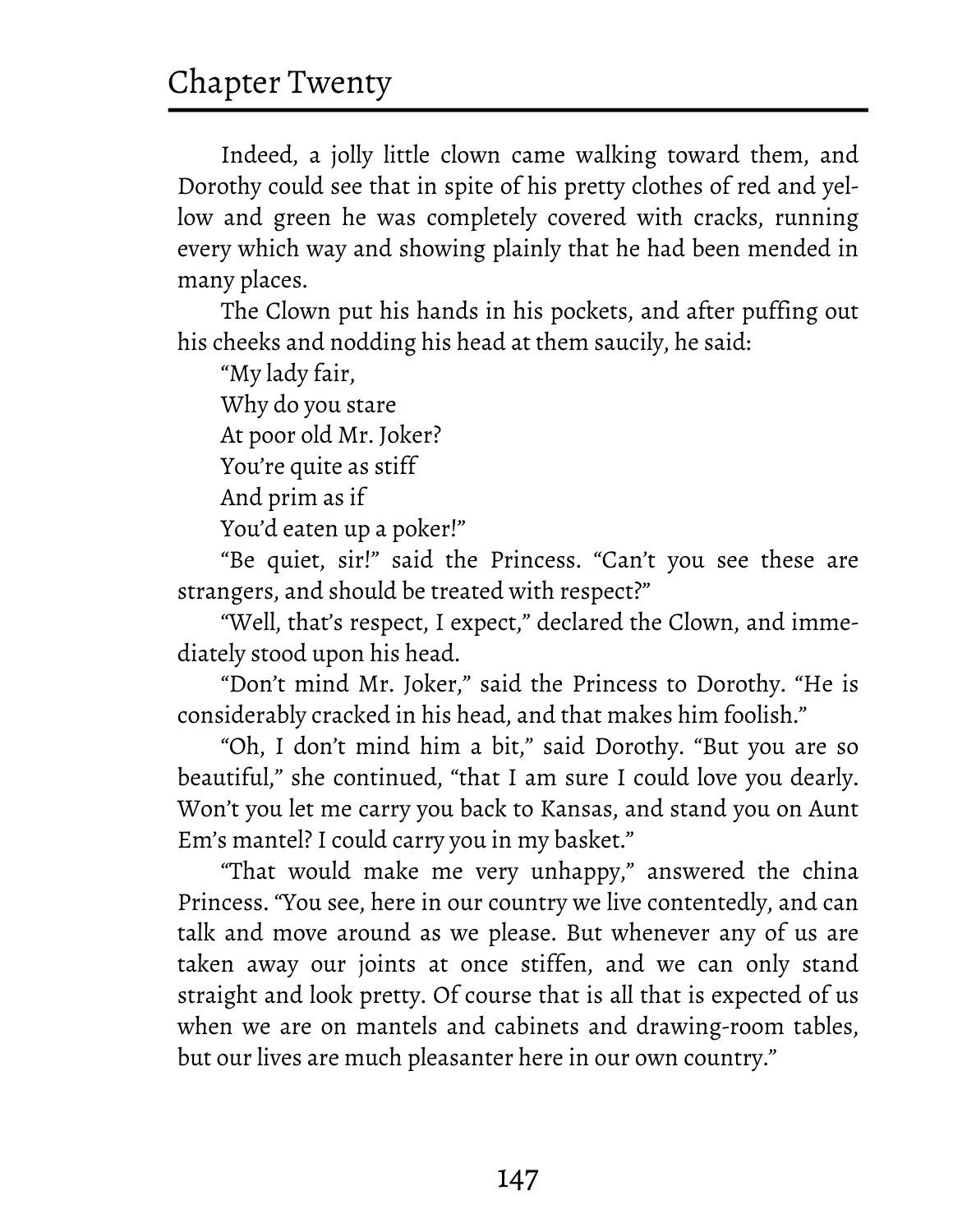Indeed, a jolly little clown came walking toward them, and Dorothy could see that in spite of his pretty clothes of red and yellow and green he was completely covered with cracks, running every which way and showing plainly that he had been mended in many places.

The Clown put his hands in his pockets, and after puffing out his cheeks and nodding his head at them saucily, he said:

"My lady fair,

Why do you stare

At poor old Mr. Joker?

You're quite as stiff

And prim as if

You'd eaten up a poker!"

"Be quiet, sir!" said the Princess. "Can't you see these are strangers, and should be treated with respect?"

"Well, that's respect, I expect," declared the Clown, and immediately stood upon his head.

"Don't mind Mr. Joker," said the Princess to Dorothy. "He is considerably cracked in his head, and that makes him foolish."

"Oh, I don't mind him a bit," said Dorothy. "But you are so beautiful," she continued, "that I am sure I could love you dearly. Won't you let me carry you back to Kansas, and stand you on Aunt Em's mantel? I could carry you in my basket."

"That would make me very unhappy," answered the china Princess. "You see, here in our country we live contentedly, and can talk and move around as we please. But whenever any of us are taken away our joints at once stiffen, and we can only stand straight and look pretty. Of course that is all that is expected of us when we are on mantels and cabinets and drawing-room tables, but our lives are much pleasanter here in our own country."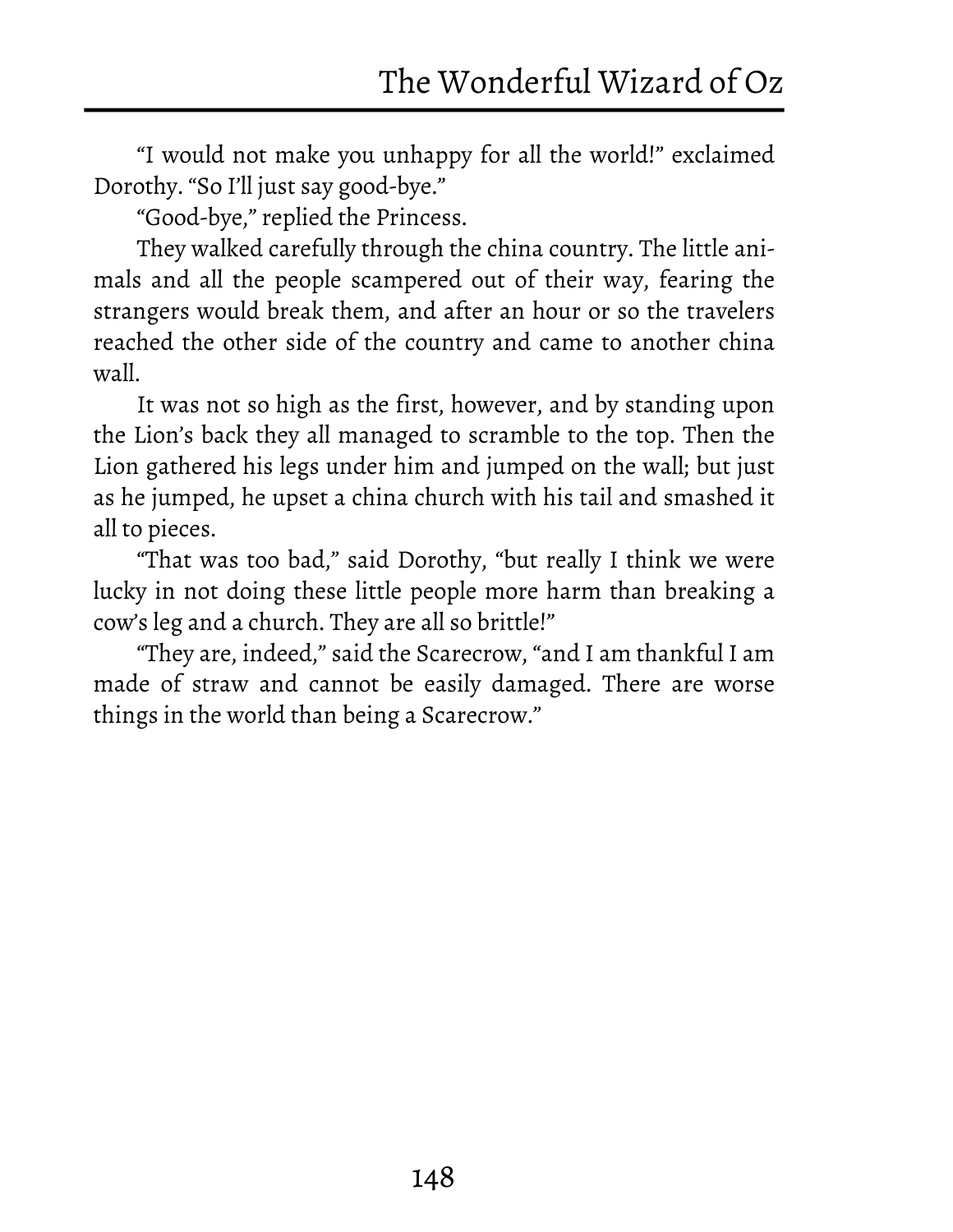"I would not make you unhappy for all the world!" exclaimed Dorothy. "So I'll just say good-bye."

"Good‐bye," replied the Princess.

They walked carefully through the china country. The little animals and all the people scampered out of their way, fearing the strangers would break them, and after an hour or so the travelers reached the other side of the country and came to another china wall.

It was not so high as the first, however, and by standing upon the Lion's back they all managed to scramble to the top. Then the Lion gathered his legs under him and jumped on the wall; but just as he jumped, he upset a china church with his tail and smashed it all to pieces.

"That was too bad," said Dorothy, "but really I think we were lucky in not doing these little people more harm than breaking a cow's leg and a church. They are all so brittle!"

"They are, indeed," said the Scarecrow, "and I am thankful I am made of straw and cannot be easily damaged. There are worse things in the world than being a Scarecrow."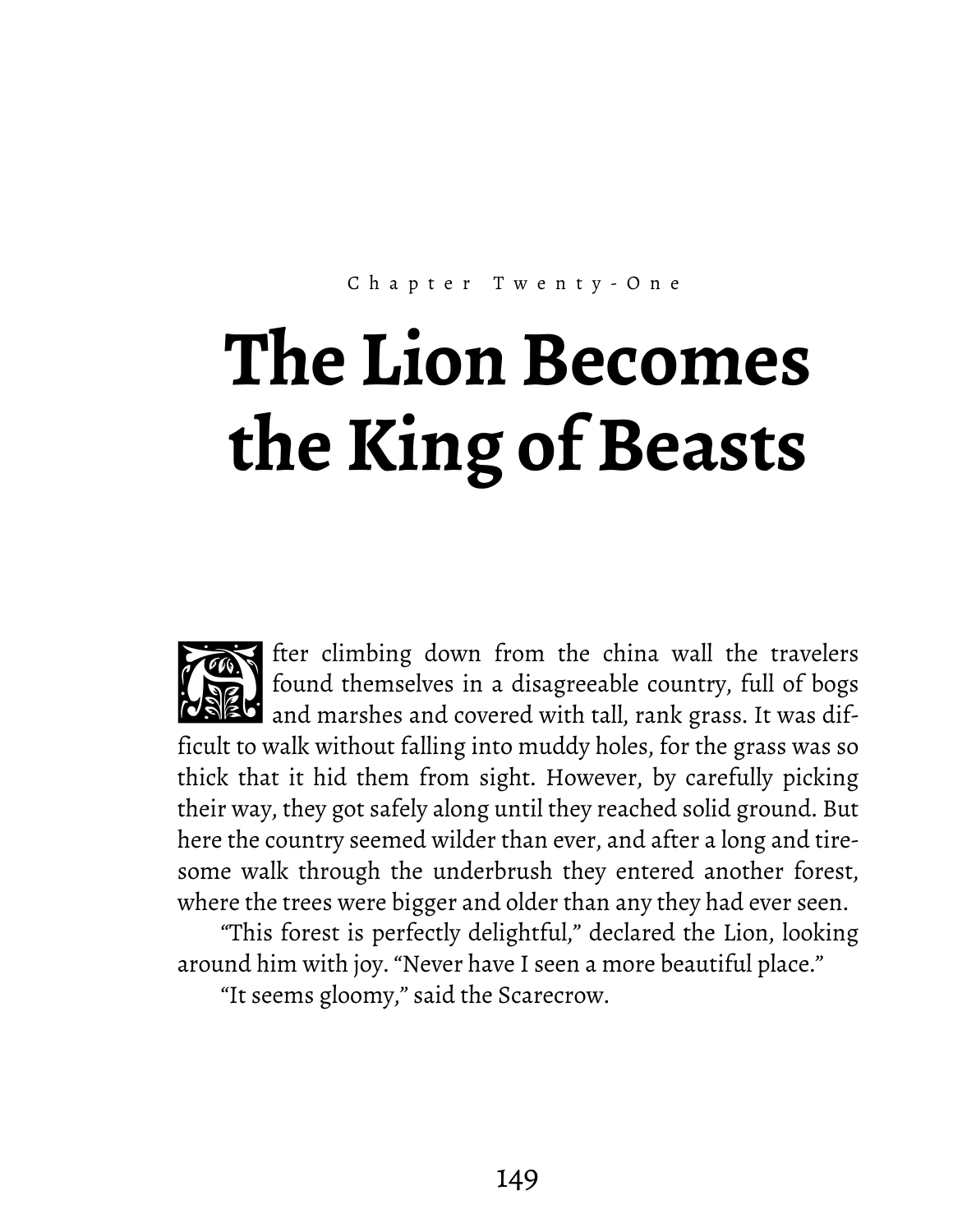#### Chapter Twenty-One

#### **The Lion Becomes the King of Beasts**

fter climbing down from the china wall the travelers<br>found themselves in a disagreeable country, full of bogs<br>and marshes and covered with tall, rank grass. It was diffter climbing down from the china wall the travelers found themselves in a disagreeable country, full of bogs ficult to walk without falling into muddy holes, for the grass was so thick that it hid them from sight. However, by carefully picking their way, they got safely along until they reached solid ground. But here the country seemed wilder than ever, and after a long and tiresome walk through the underbrush they entered another forest, where the trees were bigger and older than any they had ever seen.

"This forest is perfectly delightful," declared the Lion, looking around him with joy. "Never have I seen a more beautiful place."

"It seems gloomy," said the Scarecrow.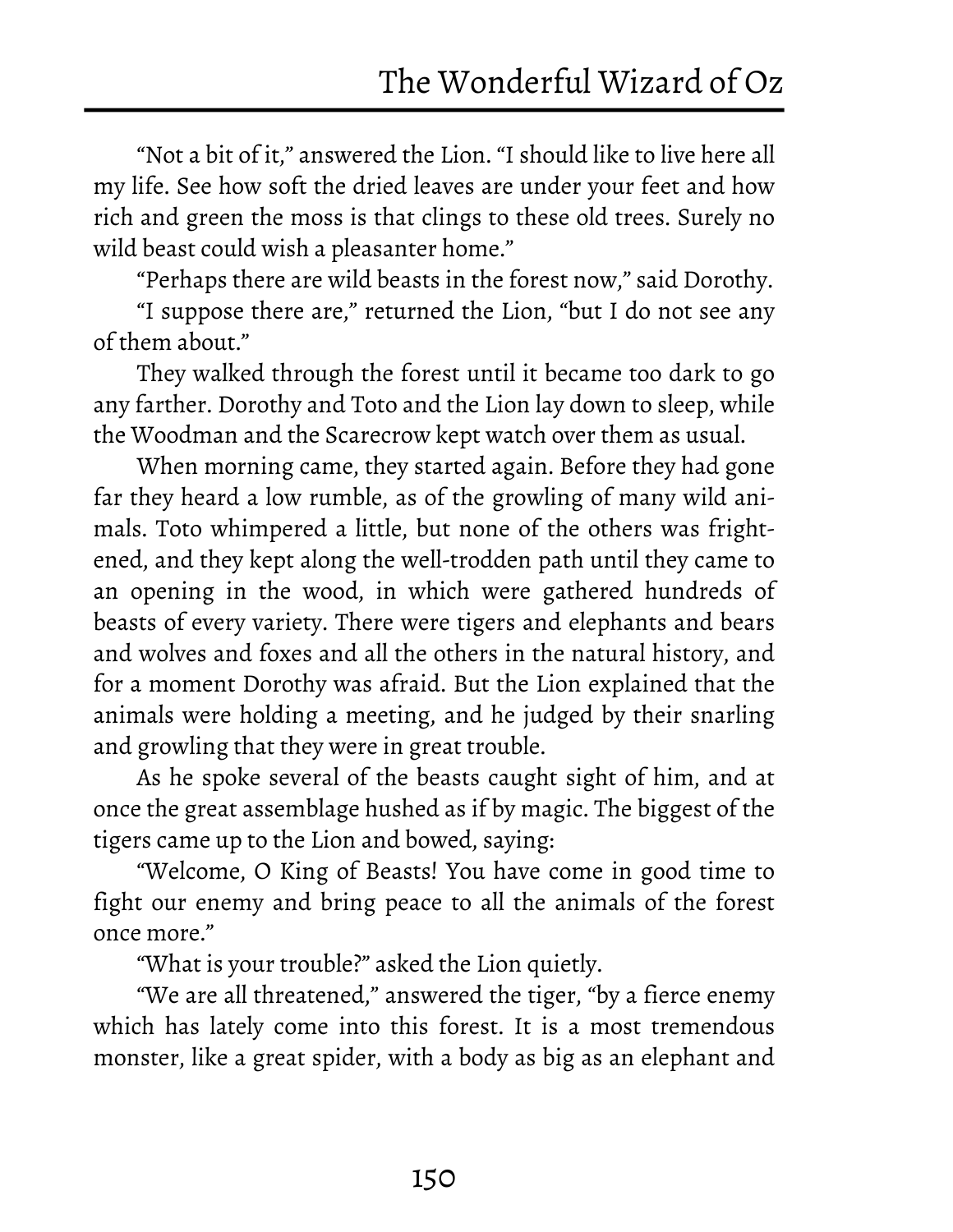"Not a bit of it," answered the Lion. "I should like to live here all my life. See how soft the dried leaves are under your feet and how rich and green the moss is that clings to these old trees. Surely no wild beast could wish a pleasanter home."

"Perhaps there are wild beasts in the forest now," said Dorothy.

"I suppose there are," returned the Lion, "but I do not see any of them about."

They walked through the forest until it became too dark to go any farther. Dorothy and Toto and the Lion lay down to sleep, while the Woodman and the Scarecrow kept watch over them as usual.

When morning came, they started again. Before they had gone far they heard a low rumble, as of the growling of many wild animals. Toto whimpered a little, but none of the others was frightened, and they kept along the well‐trodden path until they came to an opening in the wood, in which were gathered hundreds of beasts of every variety. There were tigers and elephants and bears and wolves and foxes and all the others in the natural history, and for a moment Dorothy was afraid. But the Lion explained that the animals were holding a meeting, and he judged by their snarling and growling that they were in great trouble.

As he spoke several of the beasts caught sight of him, and at once the great assemblage hushed as if by magic. The biggest of the tigers came up to the Lion and bowed, saying:

"Welcome, O King of Beasts! You have come in good time to fight our enemy and bring peace to all the animals of the forest once more."

"What is your trouble?" asked the Lion quietly.

"We are all threatened," answered the tiger, "by a fierce enemy which has lately come into this forest. It is a most tremendous monster, like a great spider, with a body as big as an elephant and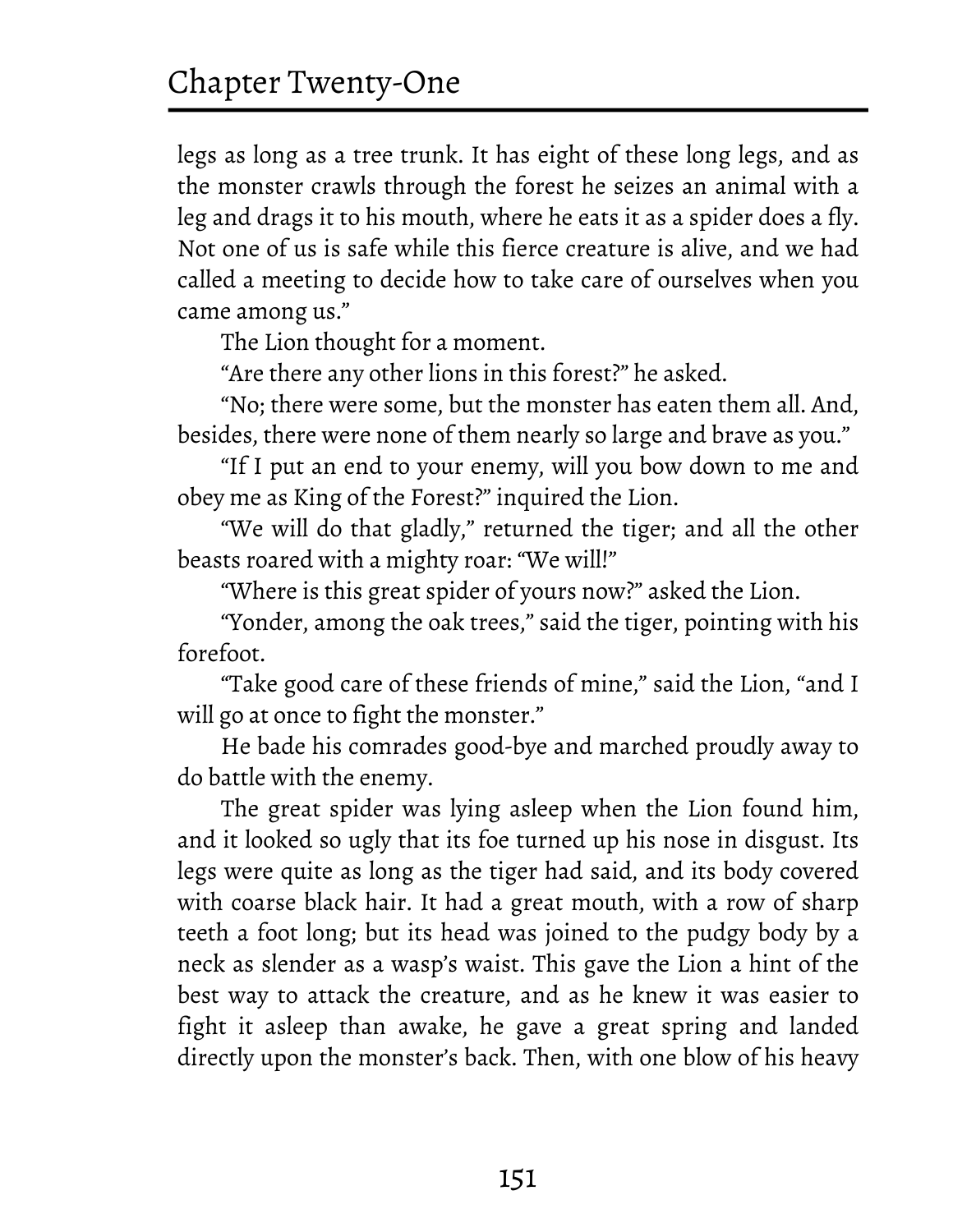legs as long as a tree trunk. It has eight of these long legs, and as the monster crawls through the forest he seizes an animal with a leg and drags it to his mouth, where he eats it as a spider does a fly. Not one of us is safe while this fierce creature is alive, and we had called a meeting to decide how to take care of ourselves when you came among us."

The Lion thought for a moment.

"Are there any other lions in this forest?" he asked.

"No; there were some, but the monster has eaten them all. And, besides, there were none of them nearly so large and brave as you."

"If I put an end to your enemy, will you bow down to me and obey me as King of the Forest?" inquired the Lion.

"We will do that gladly," returned the tiger; and all the other beasts roared with a mighty roar: "We will!"

"Where is this great spider of yours now?" asked the Lion.

"Yonder, among the oak trees," said the tiger, pointing with his forefoot.

"Take good care of these friends of mine," said the Lion, "and I will go at once to fight the monster."

He bade his comrades good‐bye and marched proudly away to do battle with the enemy.

The great spider was lying asleep when the Lion found him, and it looked so ugly that its foe turned up his nose in disgust. Its legs were quite as long as the tiger had said, and its body covered with coarse black hair. It had a great mouth, with a row of sharp teeth a foot long; but its head was joined to the pudgy body by a neck as slender as a wasp's waist. This gave the Lion a hint of the best way to attack the creature, and as he knew it was easier to fight it asleep than awake, he gave a great spring and landed directly upon the monster's back. Then, with one blow of his heavy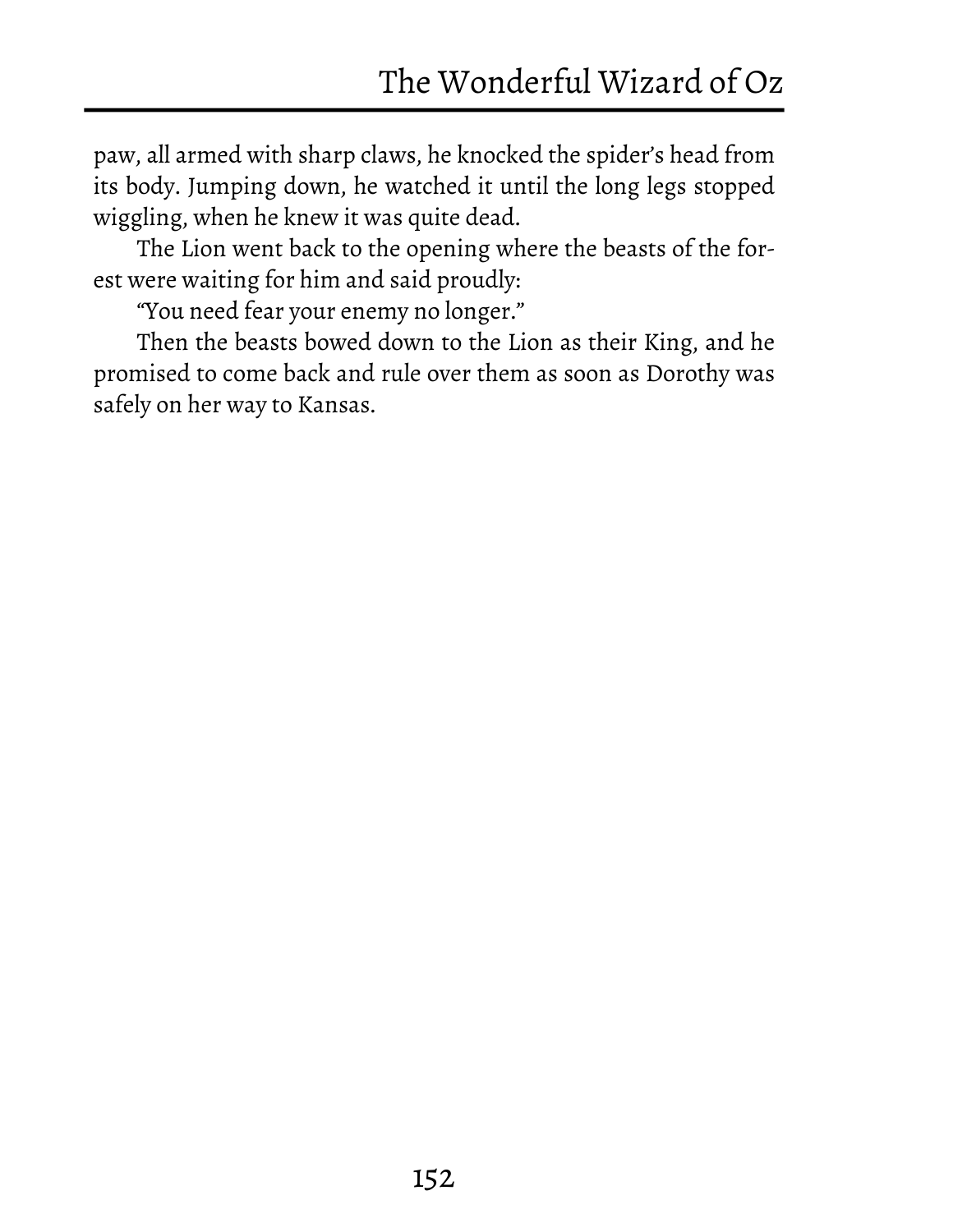paw, all armed with sharp claws, he knocked the spider's head from its body. Jumping down, he watched it until the long legs stopped wiggling, when he knew it was quite dead.

The Lion went back to the opening where the beasts of the forest were waiting for him and said proudly:

"You need fear your enemy no longer."

Then the beasts bowed down to the Lion as their King, and he promised to come back and rule over them as soon as Dorothy was safely on her way to Kansas.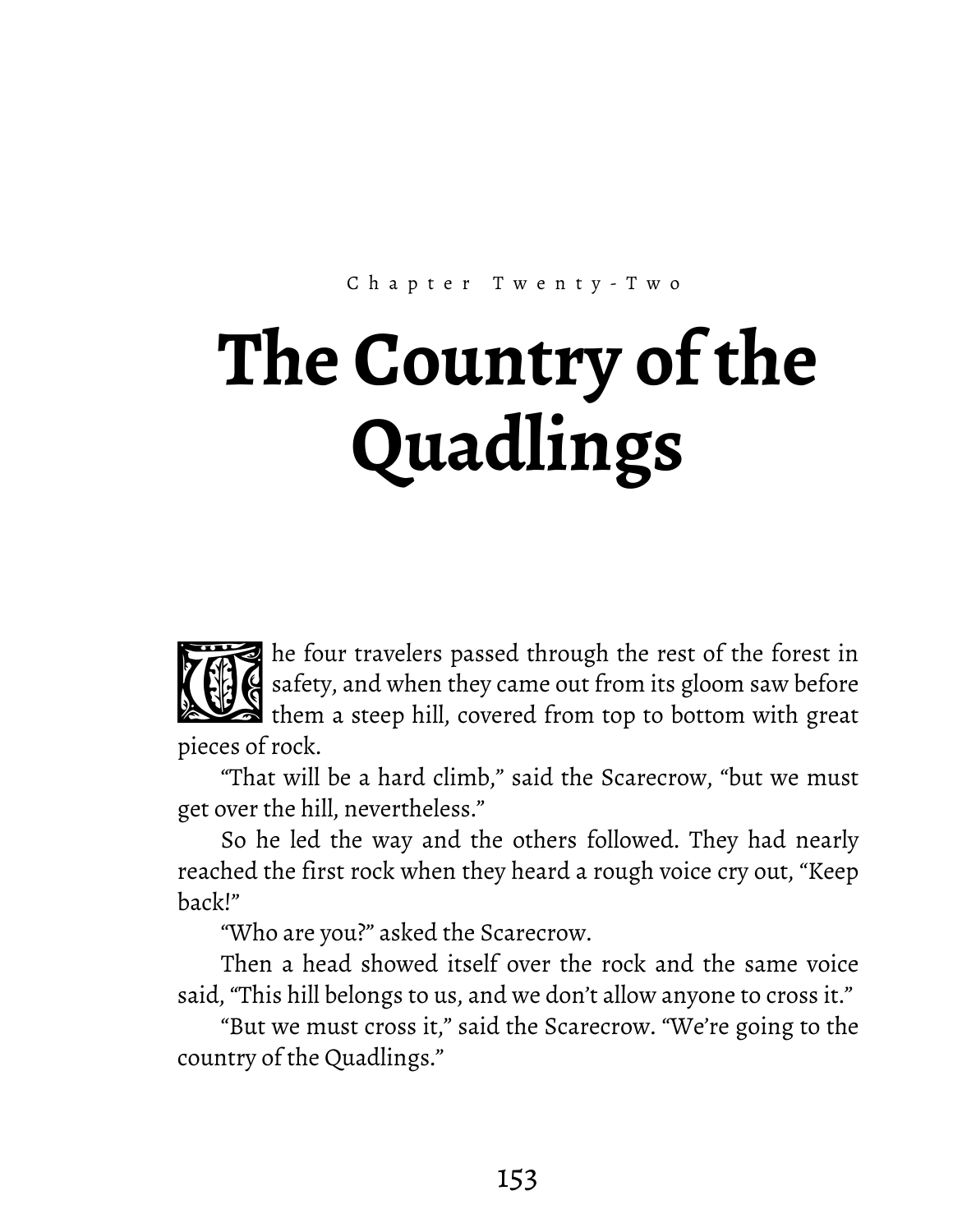Chapter Twenty-Two

## **The Country of the Quadlings**

the four travelers passed through the rest of the forest in<br>safety, and when they came out from its gloom saw before<br>them a steep hill, covered from top to bottom with great the four travelers passed through the rest of the forest in  $\frac{1}{3}$  safety, and when they came out from its gloom saw before pieces of rock.

"That will be a hard climb," said the Scarecrow, "but we must get over the hill, nevertheless."

So he led the way and the others followed. They had nearly reached the first rock when they heard a rough voice cry out, "Keep back!"

"Who are you?" asked the Scarecrow.

Then a head showed itself over the rock and the same voice said, "This hill belongs to us, and we don't allow anyone to cross it."

"But we must cross it," said the Scarecrow. "We're going to the country of the Quadlings."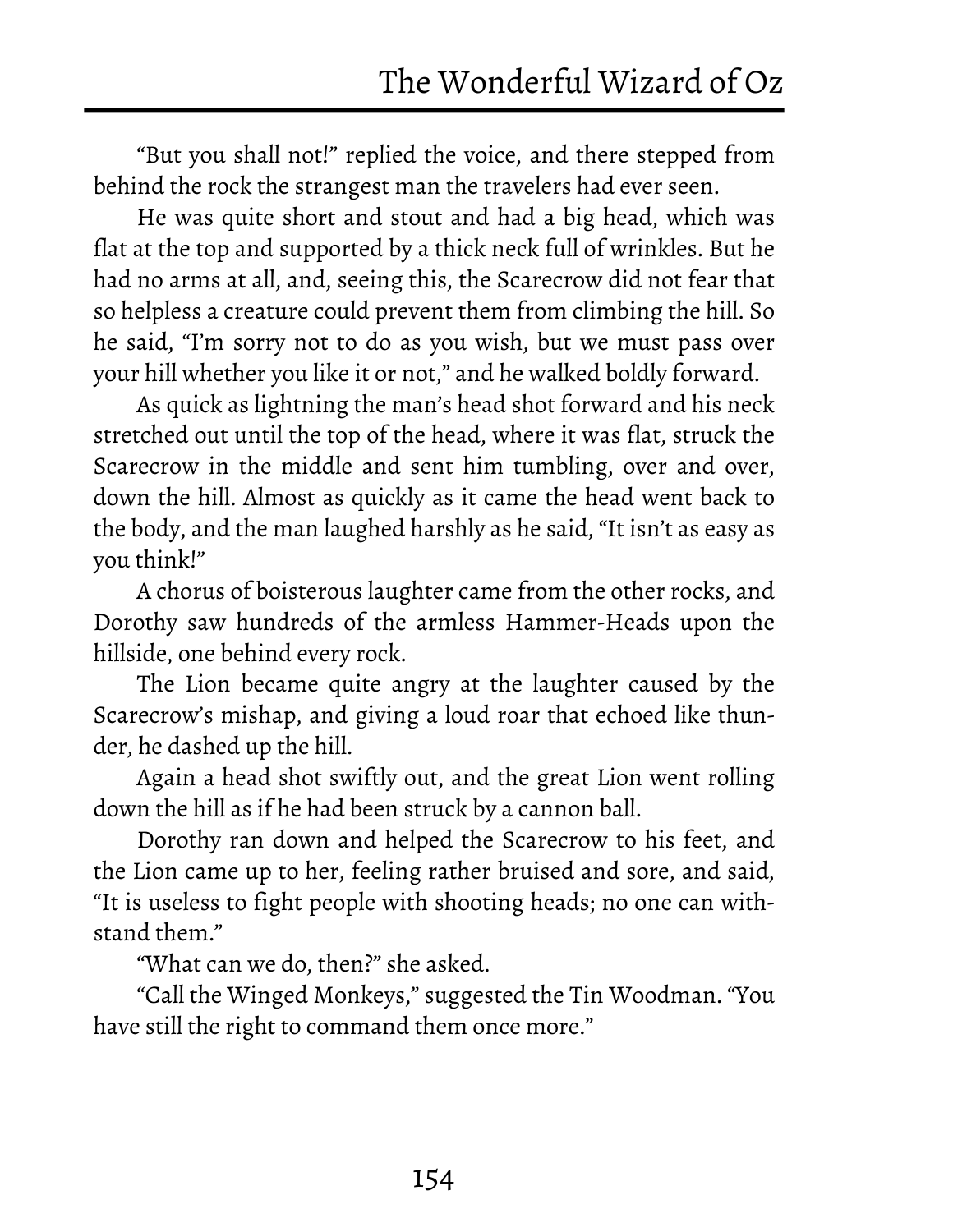"But you shall not!" replied the voice, and there stepped from behind the rock the strangest man the travelers had ever seen.

He was quite short and stout and had a big head, which was flat at the top and supported by a thick neck full of wrinkles. But he had no arms at all, and, seeing this, the Scarecrow did not fear that so helpless a creature could prevent them from climbing the hill. So he said, "I'm sorry not to do as you wish, but we must pass over your hill whether you like it or not," and he walked boldly forward.

As quick as lightning the man's head shot forward and his neck stretched out until the top of the head, where it was flat, struck the Scarecrow in the middle and sent him tumbling, over and over, down the hill. Almost as quickly as it came the head went back to the body, and the man laughed harshly as he said, "It isn't as easy as you think!"

A chorus of boisterous laughter came from the other rocks, and Dorothy saw hundreds of the armless Hammer‐Heads upon the hillside, one behind every rock.

The Lion became quite angry at the laughter caused by the Scarecrow's mishap, and giving a loud roar that echoed like thunder, he dashed up the hill.

Again a head shot swiftly out, and the great Lion went rolling down the hill as if he had been struck by a cannon ball.

Dorothy ran down and helped the Scarecrow to his feet, and the Lion came up to her, feeling rather bruised and sore, and said, "It is useless to fight people with shooting heads; no one can withstand them."

"What can we do, then?" she asked.

"Call the Winged Monkeys," suggested the Tin Woodman. "You have still the right to command them once more."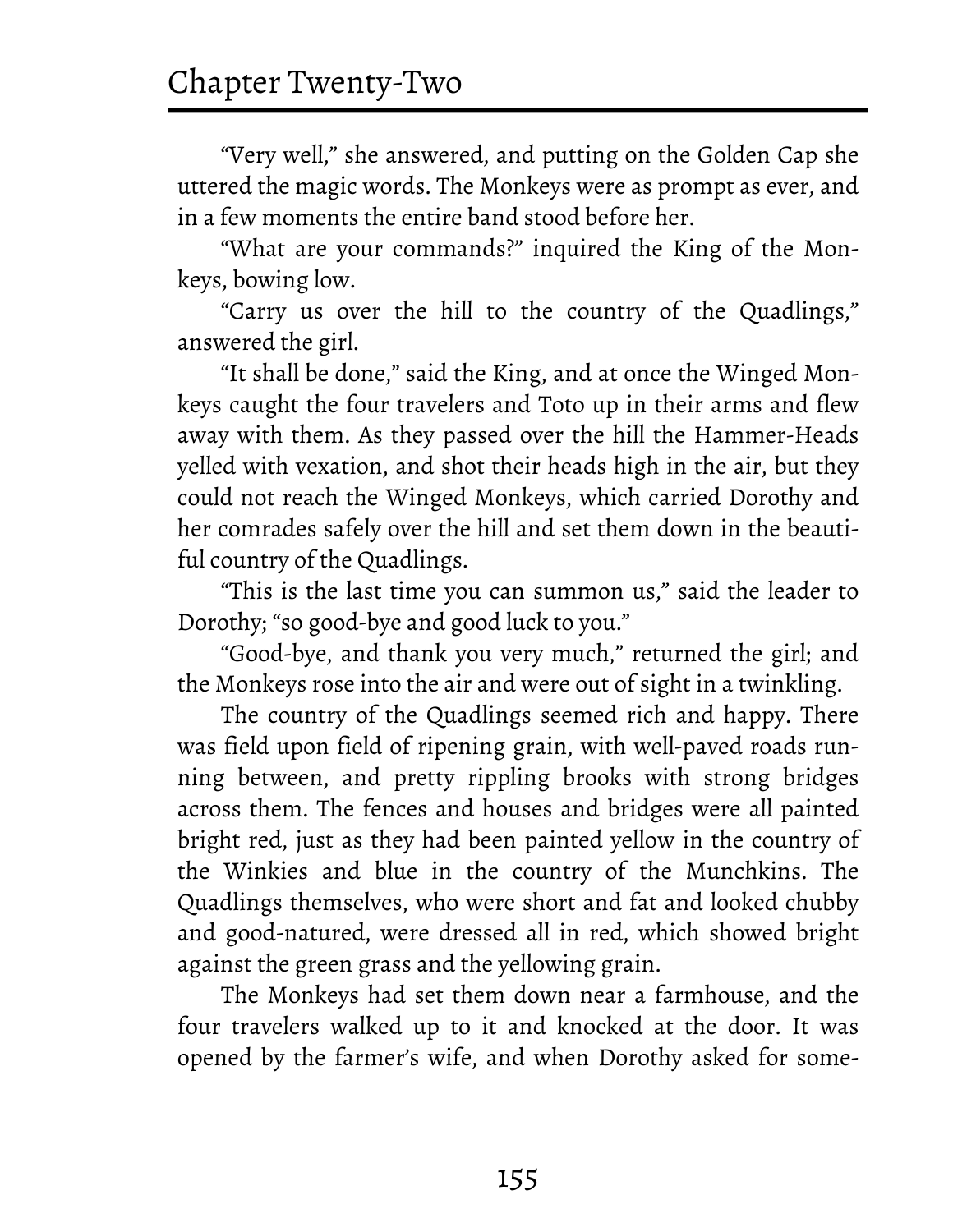"Very well," she answered, and putting on the Golden Cap she uttered the magic words. The Monkeys were as prompt as ever, and in a few moments the entire band stood before her.

"What are your commands?" inquired the King of the Monkeys, bowing low.

"Carry us over the hill to the country of the Quadlings," answered the girl.

"It shall be done," said the King, and at once the Winged Monkeys caught the four travelers and Toto up in their arms and flew away with them. As they passed over the hill the Hammer‐Heads yelled with vexation, and shot their heads high in the air, but they could not reach the Winged Monkeys, which carried Dorothy and her comrades safely over the hill and set them down in the beautiful country of the Quadlings.

"This is the last time you can summon us," said the leader to Dorothy; "so good‐bye and good luck to you."

"Good‐bye, and thank you very much," returned the girl; and the Monkeys rose into the air and were out of sight in a twinkling.

The country of the Quadlings seemed rich and happy. There was field upon field of ripening grain, with well‐paved roads running between, and pretty rippling brooks with strong bridges across them. The fences and houses and bridges were all painted bright red, just as they had been painted yellow in the country of the Winkies and blue in the country of the Munchkins. The Quadlings themselves, who were short and fat and looked chubby and good‐natured, were dressed all in red, which showed bright against the green grass and the yellowing grain.

The Monkeys had set them down near a farmhouse, and the four travelers walked up to it and knocked at the door. It was opened by the farmer's wife, and when Dorothy asked for some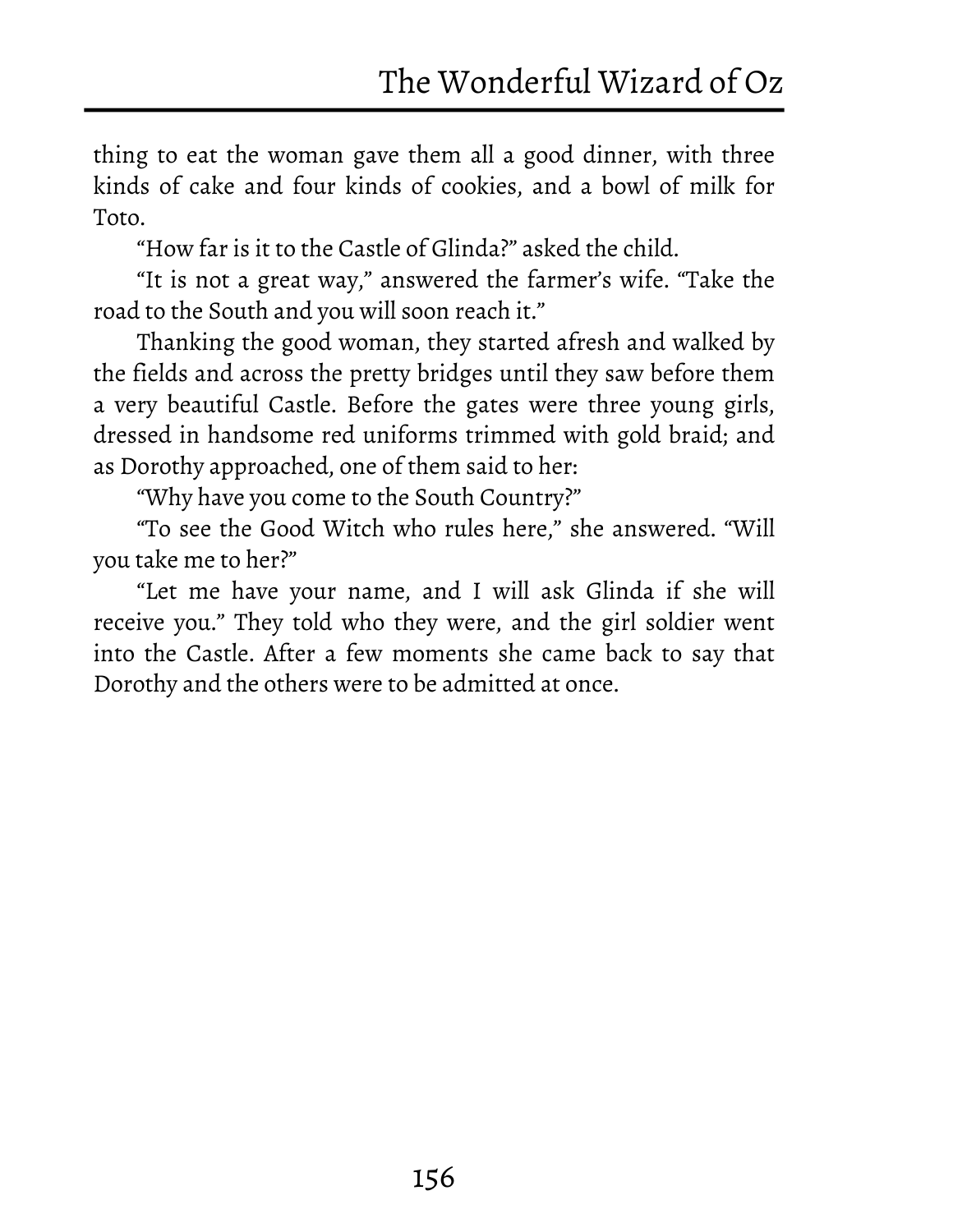thing to eat the woman gave them all a good dinner, with three kinds of cake and four kinds of cookies, and a bowl of milk for Toto.

"How far is it to the Castle of Glinda?" asked the child.

"It is not a great way," answered the farmer's wife. "Take the road to the South and you will soon reach it."

Thanking the good woman, they started afresh and walked by the fields and across the pretty bridges until they saw before them a very beautiful Castle. Before the gates were three young girls, dressed in handsome red uniforms trimmed with gold braid; and as Dorothy approached, one of them said to her:

"Why have you come to the South Country?"

"To see the Good Witch who rules here," she answered. "Will you take me to her?"

"Let me have your name, and I will ask Glinda if she will receive you." They told who they were, and the girl soldier went into the Castle. After a few moments she came back to say that Dorothy and the others were to be admitted at once.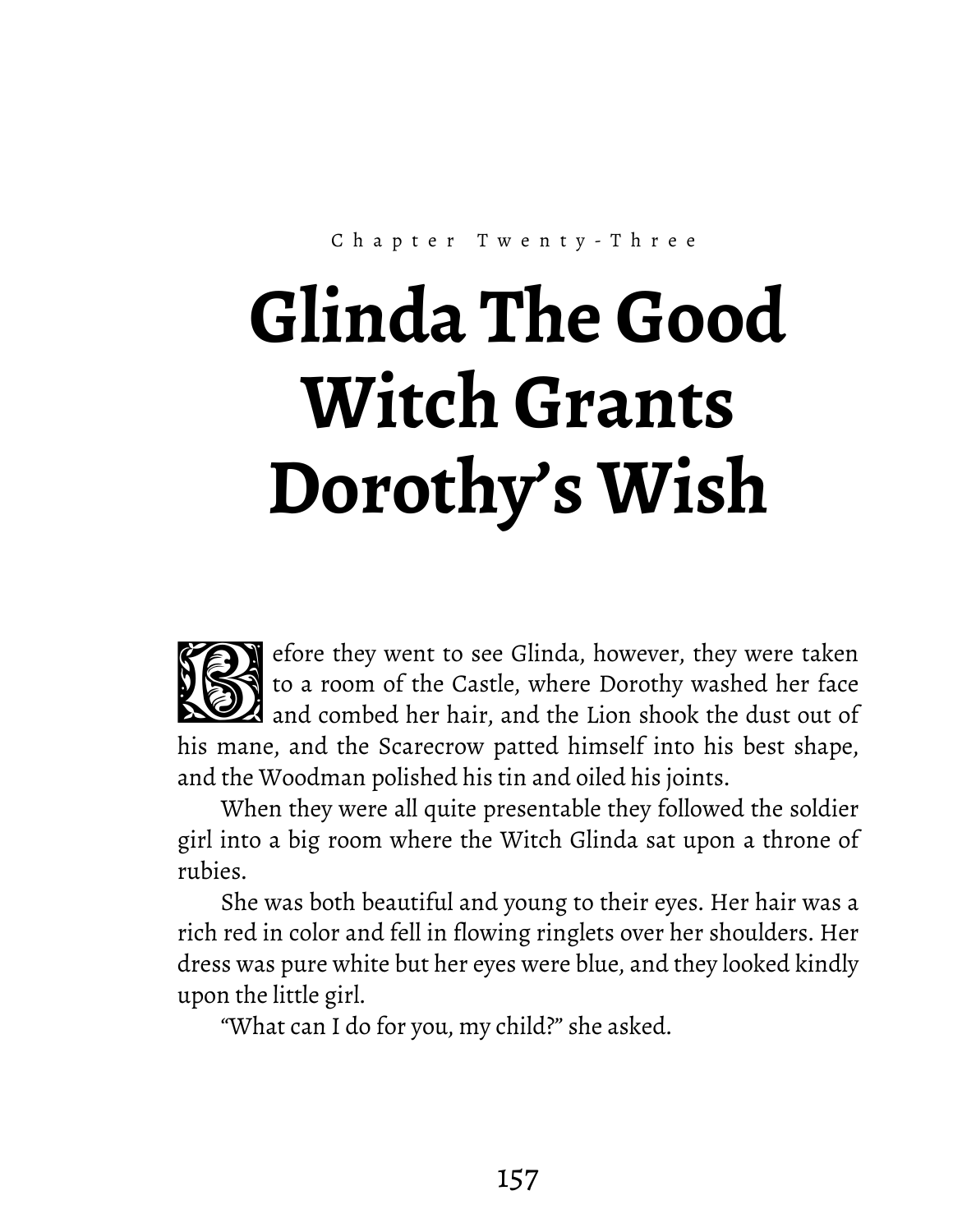Chapter Twenty-Three

## **Glinda The Good Witch Grants Dorothy's Wish**

efore they went to see Glinda, however, they were taken<br>to a room of the Castle, where Dorothy washed her face<br>and combed her hair, and the Lion shook the dust out of efore they went to see Glinda, however, they were taken to a room of the Castle, where Dorothy washed her face his mane, and the Scarecrow patted himself into his best shape, and the Woodman polished his tin and oiled his joints.

When they were all quite presentable they followed the soldier girl into a big room where the Witch Glinda sat upon a throne of rubies.

She was both beautiful and young to their eyes. Her hair was a rich red in color and fell in flowing ringlets over her shoulders. Her dress was pure white but her eyes were blue, and they looked kindly upon the little girl.

"What can I do for you, my child?" she asked.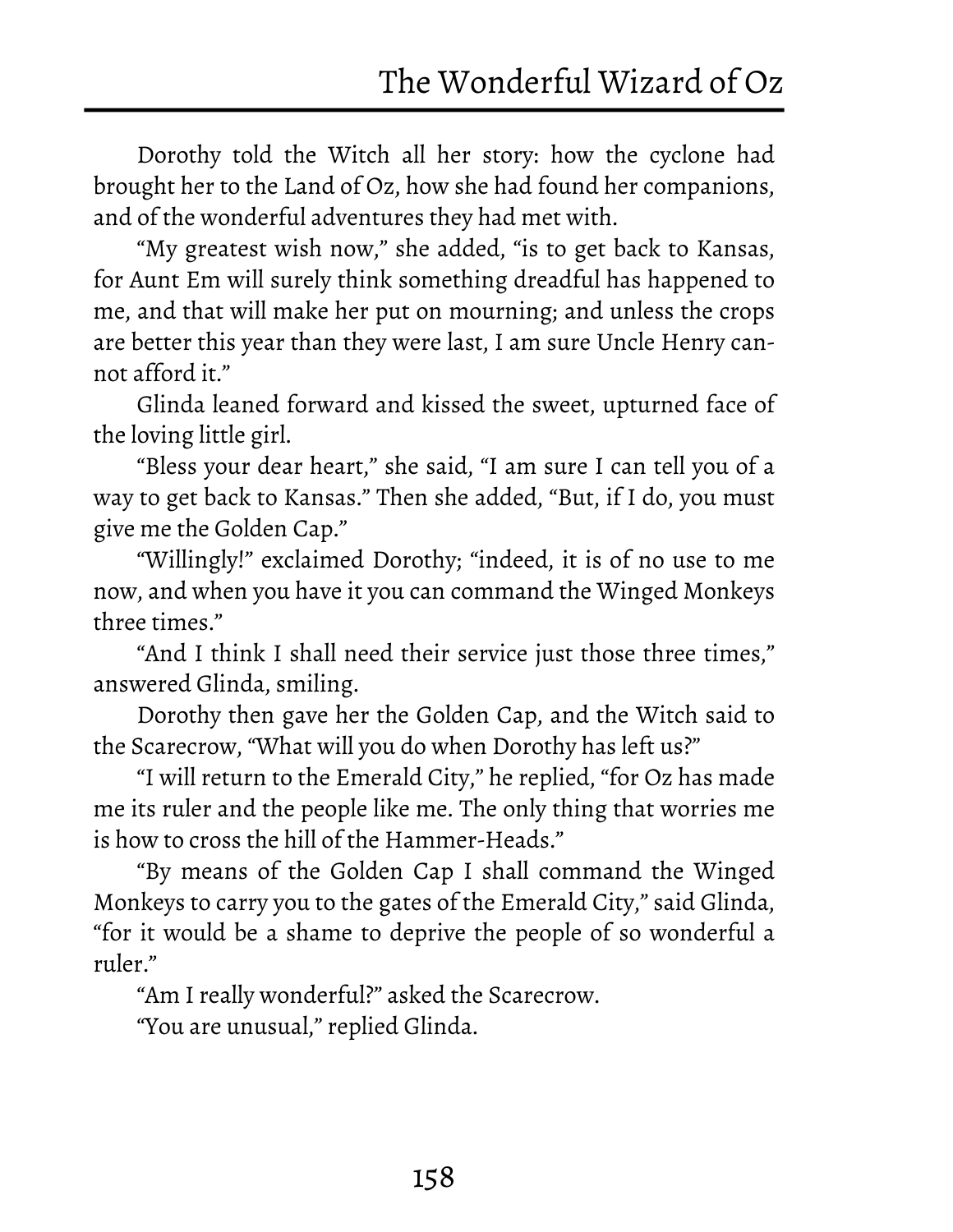Dorothy told the Witch all her story: how the cyclone had brought her to the Land of Oz, how she had found her companions, and of the wonderful adventures they had met with.

"My greatest wish now," she added, "is to get back to Kansas, for Aunt Em will surely think something dreadful has happened to me, and that will make her put on mourning; and unless the crops are better this year than they were last, I am sure Uncle Henry cannot afford it."

Glinda leaned forward and kissed the sweet, upturned face of the loving little girl.

"Bless your dear heart," she said, "I am sure I can tell you of a way to get back to Kansas." Then she added, "But, if I do, you must give me the Golden Cap."

"Willingly!" exclaimed Dorothy; "indeed, it is of no use to me now, and when you have it you can command the Winged Monkeys three times."

"And I think I shall need their service just those three times," answered Glinda, smiling.

Dorothy then gave her the Golden Cap, and the Witch said to the Scarecrow, "What will you do when Dorothy has left us?"

"I will return to the Emerald City," he replied, "for Oz has made me its ruler and the people like me. The only thing that worries me is how to cross the hill of the Hammer‐Heads."

"By means of the Golden Cap I shall command the Winged Monkeys to carry you to the gates of the Emerald City," said Glinda, "for it would be a shame to deprive the people of so wonderful a ruler."

"Am I really wonderful?" asked the Scarecrow.

"You are unusual," replied Glinda.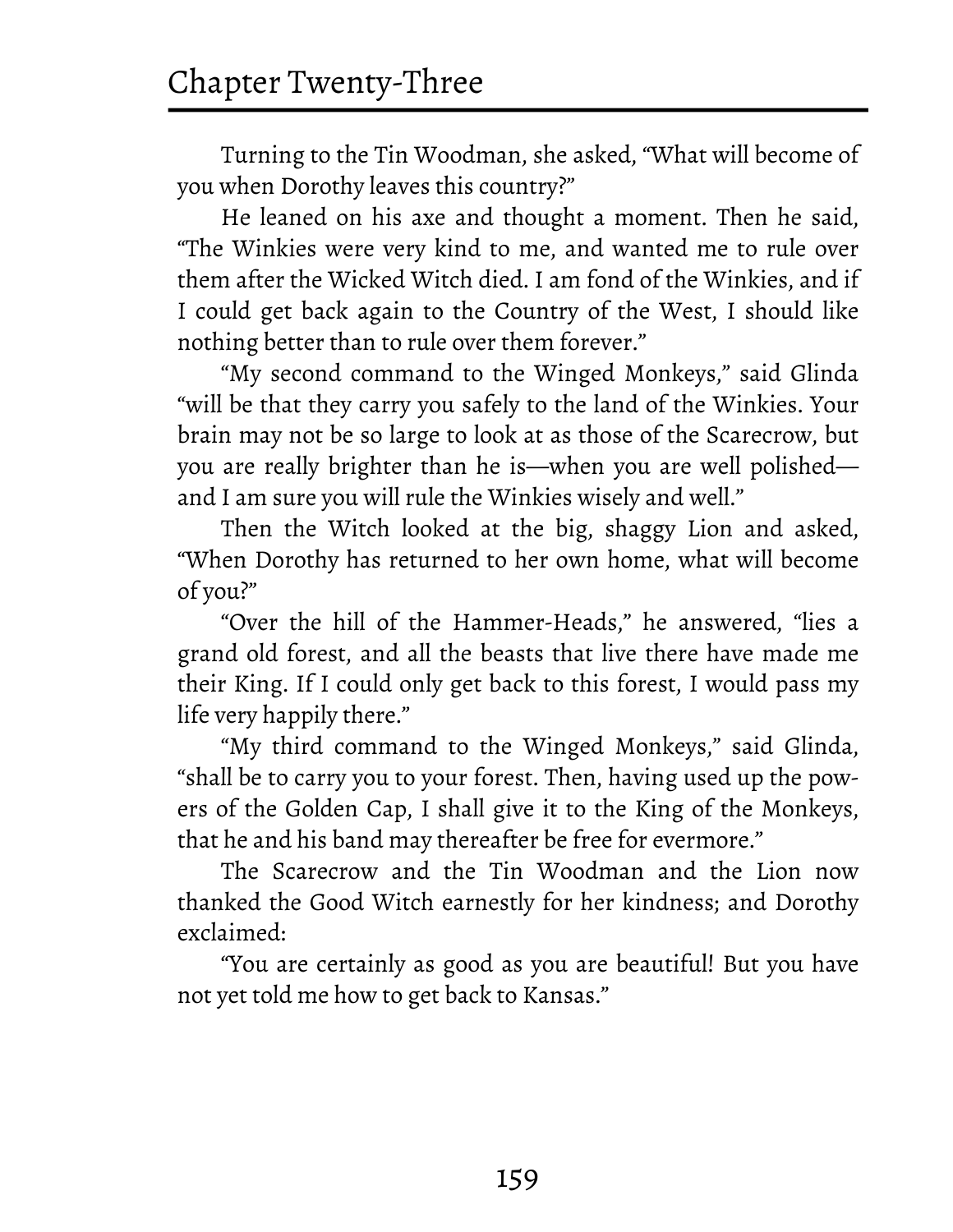Turning to the Tin Woodman, she asked, "What will become of you when Dorothy leaves this country?"

He leaned on his axe and thought a moment. Then he said, "The Winkies were very kind to me, and wanted me to rule over them after the Wicked Witch died. I am fond of the Winkies, and if I could get back again to the Country of the West, I should like nothing better than to rule over them forever."

"My second command to the Winged Monkeys," said Glinda "will be that they carry you safely to the land of the Winkies. Your brain may not be so large to look at as those of the Scarecrow, but you are really brighter than he is—when you are well polished and I am sure you will rule the Winkies wisely and well."

Then the Witch looked at the big, shaggy Lion and asked, "When Dorothy has returned to her own home, what will become of you?"

"Over the hill of the Hammer‐Heads," he answered, "lies a grand old forest, and all the beasts that live there have made me their King. If I could only get back to this forest, I would pass my life very happily there."

"My third command to the Winged Monkeys," said Glinda, "shall be to carry you to your forest. Then, having used up the powers of the Golden Cap, I shall give it to the King of the Monkeys, that he and his band may thereafter be free for evermore."

The Scarecrow and the Tin Woodman and the Lion now thanked the Good Witch earnestly for her kindness; and Dorothy exclaimed:

"You are certainly as good as you are beautiful! But you have not yet told me how to get back to Kansas."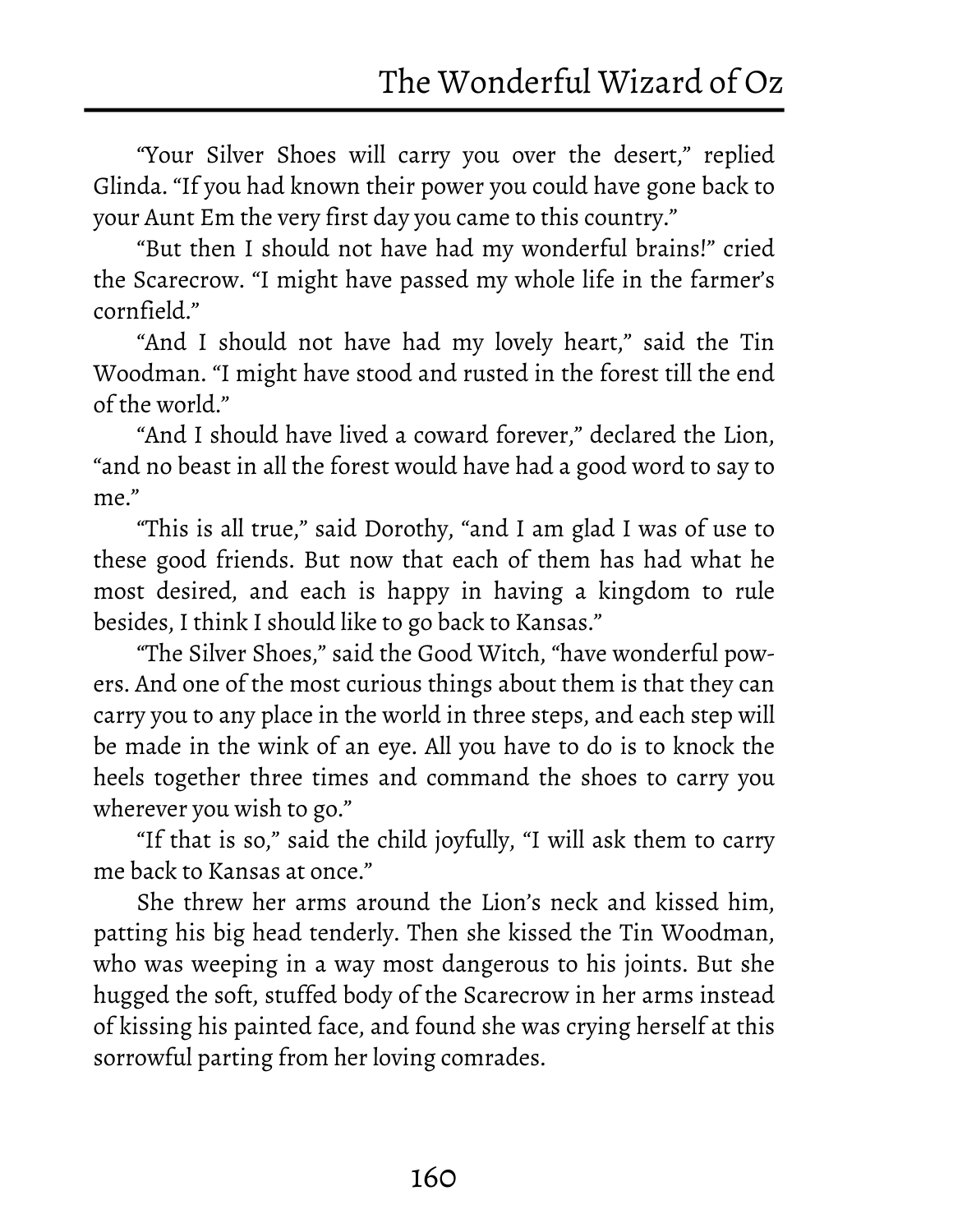"Your Silver Shoes will carry you over the desert," replied Glinda. "If you had known their power you could have gone back to your Aunt Em the very first day you came to this country."

"But then I should not have had my wonderful brains!" cried the Scarecrow. "I might have passed my whole life in the farmer's cornfield."

"And I should not have had my lovely heart," said the Tin Woodman. "I might have stood and rusted in the forest till the end of the world."

"And I should have lived a coward forever," declared the Lion, "and no beast in all the forest would have had a good word to say to me."

"This is all true," said Dorothy, "and I am glad I was of use to these good friends. But now that each of them has had what he most desired, and each is happy in having a kingdom to rule besides, I think I should like to go back to Kansas."

"The Silver Shoes," said the Good Witch, "have wonderful powers. And one of the most curious things about them is that they can carry you to any place in the world in three steps, and each step will be made in the wink of an eye. All you have to do is to knock the heels together three times and command the shoes to carry you wherever you wish to go."

"If that is so," said the child joyfully, "I will ask them to carry me back to Kansas at once."

She threw her arms around the Lion's neck and kissed him, patting his big head tenderly. Then she kissed the Tin Woodman, who was weeping in a way most dangerous to his joints. But she hugged the soft, stuffed body of the Scarecrow in her arms instead of kissing his painted face, and found she was crying herself at this sorrowful parting from her loving comrades.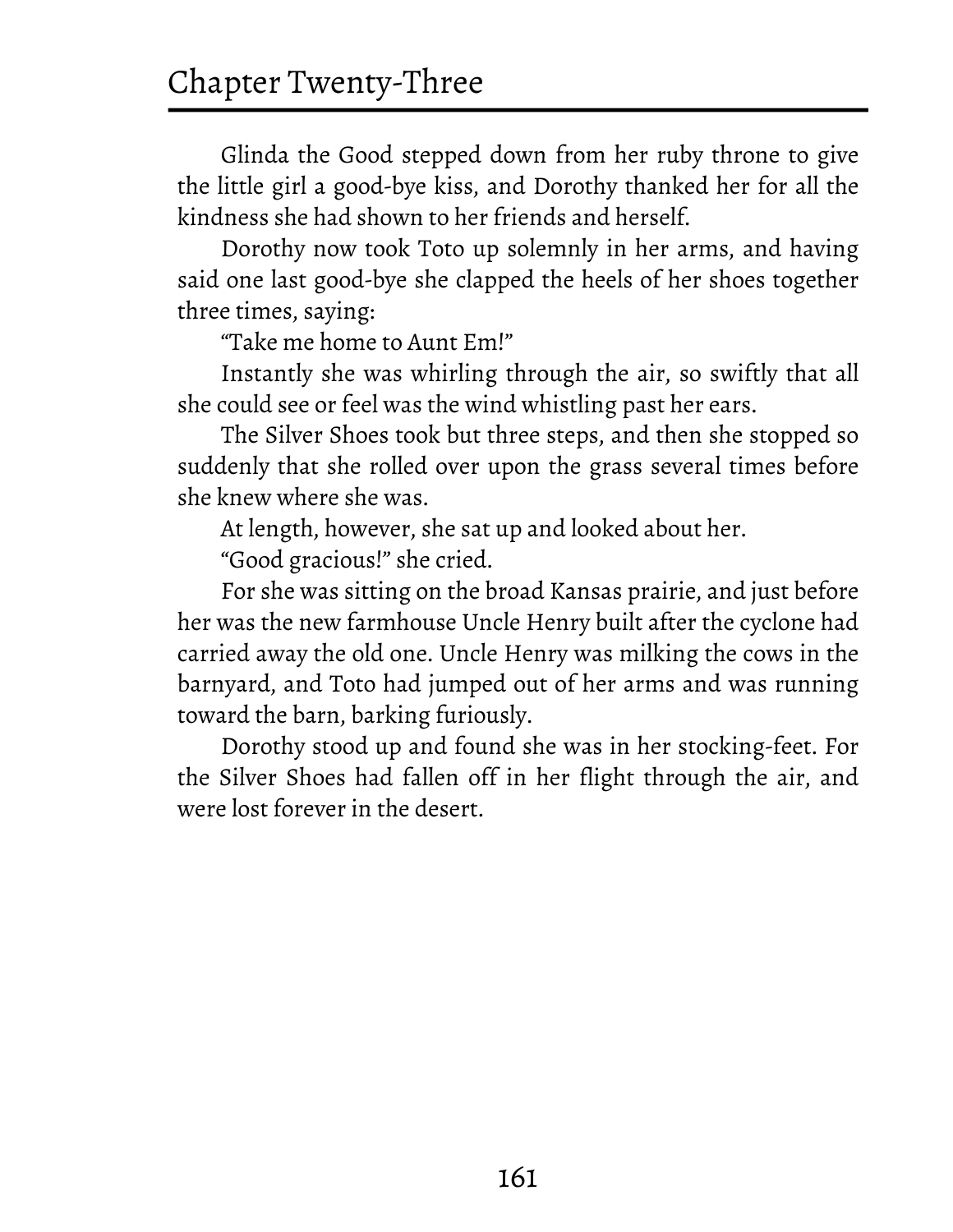Glinda the Good stepped down from her ruby throne to give the little girl a good‐bye kiss, and Dorothy thanked her for all the kindness she had shown to her friends and herself.

Dorothy now took Toto up solemnly in her arms, and having said one last good‐bye she clapped the heels of her shoes together three times, saying:

"Take me home to Aunt Em!"

Instantly she was whirling through the air, so swiftly that all she could see or feel was the wind whistling past her ears.

The Silver Shoes took but three steps, and then she stopped so suddenly that she rolled over upon the grass several times before she knew where she was.

At length, however, she sat up and looked about her.

"Good gracious!" she cried.

For she was sitting on the broad Kansas prairie, and just before her was the new farmhouse Uncle Henry built after the cyclone had carried away the old one. Uncle Henry was milking the cows in the barnyard, and Toto had jumped out of her arms and was running toward the barn, barking furiously.

Dorothy stood up and found she was in her stocking‐feet. For the Silver Shoes had fallen off in her flight through the air, and were lost forever in the desert.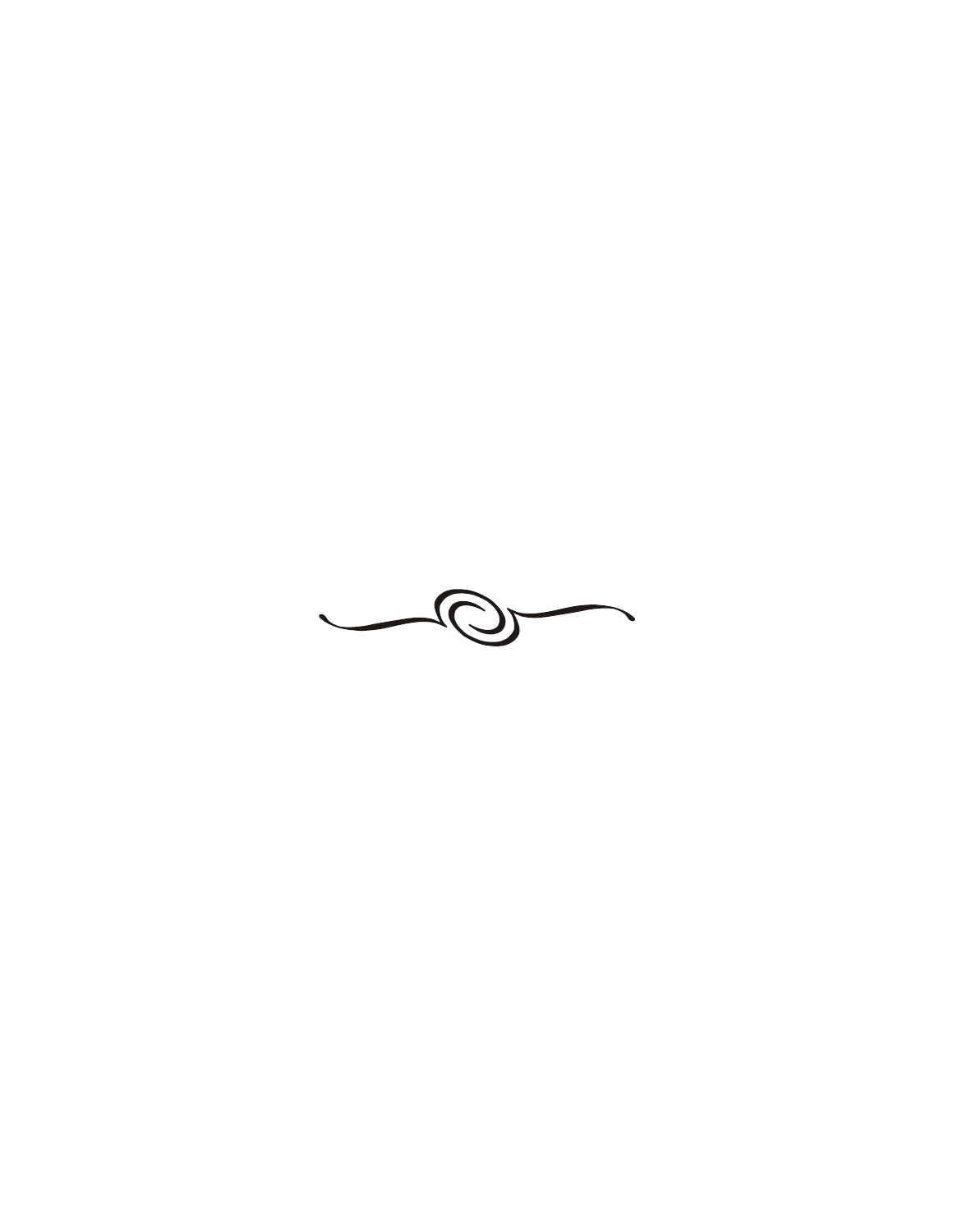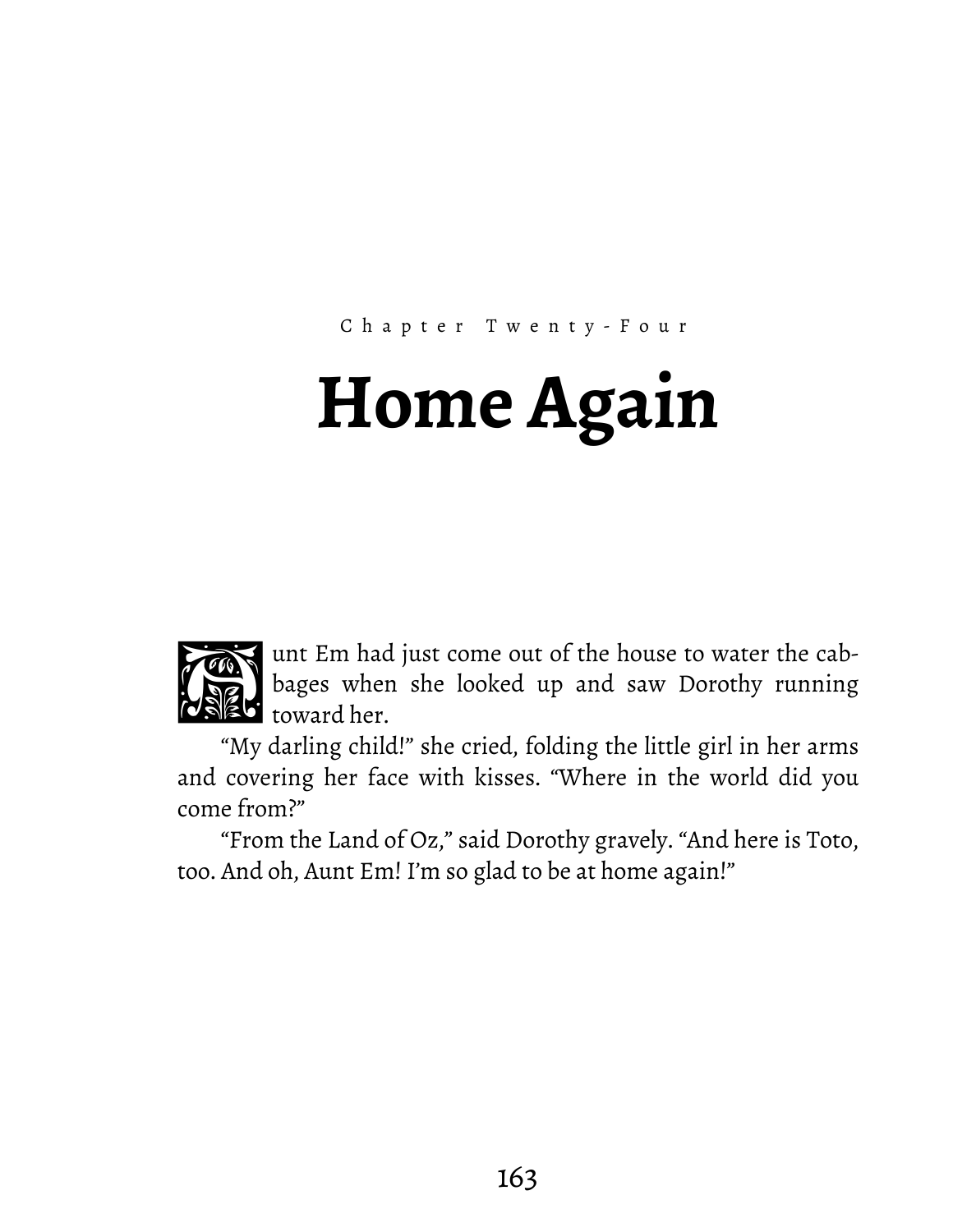Chapter Twenty-Four

# **Home Again**



unt Em had<br>bages when<br>toward her. unt Em had just come out of the house to water the cabbages when she looked up and saw Dorothy running

"My darling child!" she cried, folding the little girl in her arms and covering her face with kisses. "Where in the world did you come from?"

"From the Land of Oz," said Dorothy gravely. "And here is Toto, too. And oh, Aunt Em! I'm so glad to be at home again!"